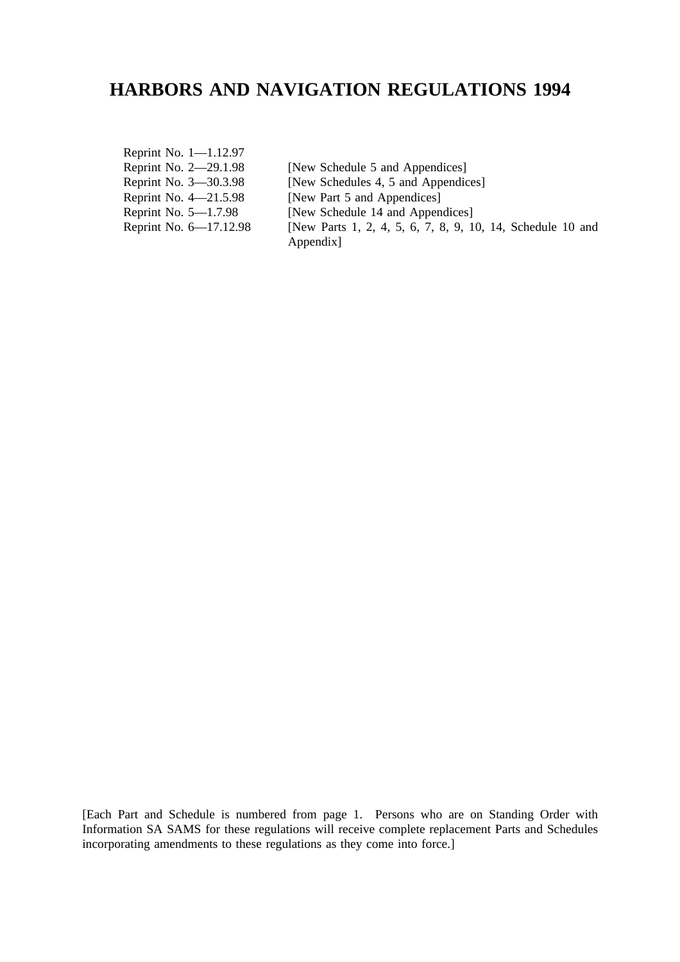# **HARBORS AND NAVIGATION REGULATIONS 1994**

Reprint No. 1—1.12.97 Reprint No. 2–29.1.98 [New Schedule 5 and Appendices] Reprint No. 3—30.3.98 [New Schedules 4, 5 and Appendices]<br>Reprint No. 4—21.5.98 [New Part 5 and Appendices] Reprint No. 4—21.5.98 [New Part 5 and Appendices]<br>Reprint No. 5—1.7.98 [New Schedule 14 and Appendices] [New Schedule 14 and Appendices] Reprint No. 6–17.12.98 [New Parts 1, 2, 4, 5, 6, 7, 8, 9, 10, 14, Schedule 10 and Appendix]

[Each Part and Schedule is numbered from page 1. Persons who are on Standing Order with Information SA SAMS for these regulations will receive complete replacement Parts and Schedules incorporating amendments to these regulations as they come into force.]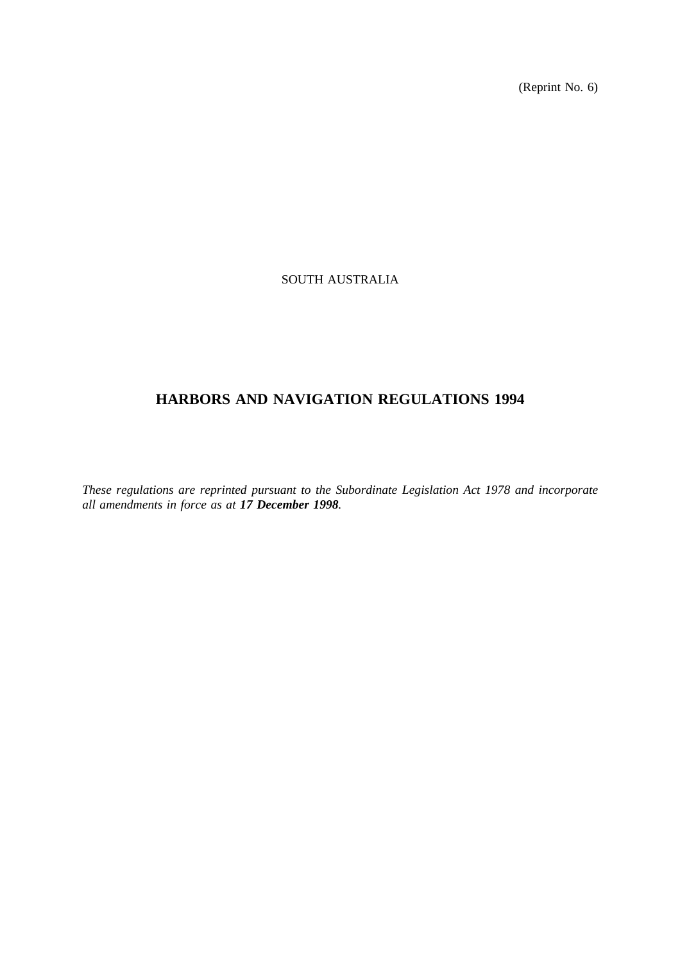(Reprint No. 6)

# SOUTH AUSTRALIA

# **HARBORS AND NAVIGATION REGULATIONS 1994**

*These regulations are reprinted pursuant to the Subordinate Legislation Act 1978 and incorporate all amendments in force as at 17 December 1998.*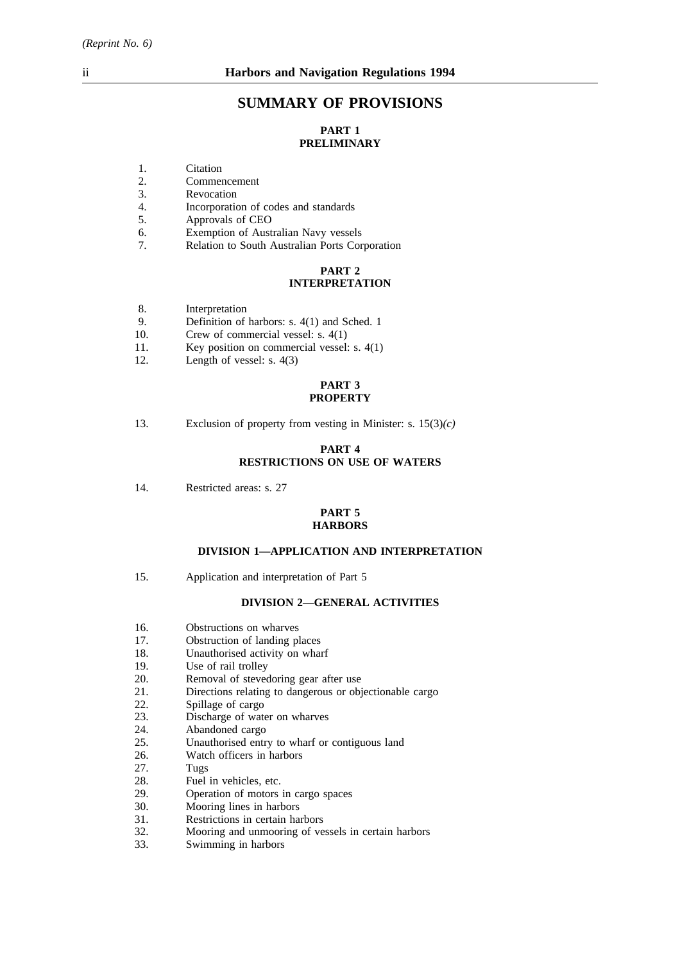# **SUMMARY OF PROVISIONS**

# **PART 1 PRELIMINARY**

- 1. Citation<br>2. Commer
- 2. Commencement<br>3. Revocation
- 3. Revocation<br>4. Incorporation
- 4. Incorporation of codes and standards
- 5. Approvals of CEO
- 6. Exemption of Australian Navy vessels
- 7. Relation to South Australian Ports Corporation

# **PART 2 INTERPRETATION**

- 8. Interpretation
- 9. Definition of harbors: s. 4(1) and Sched. 1
- 10. Crew of commercial vessel: s. 4(1)
- 11. Key position on commercial vessel: s. 4(1)
- 12. Length of vessel: s. 4(3)

# **PART 3 PROPERTY**

13. Exclusion of property from vesting in Minister: s. 15(3)*(c)*

# **PART 4 RESTRICTIONS ON USE OF WATERS**

14. Restricted areas: s. 27

### **PART 5 HARBORS**

### **DIVISION 1—APPLICATION AND INTERPRETATION**

15. Application and interpretation of Part 5

# **DIVISION 2—GENERAL ACTIVITIES**

- 16. Obstructions on wharves
- 17. Obstruction of landing places
- 18. Unauthorised activity on wharf
- 19. Use of rail trolley
- 20. Removal of stevedoring gear after use
- 21. Directions relating to dangerous or objectionable cargo
- 22. Spillage of cargo<br>23. Discharge of wate
- 23. Discharge of water on wharves<br>24. Abandoned cargo
- 24. Abandoned cargo<br>25. Unauthorised entr
- 25. Unauthorised entry to wharf or contiguous land 26. Watch officers in harbors
- 26. Watch officers in harbors<br>27. Tugs
- 27. Tugs<br>28. Fuel
- 28. Fuel in vehicles, etc.<br>29. Operation of motors
- 29. **Operation of motors in cargo spaces**<br>30. Mooring lines in harbors
- Mooring lines in harbors
- 31. Restrictions in certain harbors<br>32. Mooring and unmooring of ve
- 32. Mooring and unmooring of vessels in certain harbors
- Swimming in harbors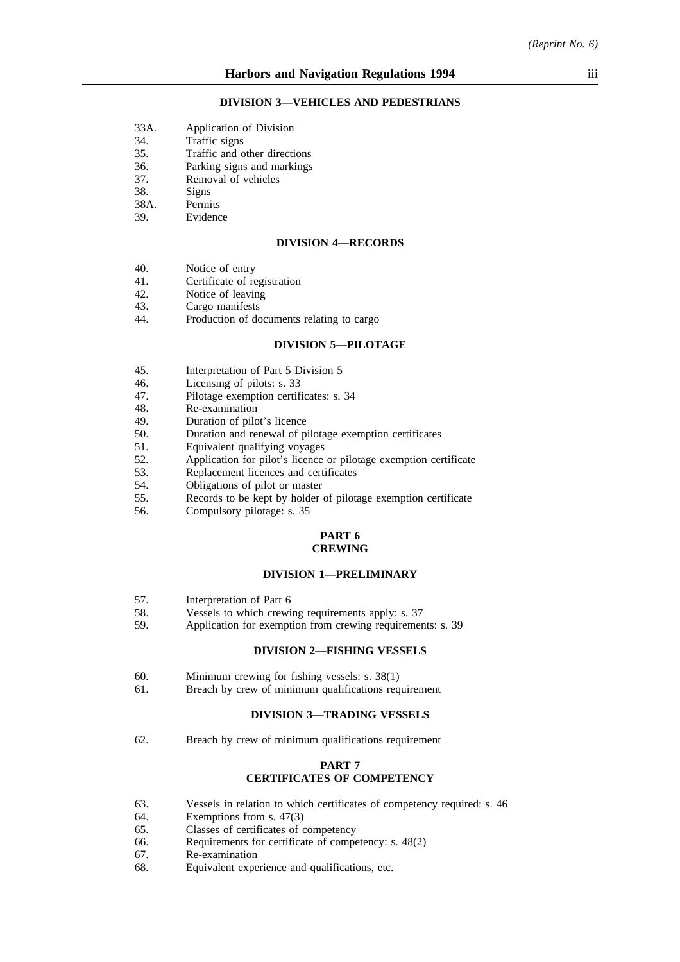#### **DIVISION 3—VEHICLES AND PEDESTRIANS**

- 33A. Application of Division
- 34. Traffic signs
- 35. Traffic and other directions
- 36. Parking signs and markings
- 37. Removal of vehicles
- 38. Signs
- 38A. Permits
- 39. Evidence

#### **DIVISION 4—RECORDS**

- 40. Notice of entry
- 41. Certificate of registration<br>42. Notice of leaving
- 42. Notice of leaving<br>43. Cargo manifests
- 43. Cargo manifests<br>44. Production of do
- Production of documents relating to cargo

# **DIVISION 5—PILOTAGE**

- 45. Interpretation of Part 5 Division 5
- 46. Licensing of pilots: s. 33<br>47. Pilotage exemption certif
- 47. Pilotage exemption certificates: s. 34<br>48. Re-examination
- 48. Re-examination<br>49 Duration of pilo
- 49. Duration of pilot's licence<br>50 Duration and renewal of pi
- 50. Duration and renewal of pilotage exemption certificates<br>51 Equivalent qualifying voyages
- Equivalent qualifying voyages
- 52. Application for pilot's licence or pilotage exemption certificate
- 53. Replacement licences and certificates
- 54. Obligations of pilot or master
- 55. Records to be kept by holder of pilotage exemption certificate<br>56. Compulsory pilotage: s. 35
- Compulsory pilotage: s. 35

### **PART 6 CREWING**

### **DIVISION 1—PRELIMINARY**

- 57. Interpretation of Part 6
- 58. Vessels to which crewing requirements apply: s. 37
- 59. Application for exemption from crewing requirements: s. 39

#### **DIVISION 2—FISHING VESSELS**

- 60. Minimum crewing for fishing vessels: s. 38(1)
- 61. Breach by crew of minimum qualifications requirement

#### **DIVISION 3—TRADING VESSELS**

62. Breach by crew of minimum qualifications requirement

#### **PART 7 CERTIFICATES OF COMPETENCY**

- 63. Vessels in relation to which certificates of competency required: s. 46
- 64. Exemptions from s. 47(3)
- 65. Classes of certificates of competency
- 66. Requirements for certificate of competency: s. 48(2) 67. Re-examination
- 67. Re-examination<br>68. Equivalent expe
- Equivalent experience and qualifications, etc.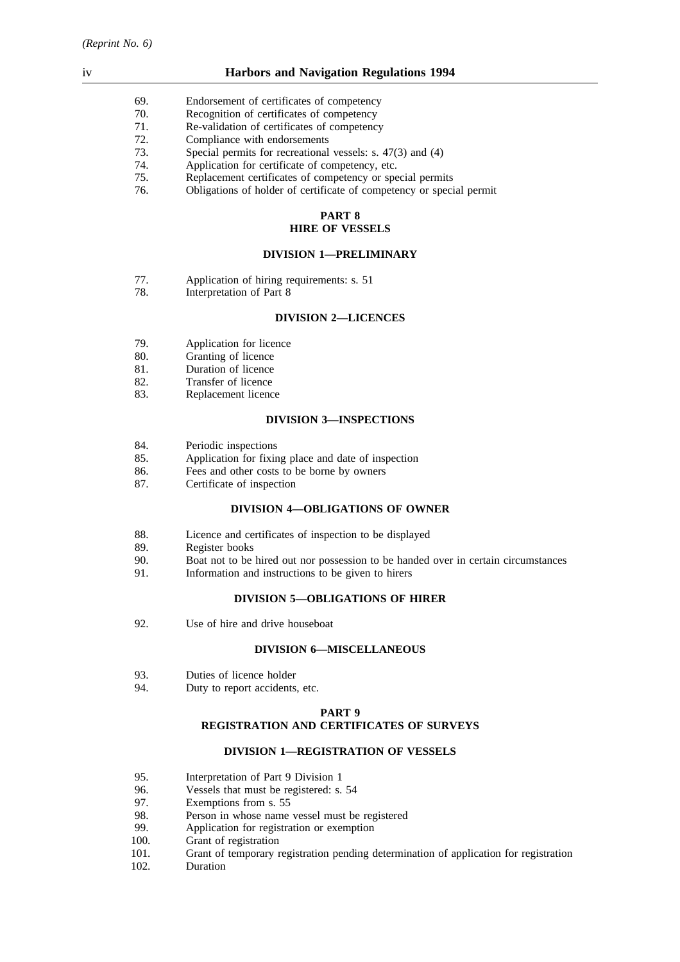# iv **Harbors and Navigation Regulations 1994**

- 69. Endorsement of certificates of competency<br>
T0. Recognition of certificates of competency
- 70. Recognition of certificates of competency<br>71. Re-validation of certificates of competency
- 71. Re-validation of certificates of competency<br>72. Compliance with endorsements
- 72. Compliance with endorsements<br>73. Special permits for recreational
- Special permits for recreational vessels: s.  $47(3)$  and  $(4)$
- 74. Application for certificate of competency, etc.
- 75. Replacement certificates of competency or special permits
- 76. Obligations of holder of certificate of competency or special permit

### **PART 8 HIRE OF VESSELS**

### **DIVISION 1—PRELIMINARY**

- 77. Application of hiring requirements: s. 51
- 78. Interpretation of Part 8

#### **DIVISION 2—LICENCES**

- 79. Application for licence<br>80. **Granting of licence**
- 80. Granting of licence<br>81. Duration of licence
- 81. Duration of licence<br>82. Transfer of licence
- Transfer of licence
- 83. Replacement licence

### **DIVISION 3—INSPECTIONS**

- 84. Periodic inspections
- 85. Application for fixing place and date of inspection
- 86. Fees and other costs to be borne by owners
- 87. Certificate of inspection

# **DIVISION 4—OBLIGATIONS OF OWNER**

- 88. Licence and certificates of inspection to be displayed
- 89. Register books<br>90. Boat not to be
- 90. Boat not to be hired out nor possession to be handed over in certain circumstances 91. Information and instructions to be given to hirers
- Information and instructions to be given to hirers

#### **DIVISION 5—OBLIGATIONS OF HIRER**

92. Use of hire and drive houseboat

## **DIVISION 6—MISCELLANEOUS**

- 93. Duties of licence holder
- 94. Duty to report accidents, etc.

#### **PART 9**

# **REGISTRATION AND CERTIFICATES OF SURVEYS**

# **DIVISION 1—REGISTRATION OF VESSELS**

- 95. Interpretation of Part 9 Division 1
- 96. Vessels that must be registered: s. 54<br>97. Exemptions from s. 55
- Exemptions from s. 55
- 98. Person in whose name vessel must be registered
- 99. Application for registration or exemption
- 100. Grant of registration
- 101. Grant of temporary registration pending determination of application for registration
- 102. Duration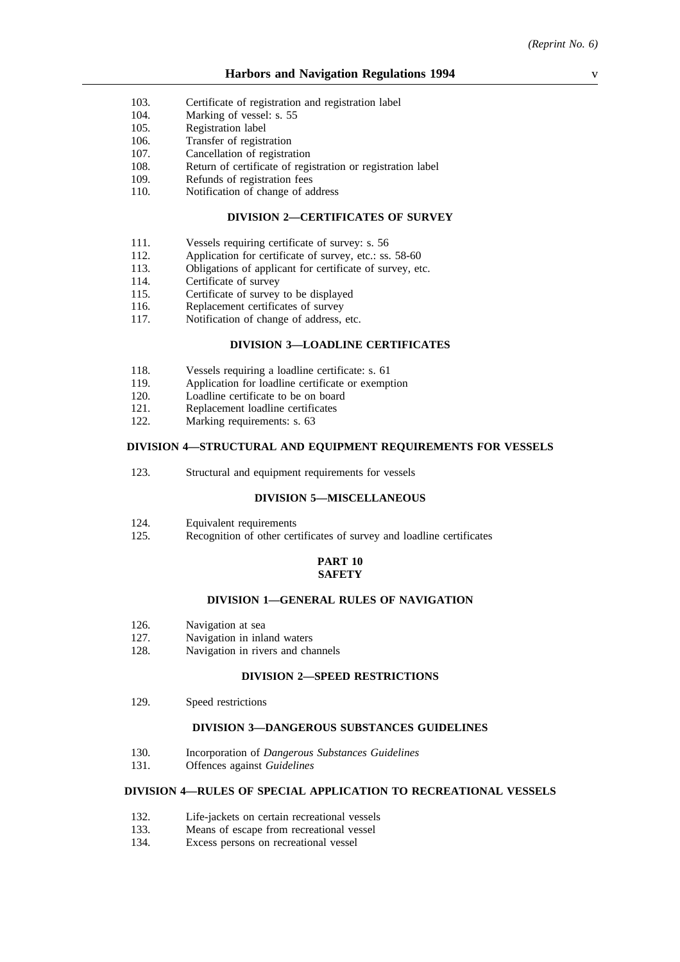- 103. Certificate of registration and registration label
- 104. Marking of vessel: s. 55
- 105. Registration label
- 106. Transfer of registration
- 107. Cancellation of registration
- 108. Return of certificate of registration or registration label
- 109. Refunds of registration fees
- 110. Notification of change of address

### **DIVISION 2—CERTIFICATES OF SURVEY**

- 111. Vessels requiring certificate of survey: s. 56
- 112. Application for certificate of survey, etc.: ss. 58-60
- 113. Obligations of applicant for certificate of survey, etc.
- 114. Certificate of survey<br>115. Certificate of survey
- 115. Certificate of survey to be displayed<br>116. Replacement certificates of survey
- 116. Replacement certificates of survey<br>117. Notification of change of address.
- Notification of change of address, etc.

# **DIVISION 3—LOADLINE CERTIFICATES**

- 118. Vessels requiring a loadline certificate: s. 61
- 119. Application for loadline certificate or exemption<br>120. Loadline certificate to be on board
- 120. Loadline certificate to be on board<br>121. Replacement loadline certificates
- 121. Replacement loadline certificates<br>122 Marking requirements: s. 63
- Marking requirements: s. 63

### **DIVISION 4—STRUCTURAL AND EQUIPMENT REQUIREMENTS FOR VESSELS**

123. Structural and equipment requirements for vessels

### **DIVISION 5—MISCELLANEOUS**

- 124. Equivalent requirements<br>125. Recognition of other cer
- Recognition of other certificates of survey and loadline certificates

### **PART 10 SAFETY**

#### **DIVISION 1—GENERAL RULES OF NAVIGATION**

- 126. Navigation at sea
- 127. Navigation in inland waters
- 128. Navigation in rivers and channels

#### **DIVISION 2—SPEED RESTRICTIONS**

129. Speed restrictions

#### **DIVISION 3—DANGEROUS SUBSTANCES GUIDELINES**

- 130. Incorporation of *Dangerous Substances Guidelines*
- 131. Offences against *Guidelines*

# **DIVISION 4—RULES OF SPECIAL APPLICATION TO RECREATIONAL VESSELS**

- 132. Life-jackets on certain recreational vessels
- 133. Means of escape from recreational vessel
- 134. Excess persons on recreational vessel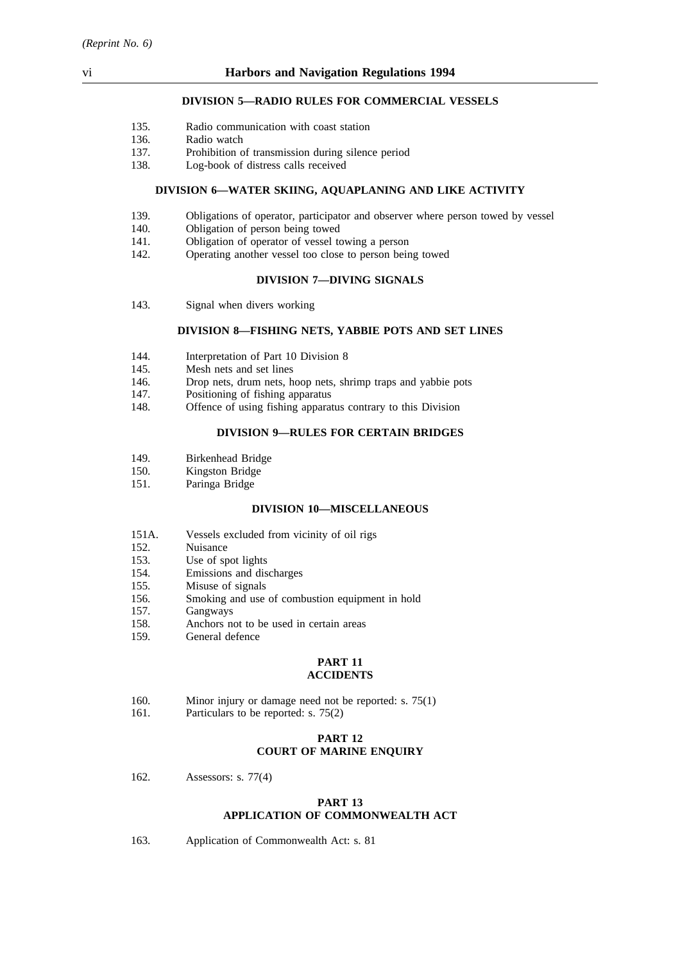# **DIVISION 5—RADIO RULES FOR COMMERCIAL VESSELS**

- 135. Radio communication with coast station
- 136. Radio watch
- 137. Prohibition of transmission during silence period
- 138. Log-book of distress calls received

#### **DIVISION 6—WATER SKIING, AQUAPLANING AND LIKE ACTIVITY**

- 139. Obligations of operator, participator and observer where person towed by vessel
- 140. Obligation of person being towed
- 141. Obligation of operator of vessel towing a person
- 142. Operating another vessel too close to person being towed

## **DIVISION 7—DIVING SIGNALS**

143. Signal when divers working

#### **DIVISION 8—FISHING NETS, YABBIE POTS AND SET LINES**

- 144. Interpretation of Part 10 Division 8<br>145. Mesh nets and set lines
- 145. Mesh nets and set lines<br>146. Drop nets, drum nets, h
- Drop nets, drum nets, hoop nets, shrimp traps and yabbie pots
- 147. Positioning of fishing apparatus
- 148. Offence of using fishing apparatus contrary to this Division

# **DIVISION 9—RULES FOR CERTAIN BRIDGES**

- 149. Birkenhead Bridge
- 150. Kingston Bridge
- 151. Paringa Bridge

# **DIVISION 10—MISCELLANEOUS**

- 151A. Vessels excluded from vicinity of oil rigs
- 152. Nuisance
- 153. Use of spot lights
- 154. Emissions and discharges
- 155. Misuse of signals
- 156. Smoking and use of combustion equipment in hold
- 157. Gangways
- 158. Anchors not to be used in certain areas
- 159. General defence

#### **PART 11 ACCIDENTS**

- 160. Minor injury or damage need not be reported: s. 75(1)
- 161. Particulars to be reported: s. 75(2)

### **PART 12 COURT OF MARINE ENQUIRY**

162. Assessors: s. 77(4)

# **PART 13 APPLICATION OF COMMONWEALTH ACT**

163. Application of Commonwealth Act: s. 81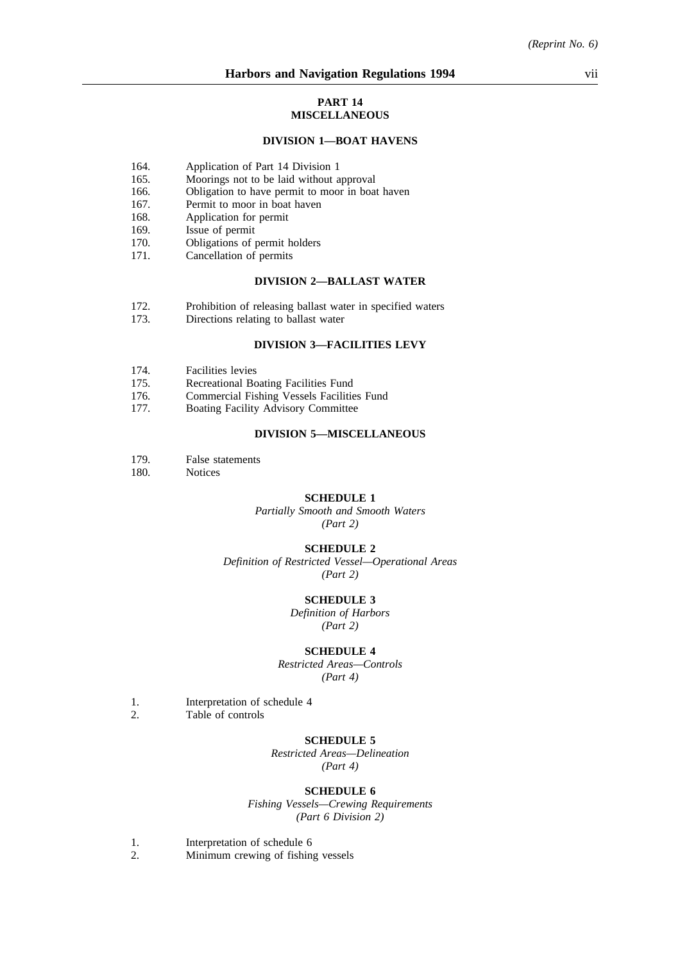#### **PART 14 MISCELLANEOUS**

#### **DIVISION 1—BOAT HAVENS**

- 164. Application of Part 14 Division 1
- 165. Moorings not to be laid without approval
- 166. Obligation to have permit to moor in boat haven
- 167. Permit to moor in boat haven<br>168. Application for permit
- Application for permit
- 169. Issue of permit
- 170. Obligations of permit holders
- 171. Cancellation of permits

### **DIVISION 2—BALLAST WATER**

- 172. Prohibition of releasing ballast water in specified waters 173. Directions relating to ballast water
- Directions relating to ballast water

# **DIVISION 3—FACILITIES LEVY**

- 174. Facilities levies<br>175. Recreational Bo
- 175. Recreational Boating Facilities Fund<br>176. Commercial Fishing Vessels Facilitie
- 176. Commercial Fishing Vessels Facilities Fund<br>177. Boating Facility Advisory Committee
- Boating Facility Advisory Committee

# **DIVISION 5—MISCELLANEOUS**

- 179. False statements
- 180. Notices

#### **SCHEDULE 1**

*Partially Smooth and Smooth Waters (Part 2)*

#### **SCHEDULE 2**

*Definition of Restricted Vessel—Operational Areas (Part 2)*

#### **SCHEDULE 3**

*Definition of Harbors (Part 2)*

#### **SCHEDULE 4**

*Restricted Areas—Controls (Part 4)*

- 1. Interpretation of schedule 4
- 2. Table of controls

#### **SCHEDULE 5**

*Restricted Areas—Delineation (Part 4)*

#### **SCHEDULE 6**

*Fishing Vessels—Crewing Requirements (Part 6 Division 2)*

1. Interpretation of schedule 6

2. Minimum crewing of fishing vessels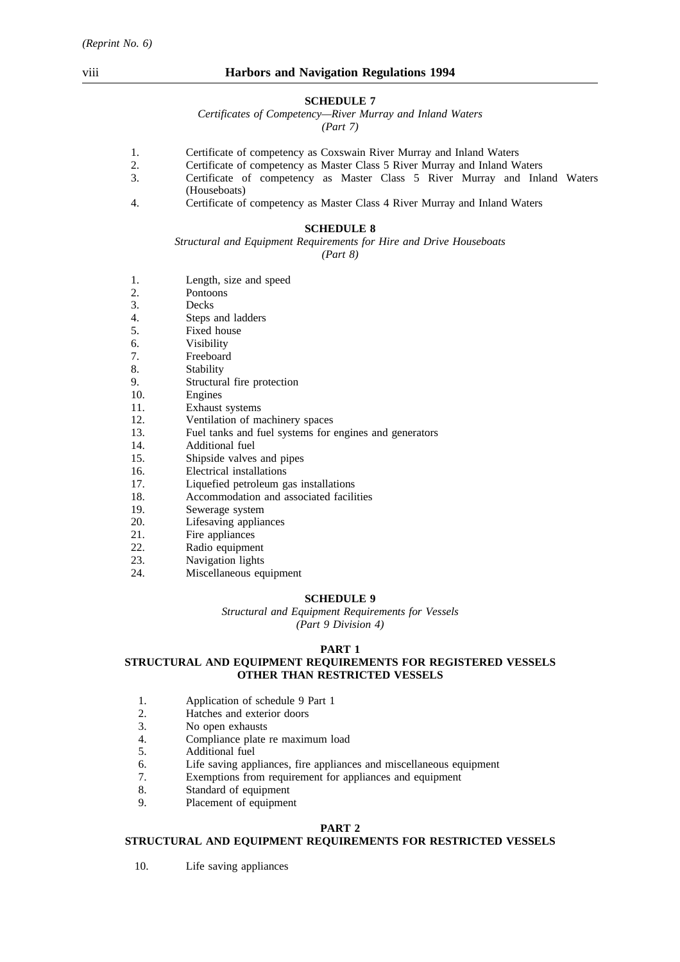### **SCHEDULE 7**

*Certificates of Competency—River Murray and Inland Waters (Part 7)*

1. Certificate of competency as Coxswain River Murray and Inland Waters

- 2. Certificate of competency as Master Class 5 River Murray and Inland Waters
- 3. Certificate of competency as Master Class 5 River Murray and Inland Waters (Houseboats)
- 4. Certificate of competency as Master Class 4 River Murray and Inland Waters

# **SCHEDULE 8**

*Structural and Equipment Requirements for Hire and Drive Houseboats (Part 8)*

- 1. Length, size and speed
- 2. Pontoons
- 3. Decks
- 4. Steps and ladders
- 5. Fixed house
- 6. Visibility
- 7. Freeboard<br>8. Stability
- 8. Stability<br>9. Structura
- 9. Structural fire protection<br>10. Engines
- Engines
- 11. Exhaust systems
- 12. Ventilation of machinery spaces
- 13. Fuel tanks and fuel systems for engines and generators
- 14. Additional fuel
- 15. Shipside valves and pipes
- 16. Electrical installations
- 17. Liquefied petroleum gas installations
- 18. Accommodation and associated facilities
- 19. Sewerage system
- 20. Lifesaving appliances
- 21. Fire appliances
- 22. Radio equipment
- 
- 23. Navigation lights<br>24. Miscellaneous eq Miscellaneous equipment

#### **SCHEDULE 9**

*Structural and Equipment Requirements for Vessels (Part 9 Division 4)*

# **PART 1**

# **STRUCTURAL AND EQUIPMENT REQUIREMENTS FOR REGISTERED VESSELS OTHER THAN RESTRICTED VESSELS**

- 1. Application of schedule 9 Part 1<br>2. Hatches and exterior doors
- 2. Hatches and exterior doors<br>3. No open exhausts
- 3. No open exhausts<br>4. Compliance plate
- 4. Compliance plate re maximum load
- 5. Additional fuel
- 6. Life saving appliances, fire appliances and miscellaneous equipment
- 7. Exemptions from requirement for appliances and equipment
- 8. Standard of equipment
- 9. Placement of equipment

# **PART 2**

#### **STRUCTURAL AND EQUIPMENT REQUIREMENTS FOR RESTRICTED VESSELS**

10. Life saving appliances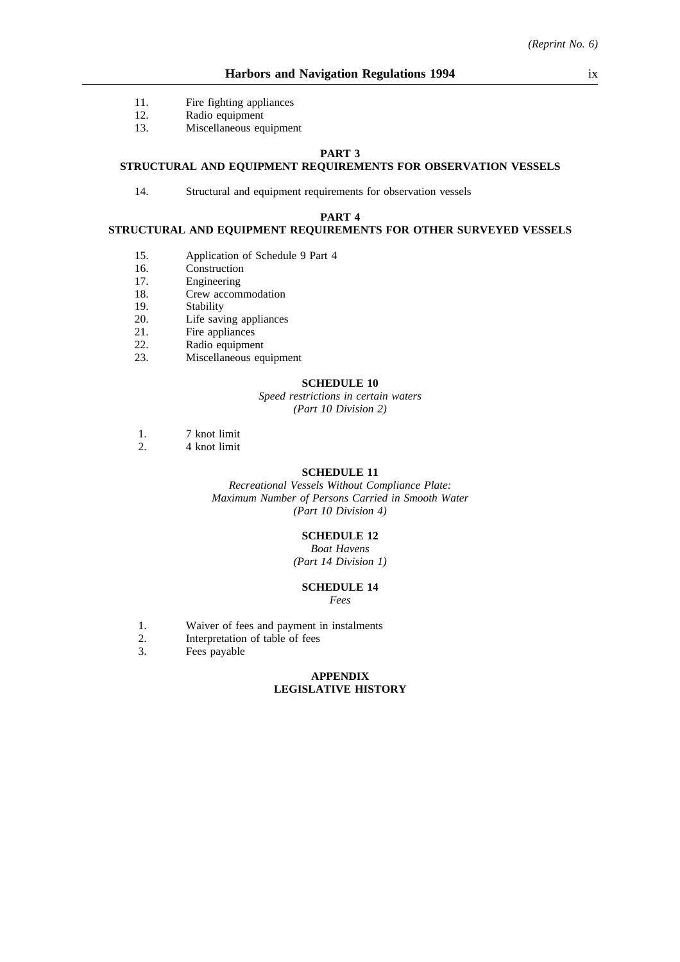- 11. Fire fighting appliances
- 12. Radio equipment
- 13. Miscellaneous equipment

### **PART 3**

# **STRUCTURAL AND EQUIPMENT REQUIREMENTS FOR OBSERVATION VESSELS**

14. Structural and equipment requirements for observation vessels

### **PART 4**

# **STRUCTURAL AND EQUIPMENT REQUIREMENTS FOR OTHER SURVEYED VESSELS**

- 15. Application of Schedule 9 Part 4
- 16. Construction
- 17. Engineering<br>18. Crew accom
- 18. Crew accommodation<br>19. Stability
- 19. Stability<br>20. Life savi
- 20. Life saving appliances<br>21. Fire appliances
- 21. Fire appliances<br>22. Radio equipmer
- 22. Radio equipment<br>23. Miscellaneous eq
- Miscellaneous equipment

### **SCHEDULE 10**

*Speed restrictions in certain waters (Part 10 Division 2)*

- 1. 7 knot limit<br>2. 4 knot limit
- 2. 4 knot limit

## **SCHEDULE 11**

*Recreational Vessels Without Compliance Plate: Maximum Number of Persons Carried in Smooth Water (Part 10 Division 4)*

### **SCHEDULE 12**

*Boat Havens (Part 14 Division 1)*

#### **SCHEDULE 14** *Fees*

- 1. Waiver of fees and payment in instalments
- 2. Interpretation of table of fees
- 3. Fees payable

#### **APPENDIX LEGISLATIVE HISTORY**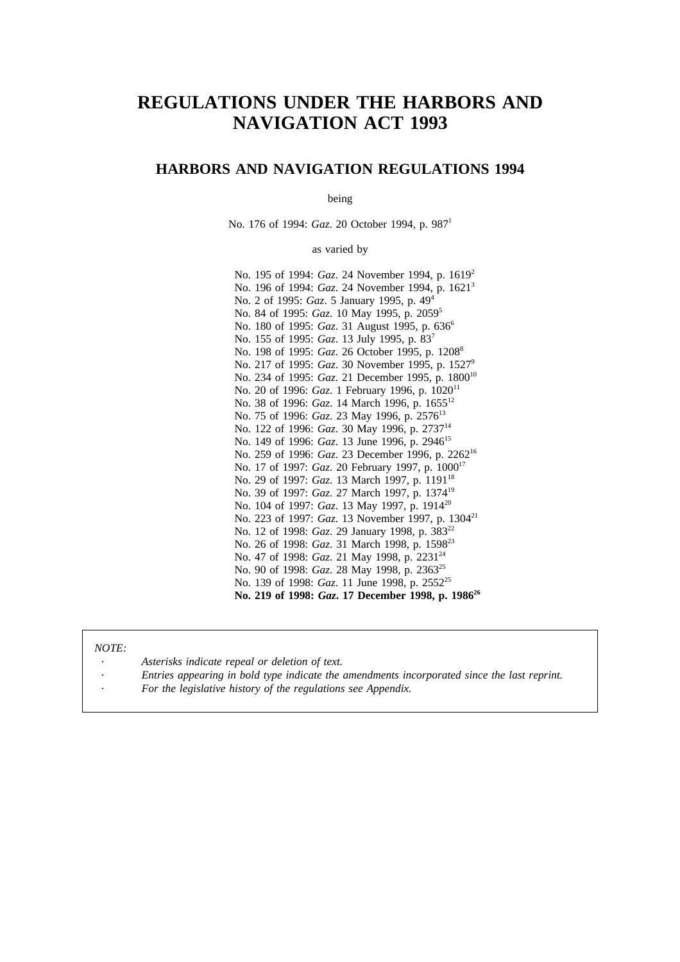# **REGULATIONS UNDER THE HARBORS AND NAVIGATION ACT 1993**

# **HARBORS AND NAVIGATION REGULATIONS 1994**

being

No. 176 of 1994: *Gaz*. 20 October 1994, p. 987<sup>1</sup>

as varied by

No. 195 of 1994: *Gaz*. 24 November 1994, p. 1619<sup>2</sup> No. 196 of 1994: *Gaz*. 24 November 1994, p. 1621<sup>3</sup> No. 2 of 1995: *Gaz*. 5 January 1995, p. 494 No. 84 of 1995: *Gaz*. 10 May 1995, p. 20595 No. 180 of 1995: *Gaz*. 31 August 1995, p. 636<sup>6</sup> No. 155 of 1995: *Gaz*. 13 July 1995, p. 837 No. 198 of 1995: *Gaz*. 26 October 1995, p. 1208<sup>8</sup> No. 217 of 1995: *Gaz*. 30 November 1995, p. 1527<sup>9</sup> No. 234 of 1995: *Gaz*. 21 December 1995, p. 1800<sup>10</sup> No. 20 of 1996: *Gaz*. 1 February 1996, p. 1020<sup>11</sup> No. 38 of 1996: *Gaz*. 14 March 1996, p. 165512 No. 75 of 1996: *Gaz*. 23 May 1996, p. 2576<sup>13</sup> No. 122 of 1996: *Gaz*. 30 May 1996, p. 2737<sup>14</sup> No. 149 of 1996: *Gaz*. 13 June 1996, p. 2946<sup>15</sup> No. 259 of 1996: *Gaz*. 23 December 1996, p. 2262<sup>16</sup> No. 17 of 1997: *Gaz*. 20 February 1997, p. 100017 No. 29 of 1997: *Gaz*. 13 March 1997, p. 1191<sup>18</sup> No. 39 of 1997: *Gaz*. 27 March 1997, p. 137419 No. 104 of 1997: *Gaz*. 13 May 1997, p. 1914<sup>20</sup> No. 223 of 1997: *Gaz*. 13 November 1997, p. 1304<sup>21</sup> No. 12 of 1998: *Gaz*. 29 January 1998, p. 38322 No. 26 of 1998: *Gaz*. 31 March 1998, p. 159823 No. 47 of 1998: *Gaz*. 21 May 1998, p. 2231<sup>24</sup> No. 90 of 1998: *Gaz*. 28 May 1998, p. 236325 No. 139 of 1998: *Gaz*. 11 June 1998, p. 2552<sup>25</sup> **No. 219 of 1998:** *Gaz***. 17 December 1998, p. 198626**

#### *NOTE:*

- *Asterisks indicate repeal or deletion of text.*
- *Entries appearing in bold type indicate the amendments incorporated since the last reprint.*
- *For the legislative history of the regulations see Appendix.*
-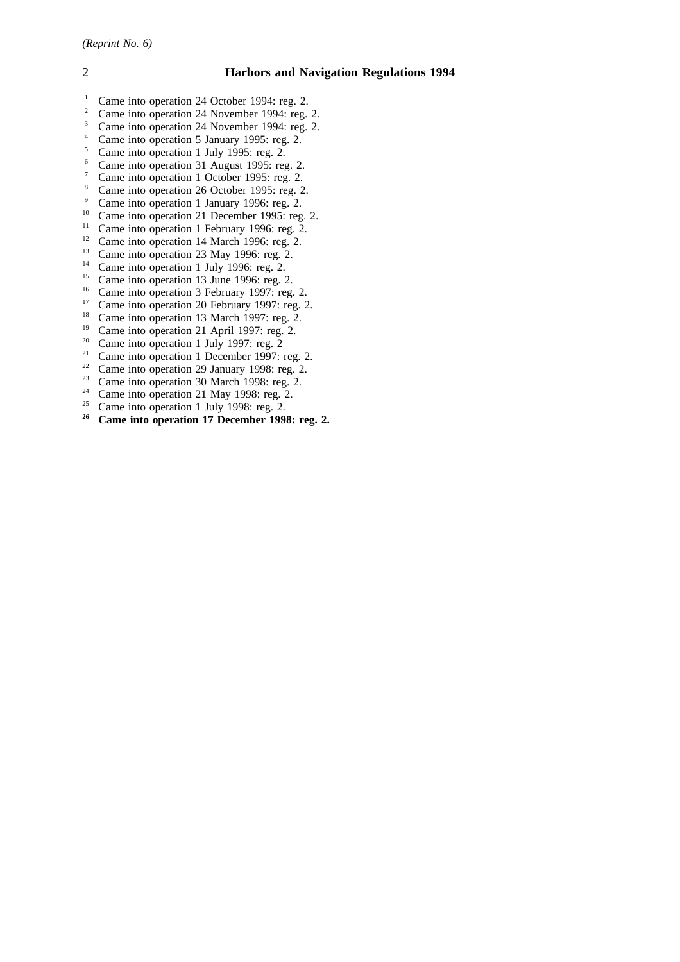- <sup>1</sup> Came into operation 24 October 1994: reg. 2. <sup>2</sup> Came into operation 24 November 1994: reg. 2. <sup>3</sup> Came into operation 24 November 1994: reg. 2. <sup>4</sup> Came into operation 5 January 1995: reg. 2. <sup>5</sup> Came into operation 1 July 1995: reg. 2. <sup>6</sup> Came into operation 31 August 1995: reg. 2. <sup>7</sup> Came into operation 1 October 1995: reg. 2. <sup>8</sup> Came into operation 26 October 1995: reg. 2. <sup>9</sup> Came into operation 1 January 1996: reg. 2. <sup>10</sup> Came into operation 21 December 1995: reg. 2. <sup>11</sup> Came into operation 1 February 1996: reg. 2. <sup>12</sup> Came into operation 14 March 1996: reg. 2. <sup>13</sup> Came into operation 23 May 1996: reg. 2. <sup>14</sup> Came into operation 1 July 1996: reg. 2. <sup>15</sup> Came into operation 13 June 1996: reg. 2. <sup>16</sup> Came into operation 3 February 1997: reg. 2. <sup>17</sup> Came into operation 20 February 1997: reg. 2. <sup>18</sup> Came into operation 13 March 1997: reg. 2. <sup>19</sup> Came into operation 21 April 1997: reg. 2. <sup>20</sup> Came into operation 1 July 1997: reg. 2 <sup>21</sup> Came into operation 1 December 1997: reg. 2. <sup>22</sup> Came into operation 29 January 1998: reg. 2. <sup>23</sup> Came into operation 30 March 1998: reg. 2. <sup>24</sup> Came into operation 21 May 1998: reg. 2.<br><sup>25</sup> Came into operation 1 July 1998: reg. 2. <sup>25</sup> Came into operation 1 July 1998: reg. 2.<br><sup>26</sup> Came into operation 17 December 1998 **<sup>26</sup> Came into operation 17 December 1998: reg. 2.**
-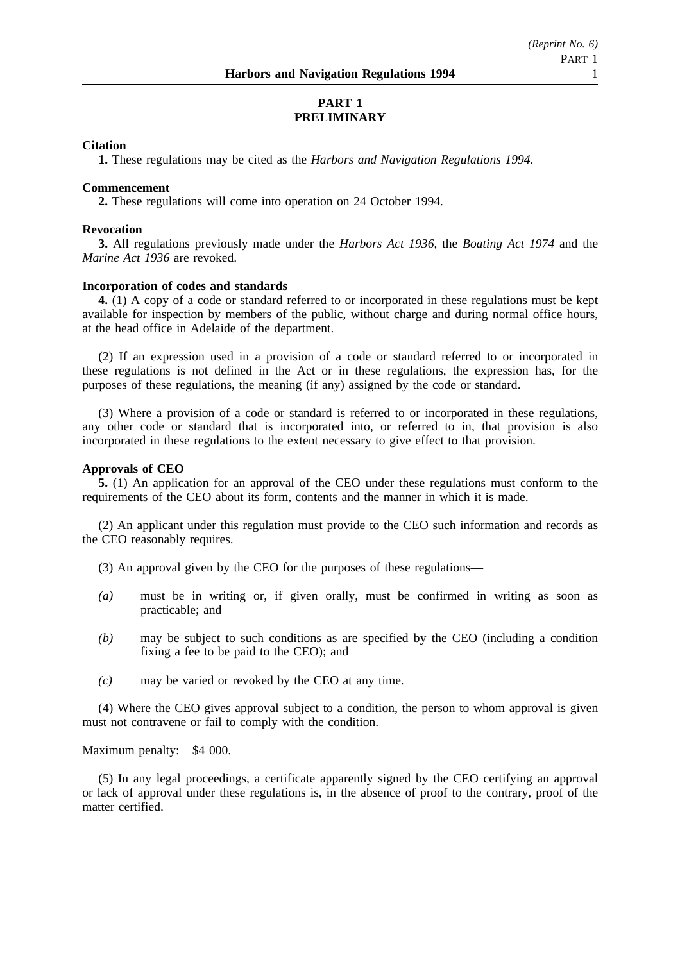# **PART 1 PRELIMINARY**

# **Citation**

**1.** These regulations may be cited as the *Harbors and Navigation Regulations 1994*.

### **Commencement**

**2.** These regulations will come into operation on 24 October 1994.

### **Revocation**

**3.** All regulations previously made under the *Harbors Act 1936*, the *Boating Act 1974* and the *Marine Act 1936* are revoked.

# **Incorporation of codes and standards**

**4.** (1) A copy of a code or standard referred to or incorporated in these regulations must be kept available for inspection by members of the public, without charge and during normal office hours, at the head office in Adelaide of the department.

(2) If an expression used in a provision of a code or standard referred to or incorporated in these regulations is not defined in the Act or in these regulations, the expression has, for the purposes of these regulations, the meaning (if any) assigned by the code or standard.

(3) Where a provision of a code or standard is referred to or incorporated in these regulations, any other code or standard that is incorporated into, or referred to in, that provision is also incorporated in these regulations to the extent necessary to give effect to that provision.

# **Approvals of CEO**

**5.** (1) An application for an approval of the CEO under these regulations must conform to the requirements of the CEO about its form, contents and the manner in which it is made.

(2) An applicant under this regulation must provide to the CEO such information and records as the CEO reasonably requires.

- (3) An approval given by the CEO for the purposes of these regulations—
- *(a)* must be in writing or, if given orally, must be confirmed in writing as soon as practicable; and
- *(b)* may be subject to such conditions as are specified by the CEO (including a condition fixing a fee to be paid to the CEO); and
- *(c)* may be varied or revoked by the CEO at any time.

(4) Where the CEO gives approval subject to a condition, the person to whom approval is given must not contravene or fail to comply with the condition.

Maximum penalty: \$4 000.

(5) In any legal proceedings, a certificate apparently signed by the CEO certifying an approval or lack of approval under these regulations is, in the absence of proof to the contrary, proof of the matter certified.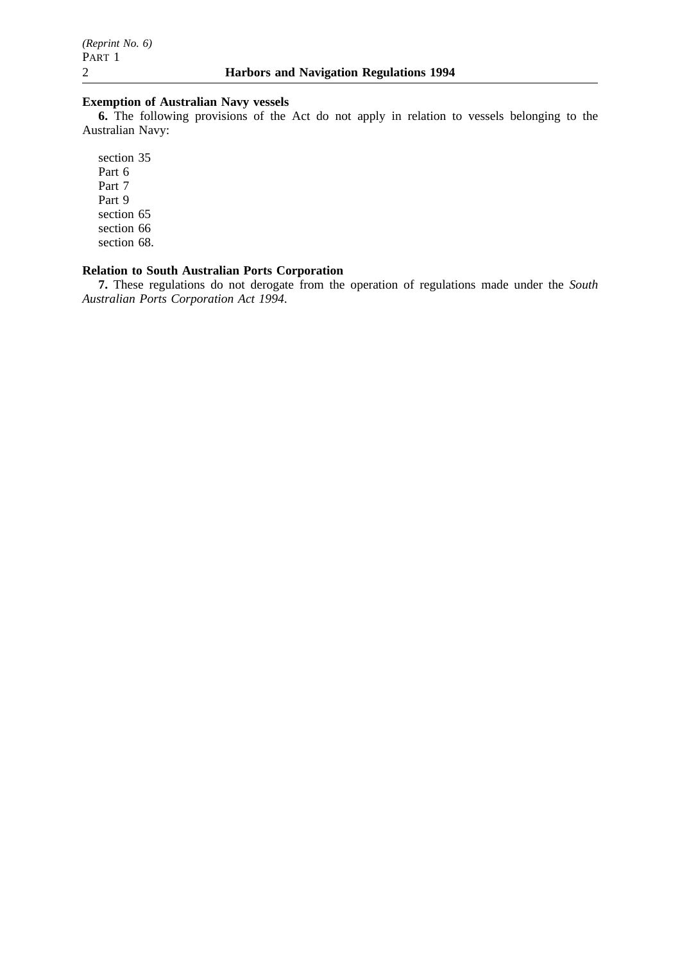# **Exemption of Australian Navy vessels**

**6.** The following provisions of the Act do not apply in relation to vessels belonging to the Australian Navy:

section 35 Part 6 Part 7 Part 9 section 65 section 66 section 68.

# **Relation to South Australian Ports Corporation**

**7.** These regulations do not derogate from the operation of regulations made under the *South Australian Ports Corporation Act 1994*.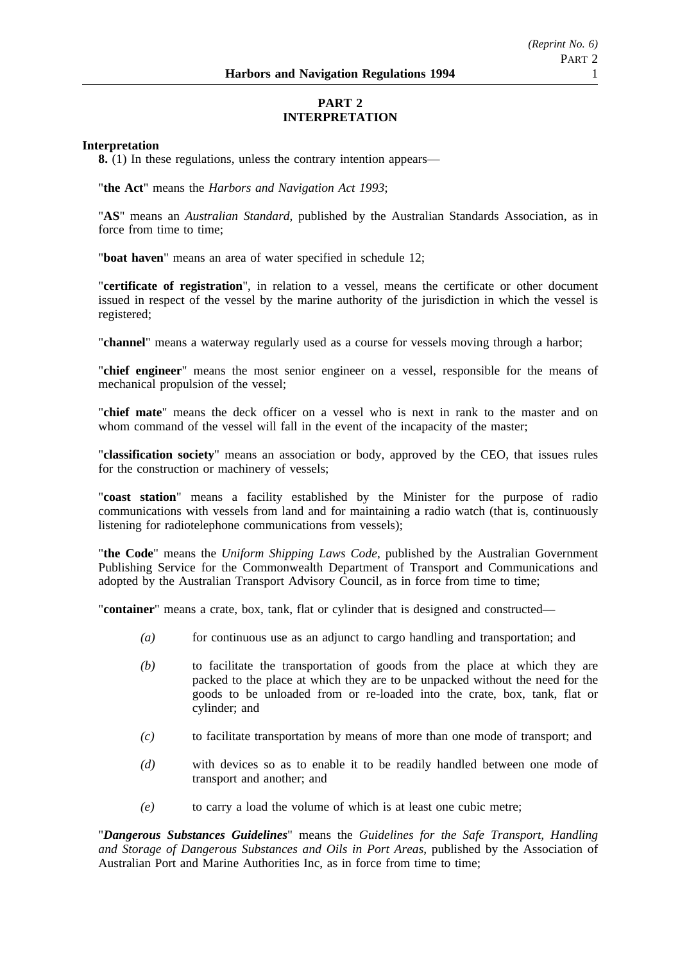# **PART 2 INTERPRETATION**

# **Interpretation**

**8.** (1) In these regulations, unless the contrary intention appears—

"**the Act**" means the *Harbors and Navigation Act 1993*;

"**AS**" means an *Australian Standard*, published by the Australian Standards Association, as in force from time to time;

"**boat haven**" means an area of water specified in schedule 12;

"**certificate of registration**", in relation to a vessel, means the certificate or other document issued in respect of the vessel by the marine authority of the jurisdiction in which the vessel is registered;

"**channel**" means a waterway regularly used as a course for vessels moving through a harbor;

"**chief engineer**" means the most senior engineer on a vessel, responsible for the means of mechanical propulsion of the vessel;

"**chief mate**" means the deck officer on a vessel who is next in rank to the master and on whom command of the vessel will fall in the event of the incapacity of the master;

"**classification society**" means an association or body, approved by the CEO, that issues rules for the construction or machinery of vessels;

"**coast station**" means a facility established by the Minister for the purpose of radio communications with vessels from land and for maintaining a radio watch (that is, continuously listening for radiotelephone communications from vessels);

"**the Code**" means the *Uniform Shipping Laws Code*, published by the Australian Government Publishing Service for the Commonwealth Department of Transport and Communications and adopted by the Australian Transport Advisory Council, as in force from time to time;

"**container**" means a crate, box, tank, flat or cylinder that is designed and constructed—

- *(a)* for continuous use as an adjunct to cargo handling and transportation; and
- *(b)* to facilitate the transportation of goods from the place at which they are packed to the place at which they are to be unpacked without the need for the goods to be unloaded from or re-loaded into the crate, box, tank, flat or cylinder; and
- *(c)* to facilitate transportation by means of more than one mode of transport; and
- *(d)* with devices so as to enable it to be readily handled between one mode of transport and another; and
- *(e)* to carry a load the volume of which is at least one cubic metre;

"*Dangerous Substances Guidelines*" means the *Guidelines for the Safe Transport, Handling and Storage of Dangerous Substances and Oils in Port Areas*, published by the Association of Australian Port and Marine Authorities Inc, as in force from time to time;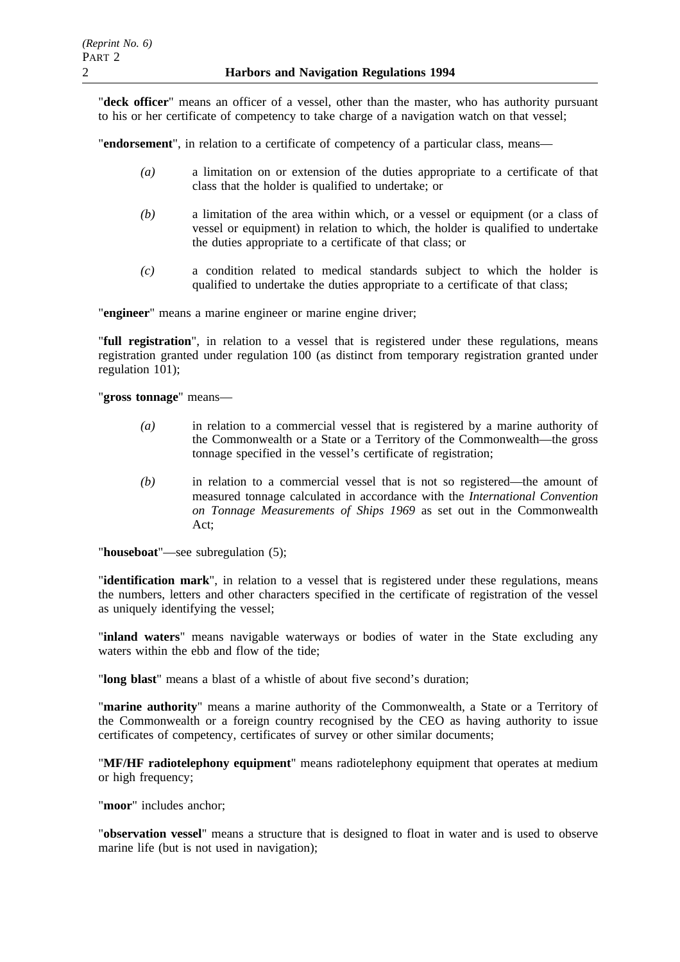"**deck officer**" means an officer of a vessel, other than the master, who has authority pursuant to his or her certificate of competency to take charge of a navigation watch on that vessel;

"**endorsement**", in relation to a certificate of competency of a particular class, means—

- *(a)* a limitation on or extension of the duties appropriate to a certificate of that class that the holder is qualified to undertake; or
- *(b)* a limitation of the area within which, or a vessel or equipment (or a class of vessel or equipment) in relation to which, the holder is qualified to undertake the duties appropriate to a certificate of that class; or
- *(c)* a condition related to medical standards subject to which the holder is qualified to undertake the duties appropriate to a certificate of that class;

"**engineer**" means a marine engineer or marine engine driver;

"**full registration**", in relation to a vessel that is registered under these regulations, means registration granted under regulation 100 (as distinct from temporary registration granted under regulation 101);

"**gross tonnage**" means—

- *(a)* in relation to a commercial vessel that is registered by a marine authority of the Commonwealth or a State or a Territory of the Commonwealth—the gross tonnage specified in the vessel's certificate of registration;
- *(b)* in relation to a commercial vessel that is not so registered—the amount of measured tonnage calculated in accordance with the *International Convention on Tonnage Measurements of Ships 1969* as set out in the Commonwealth Act;

"**houseboat**"—see subregulation (5);

"**identification mark**", in relation to a vessel that is registered under these regulations, means the numbers, letters and other characters specified in the certificate of registration of the vessel as uniquely identifying the vessel;

"**inland waters**" means navigable waterways or bodies of water in the State excluding any waters within the ebb and flow of the tide;

"**long blast**" means a blast of a whistle of about five second's duration;

"**marine authority**" means a marine authority of the Commonwealth, a State or a Territory of the Commonwealth or a foreign country recognised by the CEO as having authority to issue certificates of competency, certificates of survey or other similar documents;

"**MF/HF radiotelephony equipment**" means radiotelephony equipment that operates at medium or high frequency;

"**moor**" includes anchor;

"**observation vessel**" means a structure that is designed to float in water and is used to observe marine life (but is not used in navigation);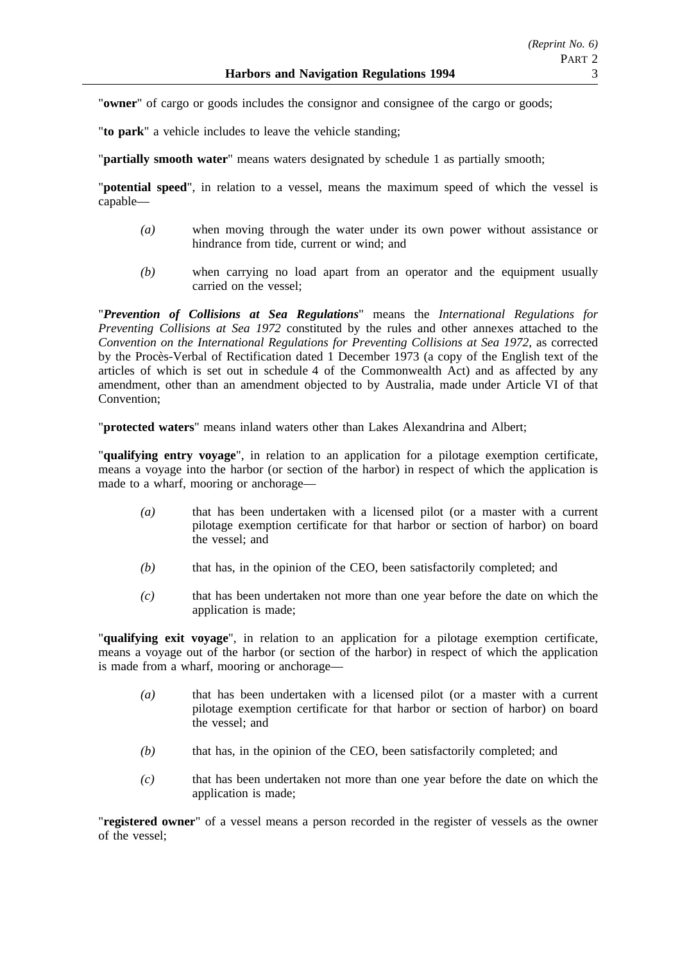"**owner**" of cargo or goods includes the consignor and consignee of the cargo or goods;

"**to park**" a vehicle includes to leave the vehicle standing;

"**partially smooth water**" means waters designated by schedule 1 as partially smooth;

"**potential speed**", in relation to a vessel, means the maximum speed of which the vessel is capable—

- *(a)* when moving through the water under its own power without assistance or hindrance from tide, current or wind; and
- *(b)* when carrying no load apart from an operator and the equipment usually carried on the vessel;

"*Prevention of Collisions at Sea Regulations*" means the *International Regulations for Preventing Collisions at Sea 1972* constituted by the rules and other annexes attached to the *Convention on the International Regulations for Preventing Collisions at Sea 1972*, as corrected by the Procès-Verbal of Rectification dated 1 December 1973 (a copy of the English text of the articles of which is set out in schedule 4 of the Commonwealth Act) and as affected by any amendment, other than an amendment objected to by Australia, made under Article VI of that Convention;

"**protected waters**" means inland waters other than Lakes Alexandrina and Albert;

"**qualifying entry voyage**", in relation to an application for a pilotage exemption certificate, means a voyage into the harbor (or section of the harbor) in respect of which the application is made to a wharf, mooring or anchorage—

- *(a)* that has been undertaken with a licensed pilot (or a master with a current pilotage exemption certificate for that harbor or section of harbor) on board the vessel; and
- *(b)* that has, in the opinion of the CEO, been satisfactorily completed; and
- *(c)* that has been undertaken not more than one year before the date on which the application is made;

"**qualifying exit voyage**", in relation to an application for a pilotage exemption certificate, means a voyage out of the harbor (or section of the harbor) in respect of which the application is made from a wharf, mooring or anchorage—

- *(a)* that has been undertaken with a licensed pilot (or a master with a current pilotage exemption certificate for that harbor or section of harbor) on board the vessel; and
- *(b)* that has, in the opinion of the CEO, been satisfactorily completed; and
- *(c)* that has been undertaken not more than one year before the date on which the application is made;

"**registered owner**" of a vessel means a person recorded in the register of vessels as the owner of the vessel;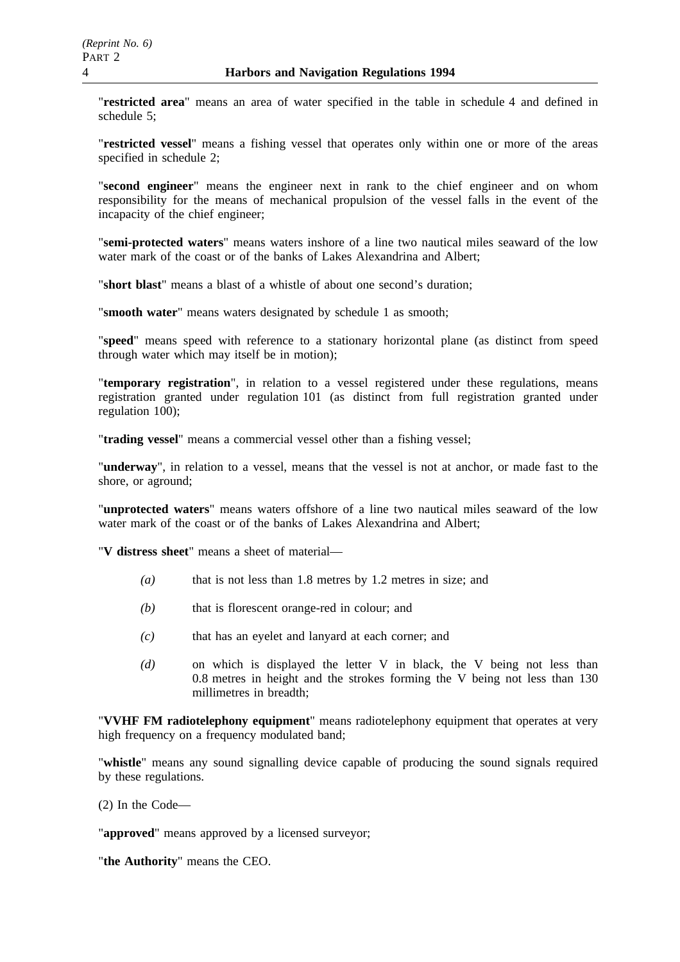"**restricted area**" means an area of water specified in the table in schedule 4 and defined in schedule 5;

"**restricted vessel**" means a fishing vessel that operates only within one or more of the areas specified in schedule 2;

"**second engineer**" means the engineer next in rank to the chief engineer and on whom responsibility for the means of mechanical propulsion of the vessel falls in the event of the incapacity of the chief engineer;

"**semi-protected waters**" means waters inshore of a line two nautical miles seaward of the low water mark of the coast or of the banks of Lakes Alexandrina and Albert;

"**short blast**" means a blast of a whistle of about one second's duration;

"**smooth water**" means waters designated by schedule 1 as smooth;

"**speed**" means speed with reference to a stationary horizontal plane (as distinct from speed through water which may itself be in motion);

"**temporary registration**", in relation to a vessel registered under these regulations, means registration granted under regulation 101 (as distinct from full registration granted under regulation 100);

"**trading vessel**" means a commercial vessel other than a fishing vessel;

"**underway**", in relation to a vessel, means that the vessel is not at anchor, or made fast to the shore, or aground;

"**unprotected waters**" means waters offshore of a line two nautical miles seaward of the low water mark of the coast or of the banks of Lakes Alexandrina and Albert;

"**V distress sheet**" means a sheet of material—

- *(a)* that is not less than 1.8 metres by 1.2 metres in size; and
- *(b)* that is florescent orange-red in colour; and
- *(c)* that has an eyelet and lanyard at each corner; and
- *(d)* on which is displayed the letter V in black, the V being not less than 0.8 metres in height and the strokes forming the V being not less than 130 millimetres in breadth;

"**VVHF FM radiotelephony equipment**" means radiotelephony equipment that operates at very high frequency on a frequency modulated band;

"**whistle**" means any sound signalling device capable of producing the sound signals required by these regulations.

(2) In the Code—

"**approved**" means approved by a licensed surveyor;

"**the Authority**" means the CEO.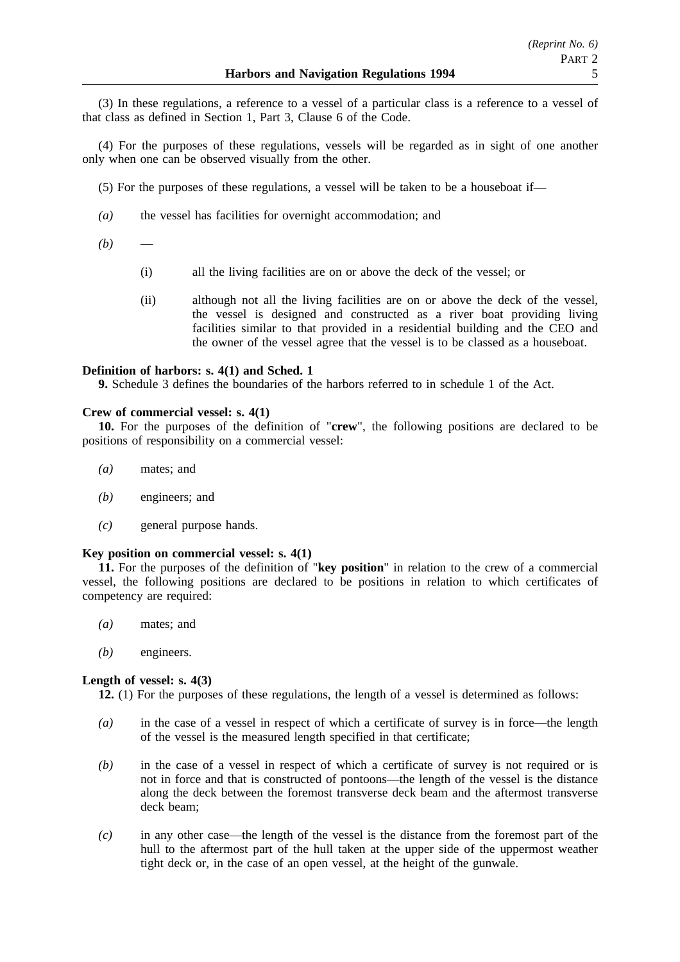(3) In these regulations, a reference to a vessel of a particular class is a reference to a vessel of that class as defined in Section 1, Part 3, Clause 6 of the Code.

(4) For the purposes of these regulations, vessels will be regarded as in sight of one another only when one can be observed visually from the other.

(5) For the purposes of these regulations, a vessel will be taken to be a houseboat if—

- *(a)* the vessel has facilities for overnight accommodation; and
- $(b)$ 
	- (i) all the living facilities are on or above the deck of the vessel; or
	- (ii) although not all the living facilities are on or above the deck of the vessel, the vessel is designed and constructed as a river boat providing living facilities similar to that provided in a residential building and the CEO and the owner of the vessel agree that the vessel is to be classed as a houseboat.

# **Definition of harbors: s. 4(1) and Sched. 1**

**9.** Schedule 3 defines the boundaries of the harbors referred to in schedule 1 of the Act.

# **Crew of commercial vessel: s. 4(1)**

**10.** For the purposes of the definition of "**crew**", the following positions are declared to be positions of responsibility on a commercial vessel:

- *(a)* mates; and
- *(b)* engineers; and
- *(c)* general purpose hands.

# **Key position on commercial vessel: s. 4(1)**

**11.** For the purposes of the definition of "**key position**" in relation to the crew of a commercial vessel, the following positions are declared to be positions in relation to which certificates of competency are required:

- *(a)* mates; and
- *(b)* engineers.

# **Length of vessel: s. 4(3)**

**12.** (1) For the purposes of these regulations, the length of a vessel is determined as follows:

- *(a)* in the case of a vessel in respect of which a certificate of survey is in force—the length of the vessel is the measured length specified in that certificate;
- *(b)* in the case of a vessel in respect of which a certificate of survey is not required or is not in force and that is constructed of pontoons—the length of the vessel is the distance along the deck between the foremost transverse deck beam and the aftermost transverse deck beam;
- *(c)* in any other case—the length of the vessel is the distance from the foremost part of the hull to the aftermost part of the hull taken at the upper side of the uppermost weather tight deck or, in the case of an open vessel, at the height of the gunwale.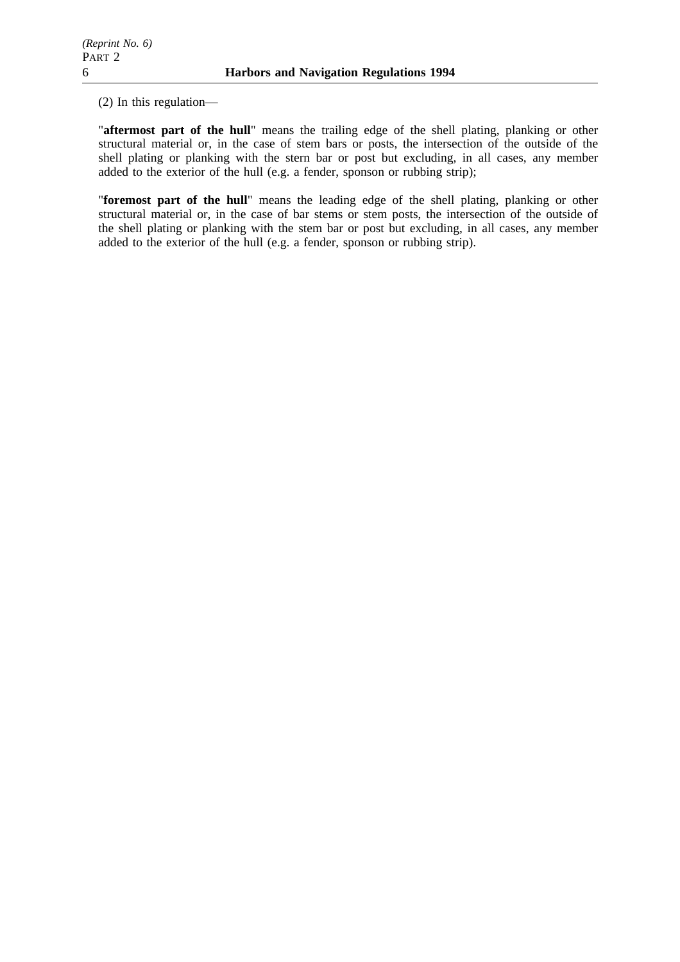(2) In this regulation—

"**aftermost part of the hull**" means the trailing edge of the shell plating, planking or other structural material or, in the case of stem bars or posts, the intersection of the outside of the shell plating or planking with the stern bar or post but excluding, in all cases, any member added to the exterior of the hull (e.g. a fender, sponson or rubbing strip);

"**foremost part of the hull**" means the leading edge of the shell plating, planking or other structural material or, in the case of bar stems or stem posts, the intersection of the outside of the shell plating or planking with the stem bar or post but excluding, in all cases, any member added to the exterior of the hull (e.g. a fender, sponson or rubbing strip).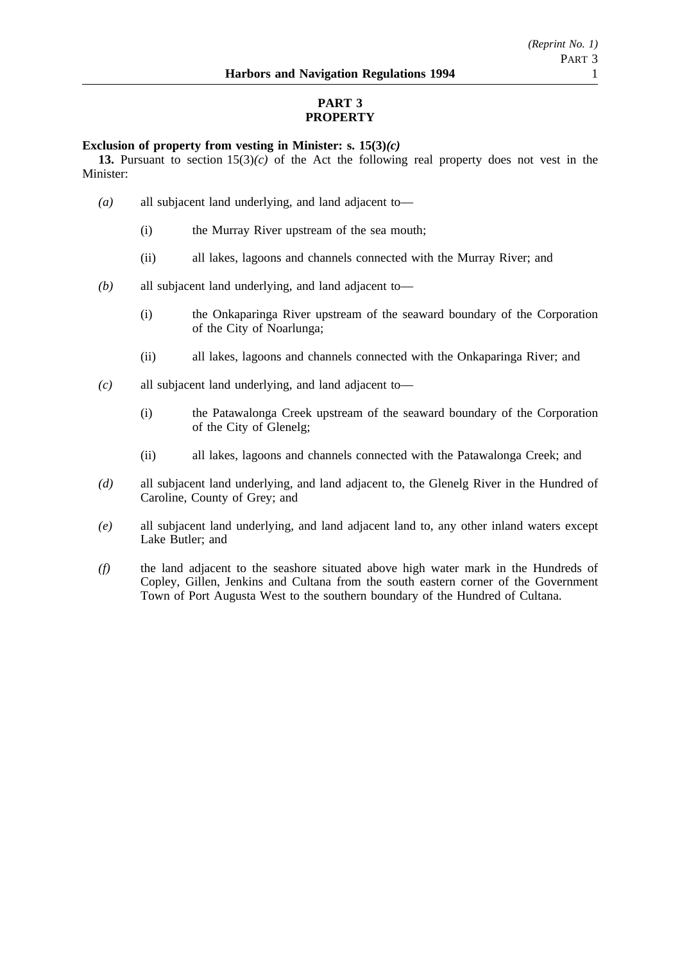# **PART 3 PROPERTY**

# **Exclusion of property from vesting in Minister: s. 15(3)***(c)*

**13.** Pursuant to section 15(3)*(c)* of the Act the following real property does not vest in the Minister:

- *(a)* all subjacent land underlying, and land adjacent to—
	- (i) the Murray River upstream of the sea mouth;
	- (ii) all lakes, lagoons and channels connected with the Murray River; and
- *(b)* all subjacent land underlying, and land adjacent to—
	- (i) the Onkaparinga River upstream of the seaward boundary of the Corporation of the City of Noarlunga;
	- (ii) all lakes, lagoons and channels connected with the Onkaparinga River; and
- *(c)* all subjacent land underlying, and land adjacent to—
	- (i) the Patawalonga Creek upstream of the seaward boundary of the Corporation of the City of Glenelg;
	- (ii) all lakes, lagoons and channels connected with the Patawalonga Creek; and
- *(d)* all subjacent land underlying, and land adjacent to, the Glenelg River in the Hundred of Caroline, County of Grey; and
- *(e)* all subjacent land underlying, and land adjacent land to, any other inland waters except Lake Butler; and
- *(f)* the land adjacent to the seashore situated above high water mark in the Hundreds of Copley, Gillen, Jenkins and Cultana from the south eastern corner of the Government Town of Port Augusta West to the southern boundary of the Hundred of Cultana.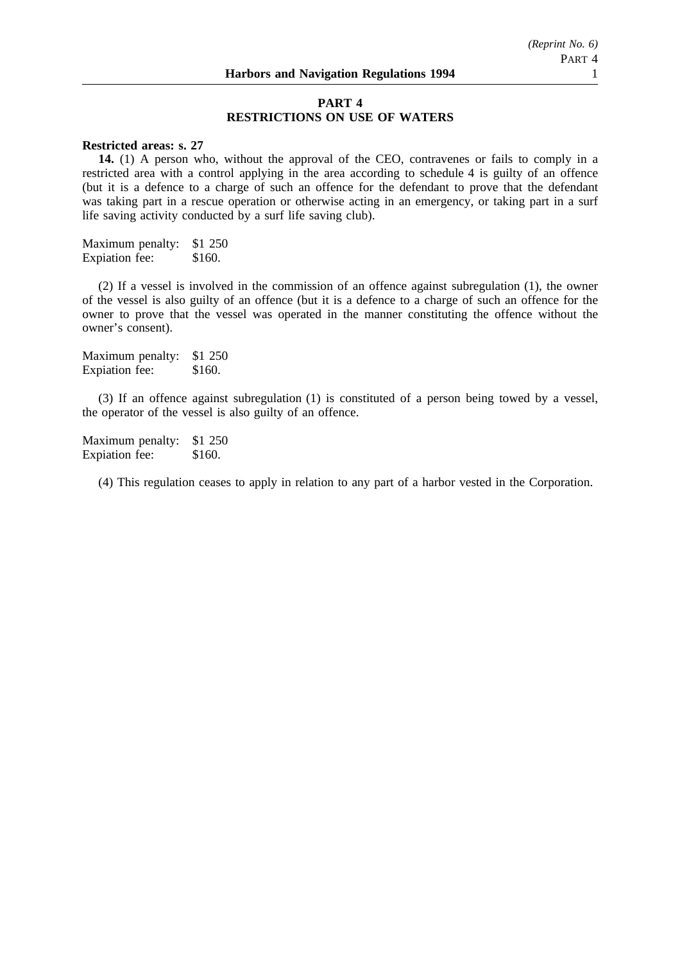# **PART 4 RESTRICTIONS ON USE OF WATERS**

# **Restricted areas: s. 27**

**14.** (1) A person who, without the approval of the CEO, contravenes or fails to comply in a restricted area with a control applying in the area according to schedule 4 is guilty of an offence (but it is a defence to a charge of such an offence for the defendant to prove that the defendant was taking part in a rescue operation or otherwise acting in an emergency, or taking part in a surf life saving activity conducted by a surf life saving club).

Maximum penalty: \$1 250 Expiation fee: \$160.

(2) If a vessel is involved in the commission of an offence against subregulation (1), the owner of the vessel is also guilty of an offence (but it is a defence to a charge of such an offence for the owner to prove that the vessel was operated in the manner constituting the offence without the owner's consent).

Maximum penalty: \$1 250 Expiation fee: \$160.

(3) If an offence against subregulation (1) is constituted of a person being towed by a vessel, the operator of the vessel is also guilty of an offence.

Maximum penalty: \$1 250 Expiation fee: \$160.

(4) This regulation ceases to apply in relation to any part of a harbor vested in the Corporation.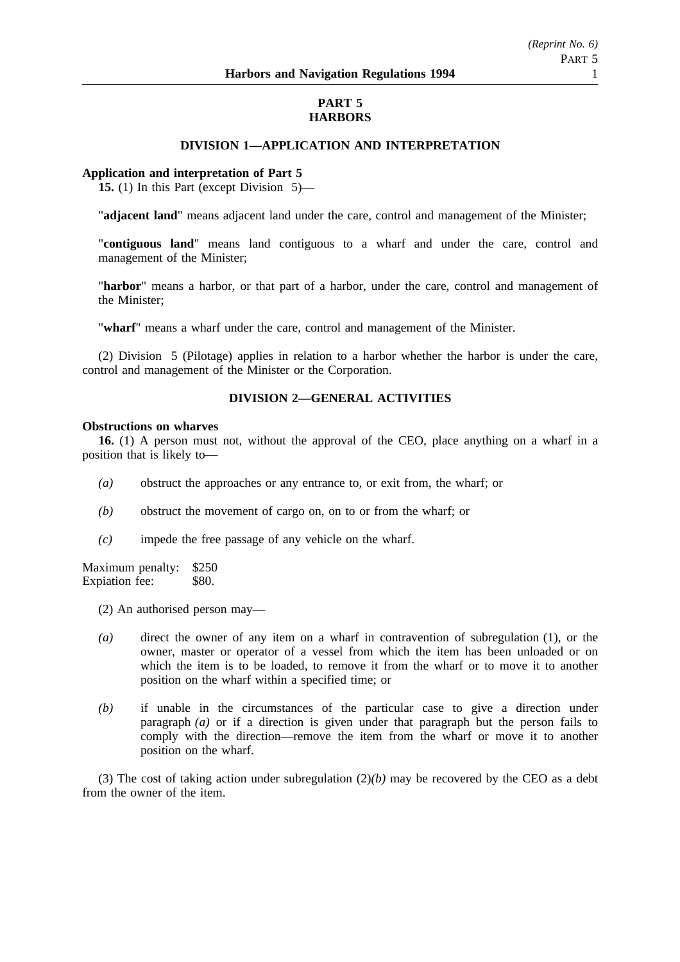# **PART 5 HARBORS**

# **DIVISION 1—APPLICATION AND INTERPRETATION**

### **Application and interpretation of Part 5**

**15.** (1) In this Part (except Division 5)—

"**adjacent land**" means adjacent land under the care, control and management of the Minister;

"**contiguous land**" means land contiguous to a wharf and under the care, control and management of the Minister;

"**harbor**" means a harbor, or that part of a harbor, under the care, control and management of the Minister;

"**wharf**" means a wharf under the care, control and management of the Minister.

(2) Division 5 (Pilotage) applies in relation to a harbor whether the harbor is under the care, control and management of the Minister or the Corporation.

# **DIVISION 2—GENERAL ACTIVITIES**

#### **Obstructions on wharves**

**16.** (1) A person must not, without the approval of the CEO, place anything on a wharf in a position that is likely to—

- *(a)* obstruct the approaches or any entrance to, or exit from, the wharf; or
- *(b)* obstruct the movement of cargo on, on to or from the wharf; or
- *(c)* impede the free passage of any vehicle on the wharf.

Maximum penalty: \$250 Expiation fee: \$80.

(2) An authorised person may—

- *(a)* direct the owner of any item on a wharf in contravention of subregulation (1), or the owner, master or operator of a vessel from which the item has been unloaded or on which the item is to be loaded, to remove it from the wharf or to move it to another position on the wharf within a specified time; or
- *(b)* if unable in the circumstances of the particular case to give a direction under paragraph *(a)* or if a direction is given under that paragraph but the person fails to comply with the direction—remove the item from the wharf or move it to another position on the wharf.

(3) The cost of taking action under subregulation  $(2)(b)$  may be recovered by the CEO as a debt from the owner of the item.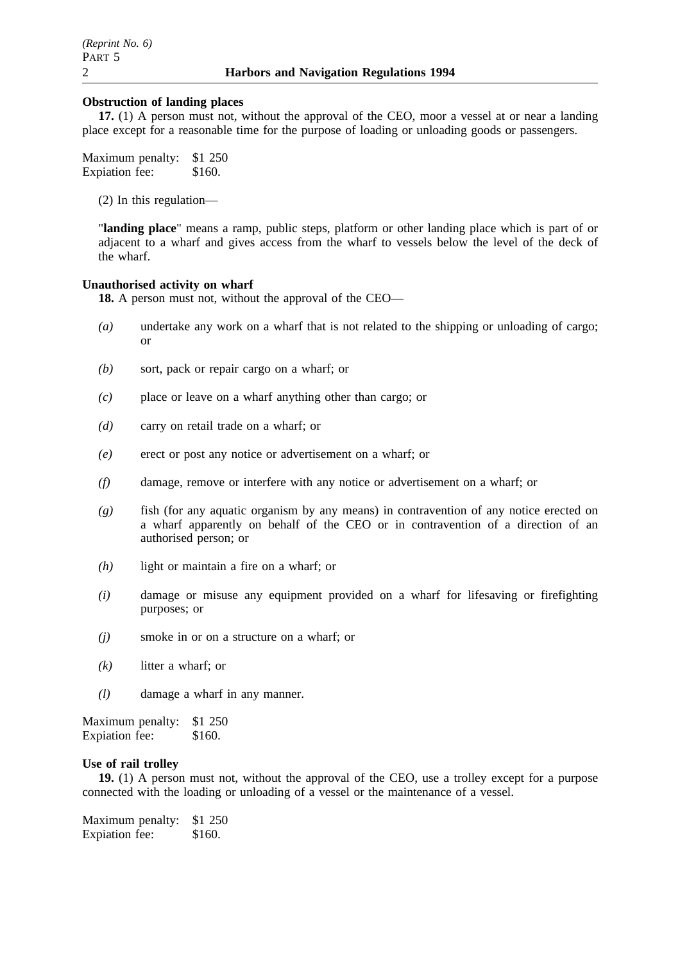# **Obstruction of landing places**

**17.** (1) A person must not, without the approval of the CEO, moor a vessel at or near a landing place except for a reasonable time for the purpose of loading or unloading goods or passengers.

Maximum penalty: \$1 250 Expiation fee: \$160.

(2) In this regulation—

"**landing place**" means a ramp, public steps, platform or other landing place which is part of or adjacent to a wharf and gives access from the wharf to vessels below the level of the deck of the wharf.

# **Unauthorised activity on wharf**

**18.** A person must not, without the approval of the CEO—

- *(a)* undertake any work on a wharf that is not related to the shipping or unloading of cargo; or
- *(b)* sort, pack or repair cargo on a wharf; or
- *(c)* place or leave on a wharf anything other than cargo; or
- *(d)* carry on retail trade on a wharf; or
- *(e)* erect or post any notice or advertisement on a wharf; or
- *(f)* damage, remove or interfere with any notice or advertisement on a wharf; or
- *(g)* fish (for any aquatic organism by any means) in contravention of any notice erected on a wharf apparently on behalf of the CEO or in contravention of a direction of an authorised person; or
- *(h)* light or maintain a fire on a wharf; or
- *(i)* damage or misuse any equipment provided on a wharf for lifesaving or firefighting purposes; or
- *(j)* smoke in or on a structure on a wharf; or
- *(k)* litter a wharf; or
- *(l)* damage a wharf in any manner.

Maximum penalty: \$1 250 Expiation fee: \$160.

# **Use of rail trolley**

**19.** (1) A person must not, without the approval of the CEO, use a trolley except for a purpose connected with the loading or unloading of a vessel or the maintenance of a vessel.

| Maximum penalty:      | \$1 250 |
|-----------------------|---------|
| <b>Expiation</b> fee: | \$160.  |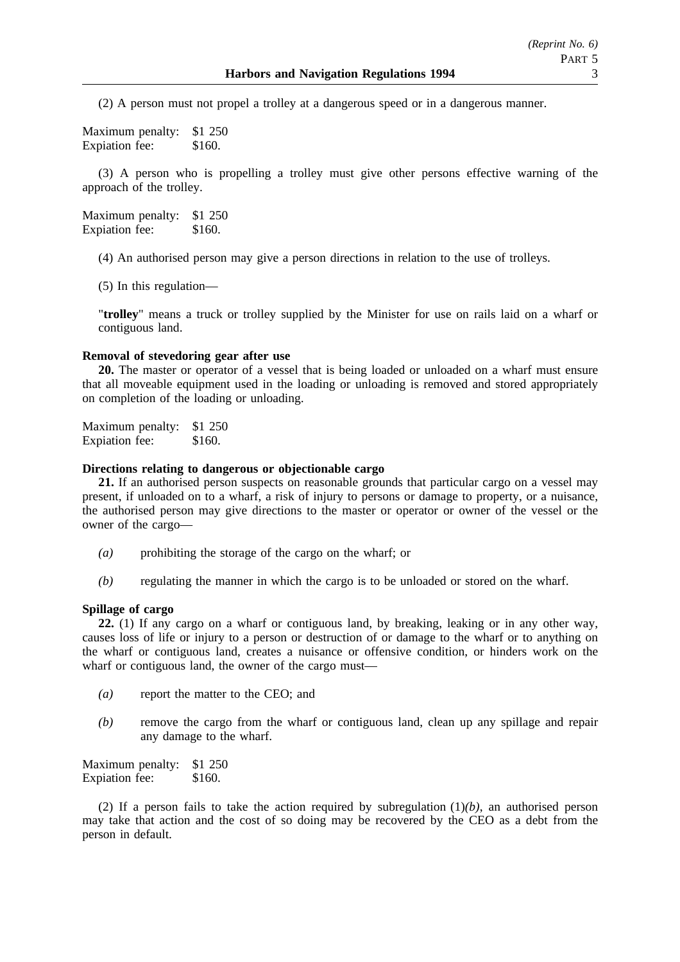(2) A person must not propel a trolley at a dangerous speed or in a dangerous manner.

Maximum penalty: \$1 250 Expiation fee: \$160.

(3) A person who is propelling a trolley must give other persons effective warning of the approach of the trolley.

Maximum penalty: \$1 250 Expiation fee: \$160.

(4) An authorised person may give a person directions in relation to the use of trolleys.

(5) In this regulation—

"**trolley**" means a truck or trolley supplied by the Minister for use on rails laid on a wharf or contiguous land.

# **Removal of stevedoring gear after use**

**20.** The master or operator of a vessel that is being loaded or unloaded on a wharf must ensure that all moveable equipment used in the loading or unloading is removed and stored appropriately on completion of the loading or unloading.

Maximum penalty: \$1 250 Expiation fee: \$160.

# **Directions relating to dangerous or objectionable cargo**

**21.** If an authorised person suspects on reasonable grounds that particular cargo on a vessel may present, if unloaded on to a wharf, a risk of injury to persons or damage to property, or a nuisance, the authorised person may give directions to the master or operator or owner of the vessel or the owner of the cargo—

- *(a)* prohibiting the storage of the cargo on the wharf; or
- *(b)* regulating the manner in which the cargo is to be unloaded or stored on the wharf.

# **Spillage of cargo**

**22.** (1) If any cargo on a wharf or contiguous land, by breaking, leaking or in any other way, causes loss of life or injury to a person or destruction of or damage to the wharf or to anything on the wharf or contiguous land, creates a nuisance or offensive condition, or hinders work on the wharf or contiguous land, the owner of the cargo must-

- *(a)* report the matter to the CEO; and
- *(b)* remove the cargo from the wharf or contiguous land, clean up any spillage and repair any damage to the wharf.

Maximum penalty: \$1 250 Expiation fee: \$160.

(2) If a person fails to take the action required by subregulation (1)*(b)*, an authorised person may take that action and the cost of so doing may be recovered by the CEO as a debt from the person in default.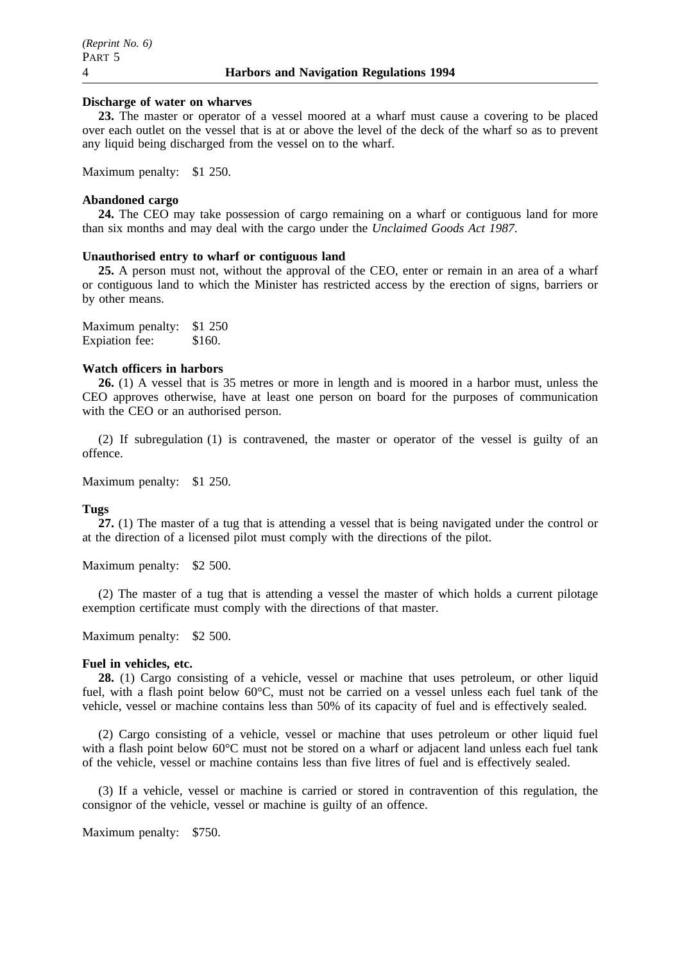# **Discharge of water on wharves**

**23.** The master or operator of a vessel moored at a wharf must cause a covering to be placed over each outlet on the vessel that is at or above the level of the deck of the wharf so as to prevent any liquid being discharged from the vessel on to the wharf.

Maximum penalty: \$1 250.

### **Abandoned cargo**

**24.** The CEO may take possession of cargo remaining on a wharf or contiguous land for more than six months and may deal with the cargo under the *Unclaimed Goods Act 1987*.

### **Unauthorised entry to wharf or contiguous land**

**25.** A person must not, without the approval of the CEO, enter or remain in an area of a wharf or contiguous land to which the Minister has restricted access by the erection of signs, barriers or by other means.

Maximum penalty: \$1 250 Expiation fee: \$160.

# **Watch officers in harbors**

**26.** (1) A vessel that is 35 metres or more in length and is moored in a harbor must, unless the CEO approves otherwise, have at least one person on board for the purposes of communication with the CEO or an authorised person.

(2) If subregulation (1) is contravened, the master or operator of the vessel is guilty of an offence.

Maximum penalty: \$1 250.

#### **Tugs**

**27.** (1) The master of a tug that is attending a vessel that is being navigated under the control or at the direction of a licensed pilot must comply with the directions of the pilot.

Maximum penalty: \$2 500.

(2) The master of a tug that is attending a vessel the master of which holds a current pilotage exemption certificate must comply with the directions of that master.

Maximum penalty: \$2 500.

#### **Fuel in vehicles, etc.**

**28.** (1) Cargo consisting of a vehicle, vessel or machine that uses petroleum, or other liquid fuel, with a flash point below 60°C, must not be carried on a vessel unless each fuel tank of the vehicle, vessel or machine contains less than 50% of its capacity of fuel and is effectively sealed.

(2) Cargo consisting of a vehicle, vessel or machine that uses petroleum or other liquid fuel with a flash point below 60°C must not be stored on a wharf or adjacent land unless each fuel tank of the vehicle, vessel or machine contains less than five litres of fuel and is effectively sealed.

(3) If a vehicle, vessel or machine is carried or stored in contravention of this regulation, the consignor of the vehicle, vessel or machine is guilty of an offence.

Maximum penalty: \$750.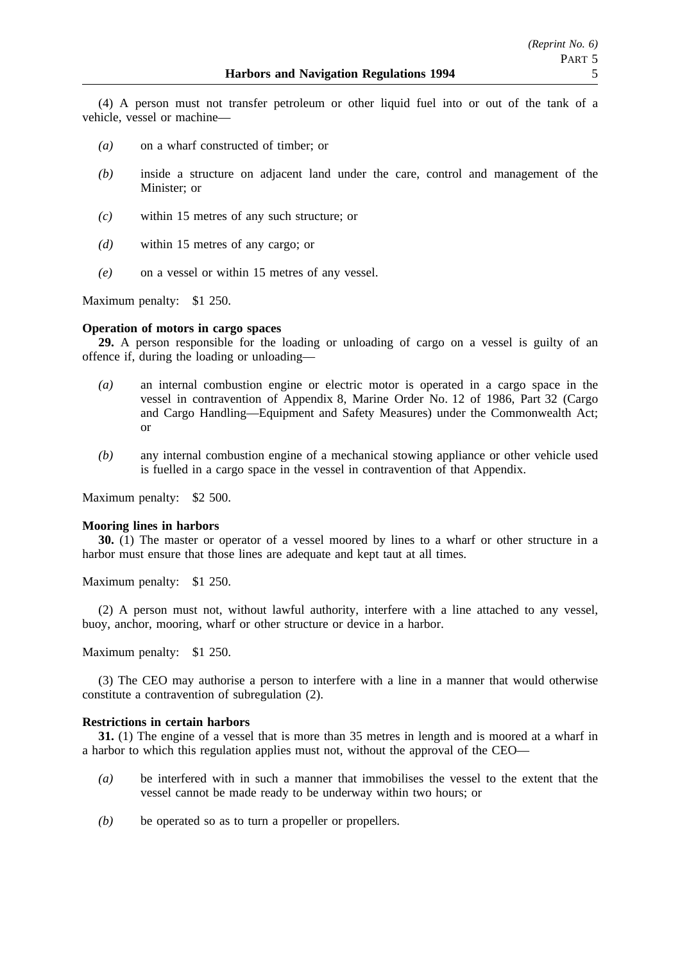(4) A person must not transfer petroleum or other liquid fuel into or out of the tank of a vehicle, vessel or machine—

- *(a)* on a wharf constructed of timber; or
- *(b)* inside a structure on adjacent land under the care, control and management of the Minister; or
- *(c)* within 15 metres of any such structure; or
- *(d)* within 15 metres of any cargo; or
- *(e)* on a vessel or within 15 metres of any vessel.

Maximum penalty: \$1 250.

### **Operation of motors in cargo spaces**

**29.** A person responsible for the loading or unloading of cargo on a vessel is guilty of an offence if, during the loading or unloading—

- *(a)* an internal combustion engine or electric motor is operated in a cargo space in the vessel in contravention of Appendix 8, Marine Order No. 12 of 1986, Part 32 (Cargo and Cargo Handling—Equipment and Safety Measures) under the Commonwealth Act; or
- *(b)* any internal combustion engine of a mechanical stowing appliance or other vehicle used is fuelled in a cargo space in the vessel in contravention of that Appendix.

Maximum penalty: \$2 500.

#### **Mooring lines in harbors**

**30.** (1) The master or operator of a vessel moored by lines to a wharf or other structure in a harbor must ensure that those lines are adequate and kept taut at all times.

Maximum penalty: \$1 250.

(2) A person must not, without lawful authority, interfere with a line attached to any vessel, buoy, anchor, mooring, wharf or other structure or device in a harbor.

Maximum penalty: \$1 250.

(3) The CEO may authorise a person to interfere with a line in a manner that would otherwise constitute a contravention of subregulation (2).

# **Restrictions in certain harbors**

**31.** (1) The engine of a vessel that is more than 35 metres in length and is moored at a wharf in a harbor to which this regulation applies must not, without the approval of the CEO—

- *(a)* be interfered with in such a manner that immobilises the vessel to the extent that the vessel cannot be made ready to be underway within two hours; or
- *(b)* be operated so as to turn a propeller or propellers.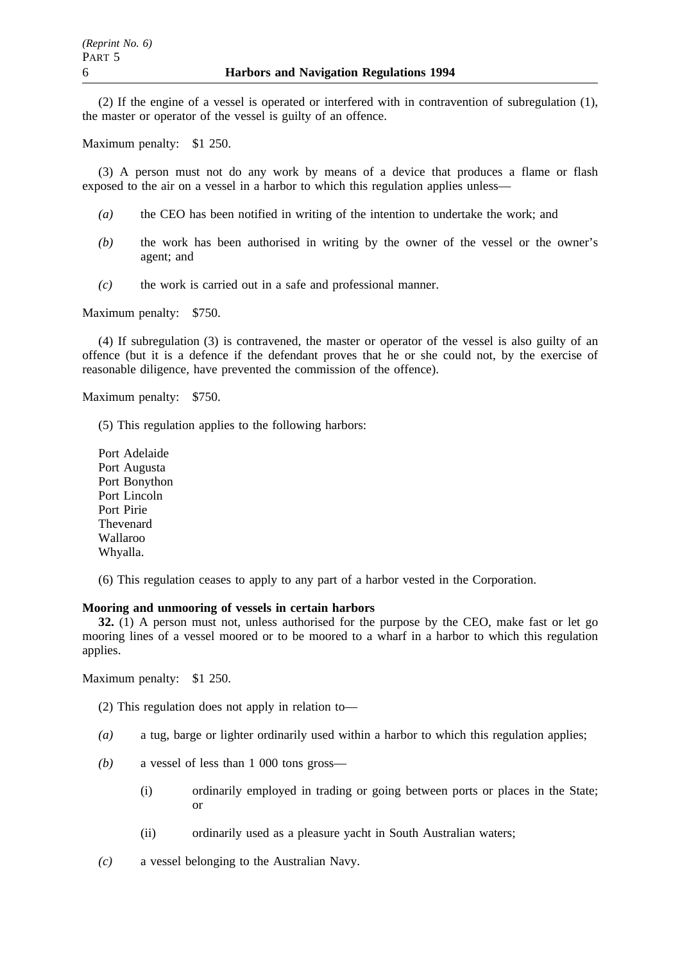(2) If the engine of a vessel is operated or interfered with in contravention of subregulation (1), the master or operator of the vessel is guilty of an offence.

Maximum penalty: \$1 250.

(3) A person must not do any work by means of a device that produces a flame or flash exposed to the air on a vessel in a harbor to which this regulation applies unless—

- *(a)* the CEO has been notified in writing of the intention to undertake the work; and
- *(b)* the work has been authorised in writing by the owner of the vessel or the owner's agent; and
- *(c)* the work is carried out in a safe and professional manner.

Maximum penalty: \$750.

(4) If subregulation (3) is contravened, the master or operator of the vessel is also guilty of an offence (but it is a defence if the defendant proves that he or she could not, by the exercise of reasonable diligence, have prevented the commission of the offence).

Maximum penalty: \$750.

(5) This regulation applies to the following harbors:

- Port Adelaide Port Augusta Port Bonython Port Lincoln Port Pirie Thevenard Wallaroo Whyalla.
- (6) This regulation ceases to apply to any part of a harbor vested in the Corporation.

# **Mooring and unmooring of vessels in certain harbors**

**32.** (1) A person must not, unless authorised for the purpose by the CEO, make fast or let go mooring lines of a vessel moored or to be moored to a wharf in a harbor to which this regulation applies.

Maximum penalty: \$1 250.

(2) This regulation does not apply in relation to—

- *(a)* a tug, barge or lighter ordinarily used within a harbor to which this regulation applies;
- *(b)* a vessel of less than 1 000 tons gross—
	- (i) ordinarily employed in trading or going between ports or places in the State; or
	- (ii) ordinarily used as a pleasure yacht in South Australian waters;
- *(c)* a vessel belonging to the Australian Navy.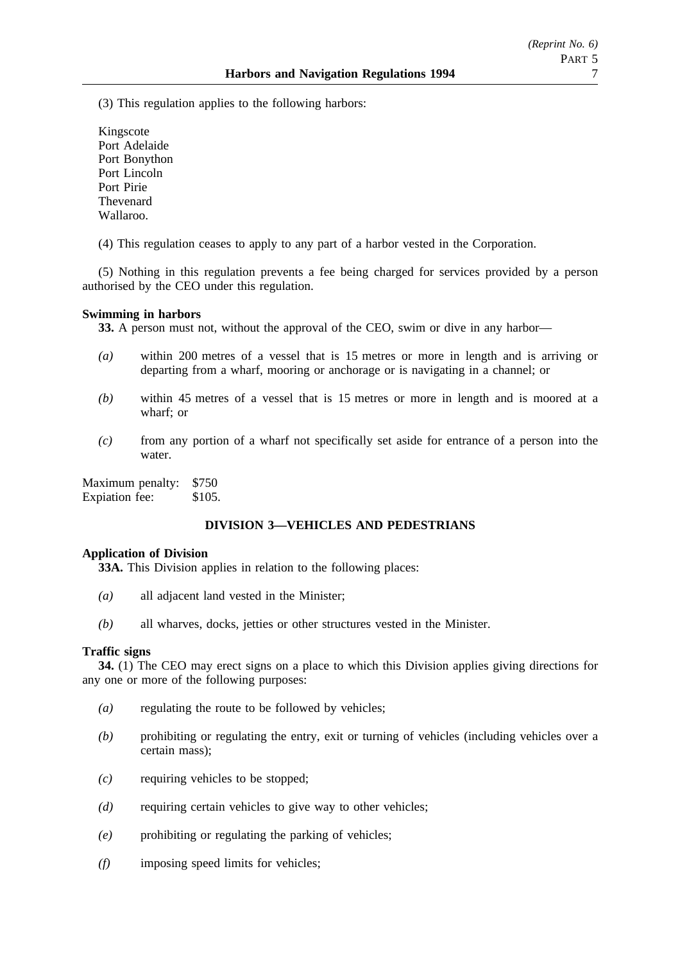(3) This regulation applies to the following harbors:

Kingscote Port Adelaide Port Bonython Port Lincoln Port Pirie Thevenard Wallaroo.

(4) This regulation ceases to apply to any part of a harbor vested in the Corporation.

(5) Nothing in this regulation prevents a fee being charged for services provided by a person authorised by the CEO under this regulation.

# **Swimming in harbors**

**33.** A person must not, without the approval of the CEO, swim or dive in any harbor—

- *(a)* within 200 metres of a vessel that is 15 metres or more in length and is arriving or departing from a wharf, mooring or anchorage or is navigating in a channel; or
- *(b)* within 45 metres of a vessel that is 15 metres or more in length and is moored at a wharf; or
- *(c)* from any portion of a wharf not specifically set aside for entrance of a person into the water.

Maximum penalty: \$750 Expiation fee: \$105.

# **DIVISION 3—VEHICLES AND PEDESTRIANS**

# **Application of Division**

**33A.** This Division applies in relation to the following places:

- *(a)* all adjacent land vested in the Minister;
- *(b)* all wharves, docks, jetties or other structures vested in the Minister.

# **Traffic signs**

**34.** (1) The CEO may erect signs on a place to which this Division applies giving directions for any one or more of the following purposes:

- *(a)* regulating the route to be followed by vehicles;
- *(b)* prohibiting or regulating the entry, exit or turning of vehicles (including vehicles over a certain mass);
- *(c)* requiring vehicles to be stopped;
- *(d)* requiring certain vehicles to give way to other vehicles;
- *(e)* prohibiting or regulating the parking of vehicles;
- *(f)* imposing speed limits for vehicles;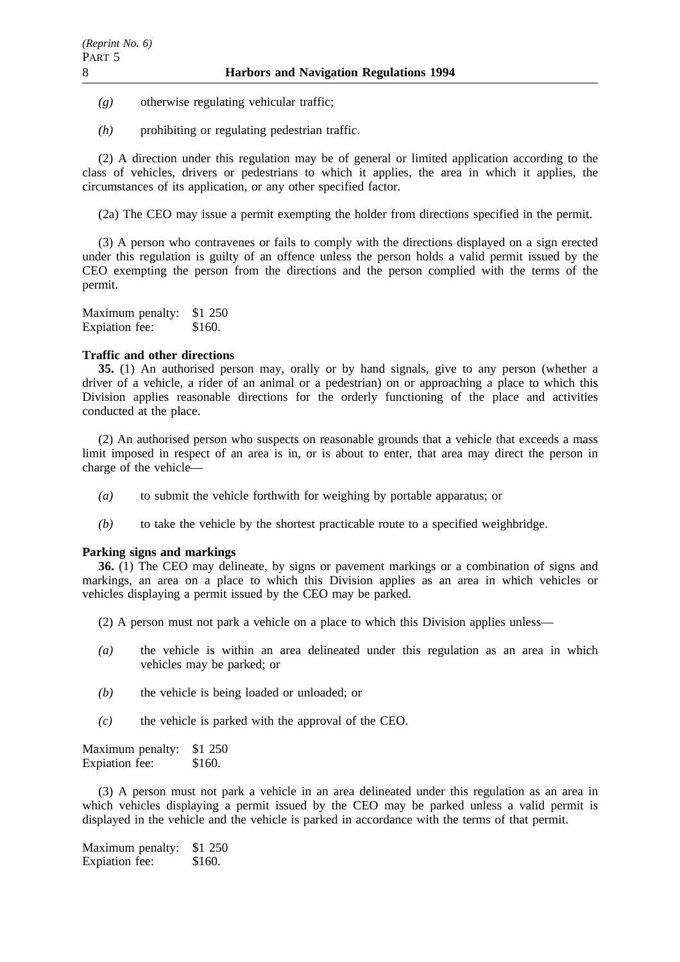- *(g)* otherwise regulating vehicular traffic;
- *(h)* prohibiting or regulating pedestrian traffic.

(2) A direction under this regulation may be of general or limited application according to the class of vehicles, drivers or pedestrians to which it applies, the area in which it applies, the circumstances of its application, or any other specified factor.

(2a) The CEO may issue a permit exempting the holder from directions specified in the permit.

(3) A person who contravenes or fails to comply with the directions displayed on a sign erected under this regulation is guilty of an offence unless the person holds a valid permit issued by the CEO exempting the person from the directions and the person complied with the terms of the permit.

Maximum penalty: \$1 250 Expiation fee: \$160.

# **Traffic and other directions**

**35.** (1) An authorised person may, orally or by hand signals, give to any person (whether a driver of a vehicle, a rider of an animal or a pedestrian) on or approaching a place to which this Division applies reasonable directions for the orderly functioning of the place and activities conducted at the place.

(2) An authorised person who suspects on reasonable grounds that a vehicle that exceeds a mass limit imposed in respect of an area is in, or is about to enter, that area may direct the person in charge of the vehicle—

- *(a)* to submit the vehicle forthwith for weighing by portable apparatus; or
- *(b)* to take the vehicle by the shortest practicable route to a specified weighbridge.

# **Parking signs and markings**

**36.** (1) The CEO may delineate, by signs or pavement markings or a combination of signs and markings, an area on a place to which this Division applies as an area in which vehicles or vehicles displaying a permit issued by the CEO may be parked.

- (2) A person must not park a vehicle on a place to which this Division applies unless—
- *(a)* the vehicle is within an area delineated under this regulation as an area in which vehicles may be parked; or
- *(b)* the vehicle is being loaded or unloaded; or
- *(c)* the vehicle is parked with the approval of the CEO.

Maximum penalty: \$1 250 Expiation fee: \$160.

(3) A person must not park a vehicle in an area delineated under this regulation as an area in which vehicles displaying a permit issued by the CEO may be parked unless a valid permit is displayed in the vehicle and the vehicle is parked in accordance with the terms of that permit.

Maximum penalty: \$1 250 Expiation fee: \$160.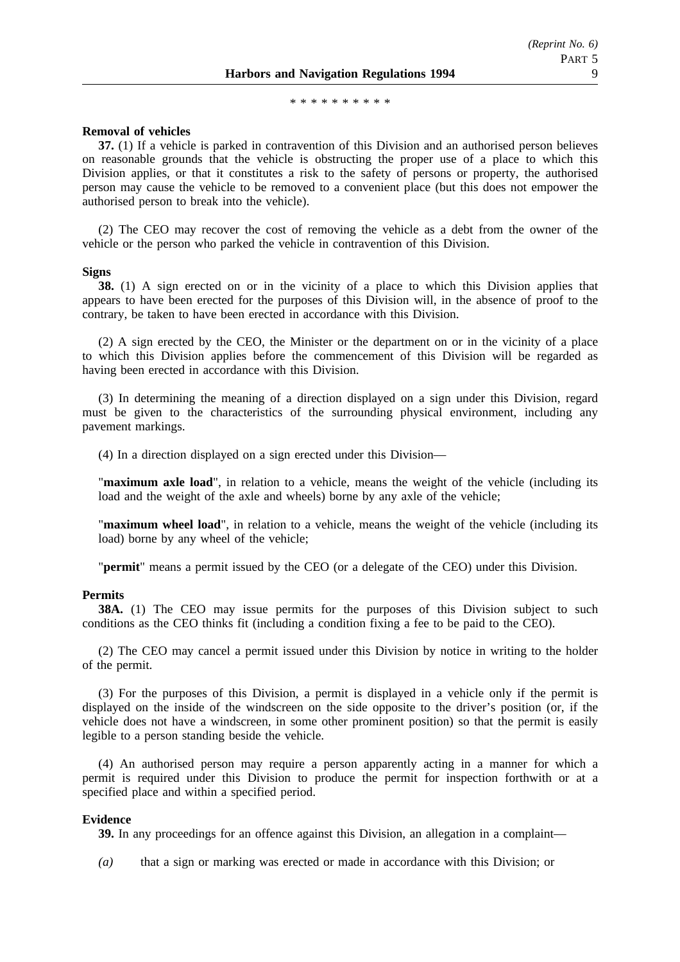\*\*\*\*\*\*\*\*\*\*\*\*\*\*\*

### **Removal of vehicles**

**37.** (1) If a vehicle is parked in contravention of this Division and an authorised person believes on reasonable grounds that the vehicle is obstructing the proper use of a place to which this Division applies, or that it constitutes a risk to the safety of persons or property, the authorised person may cause the vehicle to be removed to a convenient place (but this does not empower the authorised person to break into the vehicle).

(2) The CEO may recover the cost of removing the vehicle as a debt from the owner of the vehicle or the person who parked the vehicle in contravention of this Division.

#### **Signs**

**38.** (1) A sign erected on or in the vicinity of a place to which this Division applies that appears to have been erected for the purposes of this Division will, in the absence of proof to the contrary, be taken to have been erected in accordance with this Division.

(2) A sign erected by the CEO, the Minister or the department on or in the vicinity of a place to which this Division applies before the commencement of this Division will be regarded as having been erected in accordance with this Division.

(3) In determining the meaning of a direction displayed on a sign under this Division, regard must be given to the characteristics of the surrounding physical environment, including any pavement markings.

(4) In a direction displayed on a sign erected under this Division—

"**maximum axle load**", in relation to a vehicle, means the weight of the vehicle (including its load and the weight of the axle and wheels) borne by any axle of the vehicle;

"**maximum wheel load**", in relation to a vehicle, means the weight of the vehicle (including its load) borne by any wheel of the vehicle;

"**permit**" means a permit issued by the CEO (or a delegate of the CEO) under this Division.

# **Permits**

**38A.** (1) The CEO may issue permits for the purposes of this Division subject to such conditions as the CEO thinks fit (including a condition fixing a fee to be paid to the CEO).

(2) The CEO may cancel a permit issued under this Division by notice in writing to the holder of the permit.

(3) For the purposes of this Division, a permit is displayed in a vehicle only if the permit is displayed on the inside of the windscreen on the side opposite to the driver's position (or, if the vehicle does not have a windscreen, in some other prominent position) so that the permit is easily legible to a person standing beside the vehicle.

(4) An authorised person may require a person apparently acting in a manner for which a permit is required under this Division to produce the permit for inspection forthwith or at a specified place and within a specified period.

### **Evidence**

**39.** In any proceedings for an offence against this Division, an allegation in a complaint—

*(a)* that a sign or marking was erected or made in accordance with this Division; or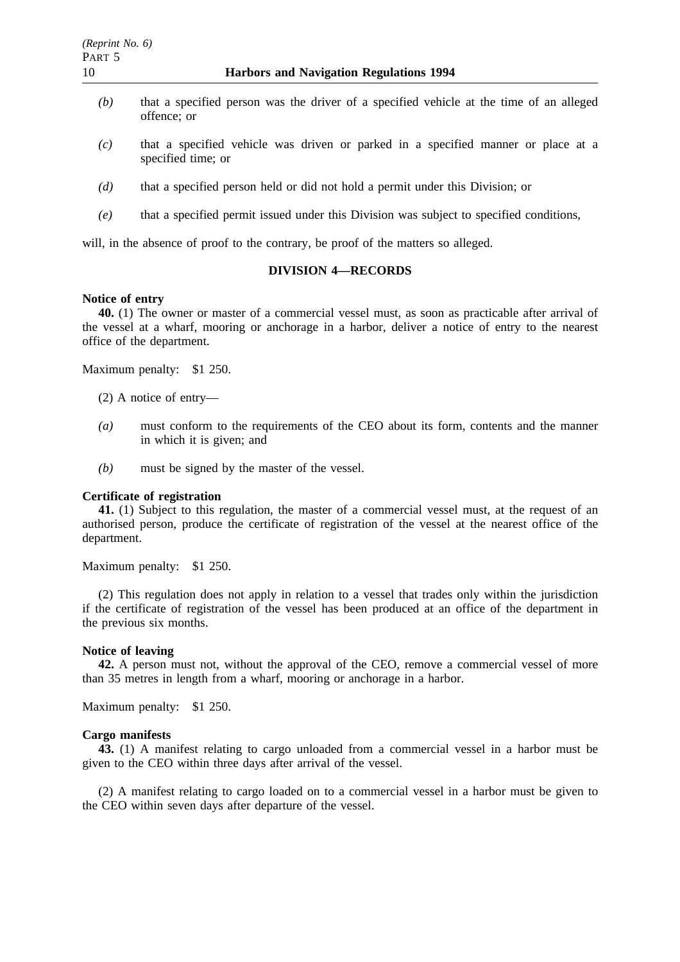- *(b)* that a specified person was the driver of a specified vehicle at the time of an alleged offence; or
- *(c)* that a specified vehicle was driven or parked in a specified manner or place at a specified time; or
- *(d)* that a specified person held or did not hold a permit under this Division; or
- *(e)* that a specified permit issued under this Division was subject to specified conditions,

will, in the absence of proof to the contrary, be proof of the matters so alleged.

# **DIVISION 4—RECORDS**

# **Notice of entry**

**40.** (1) The owner or master of a commercial vessel must, as soon as practicable after arrival of the vessel at a wharf, mooring or anchorage in a harbor, deliver a notice of entry to the nearest office of the department.

Maximum penalty: \$1 250.

- (2) A notice of entry—
- *(a)* must conform to the requirements of the CEO about its form, contents and the manner in which it is given; and
- *(b)* must be signed by the master of the vessel.

### **Certificate of registration**

**41.** (1) Subject to this regulation, the master of a commercial vessel must, at the request of an authorised person, produce the certificate of registration of the vessel at the nearest office of the department.

Maximum penalty: \$1 250.

(2) This regulation does not apply in relation to a vessel that trades only within the jurisdiction if the certificate of registration of the vessel has been produced at an office of the department in the previous six months.

### **Notice of leaving**

**42.** A person must not, without the approval of the CEO, remove a commercial vessel of more than 35 metres in length from a wharf, mooring or anchorage in a harbor.

Maximum penalty: \$1 250.

#### **Cargo manifests**

**43.** (1) A manifest relating to cargo unloaded from a commercial vessel in a harbor must be given to the CEO within three days after arrival of the vessel.

(2) A manifest relating to cargo loaded on to a commercial vessel in a harbor must be given to the CEO within seven days after departure of the vessel.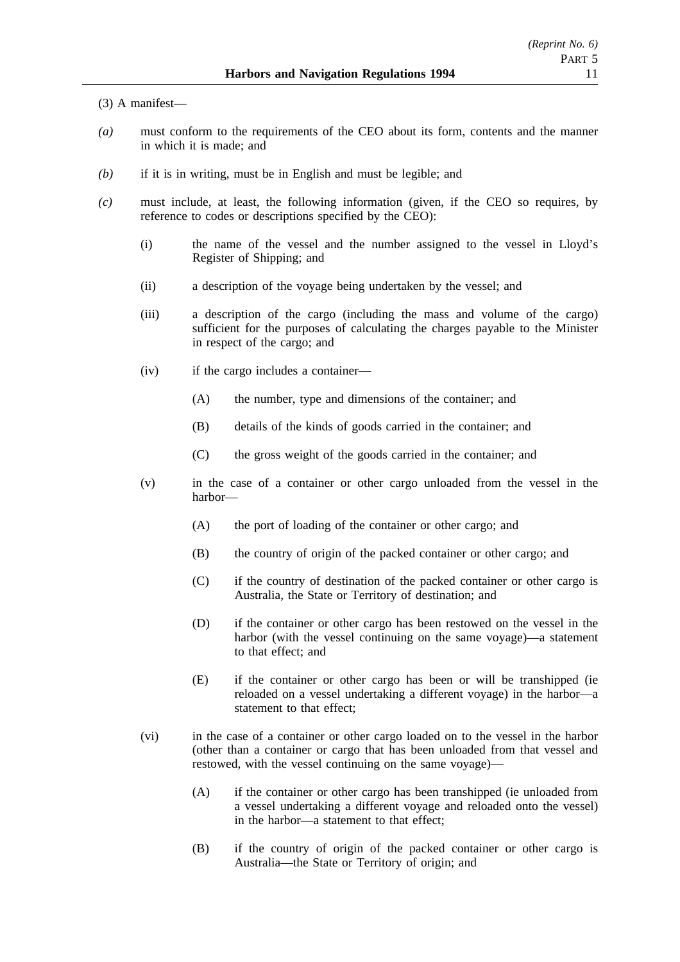(3) A manifest—

- *(a)* must conform to the requirements of the CEO about its form, contents and the manner in which it is made; and
- *(b)* if it is in writing, must be in English and must be legible; and
- *(c)* must include, at least, the following information (given, if the CEO so requires, by reference to codes or descriptions specified by the CEO):
	- (i) the name of the vessel and the number assigned to the vessel in Lloyd's Register of Shipping; and
	- (ii) a description of the voyage being undertaken by the vessel; and
	- (iii) a description of the cargo (including the mass and volume of the cargo) sufficient for the purposes of calculating the charges payable to the Minister in respect of the cargo; and
	- (iv) if the cargo includes a container—
		- (A) the number, type and dimensions of the container; and
		- (B) details of the kinds of goods carried in the container; and
		- (C) the gross weight of the goods carried in the container; and
	- (v) in the case of a container or other cargo unloaded from the vessel in the harbor—
		- (A) the port of loading of the container or other cargo; and
		- (B) the country of origin of the packed container or other cargo; and
		- (C) if the country of destination of the packed container or other cargo is Australia, the State or Territory of destination; and
		- (D) if the container or other cargo has been restowed on the vessel in the harbor (with the vessel continuing on the same voyage)—a statement to that effect; and
		- (E) if the container or other cargo has been or will be transhipped (ie reloaded on a vessel undertaking a different voyage) in the harbor—a statement to that effect;
	- (vi) in the case of a container or other cargo loaded on to the vessel in the harbor (other than a container or cargo that has been unloaded from that vessel and restowed, with the vessel continuing on the same voyage)—
		- (A) if the container or other cargo has been transhipped (ie unloaded from a vessel undertaking a different voyage and reloaded onto the vessel) in the harbor—a statement to that effect;
		- (B) if the country of origin of the packed container or other cargo is Australia—the State or Territory of origin; and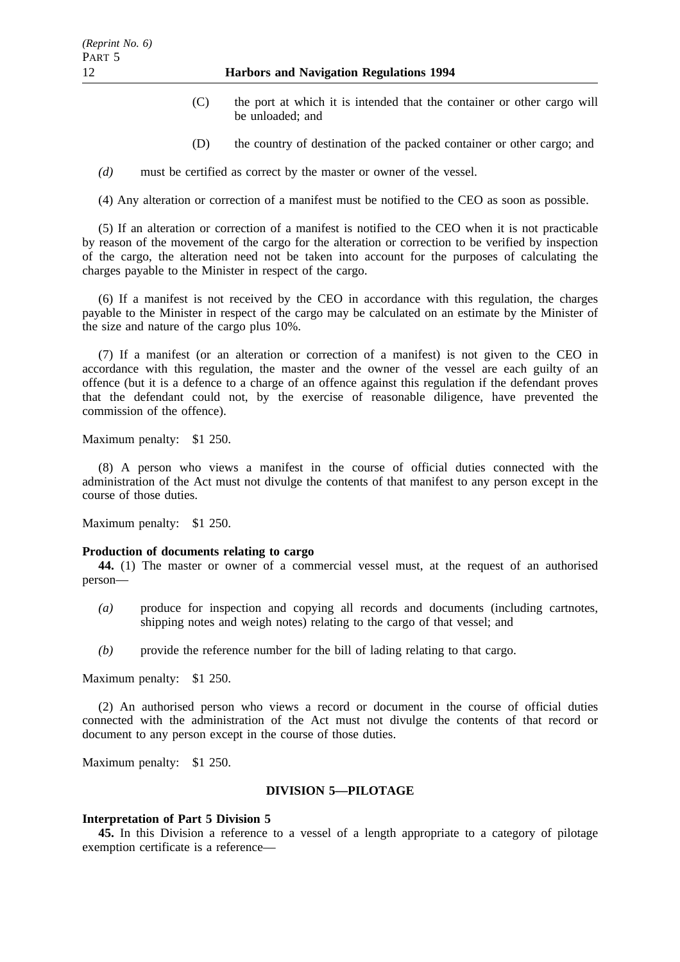- (C) the port at which it is intended that the container or other cargo will be unloaded; and
- (D) the country of destination of the packed container or other cargo; and

*(d)* must be certified as correct by the master or owner of the vessel.

(4) Any alteration or correction of a manifest must be notified to the CEO as soon as possible.

(5) If an alteration or correction of a manifest is notified to the CEO when it is not practicable by reason of the movement of the cargo for the alteration or correction to be verified by inspection of the cargo, the alteration need not be taken into account for the purposes of calculating the charges payable to the Minister in respect of the cargo.

(6) If a manifest is not received by the CEO in accordance with this regulation, the charges payable to the Minister in respect of the cargo may be calculated on an estimate by the Minister of the size and nature of the cargo plus 10%.

(7) If a manifest (or an alteration or correction of a manifest) is not given to the CEO in accordance with this regulation, the master and the owner of the vessel are each guilty of an offence (but it is a defence to a charge of an offence against this regulation if the defendant proves that the defendant could not, by the exercise of reasonable diligence, have prevented the commission of the offence).

Maximum penalty: \$1 250.

(8) A person who views a manifest in the course of official duties connected with the administration of the Act must not divulge the contents of that manifest to any person except in the course of those duties.

Maximum penalty: \$1 250.

# **Production of documents relating to cargo**

**44.** (1) The master or owner of a commercial vessel must, at the request of an authorised person—

- *(a)* produce for inspection and copying all records and documents (including cartnotes, shipping notes and weigh notes) relating to the cargo of that vessel; and
- *(b)* provide the reference number for the bill of lading relating to that cargo.

Maximum penalty: \$1 250.

(2) An authorised person who views a record or document in the course of official duties connected with the administration of the Act must not divulge the contents of that record or document to any person except in the course of those duties.

Maximum penalty: \$1 250.

# **DIVISION 5—PILOTAGE**

#### **Interpretation of Part 5 Division 5**

**45.** In this Division a reference to a vessel of a length appropriate to a category of pilotage exemption certificate is a reference—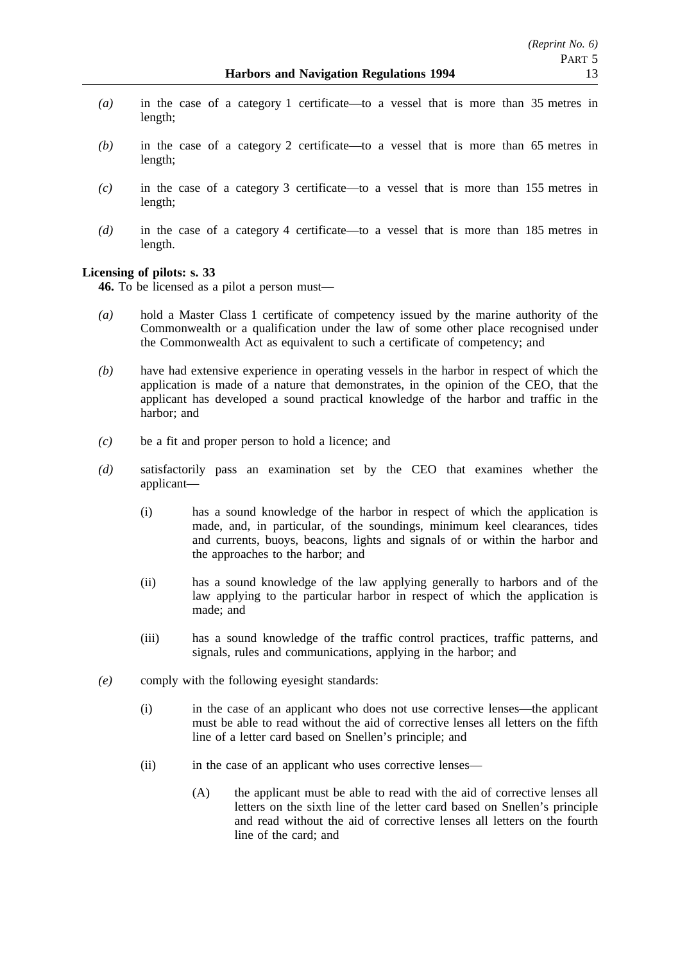- *(a)* in the case of a category 1 certificate—to a vessel that is more than 35 metres in length;
- *(b)* in the case of a category 2 certificate—to a vessel that is more than 65 metres in length;
- *(c)* in the case of a category 3 certificate—to a vessel that is more than 155 metres in length;
- *(d)* in the case of a category 4 certificate—to a vessel that is more than 185 metres in length.

# **Licensing of pilots: s. 33**

**46.** To be licensed as a pilot a person must—

- *(a)* hold a Master Class 1 certificate of competency issued by the marine authority of the Commonwealth or a qualification under the law of some other place recognised under the Commonwealth Act as equivalent to such a certificate of competency; and
- *(b)* have had extensive experience in operating vessels in the harbor in respect of which the application is made of a nature that demonstrates, in the opinion of the CEO, that the applicant has developed a sound practical knowledge of the harbor and traffic in the harbor; and
- *(c)* be a fit and proper person to hold a licence; and
- *(d)* satisfactorily pass an examination set by the CEO that examines whether the applicant—
	- (i) has a sound knowledge of the harbor in respect of which the application is made, and, in particular, of the soundings, minimum keel clearances, tides and currents, buoys, beacons, lights and signals of or within the harbor and the approaches to the harbor; and
	- (ii) has a sound knowledge of the law applying generally to harbors and of the law applying to the particular harbor in respect of which the application is made; and
	- (iii) has a sound knowledge of the traffic control practices, traffic patterns, and signals, rules and communications, applying in the harbor; and
- *(e)* comply with the following eyesight standards:
	- (i) in the case of an applicant who does not use corrective lenses—the applicant must be able to read without the aid of corrective lenses all letters on the fifth line of a letter card based on Snellen's principle; and
	- (ii) in the case of an applicant who uses corrective lenses—
		- (A) the applicant must be able to read with the aid of corrective lenses all letters on the sixth line of the letter card based on Snellen's principle and read without the aid of corrective lenses all letters on the fourth line of the card; and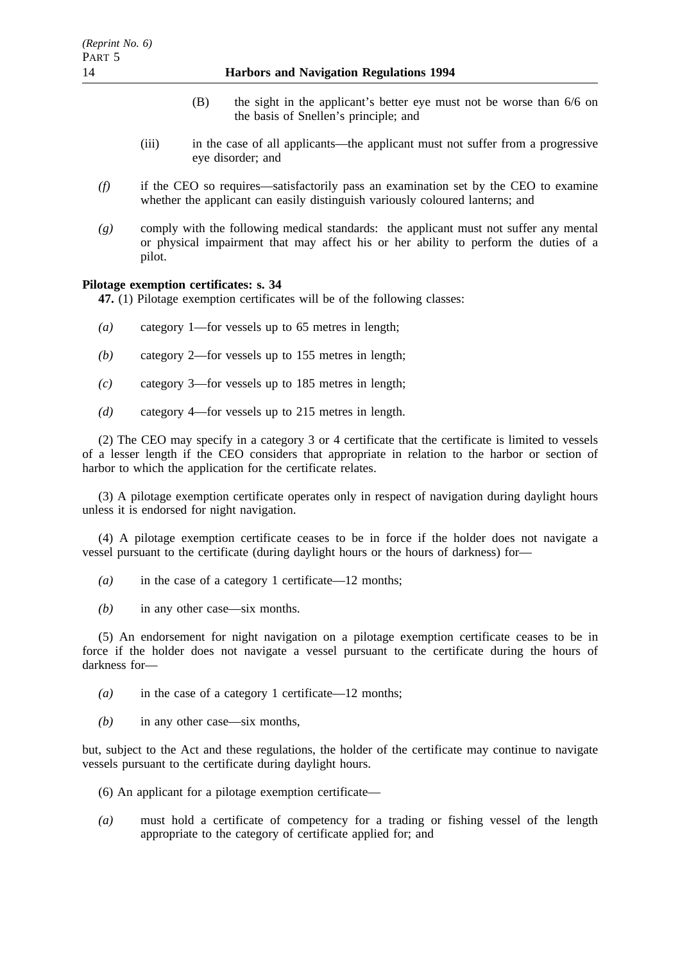# 14 **Harbors and Navigation Regulations 1994**

- (B) the sight in the applicant's better eye must not be worse than 6/6 on the basis of Snellen's principle; and
- (iii) in the case of all applicants—the applicant must not suffer from a progressive eye disorder; and
- *(f)* if the CEO so requires—satisfactorily pass an examination set by the CEO to examine whether the applicant can easily distinguish variously coloured lanterns; and
- *(g)* comply with the following medical standards: the applicant must not suffer any mental or physical impairment that may affect his or her ability to perform the duties of a pilot.

# **Pilotage exemption certificates: s. 34**

**47.** (1) Pilotage exemption certificates will be of the following classes:

- *(a)* category 1—for vessels up to 65 metres in length;
- *(b)* category 2—for vessels up to 155 metres in length;
- *(c)* category 3—for vessels up to 185 metres in length;
- *(d)* category 4—for vessels up to 215 metres in length.

(2) The CEO may specify in a category 3 or 4 certificate that the certificate is limited to vessels of a lesser length if the CEO considers that appropriate in relation to the harbor or section of harbor to which the application for the certificate relates.

(3) A pilotage exemption certificate operates only in respect of navigation during daylight hours unless it is endorsed for night navigation.

(4) A pilotage exemption certificate ceases to be in force if the holder does not navigate a vessel pursuant to the certificate (during daylight hours or the hours of darkness) for—

- *(a)* in the case of a category 1 certificate—12 months;
- *(b)* in any other case—six months.

(5) An endorsement for night navigation on a pilotage exemption certificate ceases to be in force if the holder does not navigate a vessel pursuant to the certificate during the hours of darkness for—

- *(a)* in the case of a category 1 certificate—12 months;
- *(b)* in any other case—six months,

but, subject to the Act and these regulations, the holder of the certificate may continue to navigate vessels pursuant to the certificate during daylight hours.

- (6) An applicant for a pilotage exemption certificate—
- *(a)* must hold a certificate of competency for a trading or fishing vessel of the length appropriate to the category of certificate applied for; and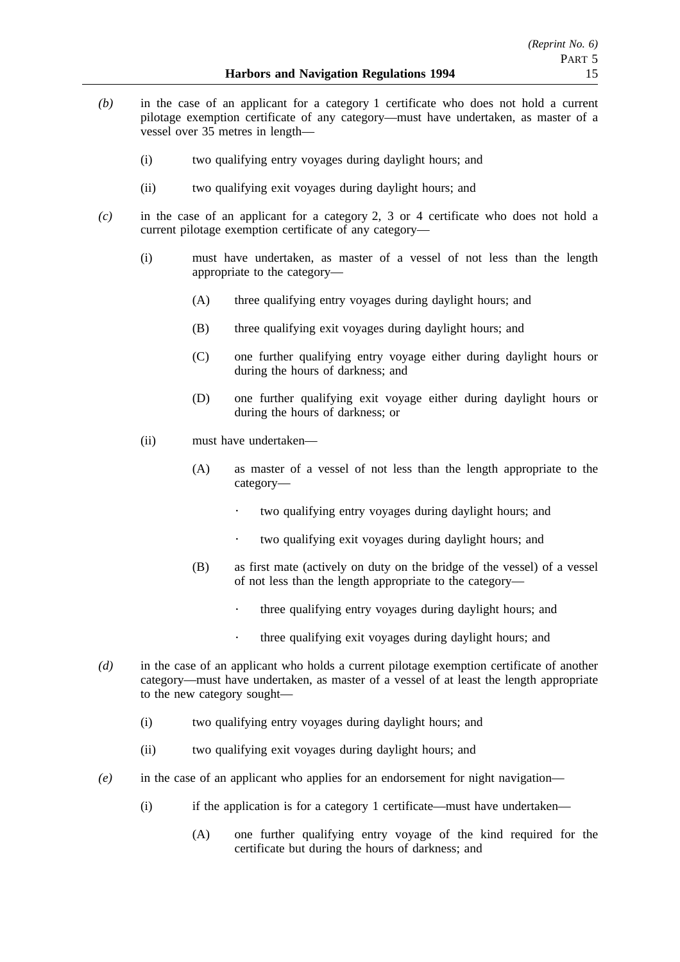- *(b)* in the case of an applicant for a category 1 certificate who does not hold a current pilotage exemption certificate of any category—must have undertaken, as master of a vessel over 35 metres in length—
	- (i) two qualifying entry voyages during daylight hours; and
	- (ii) two qualifying exit voyages during daylight hours; and
- *(c)* in the case of an applicant for a category 2, 3 or 4 certificate who does not hold a current pilotage exemption certificate of any category—
	- (i) must have undertaken, as master of a vessel of not less than the length appropriate to the category—
		- (A) three qualifying entry voyages during daylight hours; and
		- (B) three qualifying exit voyages during daylight hours; and
		- (C) one further qualifying entry voyage either during daylight hours or during the hours of darkness; and
		- (D) one further qualifying exit voyage either during daylight hours or during the hours of darkness; or
	- (ii) must have undertaken—
		- (A) as master of a vessel of not less than the length appropriate to the category—
			- $\ddot{\phantom{a}}$ two qualifying entry voyages during daylight hours; and
			- two qualifying exit voyages during daylight hours; and
		- (B) as first mate (actively on duty on the bridge of the vessel) of a vessel of not less than the length appropriate to the category—
			- $\ddot{\phantom{0}}$ three qualifying entry voyages during daylight hours; and
			- $\ddot{\phantom{0}}$ three qualifying exit voyages during daylight hours; and
- *(d)* in the case of an applicant who holds a current pilotage exemption certificate of another category—must have undertaken, as master of a vessel of at least the length appropriate to the new category sought—
	- (i) two qualifying entry voyages during daylight hours; and
	- (ii) two qualifying exit voyages during daylight hours; and
- *(e)* in the case of an applicant who applies for an endorsement for night navigation—
	- (i) if the application is for a category 1 certificate—must have undertaken—
		- (A) one further qualifying entry voyage of the kind required for the certificate but during the hours of darkness; and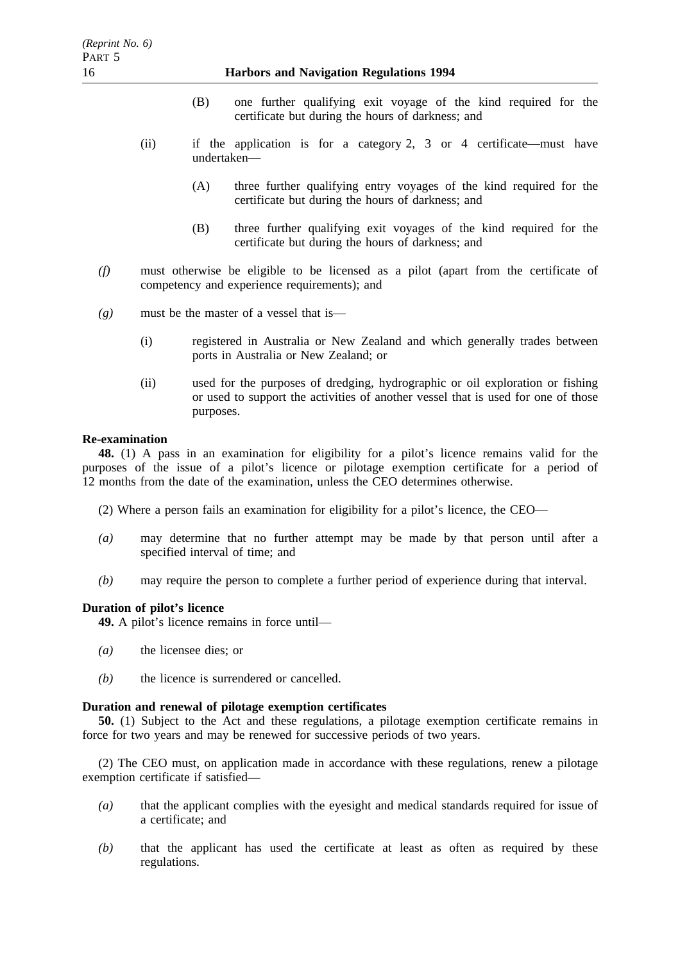# 16 **Harbors and Navigation Regulations 1994**

- (B) one further qualifying exit voyage of the kind required for the certificate but during the hours of darkness; and
- (ii) if the application is for a category 2, 3 or 4 certificate—must have undertaken—
	- (A) three further qualifying entry voyages of the kind required for the certificate but during the hours of darkness; and
	- (B) three further qualifying exit voyages of the kind required for the certificate but during the hours of darkness; and
- *(f)* must otherwise be eligible to be licensed as a pilot (apart from the certificate of competency and experience requirements); and
- *(g)* must be the master of a vessel that is—
	- (i) registered in Australia or New Zealand and which generally trades between ports in Australia or New Zealand; or
	- (ii) used for the purposes of dredging, hydrographic or oil exploration or fishing or used to support the activities of another vessel that is used for one of those purposes.

# **Re-examination**

**48.** (1) A pass in an examination for eligibility for a pilot's licence remains valid for the purposes of the issue of a pilot's licence or pilotage exemption certificate for a period of 12 months from the date of the examination, unless the CEO determines otherwise.

- (2) Where a person fails an examination for eligibility for a pilot's licence, the CEO—
- *(a)* may determine that no further attempt may be made by that person until after a specified interval of time; and
- *(b)* may require the person to complete a further period of experience during that interval.

# **Duration of pilot's licence**

**49.** A pilot's licence remains in force until—

- *(a)* the licensee dies; or
- *(b)* the licence is surrendered or cancelled.

# **Duration and renewal of pilotage exemption certificates**

**50.** (1) Subject to the Act and these regulations, a pilotage exemption certificate remains in force for two years and may be renewed for successive periods of two years.

(2) The CEO must, on application made in accordance with these regulations, renew a pilotage exemption certificate if satisfied—

- *(a)* that the applicant complies with the eyesight and medical standards required for issue of a certificate; and
- *(b)* that the applicant has used the certificate at least as often as required by these regulations.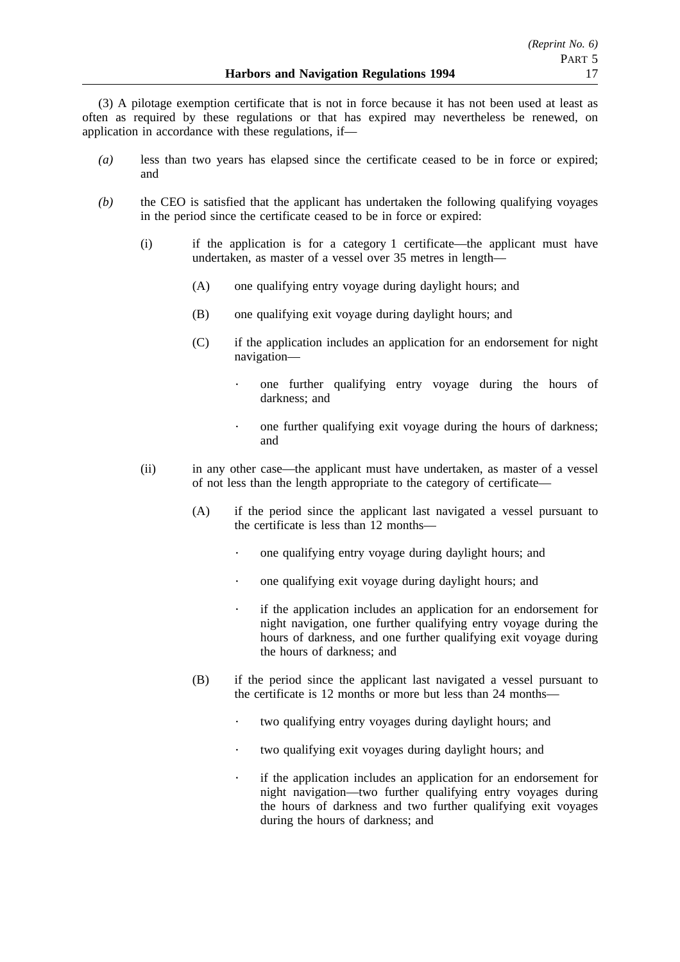(3) A pilotage exemption certificate that is not in force because it has not been used at least as often as required by these regulations or that has expired may nevertheless be renewed, on application in accordance with these regulations, if—

- *(a)* less than two years has elapsed since the certificate ceased to be in force or expired; and
- *(b)* the CEO is satisfied that the applicant has undertaken the following qualifying voyages in the period since the certificate ceased to be in force or expired:
	- (i) if the application is for a category 1 certificate—the applicant must have undertaken, as master of a vessel over 35 metres in length—
		- (A) one qualifying entry voyage during daylight hours; and
		- (B) one qualifying exit voyage during daylight hours; and
		- (C) if the application includes an application for an endorsement for night navigation
			- one further qualifying entry voyage during the hours of darkness; and
			- $\bullet$ one further qualifying exit voyage during the hours of darkness; and
	- (ii) in any other case—the applicant must have undertaken, as master of a vessel of not less than the length appropriate to the category of certificate—
		- (A) if the period since the applicant last navigated a vessel pursuant to the certificate is less than 12 months
			- one qualifying entry voyage during daylight hours; and
			- $\ddot{\phantom{a}}$ one qualifying exit voyage during daylight hours; and
			- if the application includes an application for an endorsement for  $\mathcal{L}^{\pm}$ night navigation, one further qualifying entry voyage during the hours of darkness, and one further qualifying exit voyage during the hours of darkness; and
		- (B) if the period since the applicant last navigated a vessel pursuant to the certificate is 12 months or more but less than 24 months—
			- $\ddot{\phantom{a}}$ two qualifying entry voyages during daylight hours; and
			- $\ddot{\phantom{a}}$ two qualifying exit voyages during daylight hours; and
			- if the application includes an application for an endorsement for  $\ddot{\phantom{0}}$ night navigation—two further qualifying entry voyages during the hours of darkness and two further qualifying exit voyages during the hours of darkness; and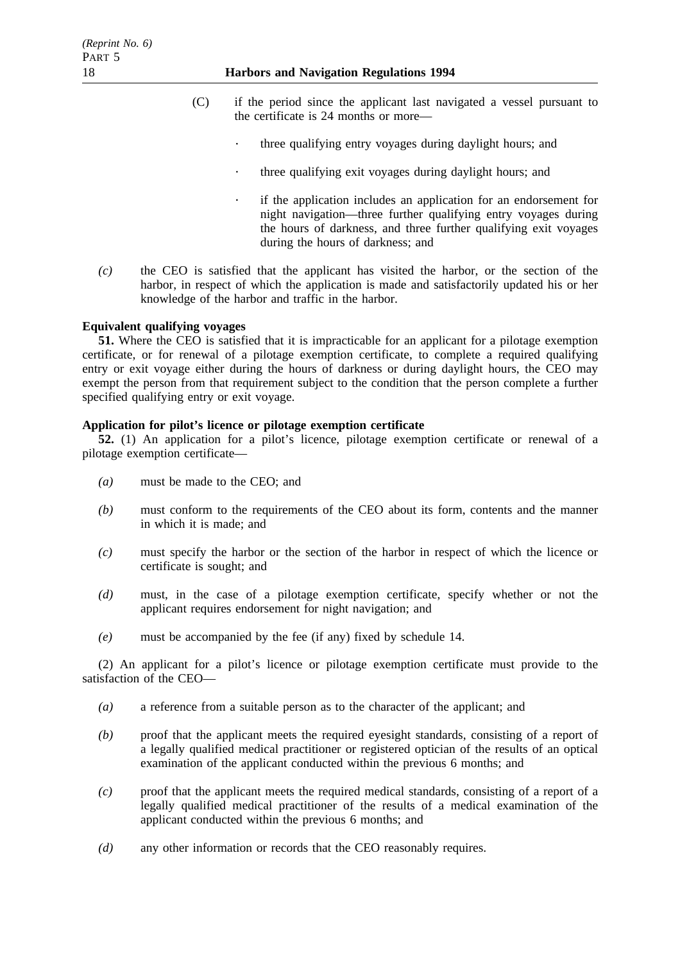# 18 **Harbors and Navigation Regulations 1994**

- (C) if the period since the applicant last navigated a vessel pursuant to the certificate is 24 months or more—
	- $\ddot{\phantom{0}}$ three qualifying entry voyages during daylight hours; and
	- three qualifying exit voyages during daylight hours; and
	- if the application includes an application for an endorsement for night navigation—three further qualifying entry voyages during the hours of darkness, and three further qualifying exit voyages during the hours of darkness; and
- *(c)* the CEO is satisfied that the applicant has visited the harbor, or the section of the harbor, in respect of which the application is made and satisfactorily updated his or her knowledge of the harbor and traffic in the harbor.

# **Equivalent qualifying voyages**

**51.** Where the CEO is satisfied that it is impracticable for an applicant for a pilotage exemption certificate, or for renewal of a pilotage exemption certificate, to complete a required qualifying entry or exit voyage either during the hours of darkness or during daylight hours, the CEO may exempt the person from that requirement subject to the condition that the person complete a further specified qualifying entry or exit voyage.

# **Application for pilot's licence or pilotage exemption certificate**

**52.** (1) An application for a pilot's licence, pilotage exemption certificate or renewal of a pilotage exemption certificate—

- *(a)* must be made to the CEO; and
- *(b)* must conform to the requirements of the CEO about its form, contents and the manner in which it is made; and
- *(c)* must specify the harbor or the section of the harbor in respect of which the licence or certificate is sought; and
- *(d)* must, in the case of a pilotage exemption certificate, specify whether or not the applicant requires endorsement for night navigation; and
- *(e)* must be accompanied by the fee (if any) fixed by schedule 14.

(2) An applicant for a pilot's licence or pilotage exemption certificate must provide to the satisfaction of the CEO—

- *(a)* a reference from a suitable person as to the character of the applicant; and
- *(b)* proof that the applicant meets the required eyesight standards, consisting of a report of a legally qualified medical practitioner or registered optician of the results of an optical examination of the applicant conducted within the previous 6 months; and
- *(c)* proof that the applicant meets the required medical standards, consisting of a report of a legally qualified medical practitioner of the results of a medical examination of the applicant conducted within the previous 6 months; and
- *(d)* any other information or records that the CEO reasonably requires.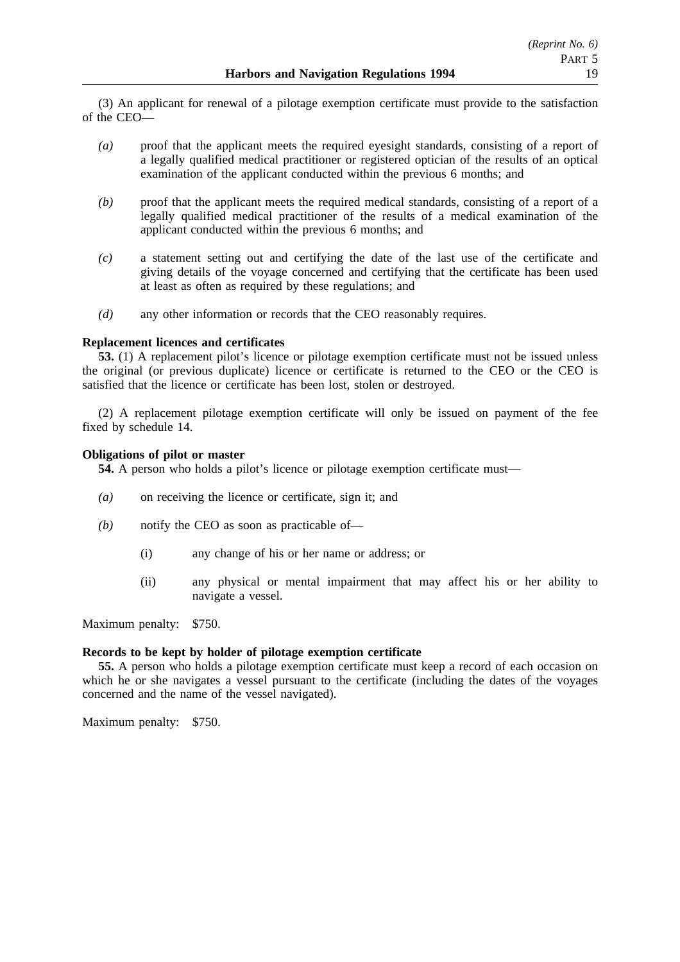(3) An applicant for renewal of a pilotage exemption certificate must provide to the satisfaction of the CEO—

- *(a)* proof that the applicant meets the required eyesight standards, consisting of a report of a legally qualified medical practitioner or registered optician of the results of an optical examination of the applicant conducted within the previous 6 months; and
- *(b)* proof that the applicant meets the required medical standards, consisting of a report of a legally qualified medical practitioner of the results of a medical examination of the applicant conducted within the previous 6 months; and
- *(c)* a statement setting out and certifying the date of the last use of the certificate and giving details of the voyage concerned and certifying that the certificate has been used at least as often as required by these regulations; and
- *(d)* any other information or records that the CEO reasonably requires.

# **Replacement licences and certificates**

**53.** (1) A replacement pilot's licence or pilotage exemption certificate must not be issued unless the original (or previous duplicate) licence or certificate is returned to the CEO or the CEO is satisfied that the licence or certificate has been lost, stolen or destroyed.

(2) A replacement pilotage exemption certificate will only be issued on payment of the fee fixed by schedule 14.

# **Obligations of pilot or master**

**54.** A person who holds a pilot's licence or pilotage exemption certificate must—

- *(a)* on receiving the licence or certificate, sign it; and
- *(b)* notify the CEO as soon as practicable of—
	- (i) any change of his or her name or address; or
	- (ii) any physical or mental impairment that may affect his or her ability to navigate a vessel.

Maximum penalty: \$750.

### **Records to be kept by holder of pilotage exemption certificate**

**55.** A person who holds a pilotage exemption certificate must keep a record of each occasion on which he or she navigates a vessel pursuant to the certificate (including the dates of the voyages concerned and the name of the vessel navigated).

Maximum penalty: \$750.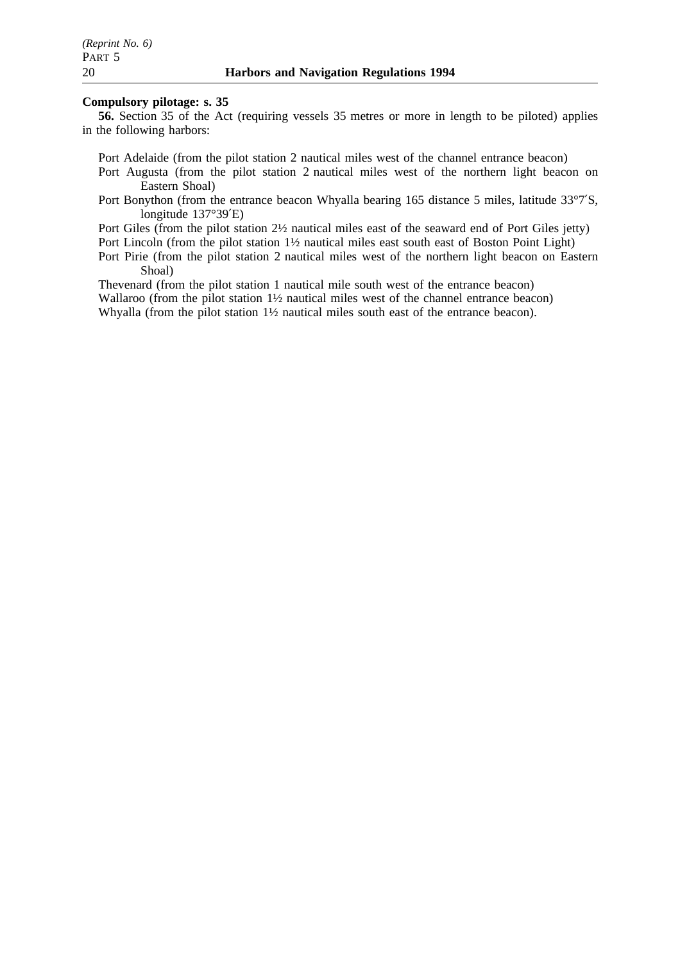## **Compulsory pilotage: s. 35**

**56.** Section 35 of the Act (requiring vessels 35 metres or more in length to be piloted) applies in the following harbors:

Port Adelaide (from the pilot station 2 nautical miles west of the channel entrance beacon)

- Port Augusta (from the pilot station 2 nautical miles west of the northern light beacon on Eastern Shoal)
- Port Bonython (from the entrance beacon Whyalla bearing 165 distance 5 miles, latitude 33°7′S, longitude 137°39′E)

Port Giles (from the pilot station 2½ nautical miles east of the seaward end of Port Giles jetty)

Port Lincoln (from the pilot station 1½ nautical miles east south east of Boston Point Light)

Port Pirie (from the pilot station 2 nautical miles west of the northern light beacon on Eastern Shoal)

Thevenard (from the pilot station 1 nautical mile south west of the entrance beacon) Wallaroo (from the pilot station  $1\frac{1}{2}$  nautical miles west of the channel entrance beacon) Whyalla (from the pilot station 1½ nautical miles south east of the entrance beacon).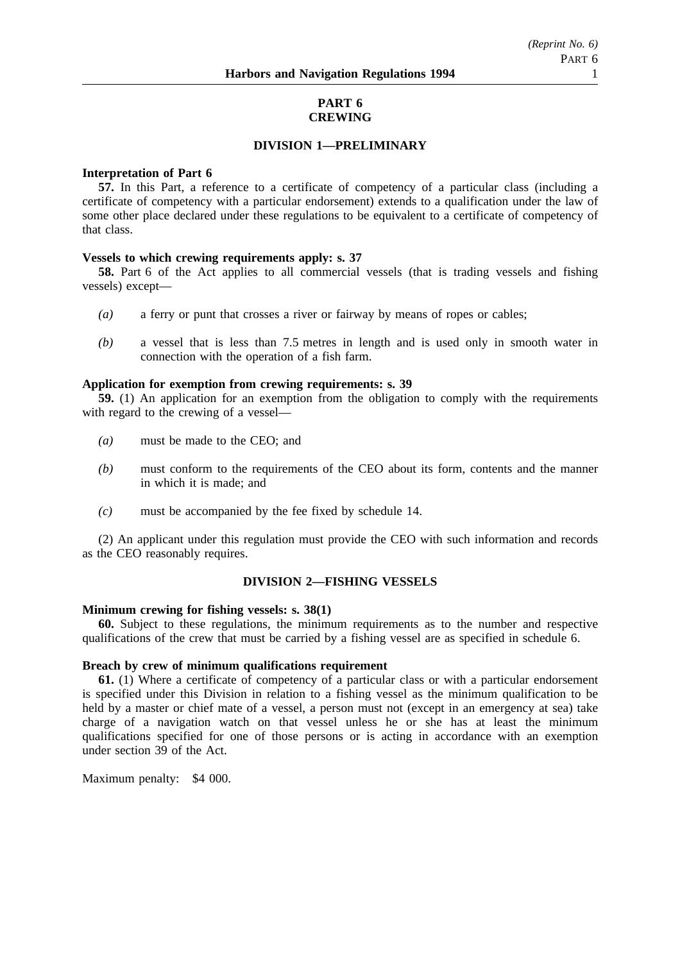## **PART 6 CREWING**

# **DIVISION 1—PRELIMINARY**

### **Interpretation of Part 6**

**57.** In this Part, a reference to a certificate of competency of a particular class (including a certificate of competency with a particular endorsement) extends to a qualification under the law of some other place declared under these regulations to be equivalent to a certificate of competency of that class.

# **Vessels to which crewing requirements apply: s. 37**

**58.** Part 6 of the Act applies to all commercial vessels (that is trading vessels and fishing vessels) except—

- *(a)* a ferry or punt that crosses a river or fairway by means of ropes or cables;
- *(b)* a vessel that is less than 7.5 metres in length and is used only in smooth water in connection with the operation of a fish farm.

### **Application for exemption from crewing requirements: s. 39**

**59.** (1) An application for an exemption from the obligation to comply with the requirements with regard to the crewing of a vessel—

- *(a)* must be made to the CEO; and
- *(b)* must conform to the requirements of the CEO about its form, contents and the manner in which it is made; and
- *(c)* must be accompanied by the fee fixed by schedule 14.

(2) An applicant under this regulation must provide the CEO with such information and records as the CEO reasonably requires.

# **DIVISION 2—FISHING VESSELS**

# **Minimum crewing for fishing vessels: s. 38(1)**

**60.** Subject to these regulations, the minimum requirements as to the number and respective qualifications of the crew that must be carried by a fishing vessel are as specified in schedule 6.

### **Breach by crew of minimum qualifications requirement**

**61.** (1) Where a certificate of competency of a particular class or with a particular endorsement is specified under this Division in relation to a fishing vessel as the minimum qualification to be held by a master or chief mate of a vessel, a person must not (except in an emergency at sea) take charge of a navigation watch on that vessel unless he or she has at least the minimum qualifications specified for one of those persons or is acting in accordance with an exemption under section 39 of the Act.

Maximum penalty: \$4 000.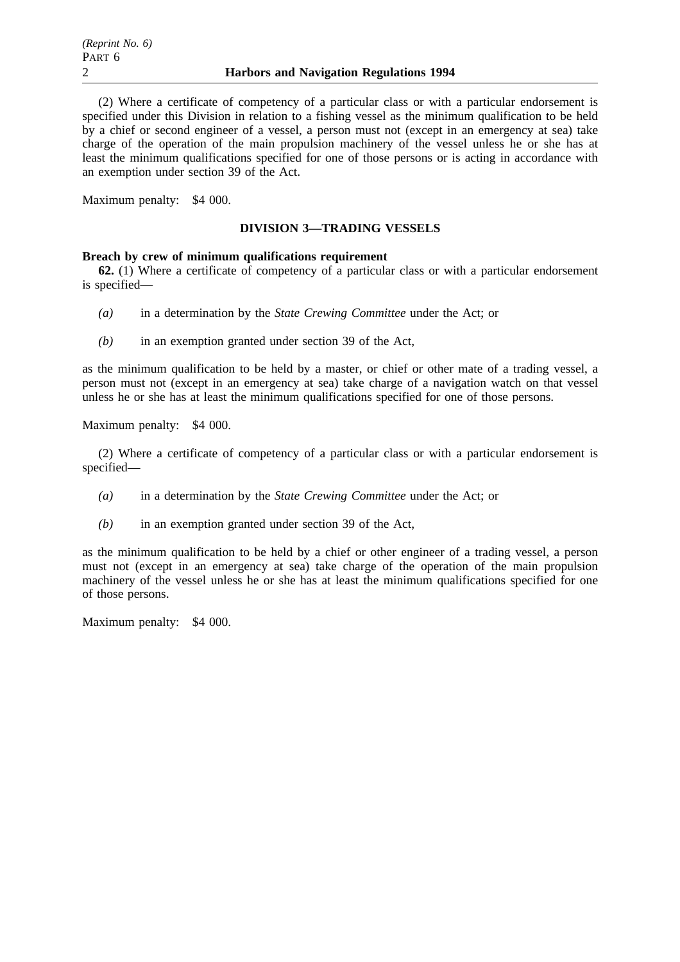(2) Where a certificate of competency of a particular class or with a particular endorsement is specified under this Division in relation to a fishing vessel as the minimum qualification to be held by a chief or second engineer of a vessel, a person must not (except in an emergency at sea) take charge of the operation of the main propulsion machinery of the vessel unless he or she has at least the minimum qualifications specified for one of those persons or is acting in accordance with an exemption under section 39 of the Act.

Maximum penalty: \$4 000.

# **DIVISION 3—TRADING VESSELS**

# **Breach by crew of minimum qualifications requirement**

**62.** (1) Where a certificate of competency of a particular class or with a particular endorsement is specified—

- *(a)* in a determination by the *State Crewing Committee* under the Act; or
- *(b)* in an exemption granted under section 39 of the Act,

as the minimum qualification to be held by a master, or chief or other mate of a trading vessel, a person must not (except in an emergency at sea) take charge of a navigation watch on that vessel unless he or she has at least the minimum qualifications specified for one of those persons.

Maximum penalty: \$4 000.

(2) Where a certificate of competency of a particular class or with a particular endorsement is specified—

- *(a)* in a determination by the *State Crewing Committee* under the Act; or
- *(b)* in an exemption granted under section 39 of the Act,

as the minimum qualification to be held by a chief or other engineer of a trading vessel, a person must not (except in an emergency at sea) take charge of the operation of the main propulsion machinery of the vessel unless he or she has at least the minimum qualifications specified for one of those persons.

Maximum penalty: \$4 000.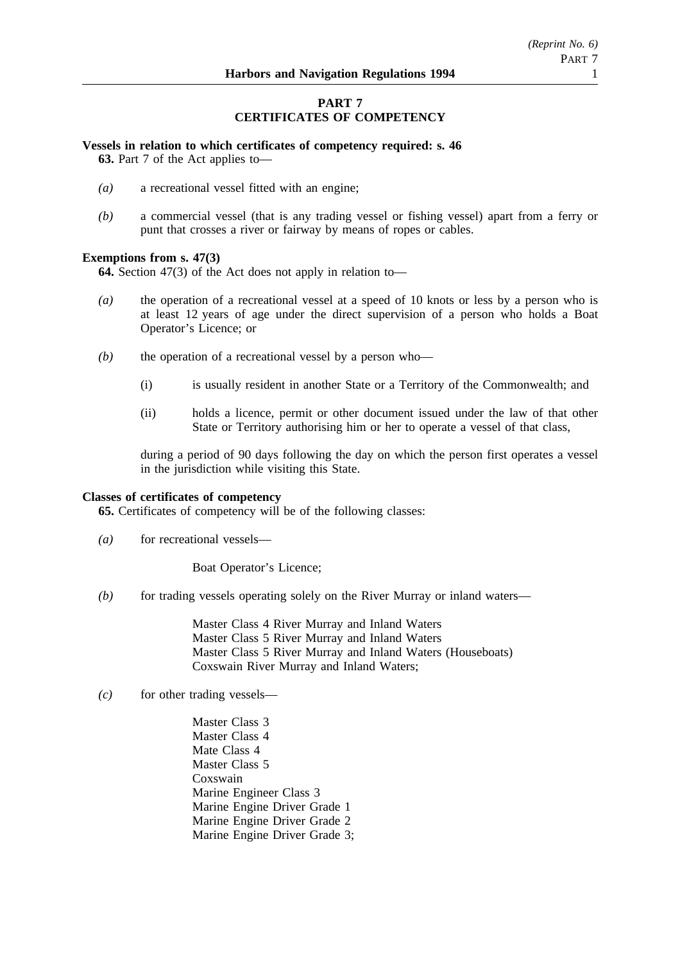# **PART 7 CERTIFICATES OF COMPETENCY**

# **Vessels in relation to which certificates of competency required: s. 46**

**63.** Part 7 of the Act applies to—

- *(a)* a recreational vessel fitted with an engine;
- *(b)* a commercial vessel (that is any trading vessel or fishing vessel) apart from a ferry or punt that crosses a river or fairway by means of ropes or cables.

# **Exemptions from s. 47(3)**

**64.** Section 47(3) of the Act does not apply in relation to—

- *(a)* the operation of a recreational vessel at a speed of 10 knots or less by a person who is at least 12 years of age under the direct supervision of a person who holds a Boat Operator's Licence; or
- *(b)* the operation of a recreational vessel by a person who—
	- (i) is usually resident in another State or a Territory of the Commonwealth; and
	- (ii) holds a licence, permit or other document issued under the law of that other State or Territory authorising him or her to operate a vessel of that class,

during a period of 90 days following the day on which the person first operates a vessel in the jurisdiction while visiting this State.

### **Classes of certificates of competency**

**65.** Certificates of competency will be of the following classes:

(a) for recreational vessels—

Boat Operator's Licence;

*(b)* for trading vessels operating solely on the River Murray or inland waters—

Master Class 4 River Murray and Inland Waters Master Class 5 River Murray and Inland Waters Master Class 5 River Murray and Inland Waters (Houseboats) Coxswain River Murray and Inland Waters;

- *(c)* for other trading vessels—
	- Master Class 3 Master Class 4 Mate Class 4 Master Class 5 Coxswain Marine Engineer Class 3 Marine Engine Driver Grade 1 Marine Engine Driver Grade 2 Marine Engine Driver Grade 3;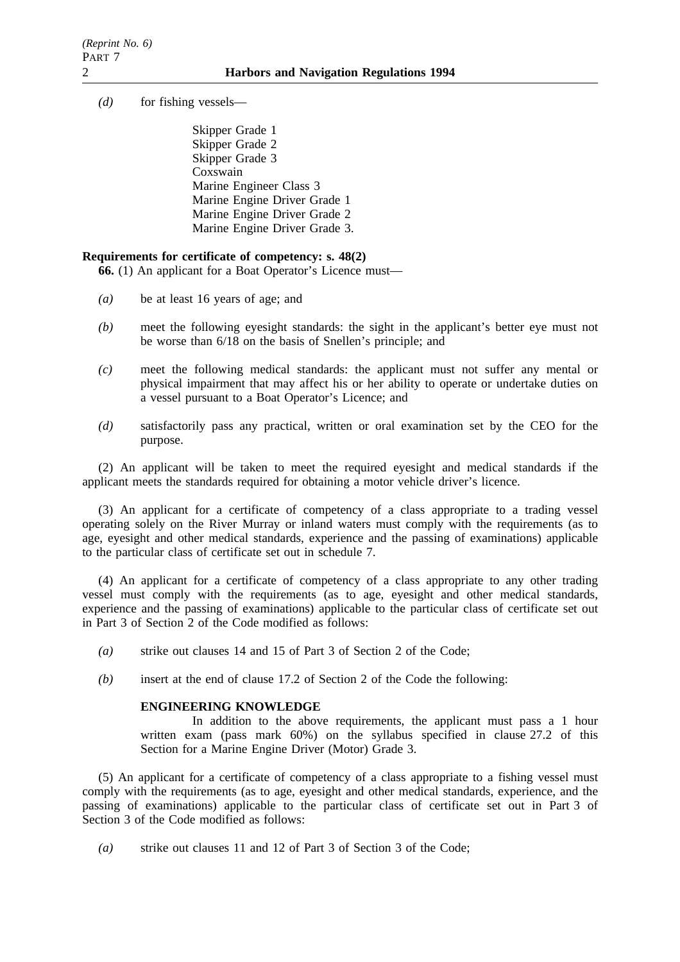*(d)* for fishing vessels—

Skipper Grade 1 Skipper Grade 2 Skipper Grade 3 Coxswain Marine Engineer Class 3 Marine Engine Driver Grade 1 Marine Engine Driver Grade 2 Marine Engine Driver Grade 3.

### **Requirements for certificate of competency: s. 48(2)**

**66.** (1) An applicant for a Boat Operator's Licence must—

- *(a)* be at least 16 years of age; and
- *(b)* meet the following eyesight standards: the sight in the applicant's better eye must not be worse than 6/18 on the basis of Snellen's principle; and
- *(c)* meet the following medical standards: the applicant must not suffer any mental or physical impairment that may affect his or her ability to operate or undertake duties on a vessel pursuant to a Boat Operator's Licence; and
- *(d)* satisfactorily pass any practical, written or oral examination set by the CEO for the purpose.

(2) An applicant will be taken to meet the required eyesight and medical standards if the applicant meets the standards required for obtaining a motor vehicle driver's licence.

(3) An applicant for a certificate of competency of a class appropriate to a trading vessel operating solely on the River Murray or inland waters must comply with the requirements (as to age, eyesight and other medical standards, experience and the passing of examinations) applicable to the particular class of certificate set out in schedule 7.

(4) An applicant for a certificate of competency of a class appropriate to any other trading vessel must comply with the requirements (as to age, eyesight and other medical standards, experience and the passing of examinations) applicable to the particular class of certificate set out in Part 3 of Section 2 of the Code modified as follows:

- *(a)* strike out clauses 14 and 15 of Part 3 of Section 2 of the Code;
- *(b)* insert at the end of clause 17.2 of Section 2 of the Code the following:

# **ENGINEERING KNOWLEDGE**

In addition to the above requirements, the applicant must pass a 1 hour written exam (pass mark 60%) on the syllabus specified in clause 27.2 of this Section for a Marine Engine Driver (Motor) Grade 3.

(5) An applicant for a certificate of competency of a class appropriate to a fishing vessel must comply with the requirements (as to age, eyesight and other medical standards, experience, and the passing of examinations) applicable to the particular class of certificate set out in Part 3 of Section 3 of the Code modified as follows:

*(a)* strike out clauses 11 and 12 of Part 3 of Section 3 of the Code;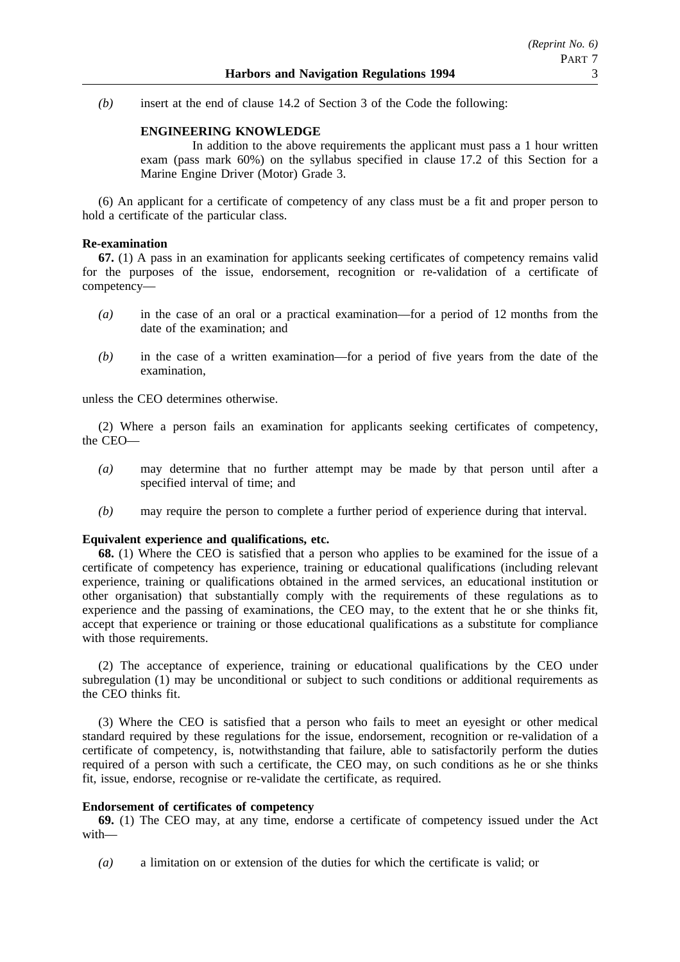*(b)* insert at the end of clause 14.2 of Section 3 of the Code the following:

# **ENGINEERING KNOWLEDGE**

In addition to the above requirements the applicant must pass a 1 hour written exam (pass mark 60%) on the syllabus specified in clause 17.2 of this Section for a Marine Engine Driver (Motor) Grade 3.

(6) An applicant for a certificate of competency of any class must be a fit and proper person to hold a certificate of the particular class.

## **Re-examination**

**67.** (1) A pass in an examination for applicants seeking certificates of competency remains valid for the purposes of the issue, endorsement, recognition or re-validation of a certificate of competency—

- *(a)* in the case of an oral or a practical examination—for a period of 12 months from the date of the examination; and
- *(b)* in the case of a written examination—for a period of five years from the date of the examination,

unless the CEO determines otherwise.

(2) Where a person fails an examination for applicants seeking certificates of competency, the CEO—

- *(a)* may determine that no further attempt may be made by that person until after a specified interval of time; and
- *(b)* may require the person to complete a further period of experience during that interval.

### **Equivalent experience and qualifications, etc.**

**68.** (1) Where the CEO is satisfied that a person who applies to be examined for the issue of a certificate of competency has experience, training or educational qualifications (including relevant experience, training or qualifications obtained in the armed services, an educational institution or other organisation) that substantially comply with the requirements of these regulations as to experience and the passing of examinations, the CEO may, to the extent that he or she thinks fit, accept that experience or training or those educational qualifications as a substitute for compliance with those requirements.

(2) The acceptance of experience, training or educational qualifications by the CEO under subregulation (1) may be unconditional or subject to such conditions or additional requirements as the CEO thinks fit.

(3) Where the CEO is satisfied that a person who fails to meet an eyesight or other medical standard required by these regulations for the issue, endorsement, recognition or re-validation of a certificate of competency, is, notwithstanding that failure, able to satisfactorily perform the duties required of a person with such a certificate, the CEO may, on such conditions as he or she thinks fit, issue, endorse, recognise or re-validate the certificate, as required.

# **Endorsement of certificates of competency**

**69.** (1) The CEO may, at any time, endorse a certificate of competency issued under the Act with—

*(a)* a limitation on or extension of the duties for which the certificate is valid; or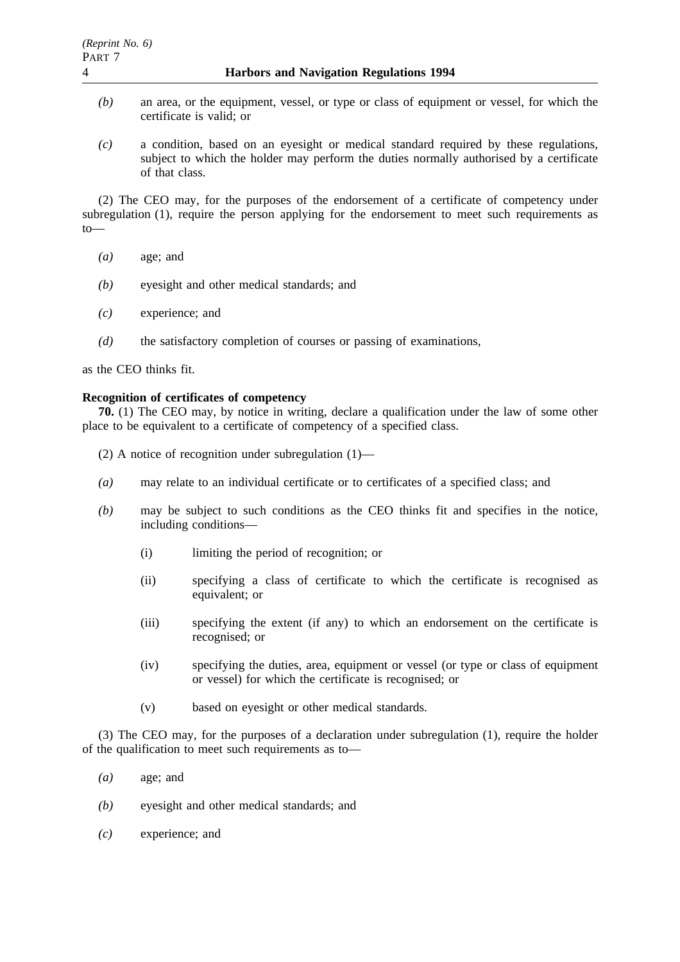- *(b)* an area, or the equipment, vessel, or type or class of equipment or vessel, for which the certificate is valid; or
- *(c)* a condition, based on an eyesight or medical standard required by these regulations, subject to which the holder may perform the duties normally authorised by a certificate of that class.

(2) The CEO may, for the purposes of the endorsement of a certificate of competency under subregulation (1), require the person applying for the endorsement to meet such requirements as to—

- *(a)* age; and
- *(b)* eyesight and other medical standards; and
- *(c)* experience; and
- *(d)* the satisfactory completion of courses or passing of examinations,

as the CEO thinks fit.

### **Recognition of certificates of competency**

**70.** (1) The CEO may, by notice in writing, declare a qualification under the law of some other place to be equivalent to a certificate of competency of a specified class.

- (2) A notice of recognition under subregulation (1)—
- *(a)* may relate to an individual certificate or to certificates of a specified class; and
- *(b)* may be subject to such conditions as the CEO thinks fit and specifies in the notice, including conditions—
	- (i) limiting the period of recognition; or
	- (ii) specifying a class of certificate to which the certificate is recognised as equivalent; or
	- (iii) specifying the extent (if any) to which an endorsement on the certificate is recognised; or
	- (iv) specifying the duties, area, equipment or vessel (or type or class of equipment or vessel) for which the certificate is recognised; or
	- (v) based on eyesight or other medical standards.

(3) The CEO may, for the purposes of a declaration under subregulation (1), require the holder of the qualification to meet such requirements as to—

- *(a)* age; and
- *(b)* eyesight and other medical standards; and
- *(c)* experience; and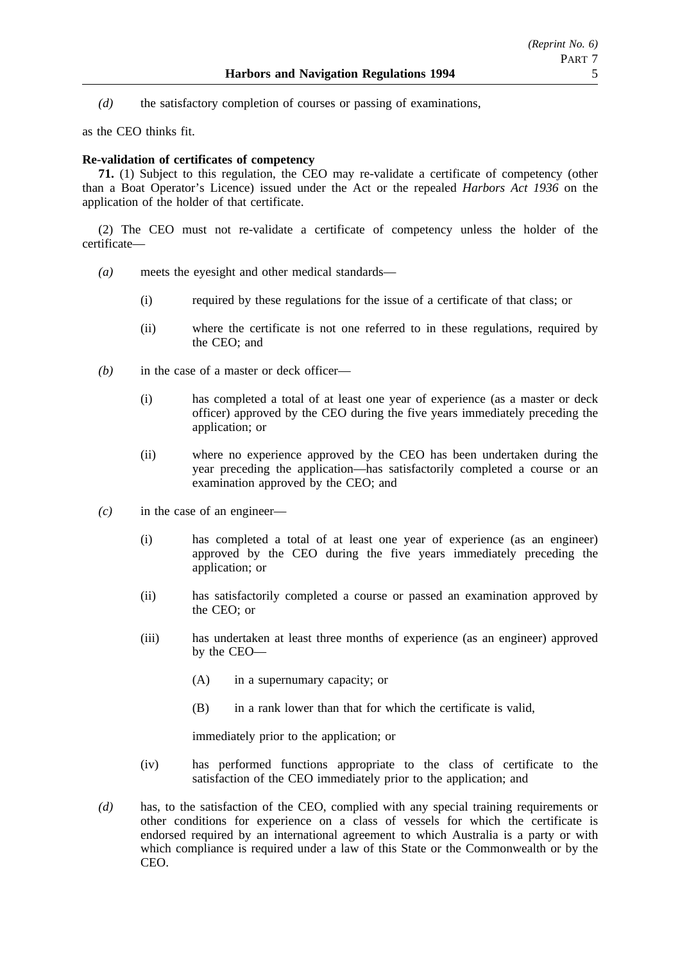*(d)* the satisfactory completion of courses or passing of examinations,

as the CEO thinks fit.

# **Re-validation of certificates of competency**

**71.** (1) Subject to this regulation, the CEO may re-validate a certificate of competency (other than a Boat Operator's Licence) issued under the Act or the repealed *Harbors Act 1936* on the application of the holder of that certificate.

(2) The CEO must not re-validate a certificate of competency unless the holder of the certificate—

- *(a)* meets the eyesight and other medical standards—
	- (i) required by these regulations for the issue of a certificate of that class; or
	- (ii) where the certificate is not one referred to in these regulations, required by the CEO; and
- *(b)* in the case of a master or deck officer—
	- (i) has completed a total of at least one year of experience (as a master or deck officer) approved by the CEO during the five years immediately preceding the application; or
	- (ii) where no experience approved by the CEO has been undertaken during the year preceding the application—has satisfactorily completed a course or an examination approved by the CEO; and
- *(c)* in the case of an engineer—
	- (i) has completed a total of at least one year of experience (as an engineer) approved by the CEO during the five years immediately preceding the application; or
	- (ii) has satisfactorily completed a course or passed an examination approved by the CEO; or
	- (iii) has undertaken at least three months of experience (as an engineer) approved by the CEO—
		- (A) in a supernumary capacity; or
		- (B) in a rank lower than that for which the certificate is valid,

immediately prior to the application; or

- (iv) has performed functions appropriate to the class of certificate to the satisfaction of the CEO immediately prior to the application; and
- *(d)* has, to the satisfaction of the CEO, complied with any special training requirements or other conditions for experience on a class of vessels for which the certificate is endorsed required by an international agreement to which Australia is a party or with which compliance is required under a law of this State or the Commonwealth or by the CEO.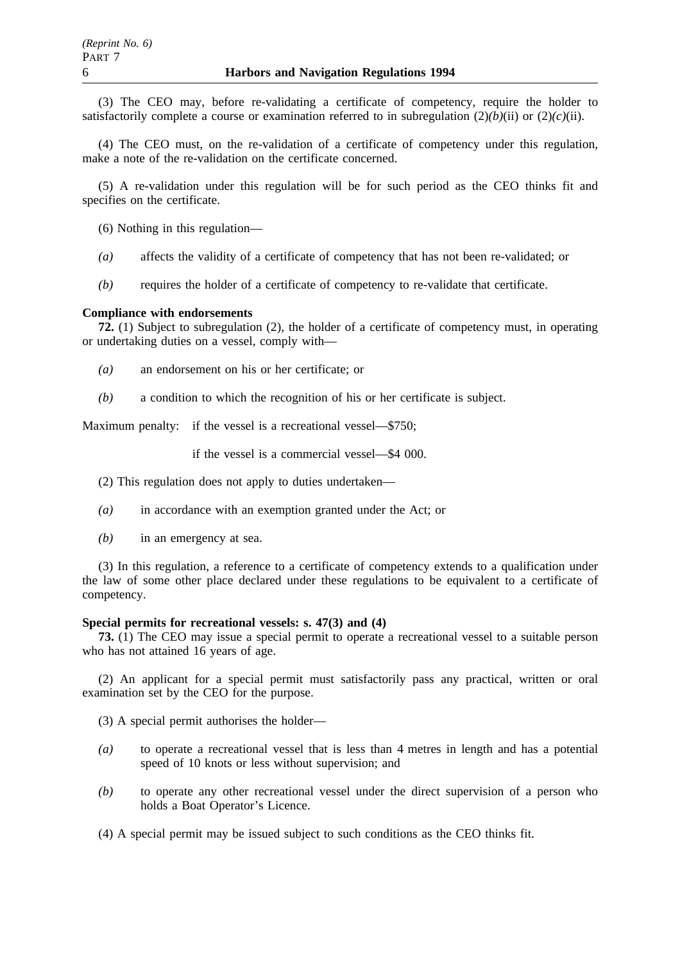(3) The CEO may, before re-validating a certificate of competency, require the holder to satisfactorily complete a course or examination referred to in subregulation  $(2)(b)(ii)$  or  $(2)(c)(ii)$ .

(4) The CEO must, on the re-validation of a certificate of competency under this regulation, make a note of the re-validation on the certificate concerned.

(5) A re-validation under this regulation will be for such period as the CEO thinks fit and specifies on the certificate.

(6) Nothing in this regulation—

- *(a)* affects the validity of a certificate of competency that has not been re-validated; or
- *(b)* requires the holder of a certificate of competency to re-validate that certificate.

### **Compliance with endorsements**

**72.** (1) Subject to subregulation (2), the holder of a certificate of competency must, in operating or undertaking duties on a vessel, comply with—

- *(a)* an endorsement on his or her certificate; or
- *(b)* a condition to which the recognition of his or her certificate is subject.

Maximum penalty: if the vessel is a recreational vessel—\$750;

if the vessel is a commercial vessel—\$4 000.

(2) This regulation does not apply to duties undertaken—

- *(a)* in accordance with an exemption granted under the Act; or
- *(b)* in an emergency at sea.

(3) In this regulation, a reference to a certificate of competency extends to a qualification under the law of some other place declared under these regulations to be equivalent to a certificate of competency.

### **Special permits for recreational vessels: s. 47(3) and (4)**

**73.** (1) The CEO may issue a special permit to operate a recreational vessel to a suitable person who has not attained 16 years of age.

(2) An applicant for a special permit must satisfactorily pass any practical, written or oral examination set by the CEO for the purpose.

(3) A special permit authorises the holder—

- *(a)* to operate a recreational vessel that is less than 4 metres in length and has a potential speed of 10 knots or less without supervision; and
- *(b)* to operate any other recreational vessel under the direct supervision of a person who holds a Boat Operator's Licence.
- (4) A special permit may be issued subject to such conditions as the CEO thinks fit.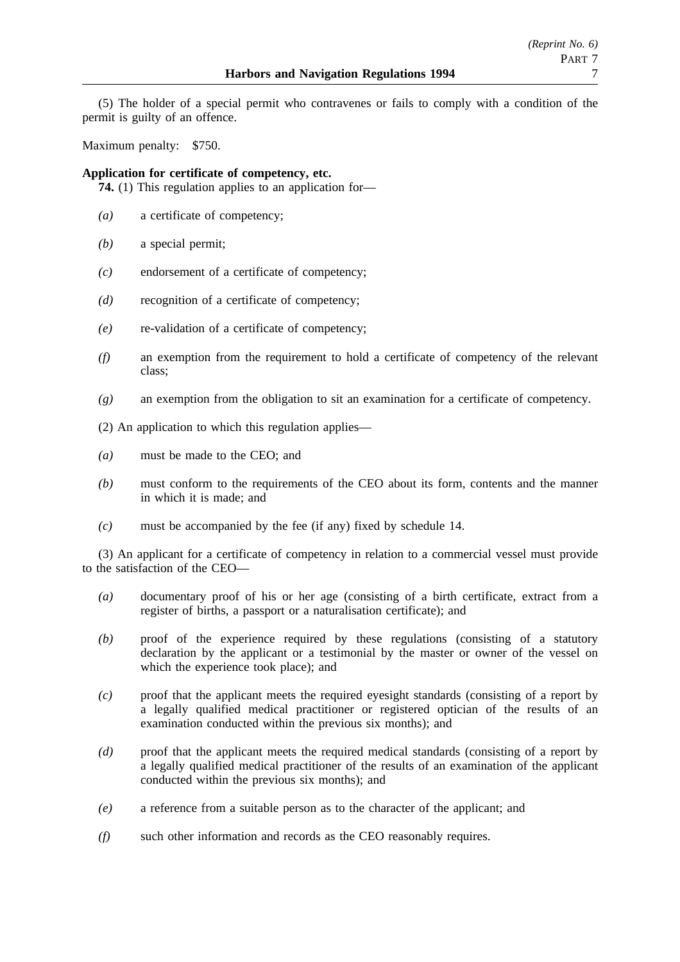(5) The holder of a special permit who contravenes or fails to comply with a condition of the permit is guilty of an offence.

Maximum penalty: \$750.

**Application for certificate of competency, etc.**

**74.** (1) This regulation applies to an application for—

- *(a)* a certificate of competency;
- *(b)* a special permit;
- *(c)* endorsement of a certificate of competency;
- *(d)* recognition of a certificate of competency;
- *(e)* re-validation of a certificate of competency;
- *(f)* an exemption from the requirement to hold a certificate of competency of the relevant class;
- *(g)* an exemption from the obligation to sit an examination for a certificate of competency.

(2) An application to which this regulation applies—

- *(a)* must be made to the CEO; and
- *(b)* must conform to the requirements of the CEO about its form, contents and the manner in which it is made; and
- *(c)* must be accompanied by the fee (if any) fixed by schedule 14.

(3) An applicant for a certificate of competency in relation to a commercial vessel must provide to the satisfaction of the CEO—

- *(a)* documentary proof of his or her age (consisting of a birth certificate, extract from a register of births, a passport or a naturalisation certificate); and
- *(b)* proof of the experience required by these regulations (consisting of a statutory declaration by the applicant or a testimonial by the master or owner of the vessel on which the experience took place); and
- *(c)* proof that the applicant meets the required eyesight standards (consisting of a report by a legally qualified medical practitioner or registered optician of the results of an examination conducted within the previous six months); and
- *(d)* proof that the applicant meets the required medical standards (consisting of a report by a legally qualified medical practitioner of the results of an examination of the applicant conducted within the previous six months); and
- *(e)* a reference from a suitable person as to the character of the applicant; and
- *(f)* such other information and records as the CEO reasonably requires.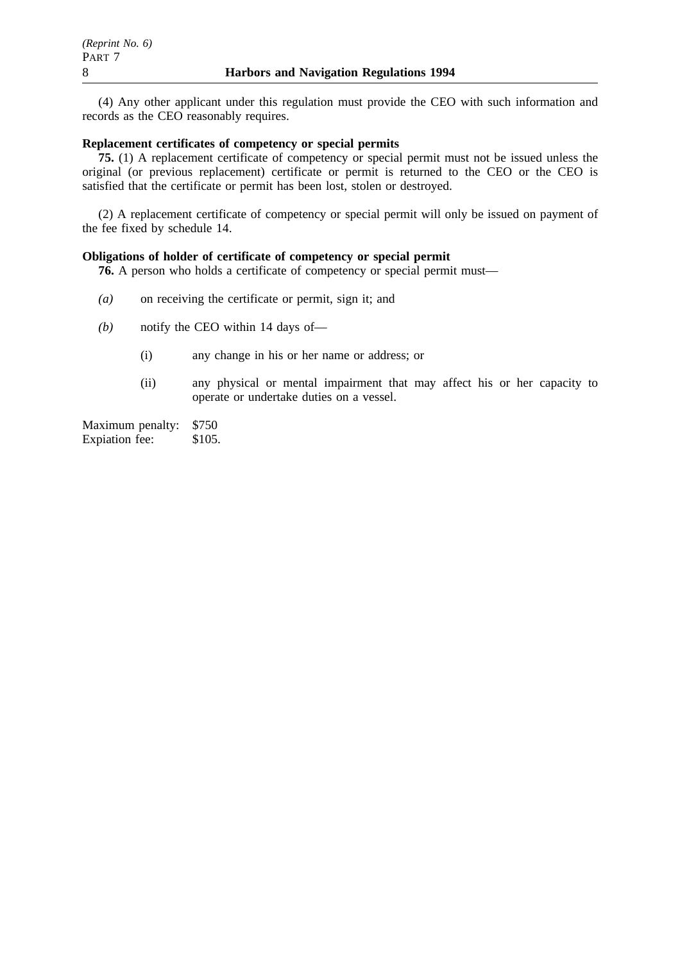(4) Any other applicant under this regulation must provide the CEO with such information and records as the CEO reasonably requires.

# **Replacement certificates of competency or special permits**

**75.** (1) A replacement certificate of competency or special permit must not be issued unless the original (or previous replacement) certificate or permit is returned to the CEO or the CEO is satisfied that the certificate or permit has been lost, stolen or destroyed.

(2) A replacement certificate of competency or special permit will only be issued on payment of the fee fixed by schedule 14.

# **Obligations of holder of certificate of competency or special permit**

**76.** A person who holds a certificate of competency or special permit must—

- *(a)* on receiving the certificate or permit, sign it; and
- *(b)* notify the CEO within 14 days of—
	- (i) any change in his or her name or address; or
	- (ii) any physical or mental impairment that may affect his or her capacity to operate or undertake duties on a vessel.

Maximum penalty: \$750 Expiation fee: \$105.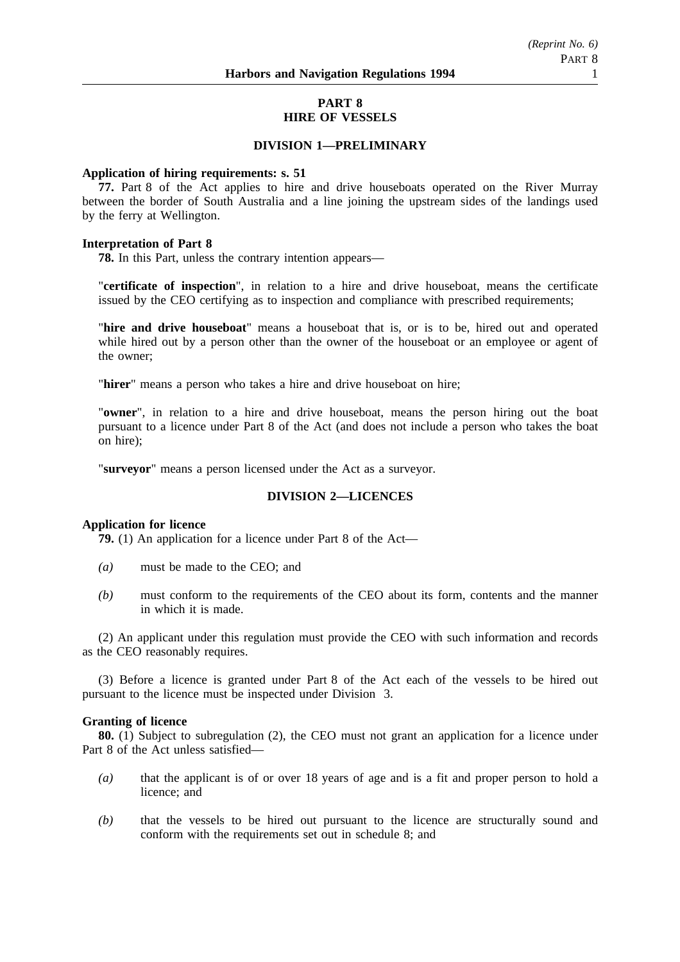# **PART 8 HIRE OF VESSELS**

# **DIVISION 1—PRELIMINARY**

### **Application of hiring requirements: s. 51**

**77.** Part 8 of the Act applies to hire and drive houseboats operated on the River Murray between the border of South Australia and a line joining the upstream sides of the landings used by the ferry at Wellington.

### **Interpretation of Part 8**

**78.** In this Part, unless the contrary intention appears—

"**certificate of inspection**", in relation to a hire and drive houseboat, means the certificate issued by the CEO certifying as to inspection and compliance with prescribed requirements;

"**hire and drive houseboat**" means a houseboat that is, or is to be, hired out and operated while hired out by a person other than the owner of the houseboat or an employee or agent of the owner;

"**hirer**" means a person who takes a hire and drive houseboat on hire;

"**owner**", in relation to a hire and drive houseboat, means the person hiring out the boat pursuant to a licence under Part 8 of the Act (and does not include a person who takes the boat on hire);

"**surveyor**" means a person licensed under the Act as a surveyor.

### **DIVISION 2—LICENCES**

### **Application for licence**

**79.** (1) An application for a licence under Part 8 of the Act—

- *(a)* must be made to the CEO; and
- *(b)* must conform to the requirements of the CEO about its form, contents and the manner in which it is made.

(2) An applicant under this regulation must provide the CEO with such information and records as the CEO reasonably requires.

(3) Before a licence is granted under Part 8 of the Act each of the vessels to be hired out pursuant to the licence must be inspected under Division 3.

#### **Granting of licence**

**80.** (1) Subject to subregulation (2), the CEO must not grant an application for a licence under Part 8 of the Act unless satisfied—

- *(a)* that the applicant is of or over 18 years of age and is a fit and proper person to hold a licence; and
- *(b)* that the vessels to be hired out pursuant to the licence are structurally sound and conform with the requirements set out in schedule 8; and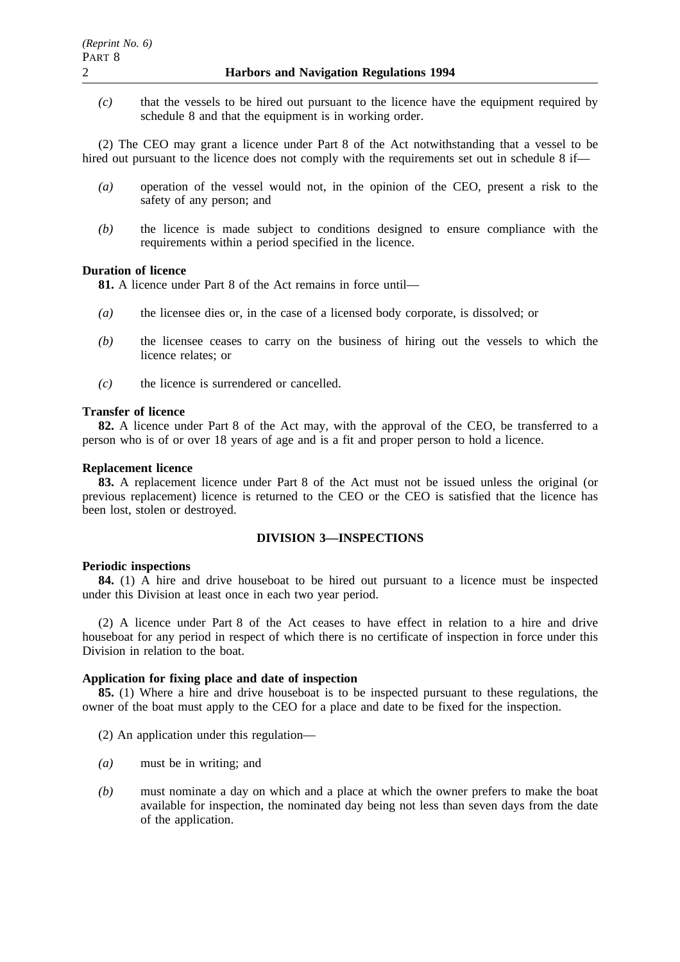*(c)* that the vessels to be hired out pursuant to the licence have the equipment required by schedule 8 and that the equipment is in working order.

(2) The CEO may grant a licence under Part 8 of the Act notwithstanding that a vessel to be hired out pursuant to the licence does not comply with the requirements set out in schedule 8 if—

- *(a)* operation of the vessel would not, in the opinion of the CEO, present a risk to the safety of any person; and
- *(b)* the licence is made subject to conditions designed to ensure compliance with the requirements within a period specified in the licence.

# **Duration of licence**

**81.** A licence under Part 8 of the Act remains in force until—

- *(a)* the licensee dies or, in the case of a licensed body corporate, is dissolved; or
- *(b)* the licensee ceases to carry on the business of hiring out the vessels to which the licence relates; or
- *(c)* the licence is surrendered or cancelled.

### **Transfer of licence**

**82.** A licence under Part 8 of the Act may, with the approval of the CEO, be transferred to a person who is of or over 18 years of age and is a fit and proper person to hold a licence.

### **Replacement licence**

**83.** A replacement licence under Part 8 of the Act must not be issued unless the original (or previous replacement) licence is returned to the CEO or the CEO is satisfied that the licence has been lost, stolen or destroyed.

### **DIVISION 3—INSPECTIONS**

#### **Periodic inspections**

**84.** (1) A hire and drive houseboat to be hired out pursuant to a licence must be inspected under this Division at least once in each two year period.

(2) A licence under Part 8 of the Act ceases to have effect in relation to a hire and drive houseboat for any period in respect of which there is no certificate of inspection in force under this Division in relation to the boat.

### **Application for fixing place and date of inspection**

**85.** (1) Where a hire and drive houseboat is to be inspected pursuant to these regulations, the owner of the boat must apply to the CEO for a place and date to be fixed for the inspection.

(2) An application under this regulation—

- *(a)* must be in writing; and
- *(b)* must nominate a day on which and a place at which the owner prefers to make the boat available for inspection, the nominated day being not less than seven days from the date of the application.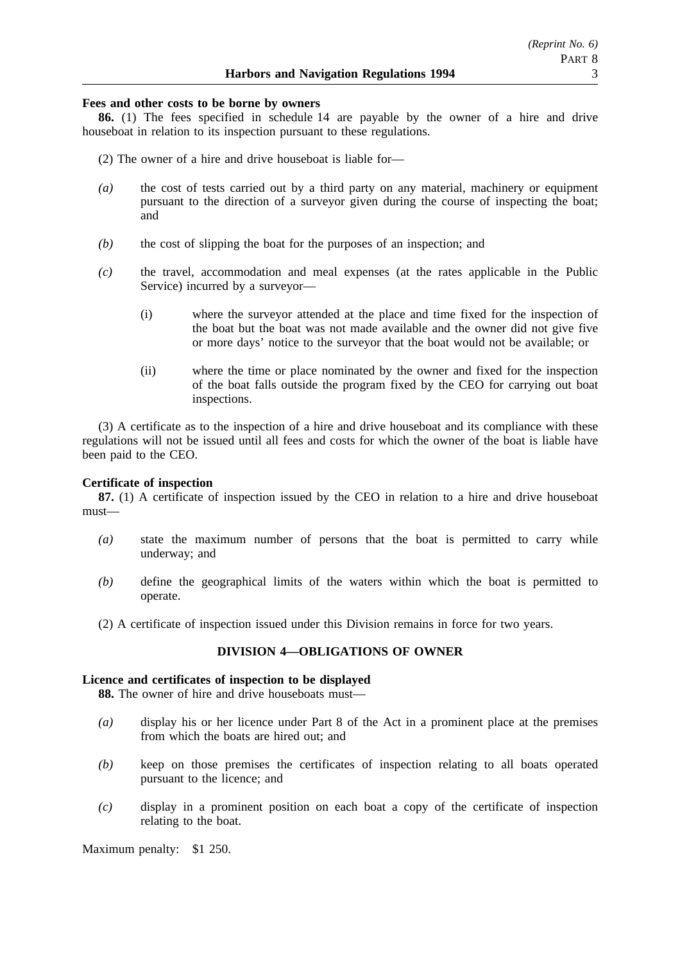# **Fees and other costs to be borne by owners**

**86.** (1) The fees specified in schedule 14 are payable by the owner of a hire and drive houseboat in relation to its inspection pursuant to these regulations.

- (2) The owner of a hire and drive houseboat is liable for—
- *(a)* the cost of tests carried out by a third party on any material, machinery or equipment pursuant to the direction of a surveyor given during the course of inspecting the boat; and
- *(b)* the cost of slipping the boat for the purposes of an inspection; and
- *(c)* the travel, accommodation and meal expenses (at the rates applicable in the Public Service) incurred by a surveyor—
	- (i) where the surveyor attended at the place and time fixed for the inspection of the boat but the boat was not made available and the owner did not give five or more days' notice to the surveyor that the boat would not be available; or
	- (ii) where the time or place nominated by the owner and fixed for the inspection of the boat falls outside the program fixed by the CEO for carrying out boat inspections.

(3) A certificate as to the inspection of a hire and drive houseboat and its compliance with these regulations will not be issued until all fees and costs for which the owner of the boat is liable have been paid to the CEO.

# **Certificate of inspection**

**87.** (1) A certificate of inspection issued by the CEO in relation to a hire and drive houseboat must—

- *(a)* state the maximum number of persons that the boat is permitted to carry while underway; and
- *(b)* define the geographical limits of the waters within which the boat is permitted to operate.
- (2) A certificate of inspection issued under this Division remains in force for two years.

# **DIVISION 4—OBLIGATIONS OF OWNER**

# **Licence and certificates of inspection to be displayed**

**88.** The owner of hire and drive houseboats must—

- *(a)* display his or her licence under Part 8 of the Act in a prominent place at the premises from which the boats are hired out; and
- *(b)* keep on those premises the certificates of inspection relating to all boats operated pursuant to the licence; and
- *(c)* display in a prominent position on each boat a copy of the certificate of inspection relating to the boat.

Maximum penalty: \$1 250.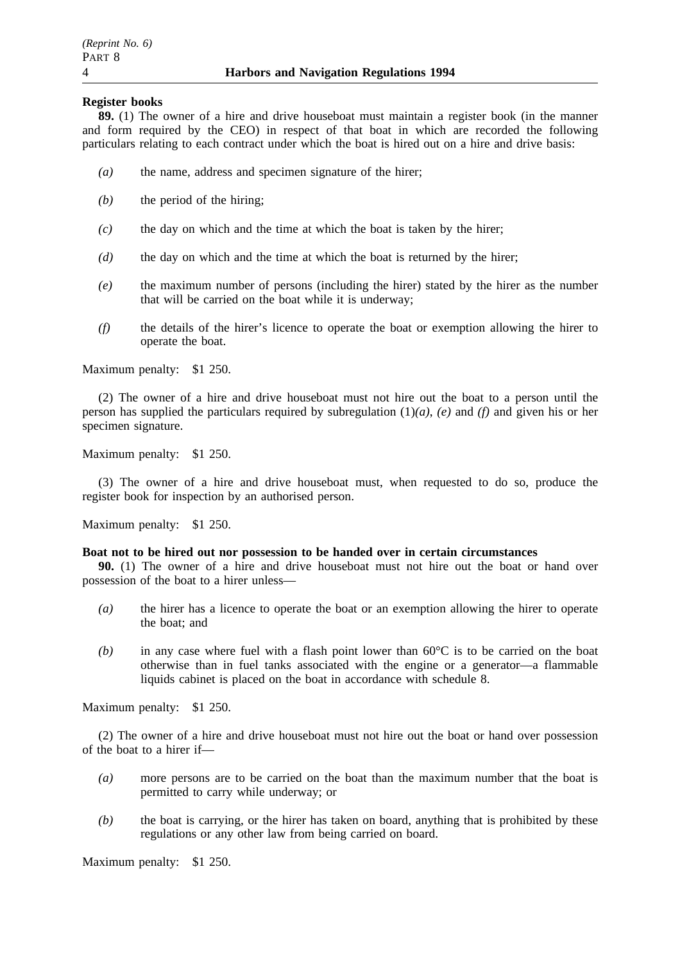### **Register books**

**89.** (1) The owner of a hire and drive houseboat must maintain a register book (in the manner and form required by the CEO) in respect of that boat in which are recorded the following particulars relating to each contract under which the boat is hired out on a hire and drive basis:

- *(a)* the name, address and specimen signature of the hirer;
- *(b)* the period of the hiring;
- *(c)* the day on which and the time at which the boat is taken by the hirer;
- *(d)* the day on which and the time at which the boat is returned by the hirer;
- *(e)* the maximum number of persons (including the hirer) stated by the hirer as the number that will be carried on the boat while it is underway;
- *(f)* the details of the hirer's licence to operate the boat or exemption allowing the hirer to operate the boat.

Maximum penalty: \$1 250.

(2) The owner of a hire and drive houseboat must not hire out the boat to a person until the person has supplied the particulars required by subregulation (1)*(a)*, *(e)* and *(f)* and given his or her specimen signature.

Maximum penalty: \$1 250.

(3) The owner of a hire and drive houseboat must, when requested to do so, produce the register book for inspection by an authorised person.

Maximum penalty: \$1 250.

#### **Boat not to be hired out nor possession to be handed over in certain circumstances**

**90.** (1) The owner of a hire and drive houseboat must not hire out the boat or hand over possession of the boat to a hirer unless—

- *(a)* the hirer has a licence to operate the boat or an exemption allowing the hirer to operate the boat; and
- *(b)* in any case where fuel with a flash point lower than 60°C is to be carried on the boat otherwise than in fuel tanks associated with the engine or a generator—a flammable liquids cabinet is placed on the boat in accordance with schedule 8.

Maximum penalty: \$1 250.

(2) The owner of a hire and drive houseboat must not hire out the boat or hand over possession of the boat to a hirer if—

- *(a)* more persons are to be carried on the boat than the maximum number that the boat is permitted to carry while underway; or
- *(b)* the boat is carrying, or the hirer has taken on board, anything that is prohibited by these regulations or any other law from being carried on board.

Maximum penalty: \$1 250.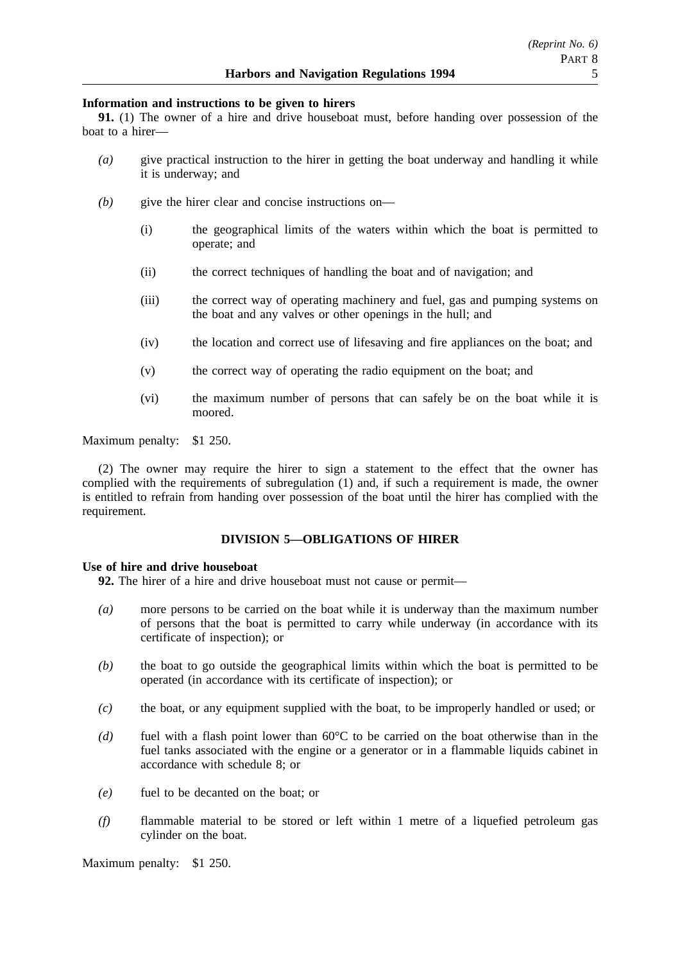### **Information and instructions to be given to hirers**

**91.** (1) The owner of a hire and drive houseboat must, before handing over possession of the boat to a hirer—

- *(a)* give practical instruction to the hirer in getting the boat underway and handling it while it is underway; and
- *(b)* give the hirer clear and concise instructions on—
	- (i) the geographical limits of the waters within which the boat is permitted to operate; and
	- (ii) the correct techniques of handling the boat and of navigation; and
	- (iii) the correct way of operating machinery and fuel, gas and pumping systems on the boat and any valves or other openings in the hull; and
	- (iv) the location and correct use of lifesaving and fire appliances on the boat; and
	- (v) the correct way of operating the radio equipment on the boat; and
	- (vi) the maximum number of persons that can safely be on the boat while it is moored.

Maximum penalty: \$1 250.

(2) The owner may require the hirer to sign a statement to the effect that the owner has complied with the requirements of subregulation (1) and, if such a requirement is made, the owner is entitled to refrain from handing over possession of the boat until the hirer has complied with the requirement.

# **DIVISION 5—OBLIGATIONS OF HIRER**

### **Use of hire and drive houseboat**

**92.** The hirer of a hire and drive houseboat must not cause or permit—

- *(a)* more persons to be carried on the boat while it is underway than the maximum number of persons that the boat is permitted to carry while underway (in accordance with its certificate of inspection); or
- *(b)* the boat to go outside the geographical limits within which the boat is permitted to be operated (in accordance with its certificate of inspection); or
- *(c)* the boat, or any equipment supplied with the boat, to be improperly handled or used; or
- *(d)* fuel with a flash point lower than 60°C to be carried on the boat otherwise than in the fuel tanks associated with the engine or a generator or in a flammable liquids cabinet in accordance with schedule 8; or
- *(e)* fuel to be decanted on the boat; or
- *(f)* flammable material to be stored or left within 1 metre of a liquefied petroleum gas cylinder on the boat.

Maximum penalty: \$1 250.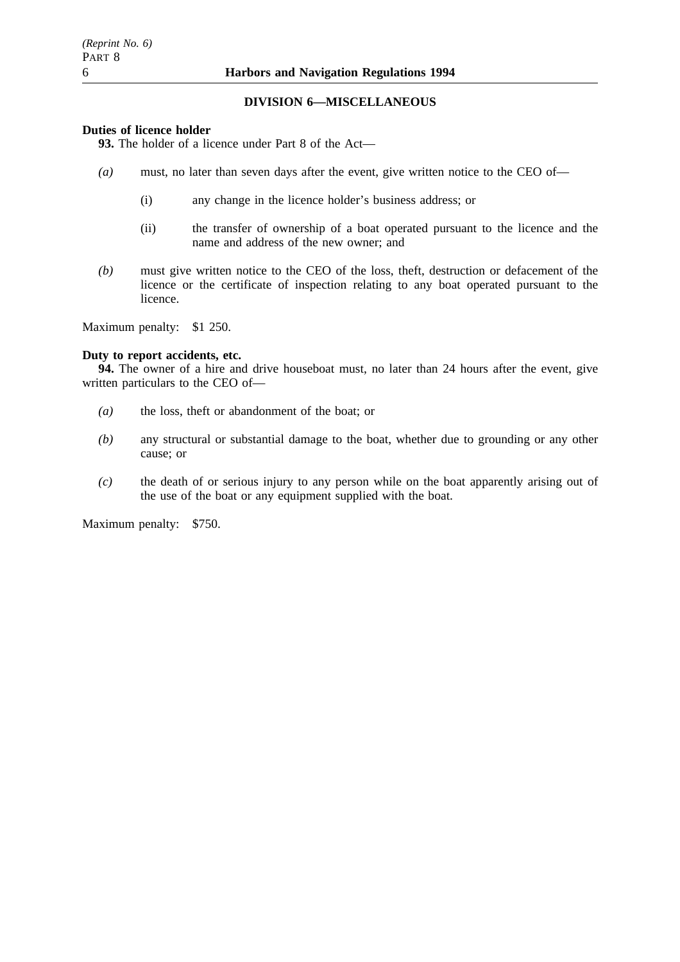# **DIVISION 6—MISCELLANEOUS**

# **Duties of licence holder**

**93.** The holder of a licence under Part 8 of the Act—

- *(a)* must, no later than seven days after the event, give written notice to the CEO of—
	- (i) any change in the licence holder's business address; or
	- (ii) the transfer of ownership of a boat operated pursuant to the licence and the name and address of the new owner; and
- *(b)* must give written notice to the CEO of the loss, theft, destruction or defacement of the licence or the certificate of inspection relating to any boat operated pursuant to the licence.

Maximum penalty: \$1 250.

### **Duty to report accidents, etc.**

**94.** The owner of a hire and drive houseboat must, no later than 24 hours after the event, give written particulars to the CEO of—

- *(a)* the loss, theft or abandonment of the boat; or
- *(b)* any structural or substantial damage to the boat, whether due to grounding or any other cause; or
- *(c)* the death of or serious injury to any person while on the boat apparently arising out of the use of the boat or any equipment supplied with the boat.

Maximum penalty: \$750.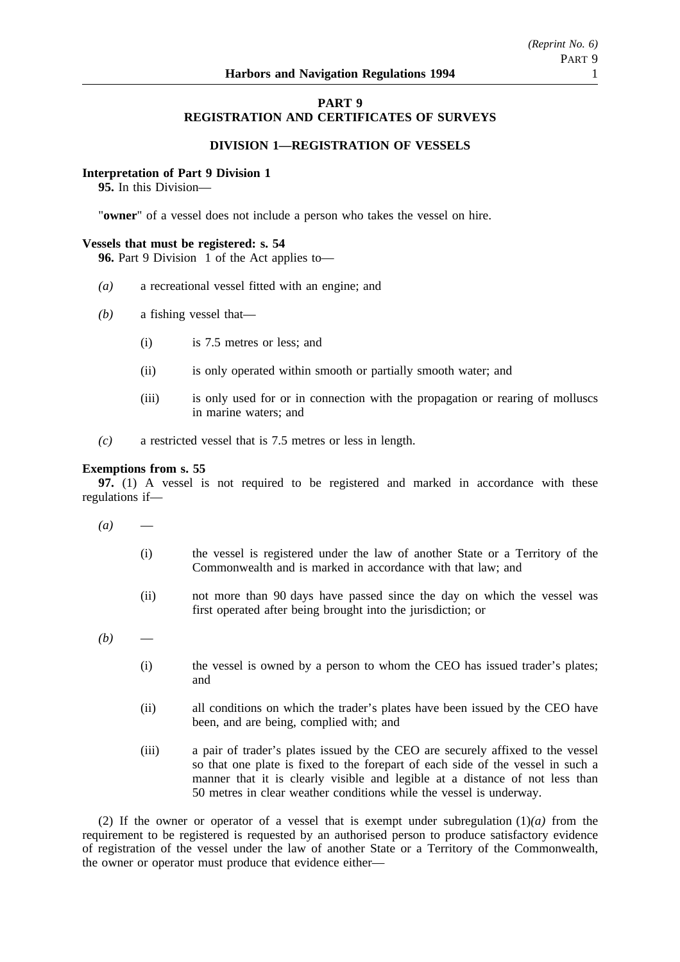### **PART 9 REGISTRATION AND CERTIFICATES OF SURVEYS**

### **DIVISION 1—REGISTRATION OF VESSELS**

### **Interpretation of Part 9 Division 1**

**95.** In this Division—

"**owner**" of a vessel does not include a person who takes the vessel on hire.

### **Vessels that must be registered: s. 54**

**96.** Part 9 Division 1 of the Act applies to—

- *(a)* a recreational vessel fitted with an engine; and
- *(b)* a fishing vessel that—
	- (i) is 7.5 metres or less; and
	- (ii) is only operated within smooth or partially smooth water; and
	- (iii) is only used for or in connection with the propagation or rearing of molluscs in marine waters; and
- *(c)* a restricted vessel that is 7.5 metres or less in length.

### **Exemptions from s. 55**

**97.** (1) A vessel is not required to be registered and marked in accordance with these regulations if—

- $(a)$ 
	- (i) the vessel is registered under the law of another State or a Territory of the Commonwealth and is marked in accordance with that law; and
	- (ii) not more than 90 days have passed since the day on which the vessel was first operated after being brought into the jurisdiction; or
- $(b)$ 
	- (i) the vessel is owned by a person to whom the CEO has issued trader's plates; and
	- (ii) all conditions on which the trader's plates have been issued by the CEO have been, and are being, complied with; and
	- (iii) a pair of trader's plates issued by the CEO are securely affixed to the vessel so that one plate is fixed to the forepart of each side of the vessel in such a manner that it is clearly visible and legible at a distance of not less than 50 metres in clear weather conditions while the vessel is underway.

(2) If the owner or operator of a vessel that is exempt under subregulation  $(1)(a)$  from the requirement to be registered is requested by an authorised person to produce satisfactory evidence of registration of the vessel under the law of another State or a Territory of the Commonwealth, the owner or operator must produce that evidence either—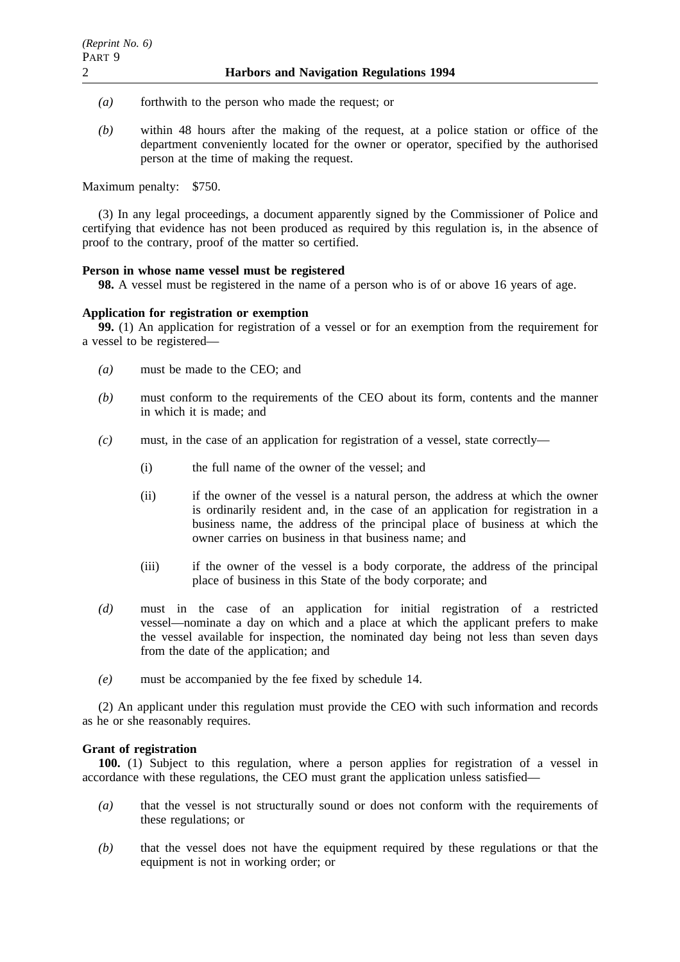- *(a)* forthwith to the person who made the request; or
- *(b)* within 48 hours after the making of the request, at a police station or office of the department conveniently located for the owner or operator, specified by the authorised person at the time of making the request.

Maximum penalty: \$750.

(3) In any legal proceedings, a document apparently signed by the Commissioner of Police and certifying that evidence has not been produced as required by this regulation is, in the absence of proof to the contrary, proof of the matter so certified.

### **Person in whose name vessel must be registered**

**98.** A vessel must be registered in the name of a person who is of or above 16 years of age.

### **Application for registration or exemption**

**99.** (1) An application for registration of a vessel or for an exemption from the requirement for a vessel to be registered—

- *(a)* must be made to the CEO; and
- *(b)* must conform to the requirements of the CEO about its form, contents and the manner in which it is made; and
- *(c)* must, in the case of an application for registration of a vessel, state correctly—
	- (i) the full name of the owner of the vessel; and
	- (ii) if the owner of the vessel is a natural person, the address at which the owner is ordinarily resident and, in the case of an application for registration in a business name, the address of the principal place of business at which the owner carries on business in that business name; and
	- (iii) if the owner of the vessel is a body corporate, the address of the principal place of business in this State of the body corporate; and
- *(d)* must in the case of an application for initial registration of a restricted vessel—nominate a day on which and a place at which the applicant prefers to make the vessel available for inspection, the nominated day being not less than seven days from the date of the application; and
- *(e)* must be accompanied by the fee fixed by schedule 14.

(2) An applicant under this regulation must provide the CEO with such information and records as he or she reasonably requires.

### **Grant of registration**

**100.** (1) Subject to this regulation, where a person applies for registration of a vessel in accordance with these regulations, the CEO must grant the application unless satisfied—

- *(a)* that the vessel is not structurally sound or does not conform with the requirements of these regulations; or
- *(b)* that the vessel does not have the equipment required by these regulations or that the equipment is not in working order; or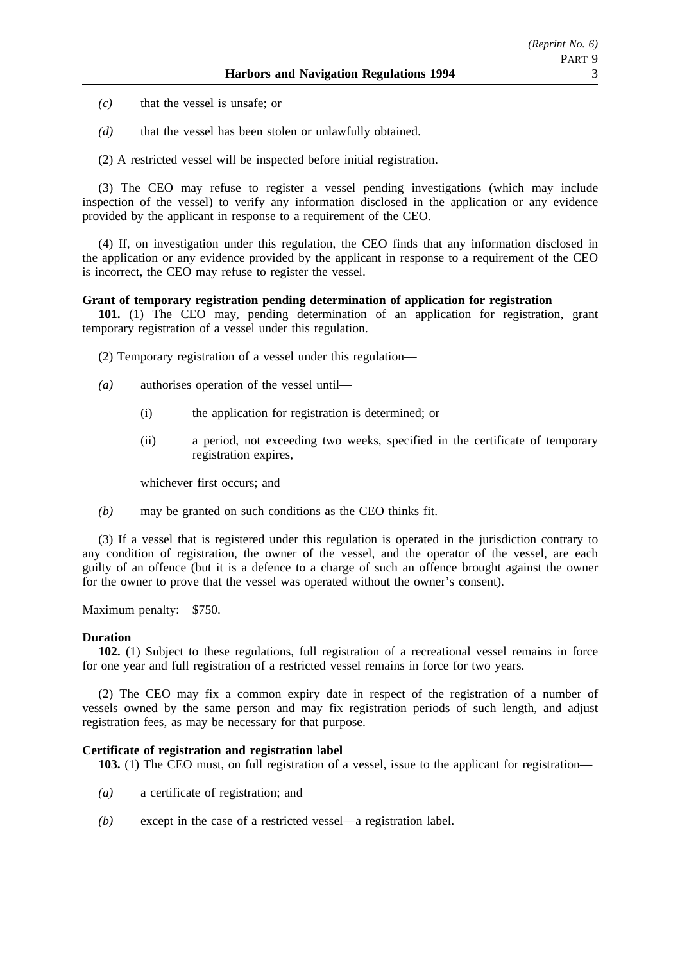*(c)* that the vessel is unsafe; or

*(d)* that the vessel has been stolen or unlawfully obtained.

(2) A restricted vessel will be inspected before initial registration.

(3) The CEO may refuse to register a vessel pending investigations (which may include inspection of the vessel) to verify any information disclosed in the application or any evidence provided by the applicant in response to a requirement of the CEO.

(4) If, on investigation under this regulation, the CEO finds that any information disclosed in the application or any evidence provided by the applicant in response to a requirement of the CEO is incorrect, the CEO may refuse to register the vessel.

### **Grant of temporary registration pending determination of application for registration**

**101.** (1) The CEO may, pending determination of an application for registration, grant temporary registration of a vessel under this regulation.

(2) Temporary registration of a vessel under this regulation—

- *(a)* authorises operation of the vessel until—
	- (i) the application for registration is determined; or
	- (ii) a period, not exceeding two weeks, specified in the certificate of temporary registration expires,

whichever first occurs; and

*(b)* may be granted on such conditions as the CEO thinks fit.

(3) If a vessel that is registered under this regulation is operated in the jurisdiction contrary to any condition of registration, the owner of the vessel, and the operator of the vessel, are each guilty of an offence (but it is a defence to a charge of such an offence brought against the owner for the owner to prove that the vessel was operated without the owner's consent).

Maximum penalty: \$750.

### **Duration**

**102.** (1) Subject to these regulations, full registration of a recreational vessel remains in force for one year and full registration of a restricted vessel remains in force for two years.

(2) The CEO may fix a common expiry date in respect of the registration of a number of vessels owned by the same person and may fix registration periods of such length, and adjust registration fees, as may be necessary for that purpose.

### **Certificate of registration and registration label**

**103.** (1) The CEO must, on full registration of a vessel, issue to the applicant for registration—

- *(a)* a certificate of registration; and
- *(b)* except in the case of a restricted vessel—a registration label.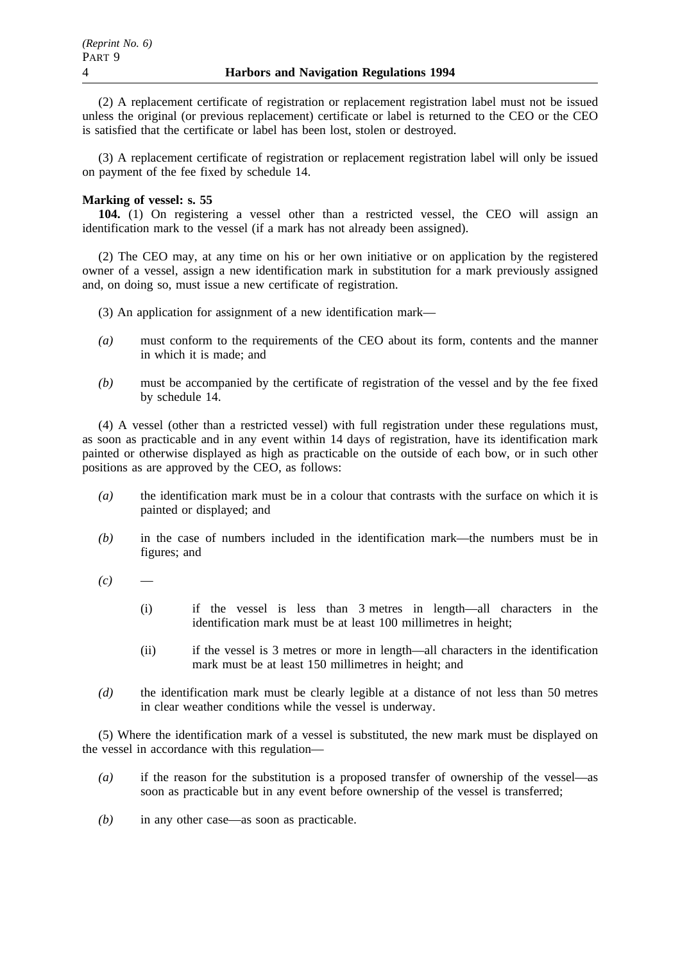(2) A replacement certificate of registration or replacement registration label must not be issued unless the original (or previous replacement) certificate or label is returned to the CEO or the CEO is satisfied that the certificate or label has been lost, stolen or destroyed.

(3) A replacement certificate of registration or replacement registration label will only be issued on payment of the fee fixed by schedule 14.

# **Marking of vessel: s. 55**

**104.** (1) On registering a vessel other than a restricted vessel, the CEO will assign an identification mark to the vessel (if a mark has not already been assigned).

(2) The CEO may, at any time on his or her own initiative or on application by the registered owner of a vessel, assign a new identification mark in substitution for a mark previously assigned and, on doing so, must issue a new certificate of registration.

- (3) An application for assignment of a new identification mark—
- *(a)* must conform to the requirements of the CEO about its form, contents and the manner in which it is made; and
- *(b)* must be accompanied by the certificate of registration of the vessel and by the fee fixed by schedule 14.

(4) A vessel (other than a restricted vessel) with full registration under these regulations must, as soon as practicable and in any event within 14 days of registration, have its identification mark painted or otherwise displayed as high as practicable on the outside of each bow, or in such other positions as are approved by the CEO, as follows:

- *(a)* the identification mark must be in a colour that contrasts with the surface on which it is painted or displayed; and
- *(b)* in the case of numbers included in the identification mark—the numbers must be in figures; and
- $(c)$ 
	- (i) if the vessel is less than 3 metres in length—all characters in the identification mark must be at least 100 millimetres in height;
	- (ii) if the vessel is 3 metres or more in length—all characters in the identification mark must be at least 150 millimetres in height; and
- *(d)* the identification mark must be clearly legible at a distance of not less than 50 metres in clear weather conditions while the vessel is underway.

(5) Where the identification mark of a vessel is substituted, the new mark must be displayed on the vessel in accordance with this regulation—

- *(a)* if the reason for the substitution is a proposed transfer of ownership of the vessel—as soon as practicable but in any event before ownership of the vessel is transferred;
- *(b)* in any other case—as soon as practicable.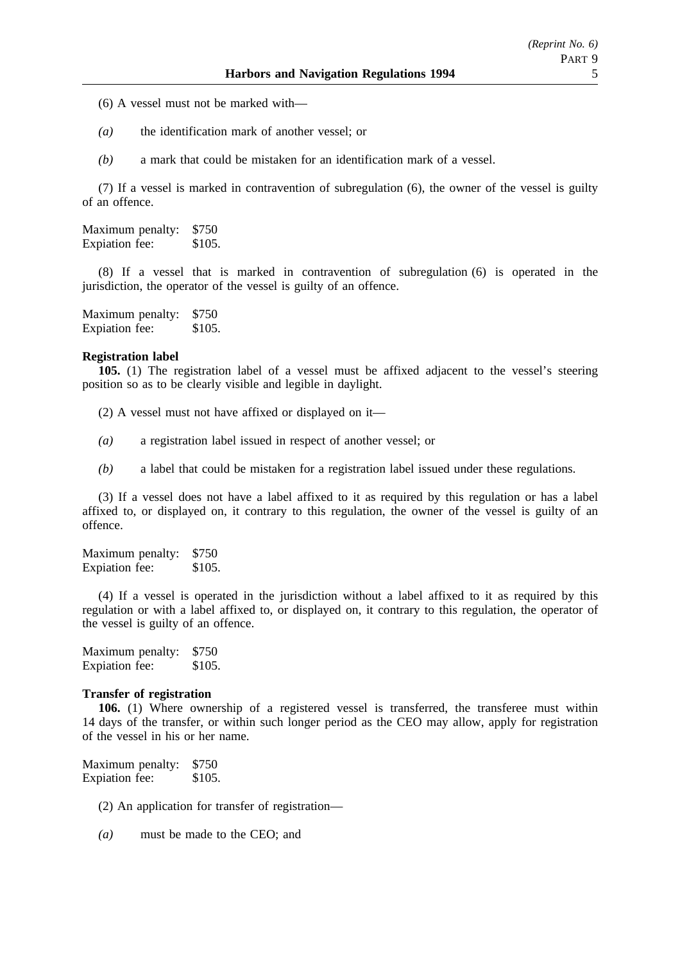- (6) A vessel must not be marked with—
- *(a)* the identification mark of another vessel; or
- *(b)* a mark that could be mistaken for an identification mark of a vessel.

(7) If a vessel is marked in contravention of subregulation (6), the owner of the vessel is guilty of an offence.

Maximum penalty: \$750 Expiation fee: \$105.

(8) If a vessel that is marked in contravention of subregulation (6) is operated in the jurisdiction, the operator of the vessel is guilty of an offence.

Maximum penalty: \$750 Expiation fee: \$105.

#### **Registration label**

**105.** (1) The registration label of a vessel must be affixed adjacent to the vessel's steering position so as to be clearly visible and legible in daylight.

(2) A vessel must not have affixed or displayed on it—

- *(a)* a registration label issued in respect of another vessel; or
- *(b)* a label that could be mistaken for a registration label issued under these regulations.

(3) If a vessel does not have a label affixed to it as required by this regulation or has a label affixed to, or displayed on, it contrary to this regulation, the owner of the vessel is guilty of an offence.

Maximum penalty: \$750 Expiation fee: \$105.

(4) If a vessel is operated in the jurisdiction without a label affixed to it as required by this regulation or with a label affixed to, or displayed on, it contrary to this regulation, the operator of the vessel is guilty of an offence.

Maximum penalty: \$750 Expiation fee: \$105.

## **Transfer of registration**

**106.** (1) Where ownership of a registered vessel is transferred, the transferee must within 14 days of the transfer, or within such longer period as the CEO may allow, apply for registration of the vessel in his or her name.

Maximum penalty: \$750 Expiation fee: \$105.

(2) An application for transfer of registration—

*(a)* must be made to the CEO; and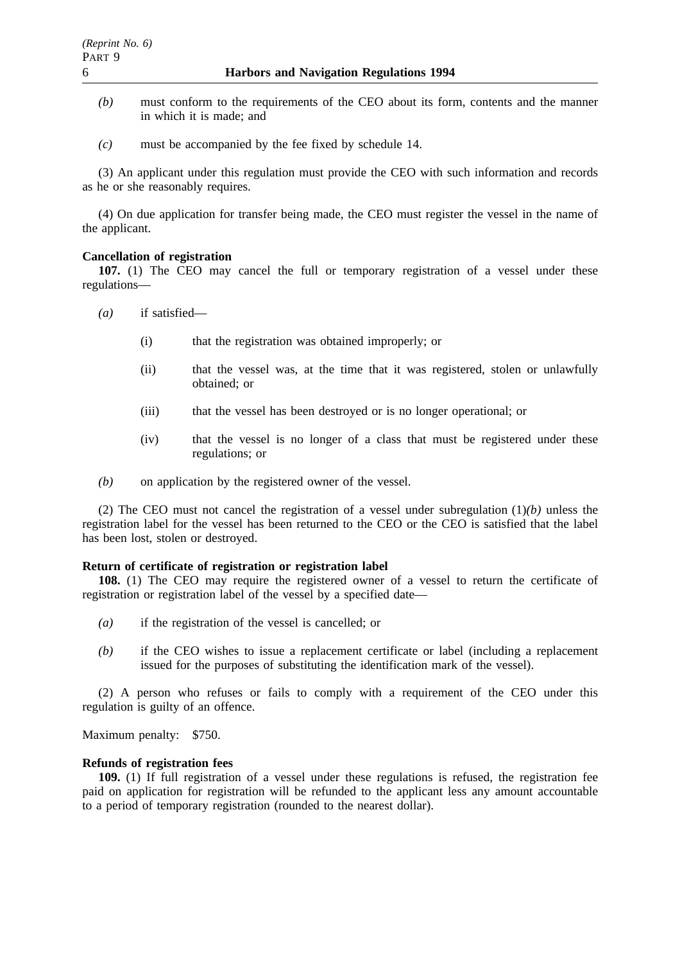- *(b)* must conform to the requirements of the CEO about its form, contents and the manner in which it is made; and
- *(c)* must be accompanied by the fee fixed by schedule 14.

(3) An applicant under this regulation must provide the CEO with such information and records as he or she reasonably requires.

(4) On due application for transfer being made, the CEO must register the vessel in the name of the applicant.

### **Cancellation of registration**

**107.** (1) The CEO may cancel the full or temporary registration of a vessel under these regulations—

- *(a)* if satisfied—
	- (i) that the registration was obtained improperly; or
	- (ii) that the vessel was, at the time that it was registered, stolen or unlawfully obtained; or
	- (iii) that the vessel has been destroyed or is no longer operational; or
	- (iv) that the vessel is no longer of a class that must be registered under these regulations; or
- *(b)* on application by the registered owner of the vessel.

(2) The CEO must not cancel the registration of a vessel under subregulation (1)*(b)* unless the registration label for the vessel has been returned to the CEO or the CEO is satisfied that the label has been lost, stolen or destroyed.

#### **Return of certificate of registration or registration label**

**108.** (1) The CEO may require the registered owner of a vessel to return the certificate of registration or registration label of the vessel by a specified date—

- *(a)* if the registration of the vessel is cancelled; or
- *(b)* if the CEO wishes to issue a replacement certificate or label (including a replacement issued for the purposes of substituting the identification mark of the vessel).

(2) A person who refuses or fails to comply with a requirement of the CEO under this regulation is guilty of an offence.

Maximum penalty: \$750.

### **Refunds of registration fees**

**109.** (1) If full registration of a vessel under these regulations is refused, the registration fee paid on application for registration will be refunded to the applicant less any amount accountable to a period of temporary registration (rounded to the nearest dollar).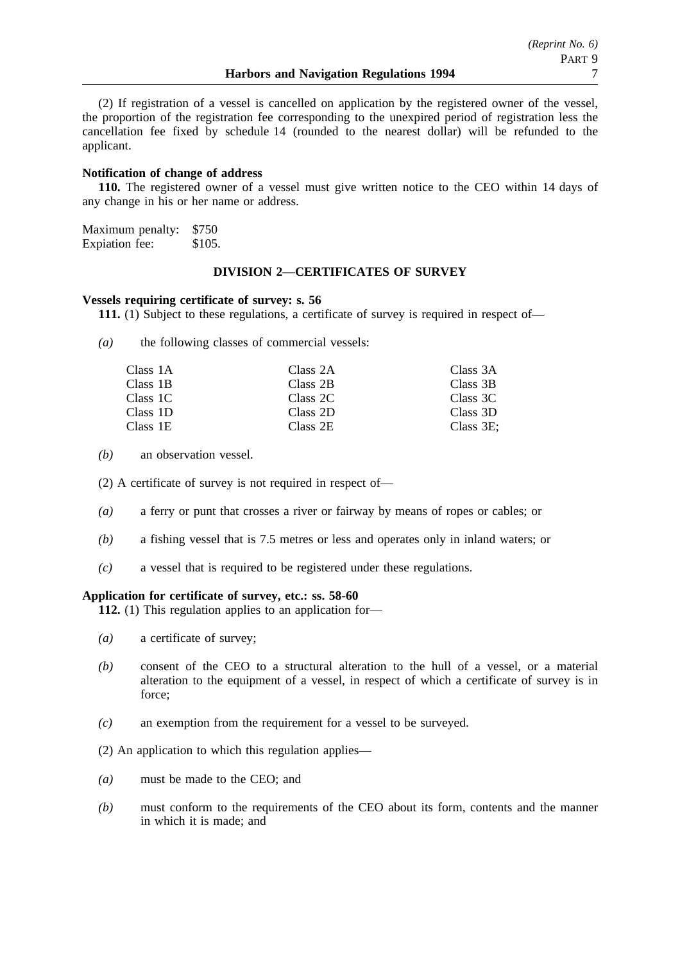(2) If registration of a vessel is cancelled on application by the registered owner of the vessel, the proportion of the registration fee corresponding to the unexpired period of registration less the cancellation fee fixed by schedule 14 (rounded to the nearest dollar) will be refunded to the applicant.

## **Notification of change of address**

**110.** The registered owner of a vessel must give written notice to the CEO within 14 days of any change in his or her name or address.

Maximum penalty: \$750 Expiation fee: \$105.

# **DIVISION 2—CERTIFICATES OF SURVEY**

### **Vessels requiring certificate of survey: s. 56**

**111.** (1) Subject to these regulations, a certificate of survey is required in respect of—

*(a)* the following classes of commercial vessels:

| Class 1A | Class 2A | Class 3A     |
|----------|----------|--------------|
| Class 1B | Class 2B | Class 3B     |
| Class 1C | Class 2C | Class 3C     |
| Class 1D | Class 2D | Class 3D     |
| Class 1E | Class 2E | Class $3E$ : |

*(b)* an observation vessel.

(2) A certificate of survey is not required in respect of—

- *(a)* a ferry or punt that crosses a river or fairway by means of ropes or cables; or
- *(b)* a fishing vessel that is 7.5 metres or less and operates only in inland waters; or
- *(c)* a vessel that is required to be registered under these regulations.

### **Application for certificate of survey, etc.: ss. 58-60**

**112.** (1) This regulation applies to an application for—

- *(a)* a certificate of survey;
- *(b)* consent of the CEO to a structural alteration to the hull of a vessel, or a material alteration to the equipment of a vessel, in respect of which a certificate of survey is in force;
- *(c)* an exemption from the requirement for a vessel to be surveyed.

(2) An application to which this regulation applies—

- *(a)* must be made to the CEO; and
- *(b)* must conform to the requirements of the CEO about its form, contents and the manner in which it is made; and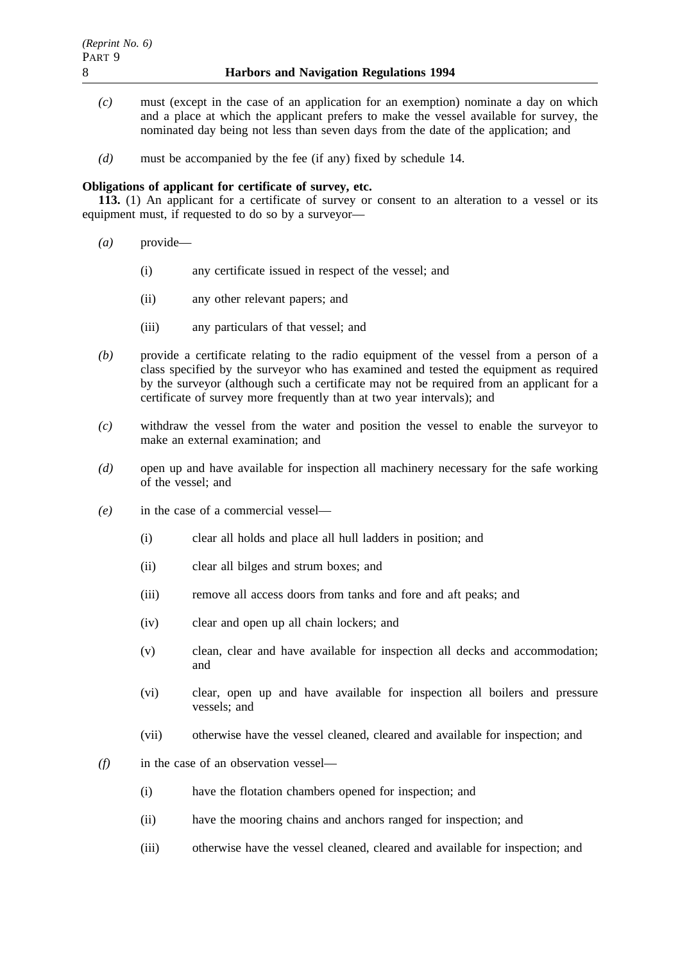- *(c)* must (except in the case of an application for an exemption) nominate a day on which and a place at which the applicant prefers to make the vessel available for survey, the nominated day being not less than seven days from the date of the application; and
- *(d)* must be accompanied by the fee (if any) fixed by schedule 14.

# **Obligations of applicant for certificate of survey, etc.**

**113.** (1) An applicant for a certificate of survey or consent to an alteration to a vessel or its equipment must, if requested to do so by a surveyor—

- *(a)* provide—
	- (i) any certificate issued in respect of the vessel; and
	- (ii) any other relevant papers; and
	- (iii) any particulars of that vessel; and
- *(b)* provide a certificate relating to the radio equipment of the vessel from a person of a class specified by the surveyor who has examined and tested the equipment as required by the surveyor (although such a certificate may not be required from an applicant for a certificate of survey more frequently than at two year intervals); and
- *(c)* withdraw the vessel from the water and position the vessel to enable the surveyor to make an external examination; and
- *(d)* open up and have available for inspection all machinery necessary for the safe working of the vessel; and
- *(e)* in the case of a commercial vessel—
	- (i) clear all holds and place all hull ladders in position; and
	- (ii) clear all bilges and strum boxes; and
	- (iii) remove all access doors from tanks and fore and aft peaks; and
	- (iv) clear and open up all chain lockers; and
	- (v) clean, clear and have available for inspection all decks and accommodation; and
	- (vi) clear, open up and have available for inspection all boilers and pressure vessels; and
	- (vii) otherwise have the vessel cleaned, cleared and available for inspection; and
- *(f)* in the case of an observation vessel—
	- (i) have the flotation chambers opened for inspection; and
	- (ii) have the mooring chains and anchors ranged for inspection; and
	- (iii) otherwise have the vessel cleaned, cleared and available for inspection; and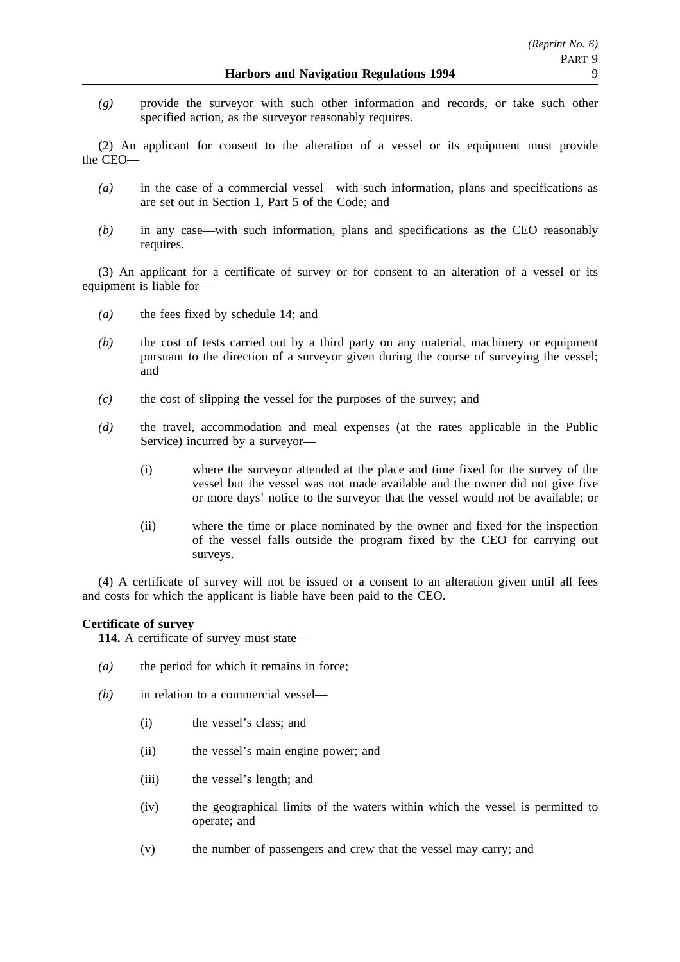*(g)* provide the surveyor with such other information and records, or take such other specified action, as the surveyor reasonably requires.

(2) An applicant for consent to the alteration of a vessel or its equipment must provide the CEO—

- *(a)* in the case of a commercial vessel—with such information, plans and specifications as are set out in Section 1, Part 5 of the Code; and
- *(b)* in any case—with such information, plans and specifications as the CEO reasonably requires.

(3) An applicant for a certificate of survey or for consent to an alteration of a vessel or its equipment is liable for—

- *(a)* the fees fixed by schedule 14; and
- *(b)* the cost of tests carried out by a third party on any material, machinery or equipment pursuant to the direction of a surveyor given during the course of surveying the vessel; and
- *(c)* the cost of slipping the vessel for the purposes of the survey; and
- *(d)* the travel, accommodation and meal expenses (at the rates applicable in the Public Service) incurred by a surveyor—
	- (i) where the surveyor attended at the place and time fixed for the survey of the vessel but the vessel was not made available and the owner did not give five or more days' notice to the surveyor that the vessel would not be available; or
	- (ii) where the time or place nominated by the owner and fixed for the inspection of the vessel falls outside the program fixed by the CEO for carrying out surveys.

(4) A certificate of survey will not be issued or a consent to an alteration given until all fees and costs for which the applicant is liable have been paid to the CEO.

# **Certificate of survey**

**114.** A certificate of survey must state—

- *(a)* the period for which it remains in force;
- *(b)* in relation to a commercial vessel—
	- (i) the vessel's class; and
	- (ii) the vessel's main engine power; and
	- (iii) the vessel's length; and
	- (iv) the geographical limits of the waters within which the vessel is permitted to operate; and
	- (v) the number of passengers and crew that the vessel may carry; and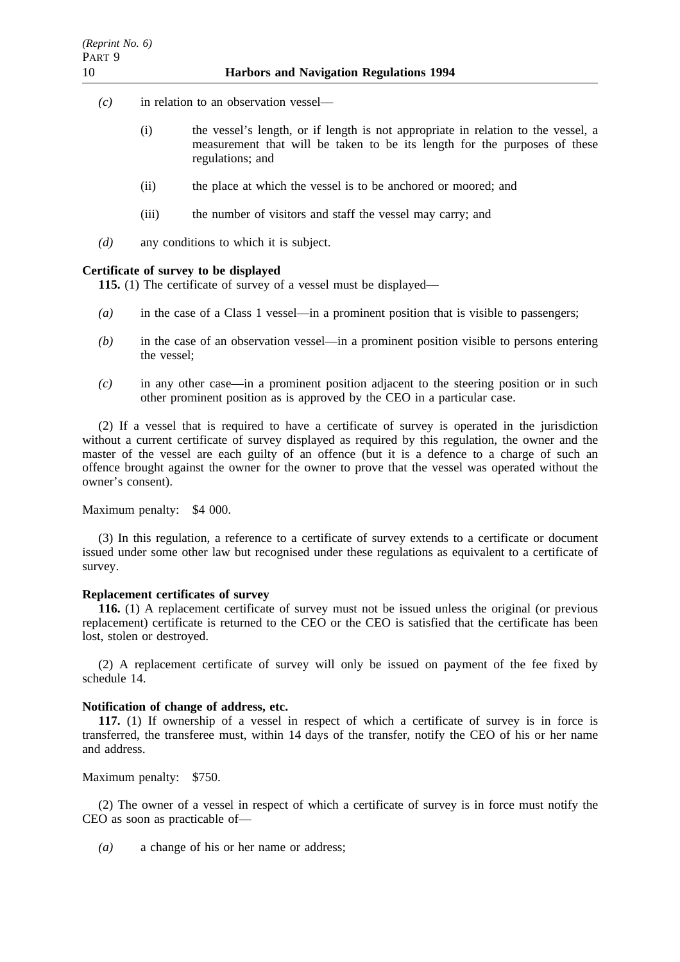- *(c)* in relation to an observation vessel—
	- (i) the vessel's length, or if length is not appropriate in relation to the vessel, a measurement that will be taken to be its length for the purposes of these regulations; and
	- (ii) the place at which the vessel is to be anchored or moored; and
	- (iii) the number of visitors and staff the vessel may carry; and
- *(d)* any conditions to which it is subject.

### **Certificate of survey to be displayed**

**115.** (1) The certificate of survey of a vessel must be displayed—

- *(a)* in the case of a Class 1 vessel—in a prominent position that is visible to passengers;
- *(b)* in the case of an observation vessel—in a prominent position visible to persons entering the vessel;
- *(c)* in any other case—in a prominent position adjacent to the steering position or in such other prominent position as is approved by the CEO in a particular case.

(2) If a vessel that is required to have a certificate of survey is operated in the jurisdiction without a current certificate of survey displayed as required by this regulation, the owner and the master of the vessel are each guilty of an offence (but it is a defence to a charge of such an offence brought against the owner for the owner to prove that the vessel was operated without the owner's consent).

Maximum penalty: \$4 000.

(3) In this regulation, a reference to a certificate of survey extends to a certificate or document issued under some other law but recognised under these regulations as equivalent to a certificate of survey.

### **Replacement certificates of survey**

**116.** (1) A replacement certificate of survey must not be issued unless the original (or previous replacement) certificate is returned to the CEO or the CEO is satisfied that the certificate has been lost, stolen or destroyed.

(2) A replacement certificate of survey will only be issued on payment of the fee fixed by schedule 14.

### **Notification of change of address, etc.**

**117.** (1) If ownership of a vessel in respect of which a certificate of survey is in force is transferred, the transferee must, within 14 days of the transfer, notify the CEO of his or her name and address.

Maximum penalty: \$750.

(2) The owner of a vessel in respect of which a certificate of survey is in force must notify the CEO as soon as practicable of—

*(a)* a change of his or her name or address;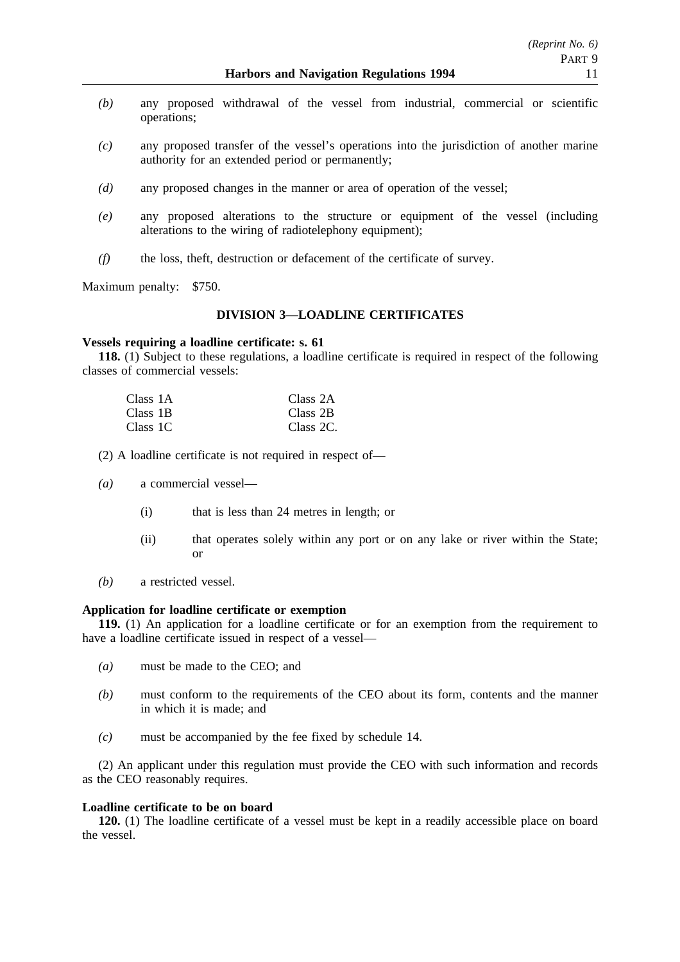- *(b)* any proposed withdrawal of the vessel from industrial, commercial or scientific operations;
- *(c)* any proposed transfer of the vessel's operations into the jurisdiction of another marine authority for an extended period or permanently;
- *(d)* any proposed changes in the manner or area of operation of the vessel;
- *(e)* any proposed alterations to the structure or equipment of the vessel (including alterations to the wiring of radiotelephony equipment);
- *(f)* the loss, theft, destruction or defacement of the certificate of survey.

Maximum penalty: \$750.

# **DIVISION 3—LOADLINE CERTIFICATES**

## **Vessels requiring a loadline certificate: s. 61**

**118.** (1) Subject to these regulations, a loadline certificate is required in respect of the following classes of commercial vessels:

| Class 1A | Class 2A  |
|----------|-----------|
| Class 1B | Class 2B  |
| Class 1C | Class 2C. |

(2) A loadline certificate is not required in respect of—

- *(a)* a commercial vessel—
	- (i) that is less than 24 metres in length; or
	- (ii) that operates solely within any port or on any lake or river within the State; or
- *(b)* a restricted vessel.

# **Application for loadline certificate or exemption**

**119.** (1) An application for a loadline certificate or for an exemption from the requirement to have a loadline certificate issued in respect of a vessel—

- *(a)* must be made to the CEO; and
- *(b)* must conform to the requirements of the CEO about its form, contents and the manner in which it is made; and
- *(c)* must be accompanied by the fee fixed by schedule 14.

(2) An applicant under this regulation must provide the CEO with such information and records as the CEO reasonably requires.

## **Loadline certificate to be on board**

**120.** (1) The loadline certificate of a vessel must be kept in a readily accessible place on board the vessel.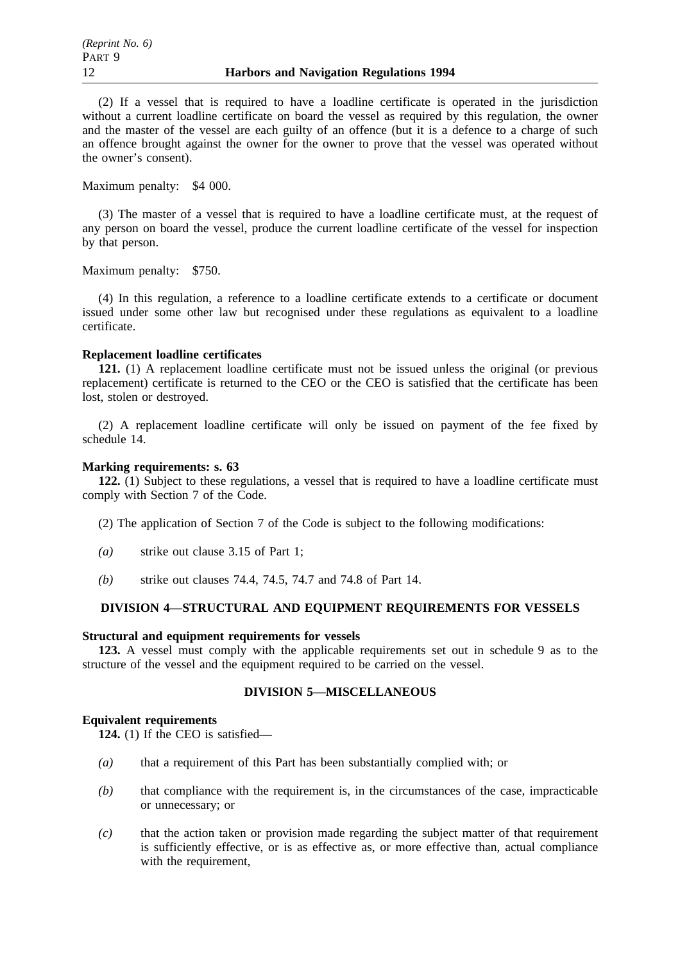(2) If a vessel that is required to have a loadline certificate is operated in the jurisdiction without a current loadline certificate on board the vessel as required by this regulation, the owner and the master of the vessel are each guilty of an offence (but it is a defence to a charge of such an offence brought against the owner for the owner to prove that the vessel was operated without the owner's consent).

Maximum penalty: \$4 000.

(3) The master of a vessel that is required to have a loadline certificate must, at the request of any person on board the vessel, produce the current loadline certificate of the vessel for inspection by that person.

Maximum penalty: \$750.

(4) In this regulation, a reference to a loadline certificate extends to a certificate or document issued under some other law but recognised under these regulations as equivalent to a loadline certificate.

# **Replacement loadline certificates**

**121.** (1) A replacement loadline certificate must not be issued unless the original (or previous replacement) certificate is returned to the CEO or the CEO is satisfied that the certificate has been lost, stolen or destroyed.

(2) A replacement loadline certificate will only be issued on payment of the fee fixed by schedule 14.

# **Marking requirements: s. 63**

**122.** (1) Subject to these regulations, a vessel that is required to have a loadline certificate must comply with Section 7 of the Code.

(2) The application of Section 7 of the Code is subject to the following modifications:

- *(a)* strike out clause 3.15 of Part 1;
- *(b)* strike out clauses 74.4, 74.5, 74.7 and 74.8 of Part 14.

# **DIVISION 4—STRUCTURAL AND EQUIPMENT REQUIREMENTS FOR VESSELS**

### **Structural and equipment requirements for vessels**

**123.** A vessel must comply with the applicable requirements set out in schedule 9 as to the structure of the vessel and the equipment required to be carried on the vessel.

# **DIVISION 5—MISCELLANEOUS**

### **Equivalent requirements**

**124.** (1) If the CEO is satisfied—

- *(a)* that a requirement of this Part has been substantially complied with; or
- *(b)* that compliance with the requirement is, in the circumstances of the case, impracticable or unnecessary; or
- *(c)* that the action taken or provision made regarding the subject matter of that requirement is sufficiently effective, or is as effective as, or more effective than, actual compliance with the requirement,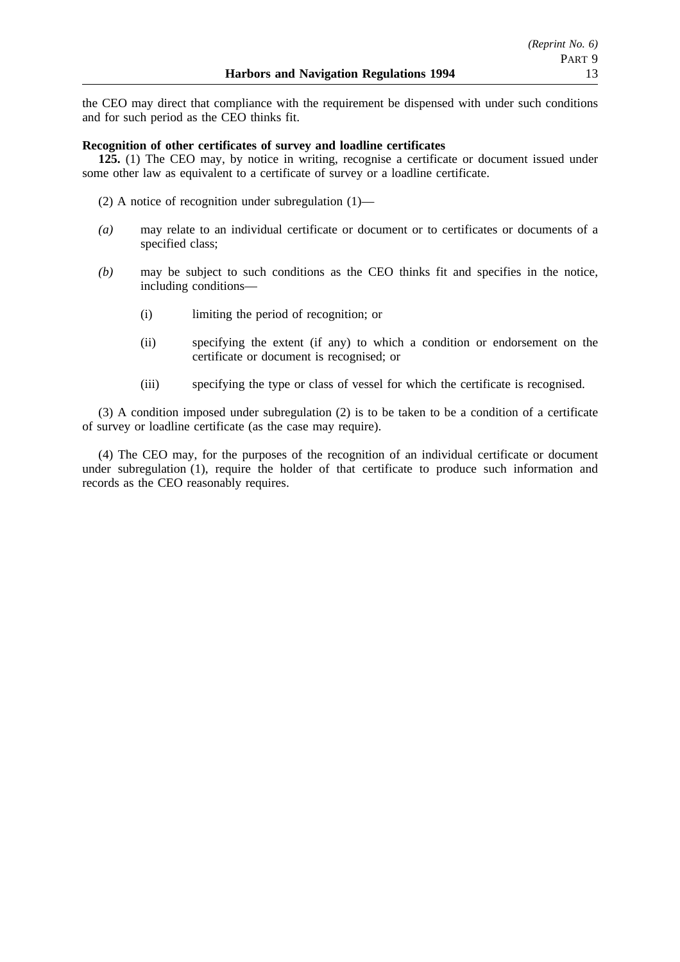the CEO may direct that compliance with the requirement be dispensed with under such conditions and for such period as the CEO thinks fit.

# **Recognition of other certificates of survey and loadline certificates**

**125.** (1) The CEO may, by notice in writing, recognise a certificate or document issued under some other law as equivalent to a certificate of survey or a loadline certificate.

- (2) A notice of recognition under subregulation (1)—
- *(a)* may relate to an individual certificate or document or to certificates or documents of a specified class;
- *(b)* may be subject to such conditions as the CEO thinks fit and specifies in the notice, including conditions—
	- (i) limiting the period of recognition; or
	- (ii) specifying the extent (if any) to which a condition or endorsement on the certificate or document is recognised; or
	- (iii) specifying the type or class of vessel for which the certificate is recognised.

(3) A condition imposed under subregulation (2) is to be taken to be a condition of a certificate of survey or loadline certificate (as the case may require).

(4) The CEO may, for the purposes of the recognition of an individual certificate or document under subregulation (1), require the holder of that certificate to produce such information and records as the CEO reasonably requires.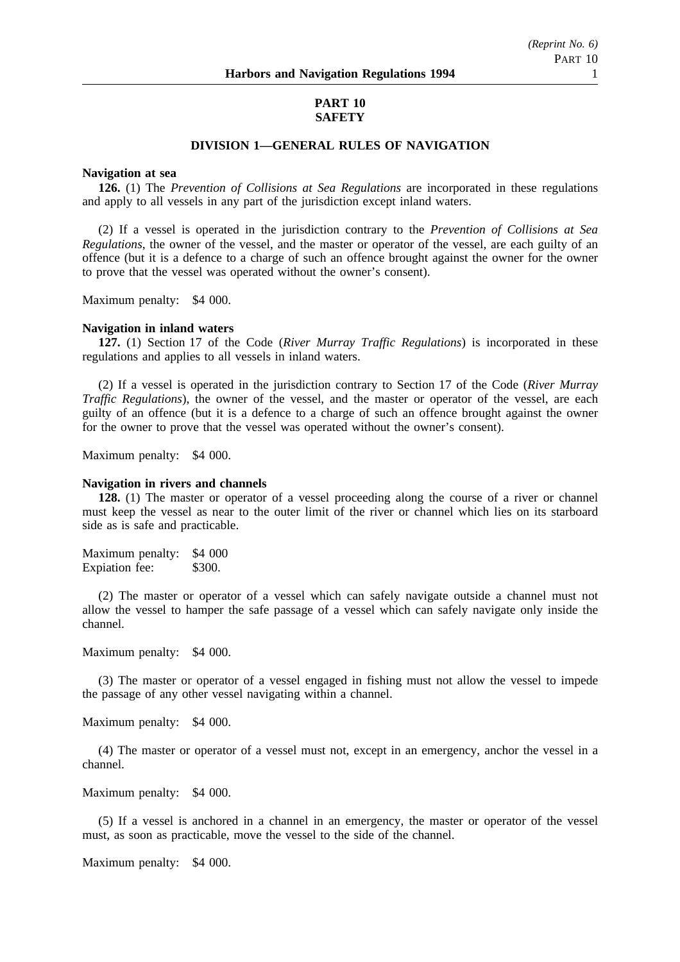# *(Reprint No. 6)* PART 10

## **PART 10 SAFETY**

## **DIVISION 1—GENERAL RULES OF NAVIGATION**

### **Navigation at sea**

**126.** (1) The *Prevention of Collisions at Sea Regulations* are incorporated in these regulations and apply to all vessels in any part of the jurisdiction except inland waters.

(2) If a vessel is operated in the jurisdiction contrary to the *Prevention of Collisions at Sea Regulations*, the owner of the vessel, and the master or operator of the vessel, are each guilty of an offence (but it is a defence to a charge of such an offence brought against the owner for the owner to prove that the vessel was operated without the owner's consent).

Maximum penalty: \$4 000.

#### **Navigation in inland waters**

**127.** (1) Section 17 of the Code (*River Murray Traffic Regulations*) is incorporated in these regulations and applies to all vessels in inland waters.

(2) If a vessel is operated in the jurisdiction contrary to Section 17 of the Code (*River Murray Traffic Regulations*), the owner of the vessel, and the master or operator of the vessel, are each guilty of an offence (but it is a defence to a charge of such an offence brought against the owner for the owner to prove that the vessel was operated without the owner's consent).

Maximum penalty: \$4 000.

### **Navigation in rivers and channels**

**128.** (1) The master or operator of a vessel proceeding along the course of a river or channel must keep the vessel as near to the outer limit of the river or channel which lies on its starboard side as is safe and practicable.

Maximum penalty: \$4 000 Expiation fee: \$300.

(2) The master or operator of a vessel which can safely navigate outside a channel must not allow the vessel to hamper the safe passage of a vessel which can safely navigate only inside the channel.

Maximum penalty: \$4 000.

(3) The master or operator of a vessel engaged in fishing must not allow the vessel to impede the passage of any other vessel navigating within a channel.

Maximum penalty: \$4 000.

(4) The master or operator of a vessel must not, except in an emergency, anchor the vessel in a channel.

Maximum penalty: \$4 000.

(5) If a vessel is anchored in a channel in an emergency, the master or operator of the vessel must, as soon as practicable, move the vessel to the side of the channel.

Maximum penalty: \$4 000.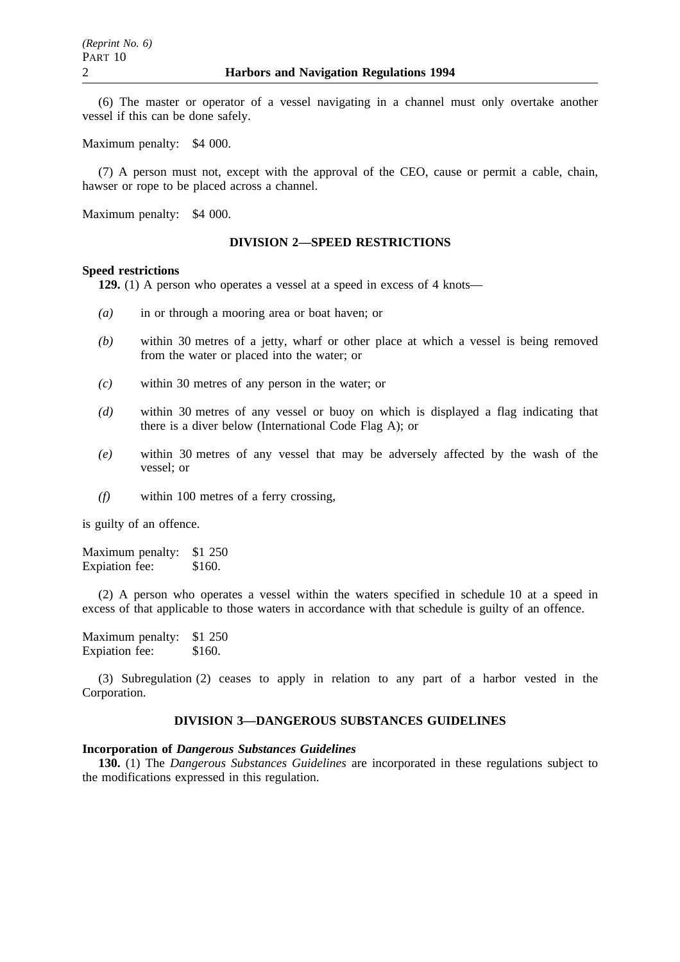(6) The master or operator of a vessel navigating in a channel must only overtake another vessel if this can be done safely.

Maximum penalty: \$4 000.

(7) A person must not, except with the approval of the CEO, cause or permit a cable, chain, hawser or rope to be placed across a channel.

Maximum penalty: \$4 000.

### **DIVISION 2—SPEED RESTRICTIONS**

#### **Speed restrictions**

**129.** (1) A person who operates a vessel at a speed in excess of 4 knots—

- *(a)* in or through a mooring area or boat haven; or
- *(b)* within 30 metres of a jetty, wharf or other place at which a vessel is being removed from the water or placed into the water; or
- *(c)* within 30 metres of any person in the water; or
- *(d)* within 30 metres of any vessel or buoy on which is displayed a flag indicating that there is a diver below (International Code Flag A); or
- *(e)* within 30 metres of any vessel that may be adversely affected by the wash of the vessel; or
- *(f)* within 100 metres of a ferry crossing,

is guilty of an offence.

Maximum penalty: \$1 250 Expiation fee: \$160.

(2) A person who operates a vessel within the waters specified in schedule 10 at a speed in excess of that applicable to those waters in accordance with that schedule is guilty of an offence.

Maximum penalty: \$1 250 Expiation fee: \$160.

(3) Subregulation (2) ceases to apply in relation to any part of a harbor vested in the Corporation.

## **DIVISION 3—DANGEROUS SUBSTANCES GUIDELINES**

### **Incorporation of** *Dangerous Substances Guidelines*

**130.** (1) The *Dangerous Substances Guidelines* are incorporated in these regulations subject to the modifications expressed in this regulation.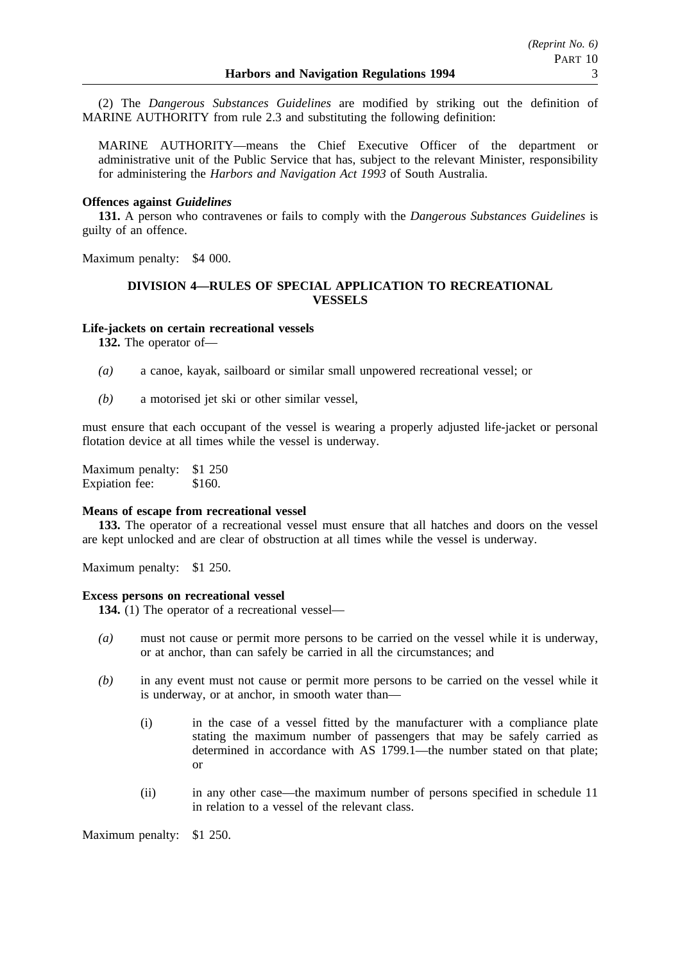(2) The *Dangerous Substances Guidelines* are modified by striking out the definition of MARINE AUTHORITY from rule 2.3 and substituting the following definition:

MARINE AUTHORITY—means the Chief Executive Officer of the department or administrative unit of the Public Service that has, subject to the relevant Minister, responsibility for administering the *Harbors and Navigation Act 1993* of South Australia.

## **Offences against** *Guidelines*

**131.** A person who contravenes or fails to comply with the *Dangerous Substances Guidelines* is guilty of an offence.

Maximum penalty: \$4 000.

## **DIVISION 4—RULES OF SPECIAL APPLICATION TO RECREATIONAL VESSELS**

### **Life-jackets on certain recreational vessels**

**132.** The operator of—

- *(a)* a canoe, kayak, sailboard or similar small unpowered recreational vessel; or
- *(b)* a motorised jet ski or other similar vessel,

must ensure that each occupant of the vessel is wearing a properly adjusted life-jacket or personal flotation device at all times while the vessel is underway.

Maximum penalty: \$1 250 Expiation fee: \$160.

#### **Means of escape from recreational vessel**

**133.** The operator of a recreational vessel must ensure that all hatches and doors on the vessel are kept unlocked and are clear of obstruction at all times while the vessel is underway.

Maximum penalty: \$1 250.

### **Excess persons on recreational vessel**

**134.** (1) The operator of a recreational vessel—

- *(a)* must not cause or permit more persons to be carried on the vessel while it is underway, or at anchor, than can safely be carried in all the circumstances; and
- *(b)* in any event must not cause or permit more persons to be carried on the vessel while it is underway, or at anchor, in smooth water than—
	- (i) in the case of a vessel fitted by the manufacturer with a compliance plate stating the maximum number of passengers that may be safely carried as determined in accordance with AS 1799.1—the number stated on that plate; or
	- (ii) in any other case—the maximum number of persons specified in schedule 11 in relation to a vessel of the relevant class.

Maximum penalty: \$1 250.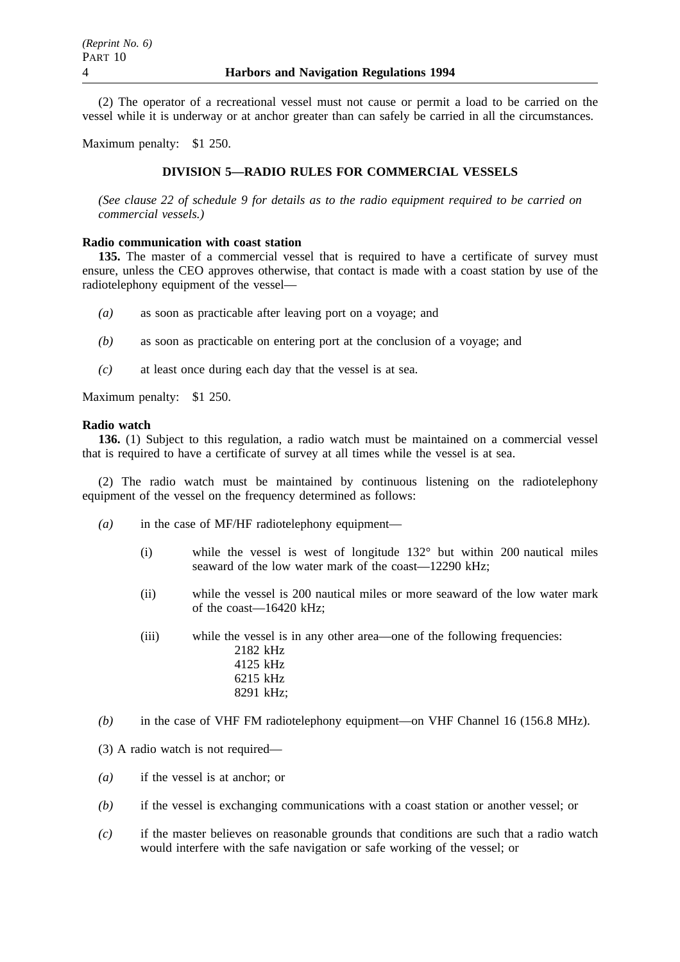(2) The operator of a recreational vessel must not cause or permit a load to be carried on the vessel while it is underway or at anchor greater than can safely be carried in all the circumstances.

Maximum penalty: \$1 250.

## **DIVISION 5—RADIO RULES FOR COMMERCIAL VESSELS**

*(See clause 22 of schedule 9 for details as to the radio equipment required to be carried on commercial vessels.)*

## **Radio communication with coast station**

**135.** The master of a commercial vessel that is required to have a certificate of survey must ensure, unless the CEO approves otherwise, that contact is made with a coast station by use of the radiotelephony equipment of the vessel—

- *(a)* as soon as practicable after leaving port on a voyage; and
- *(b)* as soon as practicable on entering port at the conclusion of a voyage; and
- *(c)* at least once during each day that the vessel is at sea.

Maximum penalty: \$1 250.

## **Radio watch**

**136.** (1) Subject to this regulation, a radio watch must be maintained on a commercial vessel that is required to have a certificate of survey at all times while the vessel is at sea.

(2) The radio watch must be maintained by continuous listening on the radiotelephony equipment of the vessel on the frequency determined as follows:

- *(a)* in the case of MF/HF radiotelephony equipment—
	- (i) while the vessel is west of longitude 132° but within 200 nautical miles seaward of the low water mark of the coast—12290 kHz;
	- (ii) while the vessel is 200 nautical miles or more seaward of the low water mark of the coast—16420 kHz;
	- (iii) while the vessel is in any other area—one of the following frequencies: 2182 kHz 4125 kHz 6215 kHz 8291 kHz;
- *(b)* in the case of VHF FM radiotelephony equipment—on VHF Channel 16 (156.8 MHz).
- (3) A radio watch is not required—
- *(a)* if the vessel is at anchor; or
- *(b)* if the vessel is exchanging communications with a coast station or another vessel; or
- *(c)* if the master believes on reasonable grounds that conditions are such that a radio watch would interfere with the safe navigation or safe working of the vessel; or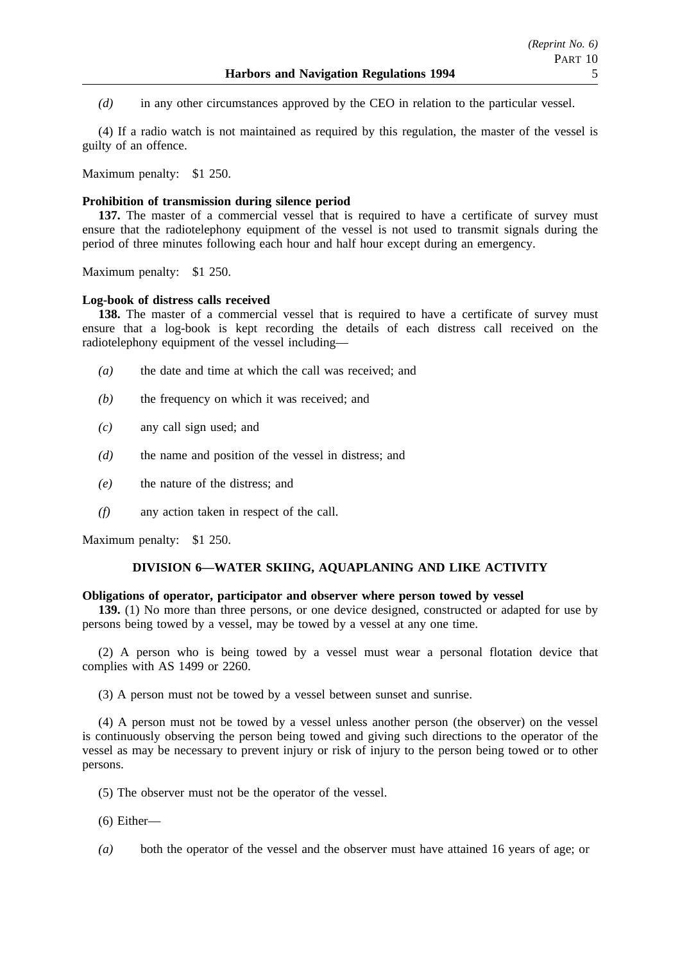*(d)* in any other circumstances approved by the CEO in relation to the particular vessel.

(4) If a radio watch is not maintained as required by this regulation, the master of the vessel is guilty of an offence.

Maximum penalty: \$1 250.

## **Prohibition of transmission during silence period**

**137.** The master of a commercial vessel that is required to have a certificate of survey must ensure that the radiotelephony equipment of the vessel is not used to transmit signals during the period of three minutes following each hour and half hour except during an emergency.

Maximum penalty: \$1 250.

## **Log-book of distress calls received**

**138.** The master of a commercial vessel that is required to have a certificate of survey must ensure that a log-book is kept recording the details of each distress call received on the radiotelephony equipment of the vessel including—

- *(a)* the date and time at which the call was received; and
- *(b)* the frequency on which it was received; and
- *(c)* any call sign used; and
- *(d)* the name and position of the vessel in distress; and
- *(e)* the nature of the distress; and
- *(f)* any action taken in respect of the call.

Maximum penalty: \$1 250.

## **DIVISION 6—WATER SKIING, AQUAPLANING AND LIKE ACTIVITY**

## **Obligations of operator, participator and observer where person towed by vessel**

**139.** (1) No more than three persons, or one device designed, constructed or adapted for use by persons being towed by a vessel, may be towed by a vessel at any one time.

(2) A person who is being towed by a vessel must wear a personal flotation device that complies with AS 1499 or 2260.

(3) A person must not be towed by a vessel between sunset and sunrise.

(4) A person must not be towed by a vessel unless another person (the observer) on the vessel is continuously observing the person being towed and giving such directions to the operator of the vessel as may be necessary to prevent injury or risk of injury to the person being towed or to other persons.

- (5) The observer must not be the operator of the vessel.
- (6) Either—
- *(a)* both the operator of the vessel and the observer must have attained 16 years of age; or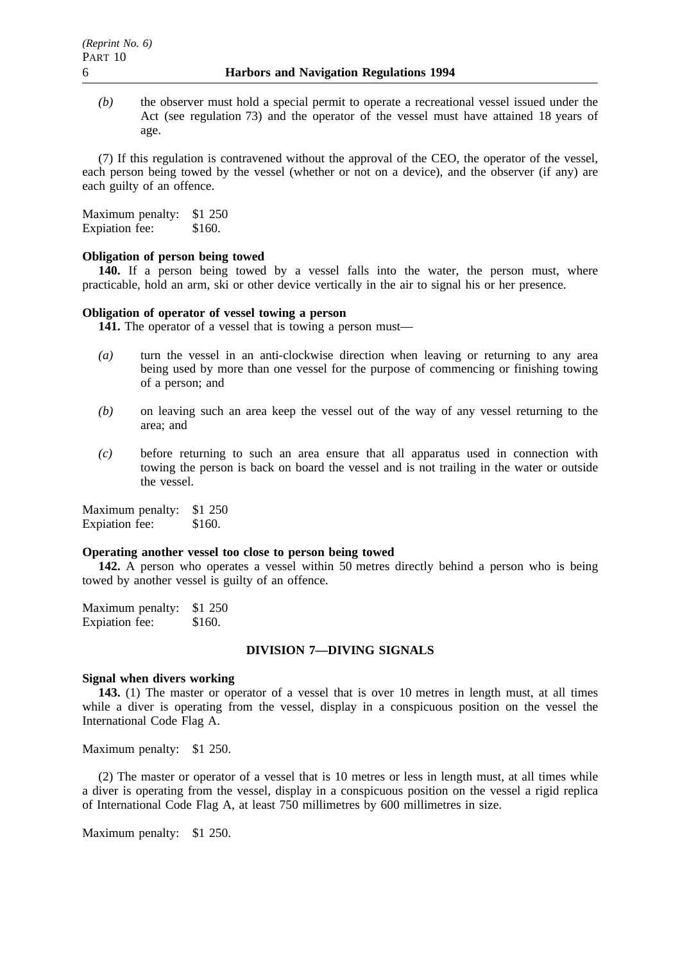*(b)* the observer must hold a special permit to operate a recreational vessel issued under the Act (see regulation 73) and the operator of the vessel must have attained 18 years of age.

(7) If this regulation is contravened without the approval of the CEO, the operator of the vessel, each person being towed by the vessel (whether or not on a device), and the observer (if any) are each guilty of an offence.

Maximum penalty: \$1 250 Expiation fee: \$160.

### **Obligation of person being towed**

**140.** If a person being towed by a vessel falls into the water, the person must, where practicable, hold an arm, ski or other device vertically in the air to signal his or her presence.

### **Obligation of operator of vessel towing a person**

**141.** The operator of a vessel that is towing a person must—

- *(a)* turn the vessel in an anti-clockwise direction when leaving or returning to any area being used by more than one vessel for the purpose of commencing or finishing towing of a person; and
- *(b)* on leaving such an area keep the vessel out of the way of any vessel returning to the area; and
- *(c)* before returning to such an area ensure that all apparatus used in connection with towing the person is back on board the vessel and is not trailing in the water or outside the vessel.

Maximum penalty: \$1 250 Expiation fee: \$160.

### **Operating another vessel too close to person being towed**

**142.** A person who operates a vessel within 50 metres directly behind a person who is being towed by another vessel is guilty of an offence.

Maximum penalty: \$1 250 Expiation fee: \$160.

### **DIVISION 7—DIVING SIGNALS**

### **Signal when divers working**

**143.** (1) The master or operator of a vessel that is over 10 metres in length must, at all times while a diver is operating from the vessel, display in a conspicuous position on the vessel the International Code Flag A.

Maximum penalty: \$1 250.

(2) The master or operator of a vessel that is 10 metres or less in length must, at all times while a diver is operating from the vessel, display in a conspicuous position on the vessel a rigid replica of International Code Flag A, at least 750 millimetres by 600 millimetres in size.

Maximum penalty: \$1 250.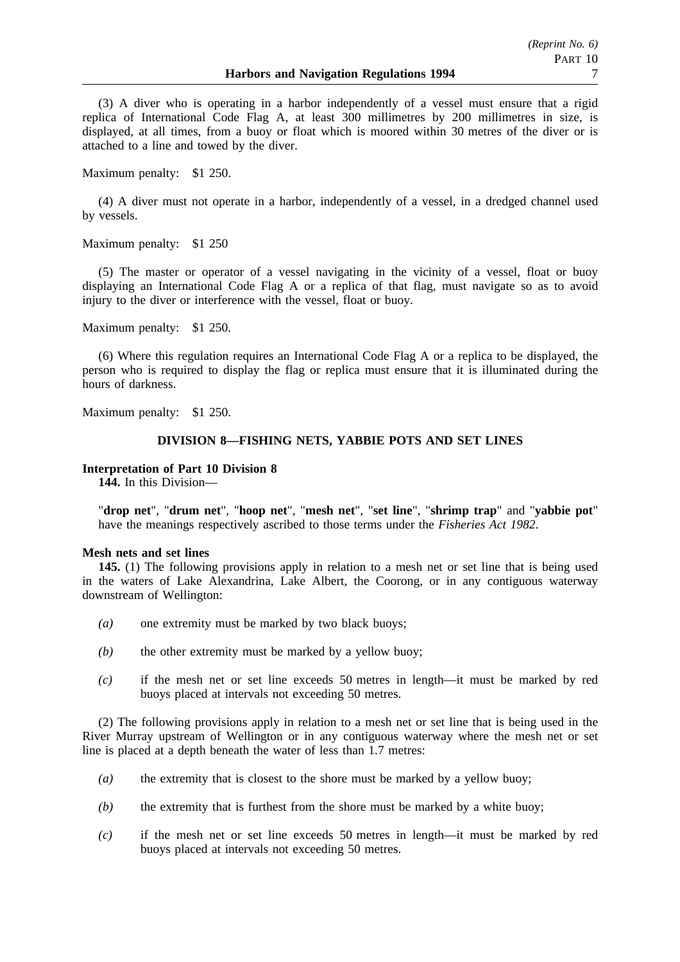(3) A diver who is operating in a harbor independently of a vessel must ensure that a rigid replica of International Code Flag A, at least 300 millimetres by 200 millimetres in size, is displayed, at all times, from a buoy or float which is moored within 30 metres of the diver or is attached to a line and towed by the diver.

Maximum penalty: \$1 250.

(4) A diver must not operate in a harbor, independently of a vessel, in a dredged channel used by vessels.

Maximum penalty: \$1 250

(5) The master or operator of a vessel navigating in the vicinity of a vessel, float or buoy displaying an International Code Flag A or a replica of that flag, must navigate so as to avoid injury to the diver or interference with the vessel, float or buoy.

Maximum penalty: \$1 250.

(6) Where this regulation requires an International Code Flag A or a replica to be displayed, the person who is required to display the flag or replica must ensure that it is illuminated during the hours of darkness.

Maximum penalty: \$1 250.

## **DIVISION 8—FISHING NETS, YABBIE POTS AND SET LINES**

## **Interpretation of Part 10 Division 8**

**144.** In this Division—

"**drop net**", "**drum net**", "**hoop net**", "**mesh net**", "**set line**", "**shrimp trap**" and "**yabbie pot**" have the meanings respectively ascribed to those terms under the *Fisheries Act 1982*.

## **Mesh nets and set lines**

**145.** (1) The following provisions apply in relation to a mesh net or set line that is being used in the waters of Lake Alexandrina, Lake Albert, the Coorong, or in any contiguous waterway downstream of Wellington:

- *(a)* one extremity must be marked by two black buoys;
- *(b)* the other extremity must be marked by a yellow buoy;
- *(c)* if the mesh net or set line exceeds 50 metres in length—it must be marked by red buoys placed at intervals not exceeding 50 metres.

(2) The following provisions apply in relation to a mesh net or set line that is being used in the River Murray upstream of Wellington or in any contiguous waterway where the mesh net or set line is placed at a depth beneath the water of less than 1.7 metres:

- *(a)* the extremity that is closest to the shore must be marked by a yellow buoy;
- *(b)* the extremity that is furthest from the shore must be marked by a white buoy;
- *(c)* if the mesh net or set line exceeds 50 metres in length—it must be marked by red buoys placed at intervals not exceeding 50 metres.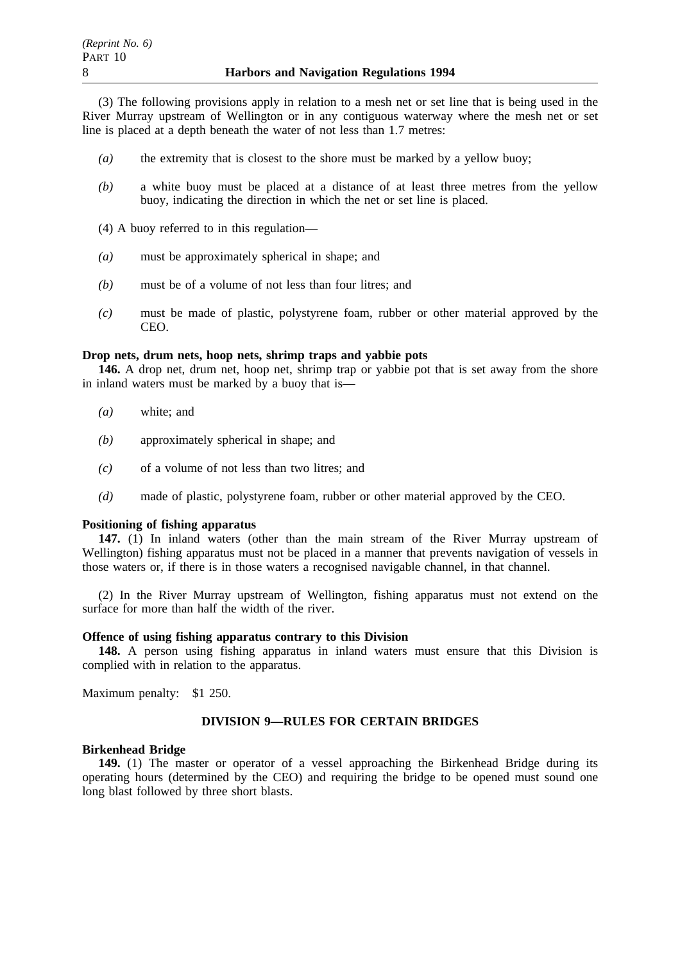(3) The following provisions apply in relation to a mesh net or set line that is being used in the River Murray upstream of Wellington or in any contiguous waterway where the mesh net or set line is placed at a depth beneath the water of not less than 1.7 metres:

- *(a)* the extremity that is closest to the shore must be marked by a yellow buoy;
- *(b)* a white buoy must be placed at a distance of at least three metres from the yellow buoy, indicating the direction in which the net or set line is placed.
- (4) A buoy referred to in this regulation—
- *(a)* must be approximately spherical in shape; and
- *(b)* must be of a volume of not less than four litres; and
- *(c)* must be made of plastic, polystyrene foam, rubber or other material approved by the CEO.

## **Drop nets, drum nets, hoop nets, shrimp traps and yabbie pots**

**146.** A drop net, drum net, hoop net, shrimp trap or yabbie pot that is set away from the shore in inland waters must be marked by a buoy that is—

- *(a)* white; and
- *(b)* approximately spherical in shape; and
- *(c)* of a volume of not less than two litres; and
- *(d)* made of plastic, polystyrene foam, rubber or other material approved by the CEO.

### **Positioning of fishing apparatus**

**147.** (1) In inland waters (other than the main stream of the River Murray upstream of Wellington) fishing apparatus must not be placed in a manner that prevents navigation of vessels in those waters or, if there is in those waters a recognised navigable channel, in that channel.

(2) In the River Murray upstream of Wellington, fishing apparatus must not extend on the surface for more than half the width of the river.

## **Offence of using fishing apparatus contrary to this Division**

**148.** A person using fishing apparatus in inland waters must ensure that this Division is complied with in relation to the apparatus.

Maximum penalty: \$1 250.

## **DIVISION 9—RULES FOR CERTAIN BRIDGES**

## **Birkenhead Bridge**

**149.** (1) The master or operator of a vessel approaching the Birkenhead Bridge during its operating hours (determined by the CEO) and requiring the bridge to be opened must sound one long blast followed by three short blasts.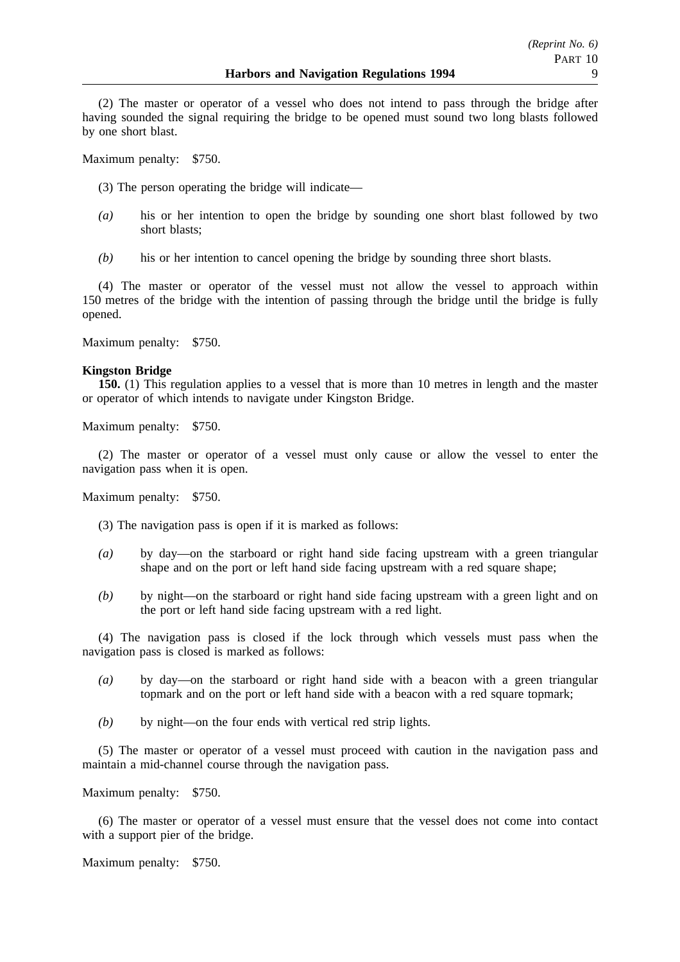(2) The master or operator of a vessel who does not intend to pass through the bridge after having sounded the signal requiring the bridge to be opened must sound two long blasts followed by one short blast.

Maximum penalty: \$750.

(3) The person operating the bridge will indicate—

- *(a)* his or her intention to open the bridge by sounding one short blast followed by two short blasts;
- *(b)* his or her intention to cancel opening the bridge by sounding three short blasts.

(4) The master or operator of the vessel must not allow the vessel to approach within 150 metres of the bridge with the intention of passing through the bridge until the bridge is fully opened.

Maximum penalty: \$750.

## **Kingston Bridge**

**150.** (1) This regulation applies to a vessel that is more than 10 metres in length and the master or operator of which intends to navigate under Kingston Bridge.

Maximum penalty: \$750.

(2) The master or operator of a vessel must only cause or allow the vessel to enter the navigation pass when it is open.

Maximum penalty: \$750.

(3) The navigation pass is open if it is marked as follows:

- *(a)* by day—on the starboard or right hand side facing upstream with a green triangular shape and on the port or left hand side facing upstream with a red square shape;
- *(b)* by night—on the starboard or right hand side facing upstream with a green light and on the port or left hand side facing upstream with a red light.

(4) The navigation pass is closed if the lock through which vessels must pass when the navigation pass is closed is marked as follows:

- *(a)* by day—on the starboard or right hand side with a beacon with a green triangular topmark and on the port or left hand side with a beacon with a red square topmark;
- *(b)* by night—on the four ends with vertical red strip lights.

(5) The master or operator of a vessel must proceed with caution in the navigation pass and maintain a mid-channel course through the navigation pass.

Maximum penalty: \$750.

(6) The master or operator of a vessel must ensure that the vessel does not come into contact with a support pier of the bridge.

Maximum penalty: \$750.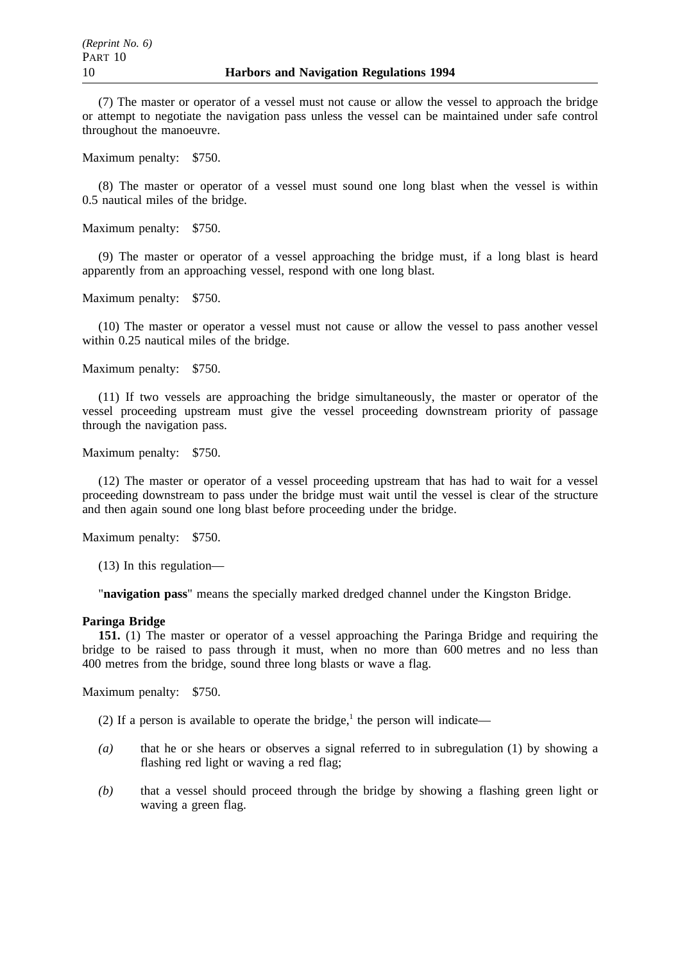(7) The master or operator of a vessel must not cause or allow the vessel to approach the bridge or attempt to negotiate the navigation pass unless the vessel can be maintained under safe control throughout the manoeuvre.

Maximum penalty: \$750.

(8) The master or operator of a vessel must sound one long blast when the vessel is within 0.5 nautical miles of the bridge.

Maximum penalty: \$750.

(9) The master or operator of a vessel approaching the bridge must, if a long blast is heard apparently from an approaching vessel, respond with one long blast.

Maximum penalty: \$750.

(10) The master or operator a vessel must not cause or allow the vessel to pass another vessel within 0.25 nautical miles of the bridge.

Maximum penalty: \$750.

(11) If two vessels are approaching the bridge simultaneously, the master or operator of the vessel proceeding upstream must give the vessel proceeding downstream priority of passage through the navigation pass.

Maximum penalty: \$750.

(12) The master or operator of a vessel proceeding upstream that has had to wait for a vessel proceeding downstream to pass under the bridge must wait until the vessel is clear of the structure and then again sound one long blast before proceeding under the bridge.

Maximum penalty: \$750.

(13) In this regulation—

"**navigation pass**" means the specially marked dredged channel under the Kingston Bridge.

#### **Paringa Bridge**

**151.** (1) The master or operator of a vessel approaching the Paringa Bridge and requiring the bridge to be raised to pass through it must, when no more than 600 metres and no less than 400 metres from the bridge, sound three long blasts or wave a flag.

Maximum penalty: \$750.

(2) If a person is available to operate the bridge,<sup>1</sup> the person will indicate—

- *(a)* that he or she hears or observes a signal referred to in subregulation (1) by showing a flashing red light or waving a red flag;
- *(b)* that a vessel should proceed through the bridge by showing a flashing green light or waving a green flag.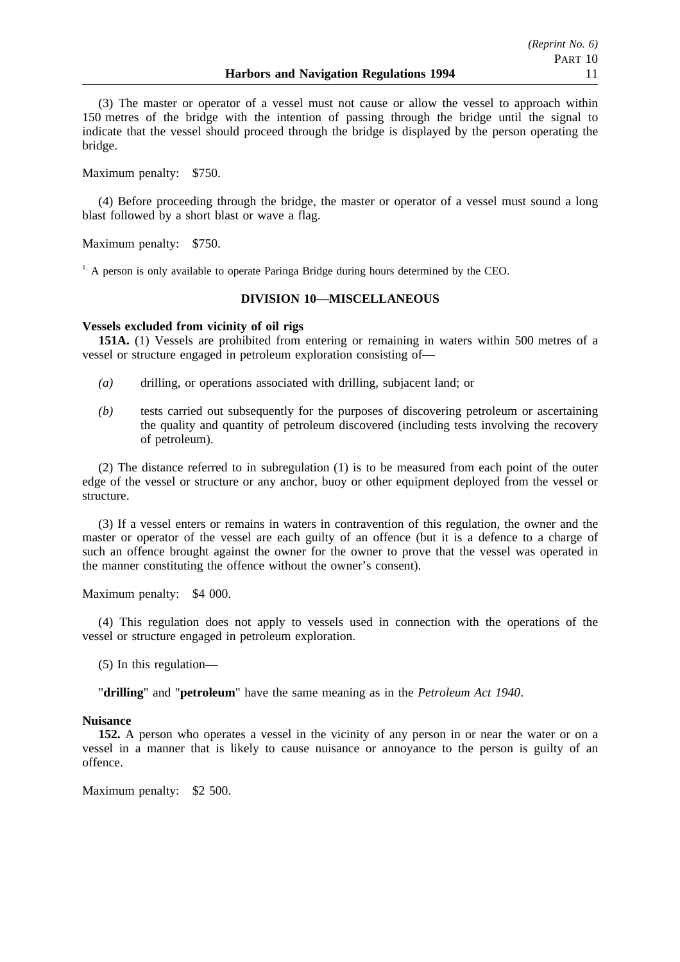(3) The master or operator of a vessel must not cause or allow the vessel to approach within 150 metres of the bridge with the intention of passing through the bridge until the signal to indicate that the vessel should proceed through the bridge is displayed by the person operating the bridge.

Maximum penalty: \$750.

(4) Before proceeding through the bridge, the master or operator of a vessel must sound a long blast followed by a short blast or wave a flag.

Maximum penalty: \$750.

<sup>1.</sup> A person is only available to operate Paringa Bridge during hours determined by the CEO.

## **DIVISION 10—MISCELLANEOUS**

## **Vessels excluded from vicinity of oil rigs**

**151A.** (1) Vessels are prohibited from entering or remaining in waters within 500 metres of a vessel or structure engaged in petroleum exploration consisting of—

- *(a)* drilling, or operations associated with drilling, subjacent land; or
- *(b)* tests carried out subsequently for the purposes of discovering petroleum or ascertaining the quality and quantity of petroleum discovered (including tests involving the recovery of petroleum).

(2) The distance referred to in subregulation (1) is to be measured from each point of the outer edge of the vessel or structure or any anchor, buoy or other equipment deployed from the vessel or structure.

(3) If a vessel enters or remains in waters in contravention of this regulation, the owner and the master or operator of the vessel are each guilty of an offence (but it is a defence to a charge of such an offence brought against the owner for the owner to prove that the vessel was operated in the manner constituting the offence without the owner's consent).

Maximum penalty: \$4 000.

(4) This regulation does not apply to vessels used in connection with the operations of the vessel or structure engaged in petroleum exploration.

(5) In this regulation—

"**drilling**" and "**petroleum**" have the same meaning as in the *Petroleum Act 1940*.

## **Nuisance**

**152.** A person who operates a vessel in the vicinity of any person in or near the water or on a vessel in a manner that is likely to cause nuisance or annoyance to the person is guilty of an offence.

Maximum penalty: \$2 500.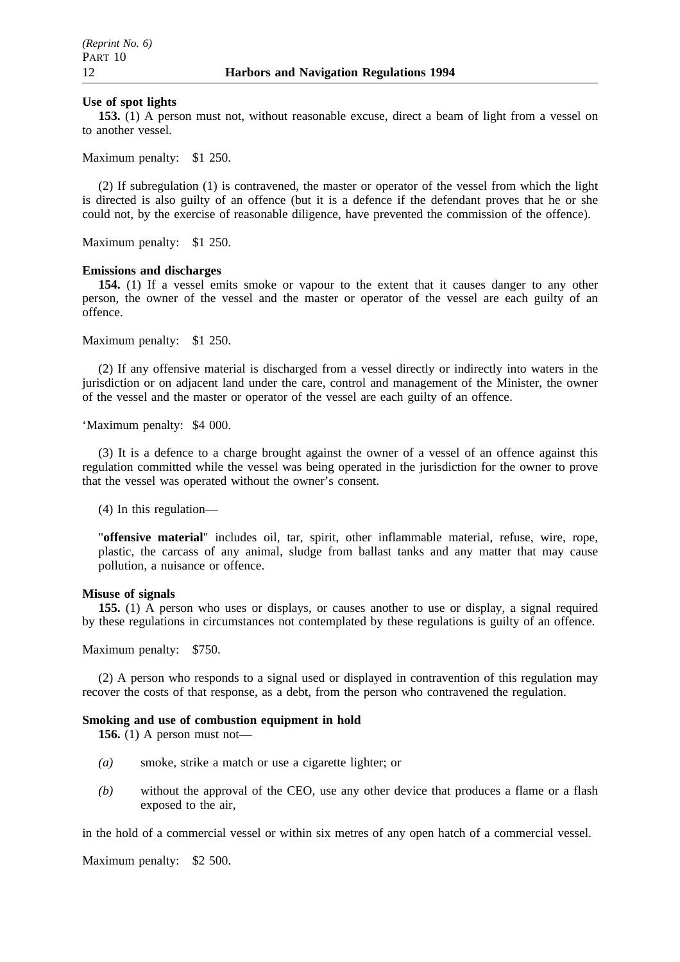### **Use of spot lights**

**153.** (1) A person must not, without reasonable excuse, direct a beam of light from a vessel on to another vessel.

Maximum penalty: \$1 250.

(2) If subregulation (1) is contravened, the master or operator of the vessel from which the light is directed is also guilty of an offence (but it is a defence if the defendant proves that he or she could not, by the exercise of reasonable diligence, have prevented the commission of the offence).

Maximum penalty: \$1 250.

## **Emissions and discharges**

**154.** (1) If a vessel emits smoke or vapour to the extent that it causes danger to any other person, the owner of the vessel and the master or operator of the vessel are each guilty of an offence.

Maximum penalty: \$1 250.

(2) If any offensive material is discharged from a vessel directly or indirectly into waters in the jurisdiction or on adjacent land under the care, control and management of the Minister, the owner of the vessel and the master or operator of the vessel are each guilty of an offence.

'Maximum penalty: \$4 000.

(3) It is a defence to a charge brought against the owner of a vessel of an offence against this regulation committed while the vessel was being operated in the jurisdiction for the owner to prove that the vessel was operated without the owner's consent.

(4) In this regulation—

"**offensive material**" includes oil, tar, spirit, other inflammable material, refuse, wire, rope, plastic, the carcass of any animal, sludge from ballast tanks and any matter that may cause pollution, a nuisance or offence.

## **Misuse of signals**

**155.** (1) A person who uses or displays, or causes another to use or display, a signal required by these regulations in circumstances not contemplated by these regulations is guilty of an offence.

Maximum penalty: \$750.

(2) A person who responds to a signal used or displayed in contravention of this regulation may recover the costs of that response, as a debt, from the person who contravened the regulation.

## **Smoking and use of combustion equipment in hold**

**156.** (1) A person must not—

- *(a)* smoke, strike a match or use a cigarette lighter; or
- *(b)* without the approval of the CEO, use any other device that produces a flame or a flash exposed to the air,

in the hold of a commercial vessel or within six metres of any open hatch of a commercial vessel.

Maximum penalty: \$2 500.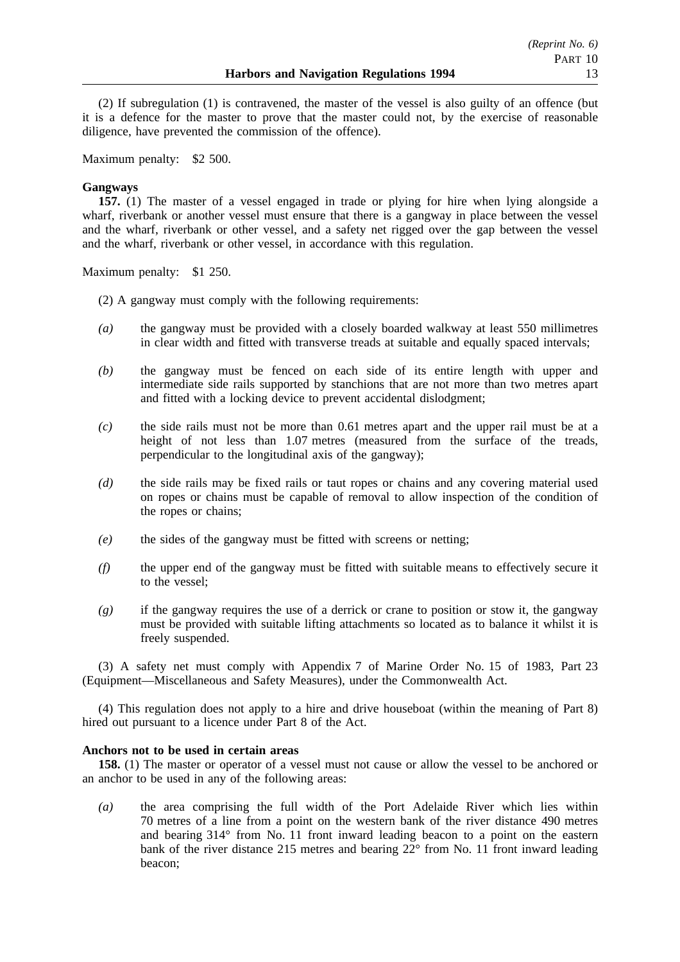(2) If subregulation (1) is contravened, the master of the vessel is also guilty of an offence (but it is a defence for the master to prove that the master could not, by the exercise of reasonable diligence, have prevented the commission of the offence).

Maximum penalty: \$2 500.

## **Gangways**

**157.** (1) The master of a vessel engaged in trade or plying for hire when lying alongside a wharf, riverbank or another vessel must ensure that there is a gangway in place between the vessel and the wharf, riverbank or other vessel, and a safety net rigged over the gap between the vessel and the wharf, riverbank or other vessel, in accordance with this regulation.

Maximum penalty: \$1 250.

- (2) A gangway must comply with the following requirements:
- *(a)* the gangway must be provided with a closely boarded walkway at least 550 millimetres in clear width and fitted with transverse treads at suitable and equally spaced intervals;
- *(b)* the gangway must be fenced on each side of its entire length with upper and intermediate side rails supported by stanchions that are not more than two metres apart and fitted with a locking device to prevent accidental dislodgment;
- *(c)* the side rails must not be more than 0.61 metres apart and the upper rail must be at a height of not less than 1.07 metres (measured from the surface of the treads, perpendicular to the longitudinal axis of the gangway);
- *(d)* the side rails may be fixed rails or taut ropes or chains and any covering material used on ropes or chains must be capable of removal to allow inspection of the condition of the ropes or chains;
- *(e)* the sides of the gangway must be fitted with screens or netting;
- *(f)* the upper end of the gangway must be fitted with suitable means to effectively secure it to the vessel;
- *(g)* if the gangway requires the use of a derrick or crane to position or stow it, the gangway must be provided with suitable lifting attachments so located as to balance it whilst it is freely suspended.

(3) A safety net must comply with Appendix 7 of Marine Order No. 15 of 1983, Part 23 (Equipment—Miscellaneous and Safety Measures), under the Commonwealth Act.

(4) This regulation does not apply to a hire and drive houseboat (within the meaning of Part 8) hired out pursuant to a licence under Part 8 of the Act.

## **Anchors not to be used in certain areas**

**158.** (1) The master or operator of a vessel must not cause or allow the vessel to be anchored or an anchor to be used in any of the following areas:

*(a)* the area comprising the full width of the Port Adelaide River which lies within 70 metres of a line from a point on the western bank of the river distance 490 metres and bearing 314° from No. 11 front inward leading beacon to a point on the eastern bank of the river distance 215 metres and bearing 22° from No. 11 front inward leading beacon;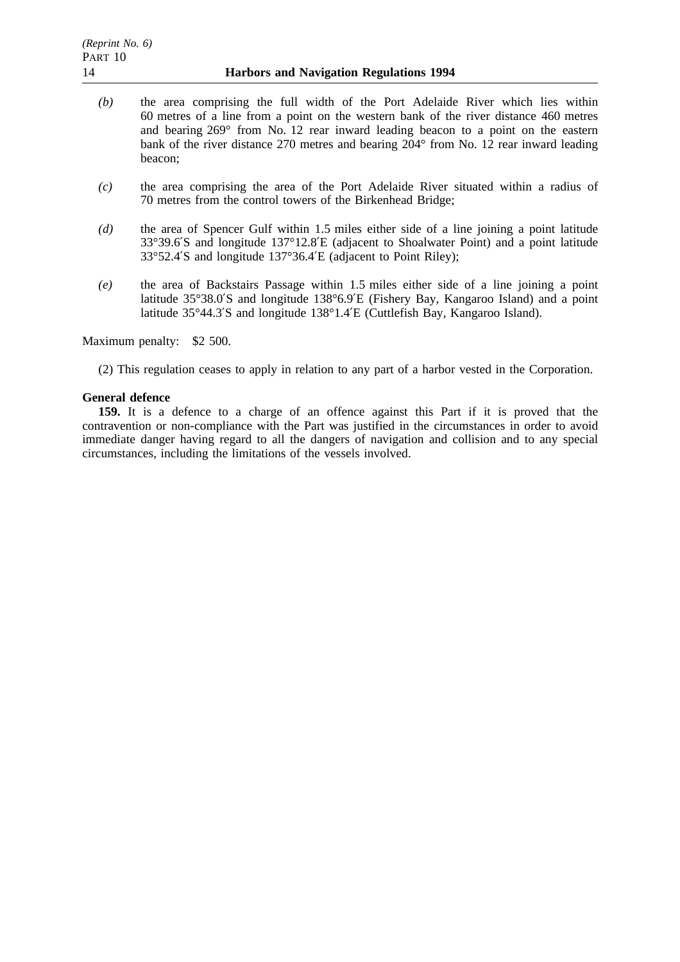- *(b)* the area comprising the full width of the Port Adelaide River which lies within 60 metres of a line from a point on the western bank of the river distance 460 metres and bearing 269° from No. 12 rear inward leading beacon to a point on the eastern bank of the river distance 270 metres and bearing 204° from No. 12 rear inward leading beacon;
- *(c)* the area comprising the area of the Port Adelaide River situated within a radius of 70 metres from the control towers of the Birkenhead Bridge;
- *(d)* the area of Spencer Gulf within 1.5 miles either side of a line joining a point latitude 33°39.6′S and longitude 137°12.8′E (adjacent to Shoalwater Point) and a point latitude 33°52.4′S and longitude 137°36.4′E (adjacent to Point Riley);
- *(e)* the area of Backstairs Passage within 1.5 miles either side of a line joining a point latitude 35°38.0′S and longitude 138°6.9′E (Fishery Bay, Kangaroo Island) and a point latitude 35°44.3′S and longitude 138°1.4′E (Cuttlefish Bay, Kangaroo Island).

Maximum penalty: \$2 500.

(2) This regulation ceases to apply in relation to any part of a harbor vested in the Corporation.

## **General defence**

**159.** It is a defence to a charge of an offence against this Part if it is proved that the contravention or non-compliance with the Part was justified in the circumstances in order to avoid immediate danger having regard to all the dangers of navigation and collision and to any special circumstances, including the limitations of the vessels involved.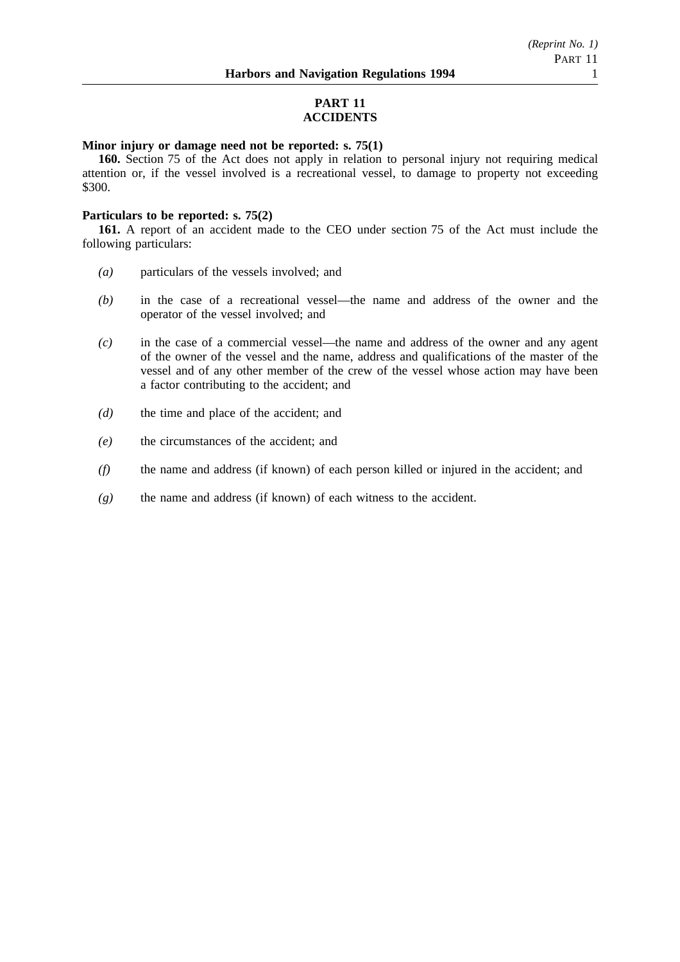## **PART 11 ACCIDENTS**

## **Minor injury or damage need not be reported: s. 75(1)**

**160.** Section 75 of the Act does not apply in relation to personal injury not requiring medical attention or, if the vessel involved is a recreational vessel, to damage to property not exceeding \$300.

### **Particulars to be reported: s. 75(2)**

**161.** A report of an accident made to the CEO under section 75 of the Act must include the following particulars:

- *(a)* particulars of the vessels involved; and
- *(b)* in the case of a recreational vessel—the name and address of the owner and the operator of the vessel involved; and
- *(c)* in the case of a commercial vessel—the name and address of the owner and any agent of the owner of the vessel and the name, address and qualifications of the master of the vessel and of any other member of the crew of the vessel whose action may have been a factor contributing to the accident; and
- *(d)* the time and place of the accident; and
- *(e)* the circumstances of the accident; and
- *(f)* the name and address (if known) of each person killed or injured in the accident; and
- *(g)* the name and address (if known) of each witness to the accident.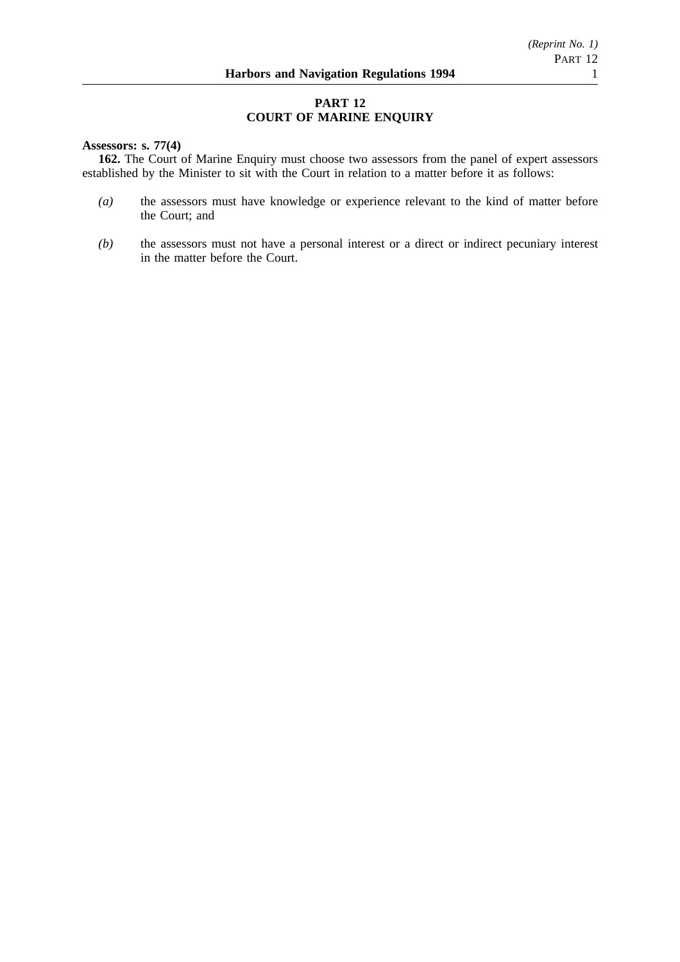## **PART 12 COURT OF MARINE ENQUIRY**

## **Assessors: s. 77(4)**

**162.** The Court of Marine Enquiry must choose two assessors from the panel of expert assessors established by the Minister to sit with the Court in relation to a matter before it as follows:

- *(a)* the assessors must have knowledge or experience relevant to the kind of matter before the Court; and
- *(b)* the assessors must not have a personal interest or a direct or indirect pecuniary interest in the matter before the Court.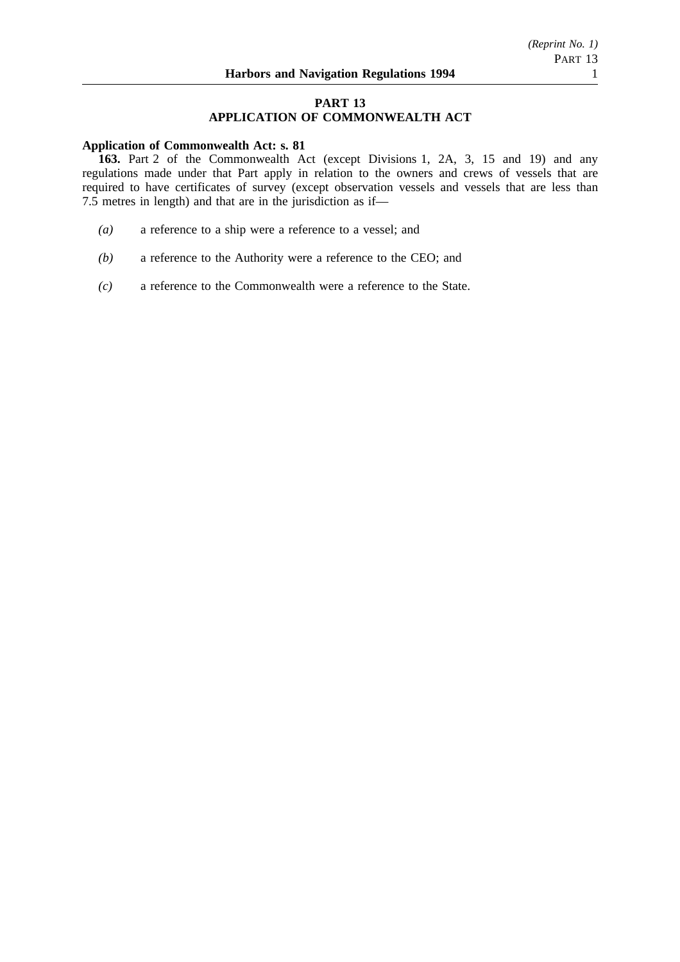## **PART 13 APPLICATION OF COMMONWEALTH ACT**

### **Application of Commonwealth Act: s. 81**

**163.** Part 2 of the Commonwealth Act (except Divisions 1, 2A, 3, 15 and 19) and any regulations made under that Part apply in relation to the owners and crews of vessels that are required to have certificates of survey (except observation vessels and vessels that are less than 7.5 metres in length) and that are in the jurisdiction as if—

- *(a)* a reference to a ship were a reference to a vessel; and
- *(b)* a reference to the Authority were a reference to the CEO; and
- *(c)* a reference to the Commonwealth were a reference to the State.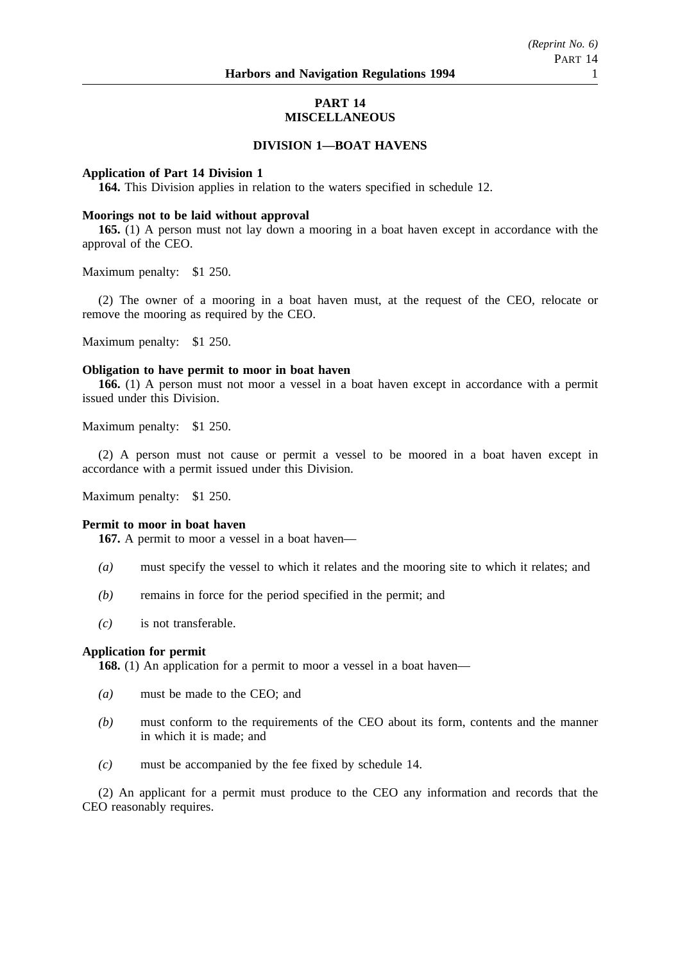## **PART 14 MISCELLANEOUS**

## **DIVISION 1—BOAT HAVENS**

### **Application of Part 14 Division 1**

**164.** This Division applies in relation to the waters specified in schedule 12.

### **Moorings not to be laid without approval**

**165.** (1) A person must not lay down a mooring in a boat haven except in accordance with the approval of the CEO.

Maximum penalty: \$1 250.

(2) The owner of a mooring in a boat haven must, at the request of the CEO, relocate or remove the mooring as required by the CEO.

Maximum penalty: \$1 250.

#### **Obligation to have permit to moor in boat haven**

**166.** (1) A person must not moor a vessel in a boat haven except in accordance with a permit issued under this Division.

Maximum penalty: \$1 250.

(2) A person must not cause or permit a vessel to be moored in a boat haven except in accordance with a permit issued under this Division.

Maximum penalty: \$1 250.

#### **Permit to moor in boat haven**

**167.** A permit to moor a vessel in a boat haven—

- *(a)* must specify the vessel to which it relates and the mooring site to which it relates; and
- *(b)* remains in force for the period specified in the permit; and
- *(c)* is not transferable.

## **Application for permit**

**168.** (1) An application for a permit to moor a vessel in a boat haven—

- *(a)* must be made to the CEO; and
- *(b)* must conform to the requirements of the CEO about its form, contents and the manner in which it is made; and
- *(c)* must be accompanied by the fee fixed by schedule 14.

(2) An applicant for a permit must produce to the CEO any information and records that the CEO reasonably requires.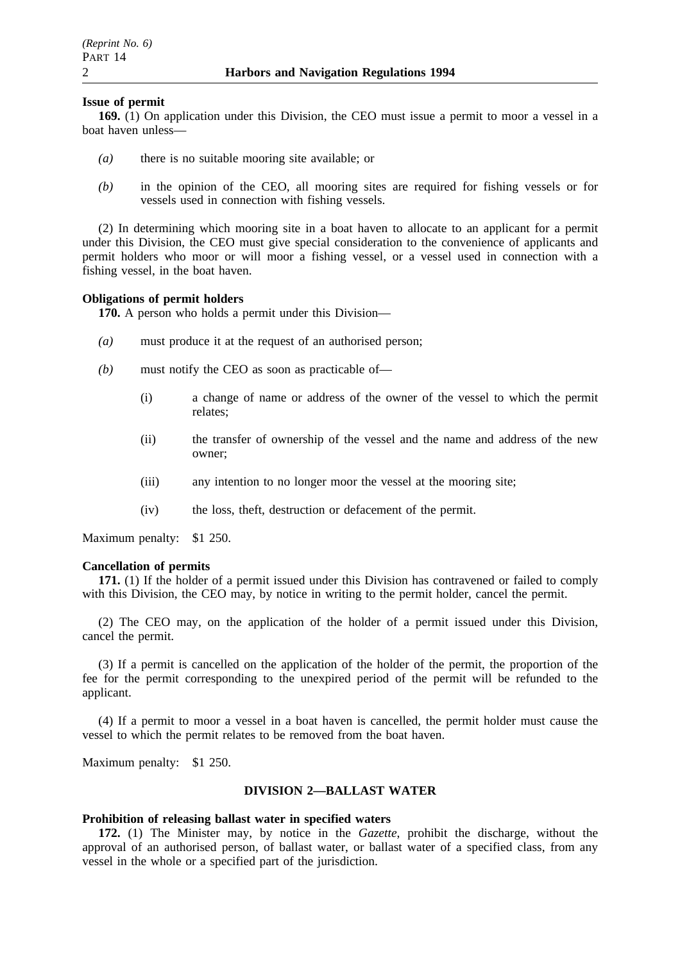### **Issue of permit**

**169.** (1) On application under this Division, the CEO must issue a permit to moor a vessel in a boat haven unless—

- *(a)* there is no suitable mooring site available; or
- *(b)* in the opinion of the CEO, all mooring sites are required for fishing vessels or for vessels used in connection with fishing vessels.

(2) In determining which mooring site in a boat haven to allocate to an applicant for a permit under this Division, the CEO must give special consideration to the convenience of applicants and permit holders who moor or will moor a fishing vessel, or a vessel used in connection with a fishing vessel, in the boat haven.

### **Obligations of permit holders**

**170.** A person who holds a permit under this Division—

- *(a)* must produce it at the request of an authorised person;
- *(b)* must notify the CEO as soon as practicable of—
	- (i) a change of name or address of the owner of the vessel to which the permit relates;
	- (ii) the transfer of ownership of the vessel and the name and address of the new owner;
	- (iii) any intention to no longer moor the vessel at the mooring site;
	- (iv) the loss, theft, destruction or defacement of the permit.

Maximum penalty: \$1 250.

#### **Cancellation of permits**

**171.** (1) If the holder of a permit issued under this Division has contravened or failed to comply with this Division, the CEO may, by notice in writing to the permit holder, cancel the permit.

(2) The CEO may, on the application of the holder of a permit issued under this Division, cancel the permit.

(3) If a permit is cancelled on the application of the holder of the permit, the proportion of the fee for the permit corresponding to the unexpired period of the permit will be refunded to the applicant.

(4) If a permit to moor a vessel in a boat haven is cancelled, the permit holder must cause the vessel to which the permit relates to be removed from the boat haven.

Maximum penalty: \$1 250.

### **DIVISION 2—BALLAST WATER**

## **Prohibition of releasing ballast water in specified waters**

**172.** (1) The Minister may, by notice in the *Gazette*, prohibit the discharge, without the approval of an authorised person, of ballast water, or ballast water of a specified class, from any vessel in the whole or a specified part of the jurisdiction.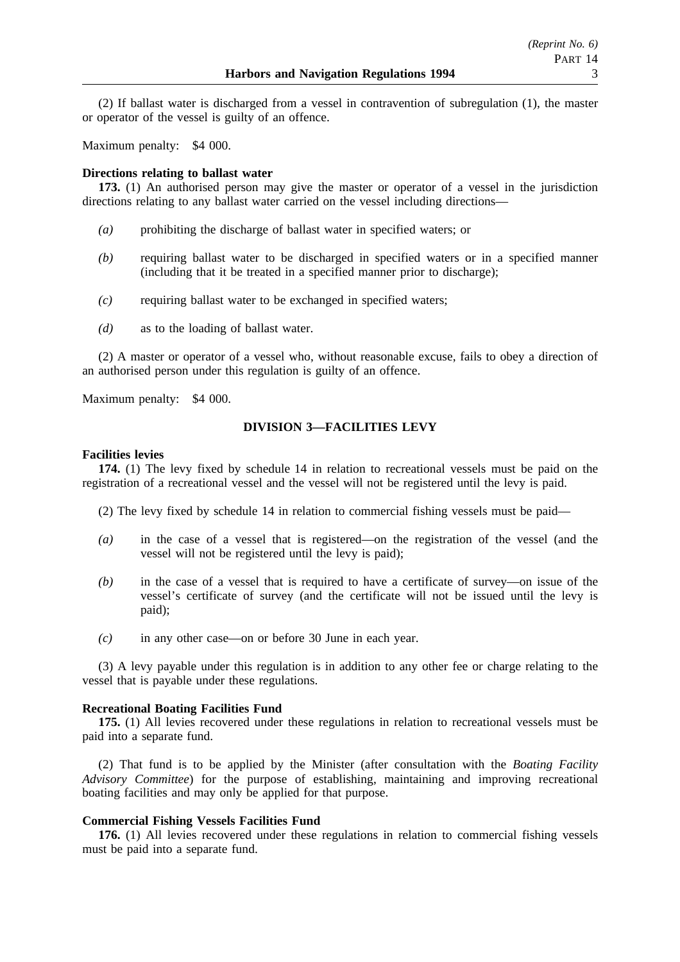(2) If ballast water is discharged from a vessel in contravention of subregulation (1), the master or operator of the vessel is guilty of an offence.

Maximum penalty: \$4 000.

## **Directions relating to ballast water**

**173.** (1) An authorised person may give the master or operator of a vessel in the jurisdiction directions relating to any ballast water carried on the vessel including directions—

- *(a)* prohibiting the discharge of ballast water in specified waters; or
- *(b)* requiring ballast water to be discharged in specified waters or in a specified manner (including that it be treated in a specified manner prior to discharge);
- *(c)* requiring ballast water to be exchanged in specified waters;
- *(d)* as to the loading of ballast water.

(2) A master or operator of a vessel who, without reasonable excuse, fails to obey a direction of an authorised person under this regulation is guilty of an offence.

Maximum penalty: \$4 000.

## **DIVISION 3—FACILITIES LEVY**

## **Facilities levies**

**174.** (1) The levy fixed by schedule 14 in relation to recreational vessels must be paid on the registration of a recreational vessel and the vessel will not be registered until the levy is paid.

(2) The levy fixed by schedule 14 in relation to commercial fishing vessels must be paid—

- *(a)* in the case of a vessel that is registered—on the registration of the vessel (and the vessel will not be registered until the levy is paid);
- *(b)* in the case of a vessel that is required to have a certificate of survey—on issue of the vessel's certificate of survey (and the certificate will not be issued until the levy is paid);
- *(c)* in any other case—on or before 30 June in each year.

(3) A levy payable under this regulation is in addition to any other fee or charge relating to the vessel that is payable under these regulations.

## **Recreational Boating Facilities Fund**

**175.** (1) All levies recovered under these regulations in relation to recreational vessels must be paid into a separate fund.

(2) That fund is to be applied by the Minister (after consultation with the *Boating Facility Advisory Committee*) for the purpose of establishing, maintaining and improving recreational boating facilities and may only be applied for that purpose.

## **Commercial Fishing Vessels Facilities Fund**

**176.** (1) All levies recovered under these regulations in relation to commercial fishing vessels must be paid into a separate fund.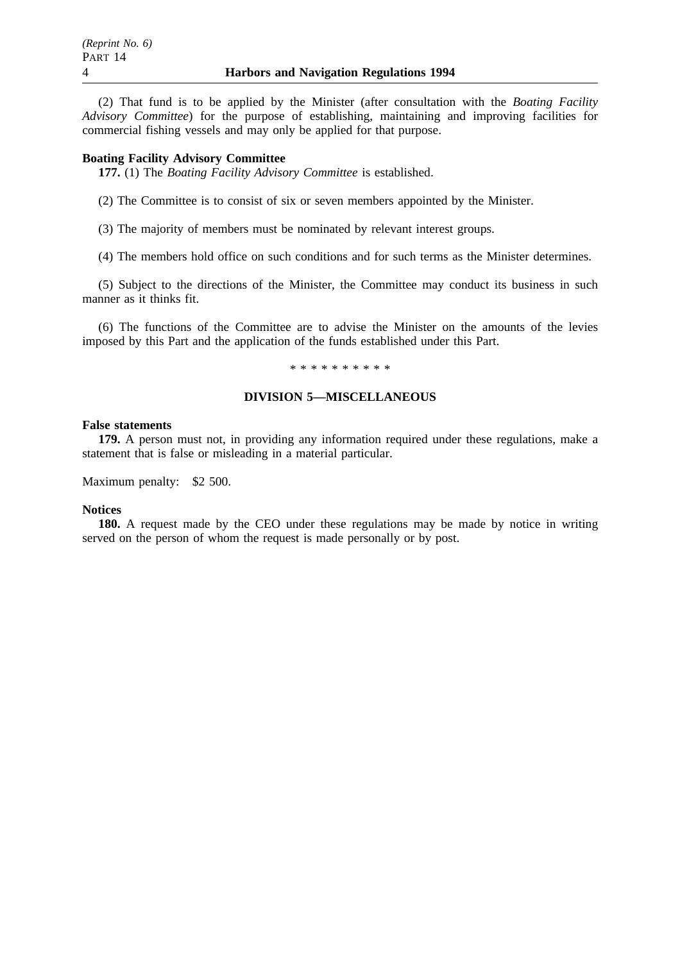(2) That fund is to be applied by the Minister (after consultation with the *Boating Facility Advisory Committee*) for the purpose of establishing, maintaining and improving facilities for commercial fishing vessels and may only be applied for that purpose.

### **Boating Facility Advisory Committee**

**177.** (1) The *Boating Facility Advisory Committee* is established.

(2) The Committee is to consist of six or seven members appointed by the Minister.

(3) The majority of members must be nominated by relevant interest groups.

(4) The members hold office on such conditions and for such terms as the Minister determines.

(5) Subject to the directions of the Minister, the Committee may conduct its business in such manner as it thinks fit.

(6) The functions of the Committee are to advise the Minister on the amounts of the levies imposed by this Part and the application of the funds established under this Part.

#### \*\*\*\*\*\*\*\*\*\*

## **DIVISION 5—MISCELLANEOUS**

### **False statements**

**179.** A person must not, in providing any information required under these regulations, make a statement that is false or misleading in a material particular.

Maximum penalty: \$2 500.

#### **Notices**

**180.** A request made by the CEO under these regulations may be made by notice in writing served on the person of whom the request is made personally or by post.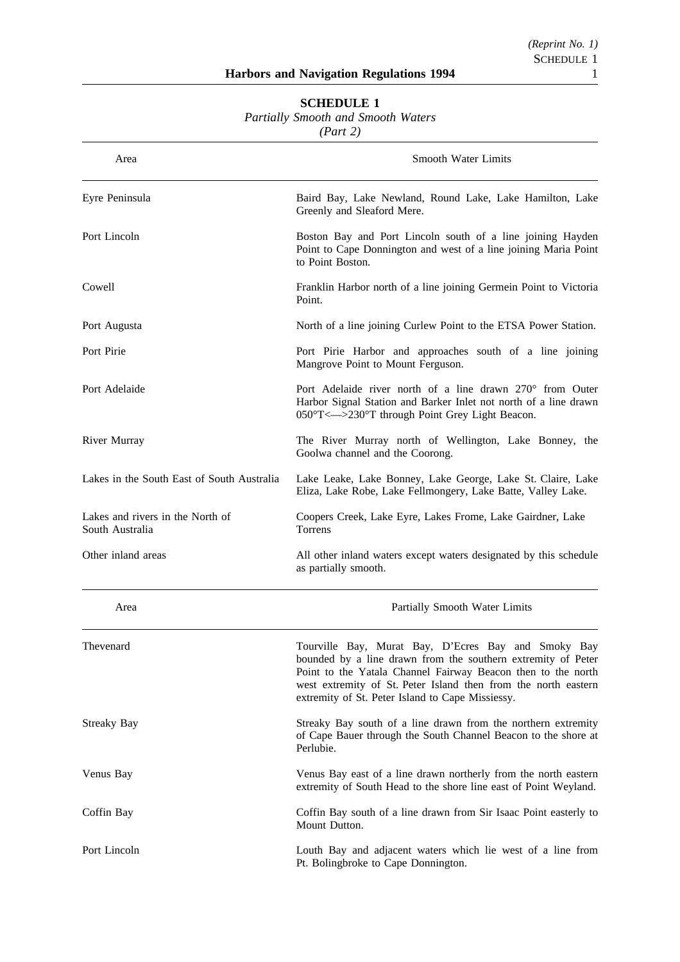| <b>Partially Smooth and Smooth Waters</b><br>(Part 2) |                                                                                                                                                                                                                                                                                                           |  |
|-------------------------------------------------------|-----------------------------------------------------------------------------------------------------------------------------------------------------------------------------------------------------------------------------------------------------------------------------------------------------------|--|
| Area                                                  | <b>Smooth Water Limits</b>                                                                                                                                                                                                                                                                                |  |
| Eyre Peninsula                                        | Baird Bay, Lake Newland, Round Lake, Lake Hamilton, Lake<br>Greenly and Sleaford Mere.                                                                                                                                                                                                                    |  |
| Port Lincoln                                          | Boston Bay and Port Lincoln south of a line joining Hayden<br>Point to Cape Donnington and west of a line joining Maria Point<br>to Point Boston.                                                                                                                                                         |  |
| Cowell                                                | Franklin Harbor north of a line joining Germein Point to Victoria<br>Point.                                                                                                                                                                                                                               |  |
| Port Augusta                                          | North of a line joining Curlew Point to the ETSA Power Station.                                                                                                                                                                                                                                           |  |
| Port Pirie                                            | Port Pirie Harbor and approaches south of a line joining<br>Mangrove Point to Mount Ferguson.                                                                                                                                                                                                             |  |
| Port Adelaide                                         | Port Adelaide river north of a line drawn 270° from Outer<br>Harbor Signal Station and Barker Inlet not north of a line drawn<br>050°T <--- > 230°T through Point Grey Light Beacon.                                                                                                                      |  |
| River Murray                                          | The River Murray north of Wellington, Lake Bonney, the<br>Goolwa channel and the Coorong.                                                                                                                                                                                                                 |  |
| Lakes in the South East of South Australia            | Lake Leake, Lake Bonney, Lake George, Lake St. Claire, Lake<br>Eliza, Lake Robe, Lake Fellmongery, Lake Batte, Valley Lake.                                                                                                                                                                               |  |
| Lakes and rivers in the North of<br>South Australia   | Coopers Creek, Lake Eyre, Lakes Frome, Lake Gairdner, Lake<br>Torrens                                                                                                                                                                                                                                     |  |
| Other inland areas                                    | All other inland waters except waters designated by this schedule<br>as partially smooth.                                                                                                                                                                                                                 |  |
| Area                                                  | Partially Smooth Water Limits                                                                                                                                                                                                                                                                             |  |
| Thevenard                                             | Tourville Bay, Murat Bay, D'Ecres Bay and Smoky Bay<br>bounded by a line drawn from the southern extremity of Peter<br>Point to the Yatala Channel Fairway Beacon then to the north<br>west extremity of St. Peter Island then from the north eastern<br>extremity of St. Peter Island to Cape Missiessy. |  |
| Streaky Bay                                           | Streaky Bay south of a line drawn from the northern extremity<br>of Cape Bauer through the South Channel Beacon to the shore at<br>Perlubie.                                                                                                                                                              |  |
| Venus Bay                                             | Venus Bay east of a line drawn northerly from the north eastern<br>extremity of South Head to the shore line east of Point Weyland.                                                                                                                                                                       |  |
| Coffin Bay                                            | Coffin Bay south of a line drawn from Sir Isaac Point easterly to<br>Mount Dutton.                                                                                                                                                                                                                        |  |
| Port Lincoln                                          | Louth Bay and adjacent waters which lie west of a line from<br>Pt. Bolingbroke to Cape Donnington.                                                                                                                                                                                                        |  |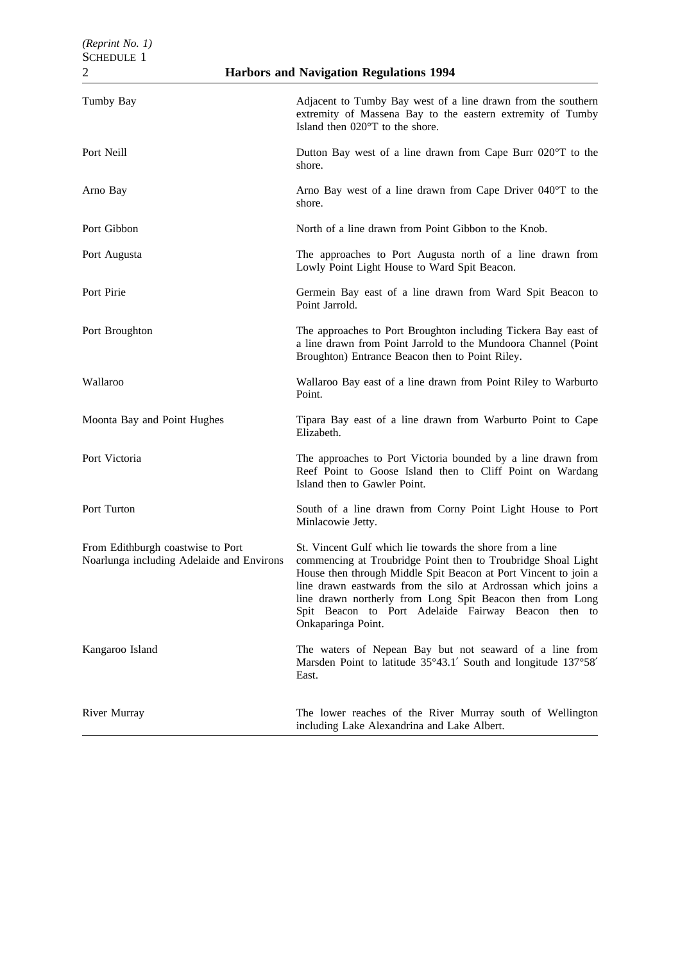| <b>Harbors and Navigation Regulations 1994</b><br>$\overline{c}$               |                                                                                                                                                                                                                                                                                                                                                                                                         |  |
|--------------------------------------------------------------------------------|---------------------------------------------------------------------------------------------------------------------------------------------------------------------------------------------------------------------------------------------------------------------------------------------------------------------------------------------------------------------------------------------------------|--|
| Tumby Bay                                                                      | Adjacent to Tumby Bay west of a line drawn from the southern<br>extremity of Massena Bay to the eastern extremity of Tumby<br>Island then 020°T to the shore.                                                                                                                                                                                                                                           |  |
| Port Neill                                                                     | Dutton Bay west of a line drawn from Cape Burr 020°T to the<br>shore.                                                                                                                                                                                                                                                                                                                                   |  |
| Arno Bay                                                                       | Arno Bay west of a line drawn from Cape Driver 040°T to the<br>shore.                                                                                                                                                                                                                                                                                                                                   |  |
| Port Gibbon                                                                    | North of a line drawn from Point Gibbon to the Knob.                                                                                                                                                                                                                                                                                                                                                    |  |
| Port Augusta                                                                   | The approaches to Port Augusta north of a line drawn from<br>Lowly Point Light House to Ward Spit Beacon.                                                                                                                                                                                                                                                                                               |  |
| Port Pirie                                                                     | Germein Bay east of a line drawn from Ward Spit Beacon to<br>Point Jarrold.                                                                                                                                                                                                                                                                                                                             |  |
| Port Broughton                                                                 | The approaches to Port Broughton including Tickera Bay east of<br>a line drawn from Point Jarrold to the Mundoora Channel (Point<br>Broughton) Entrance Beacon then to Point Riley.                                                                                                                                                                                                                     |  |
| Wallaroo                                                                       | Wallaroo Bay east of a line drawn from Point Riley to Warburto<br>Point.                                                                                                                                                                                                                                                                                                                                |  |
| Moonta Bay and Point Hughes                                                    | Tipara Bay east of a line drawn from Warburto Point to Cape<br>Elizabeth.                                                                                                                                                                                                                                                                                                                               |  |
| Port Victoria                                                                  | The approaches to Port Victoria bounded by a line drawn from<br>Reef Point to Goose Island then to Cliff Point on Wardang<br>Island then to Gawler Point.                                                                                                                                                                                                                                               |  |
| Port Turton                                                                    | South of a line drawn from Corny Point Light House to Port<br>Minlacowie Jetty.                                                                                                                                                                                                                                                                                                                         |  |
| From Edithburgh coastwise to Port<br>Noarlunga including Adelaide and Environs | St. Vincent Gulf which lie towards the shore from a line<br>commencing at Troubridge Point then to Troubridge Shoal Light<br>House then through Middle Spit Beacon at Port Vincent to join a<br>line drawn eastwards from the silo at Ardrossan which joins a<br>line drawn northerly from Long Spit Beacon then from Long<br>Spit Beacon to Port Adelaide Fairway Beacon then to<br>Onkaparinga Point. |  |
| Kangaroo Island                                                                | The waters of Nepean Bay but not seaward of a line from<br>Marsden Point to latitude 35°43.1' South and longitude 137°58'<br>East.                                                                                                                                                                                                                                                                      |  |
| River Murray                                                                   | The lower reaches of the River Murray south of Wellington<br>including Lake Alexandrina and Lake Albert.                                                                                                                                                                                                                                                                                                |  |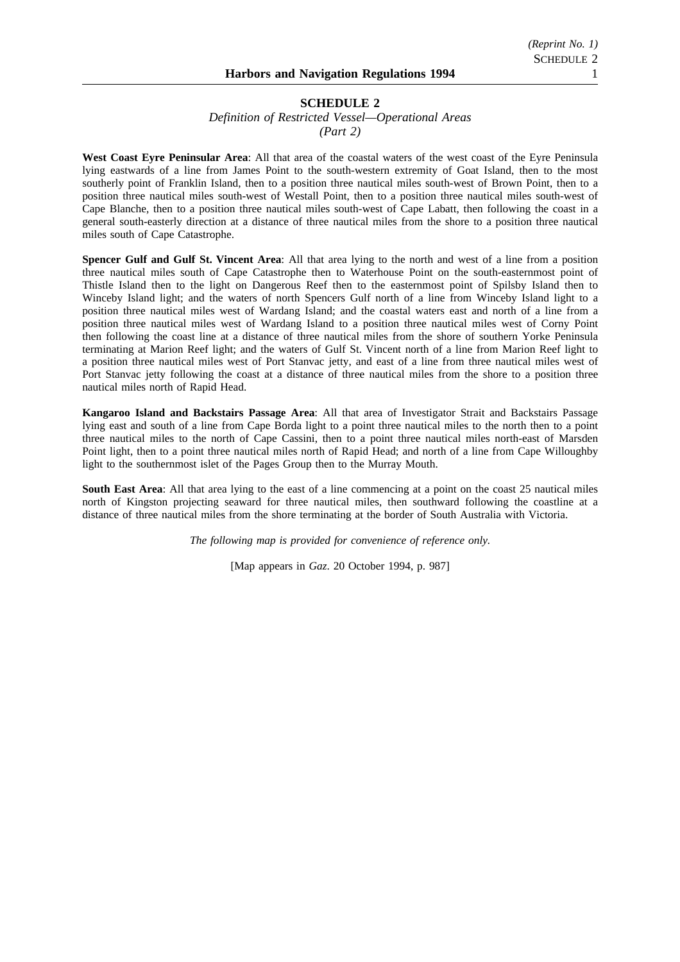*Definition of Restricted Vessel—Operational Areas (Part 2)*

**West Coast Eyre Peninsular Area**: All that area of the coastal waters of the west coast of the Eyre Peninsula lying eastwards of a line from James Point to the south-western extremity of Goat Island, then to the most southerly point of Franklin Island, then to a position three nautical miles south-west of Brown Point, then to a position three nautical miles south-west of Westall Point, then to a position three nautical miles south-west of Cape Blanche, then to a position three nautical miles south-west of Cape Labatt, then following the coast in a general south-easterly direction at a distance of three nautical miles from the shore to a position three nautical miles south of Cape Catastrophe.

**Spencer Gulf and Gulf St. Vincent Area**: All that area lying to the north and west of a line from a position three nautical miles south of Cape Catastrophe then to Waterhouse Point on the south-easternmost point of Thistle Island then to the light on Dangerous Reef then to the easternmost point of Spilsby Island then to Winceby Island light; and the waters of north Spencers Gulf north of a line from Winceby Island light to a position three nautical miles west of Wardang Island; and the coastal waters east and north of a line from a position three nautical miles west of Wardang Island to a position three nautical miles west of Corny Point then following the coast line at a distance of three nautical miles from the shore of southern Yorke Peninsula terminating at Marion Reef light; and the waters of Gulf St. Vincent north of a line from Marion Reef light to a position three nautical miles west of Port Stanvac jetty, and east of a line from three nautical miles west of Port Stanvac jetty following the coast at a distance of three nautical miles from the shore to a position three nautical miles north of Rapid Head.

**Kangaroo Island and Backstairs Passage Area**: All that area of Investigator Strait and Backstairs Passage lying east and south of a line from Cape Borda light to a point three nautical miles to the north then to a point three nautical miles to the north of Cape Cassini, then to a point three nautical miles north-east of Marsden Point light, then to a point three nautical miles north of Rapid Head; and north of a line from Cape Willoughby light to the southernmost islet of the Pages Group then to the Murray Mouth.

**South East Area**: All that area lying to the east of a line commencing at a point on the coast 25 nautical miles north of Kingston projecting seaward for three nautical miles, then southward following the coastline at a distance of three nautical miles from the shore terminating at the border of South Australia with Victoria.

*The following map is provided for convenience of reference only.*

[Map appears in *Gaz*. 20 October 1994, p. 987]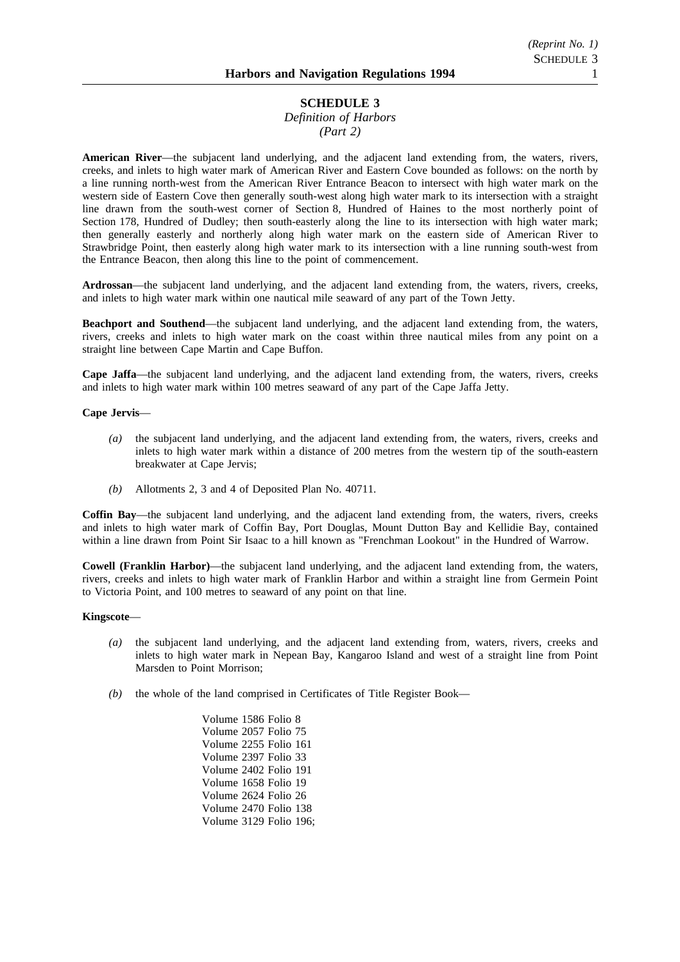## *Definition of Harbors (Part 2)*

**American River**—the subjacent land underlying, and the adjacent land extending from, the waters, rivers, creeks, and inlets to high water mark of American River and Eastern Cove bounded as follows: on the north by a line running north-west from the American River Entrance Beacon to intersect with high water mark on the western side of Eastern Cove then generally south-west along high water mark to its intersection with a straight line drawn from the south-west corner of Section 8, Hundred of Haines to the most northerly point of Section 178, Hundred of Dudley; then south-easterly along the line to its intersection with high water mark; then generally easterly and northerly along high water mark on the eastern side of American River to Strawbridge Point, then easterly along high water mark to its intersection with a line running south-west from the Entrance Beacon, then along this line to the point of commencement.

**Ardrossan**—the subjacent land underlying, and the adjacent land extending from, the waters, rivers, creeks, and inlets to high water mark within one nautical mile seaward of any part of the Town Jetty.

**Beachport and Southend**—the subjacent land underlying, and the adjacent land extending from, the waters, rivers, creeks and inlets to high water mark on the coast within three nautical miles from any point on a straight line between Cape Martin and Cape Buffon.

**Cape Jaffa**—the subjacent land underlying, and the adjacent land extending from, the waters, rivers, creeks and inlets to high water mark within 100 metres seaward of any part of the Cape Jaffa Jetty.

#### **Cape Jervis**—

- *(a)* the subjacent land underlying, and the adjacent land extending from, the waters, rivers, creeks and inlets to high water mark within a distance of 200 metres from the western tip of the south-eastern breakwater at Cape Jervis;
- *(b)* Allotments 2, 3 and 4 of Deposited Plan No. 40711.

**Coffin Bay**—the subjacent land underlying, and the adjacent land extending from, the waters, rivers, creeks and inlets to high water mark of Coffin Bay, Port Douglas, Mount Dutton Bay and Kellidie Bay, contained within a line drawn from Point Sir Isaac to a hill known as "Frenchman Lookout" in the Hundred of Warrow.

**Cowell (Franklin Harbor)**—the subjacent land underlying, and the adjacent land extending from, the waters, rivers, creeks and inlets to high water mark of Franklin Harbor and within a straight line from Germein Point to Victoria Point, and 100 metres to seaward of any point on that line.

#### **Kingscote**—

- *(a)* the subjacent land underlying, and the adjacent land extending from, waters, rivers, creeks and inlets to high water mark in Nepean Bay, Kangaroo Island and west of a straight line from Point Marsden to Point Morrison;
- *(b)* the whole of the land comprised in Certificates of Title Register Book—

Volume 1586 Folio 8 Volume 2057 Folio 75 Volume 2255 Folio 161 Volume 2397 Folio 33 Volume 2402 Folio 191 Volume 1658 Folio 19 Volume 2624 Folio 26 Volume 2470 Folio 138 Volume 3129 Folio 196;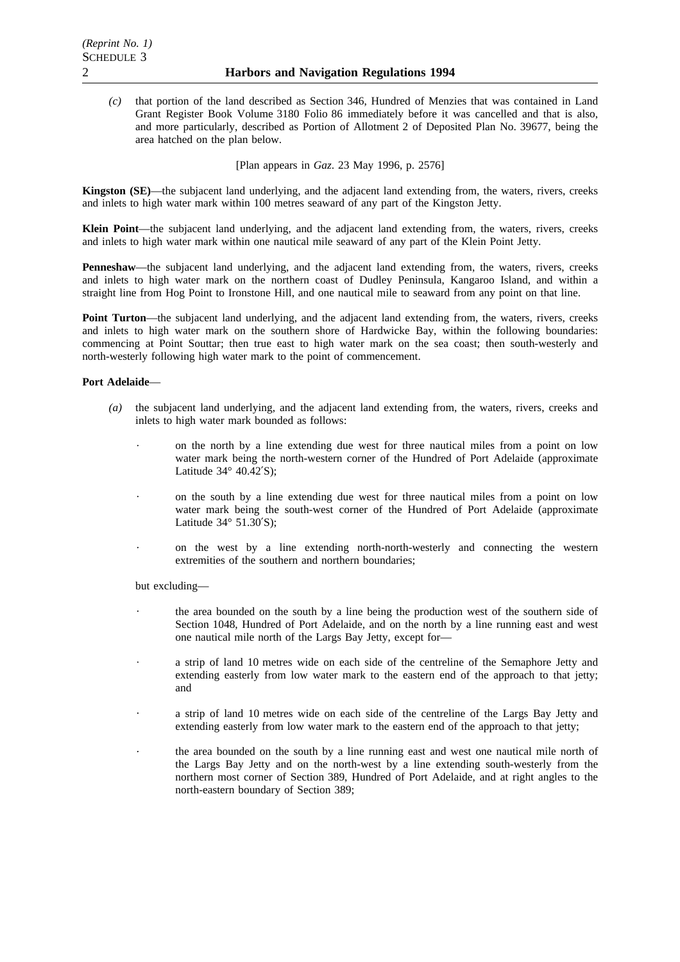*(c)* that portion of the land described as Section 346, Hundred of Menzies that was contained in Land Grant Register Book Volume 3180 Folio 86 immediately before it was cancelled and that is also, and more particularly, described as Portion of Allotment 2 of Deposited Plan No. 39677, being the area hatched on the plan below.

[Plan appears in *Gaz*. 23 May 1996, p. 2576]

**Kingston (SE)**—the subjacent land underlying, and the adjacent land extending from, the waters, rivers, creeks and inlets to high water mark within 100 metres seaward of any part of the Kingston Jetty.

**Klein Point**—the subjacent land underlying, and the adjacent land extending from, the waters, rivers, creeks and inlets to high water mark within one nautical mile seaward of any part of the Klein Point Jetty.

**Penneshaw**—the subjacent land underlying, and the adjacent land extending from, the waters, rivers, creeks and inlets to high water mark on the northern coast of Dudley Peninsula, Kangaroo Island, and within a straight line from Hog Point to Ironstone Hill, and one nautical mile to seaward from any point on that line.

Point Turton—the subjacent land underlying, and the adjacent land extending from, the waters, rivers, creeks and inlets to high water mark on the southern shore of Hardwicke Bay, within the following boundaries: commencing at Point Souttar; then true east to high water mark on the sea coast; then south-westerly and north-westerly following high water mark to the point of commencement.

### **Port Adelaide**—

- *(a)* the subjacent land underlying, and the adjacent land extending from, the waters, rivers, creeks and inlets to high water mark bounded as follows:
	- $\ddot{\phantom{0}}$ on the north by a line extending due west for three nautical miles from a point on low water mark being the north-western corner of the Hundred of Port Adelaide (approximate Latitude  $34^\circ$  40.42'S);
	- on the south by a line extending due west for three nautical miles from a point on low water mark being the south-west corner of the Hundred of Port Adelaide (approximate Latitude 34° 51.30′S);
	- on the west by a line extending north-north-westerly and connecting the western extremities of the southern and northern boundaries;

but excluding—

- the area bounded on the south by a line being the production west of the southern side of Section 1048, Hundred of Port Adelaide, and on the north by a line running east and west one nautical mile north of the Largs Bay Jetty, except for—
- a strip of land 10 metres wide on each side of the centreline of the Semaphore Jetty and extending easterly from low water mark to the eastern end of the approach to that jetty; and
- a strip of land 10 metres wide on each side of the centreline of the Largs Bay Jetty and extending easterly from low water mark to the eastern end of the approach to that jetty;
- the area bounded on the south by a line running east and west one nautical mile north of the Largs Bay Jetty and on the north-west by a line extending south-westerly from the northern most corner of Section 389, Hundred of Port Adelaide, and at right angles to the north-eastern boundary of Section 389;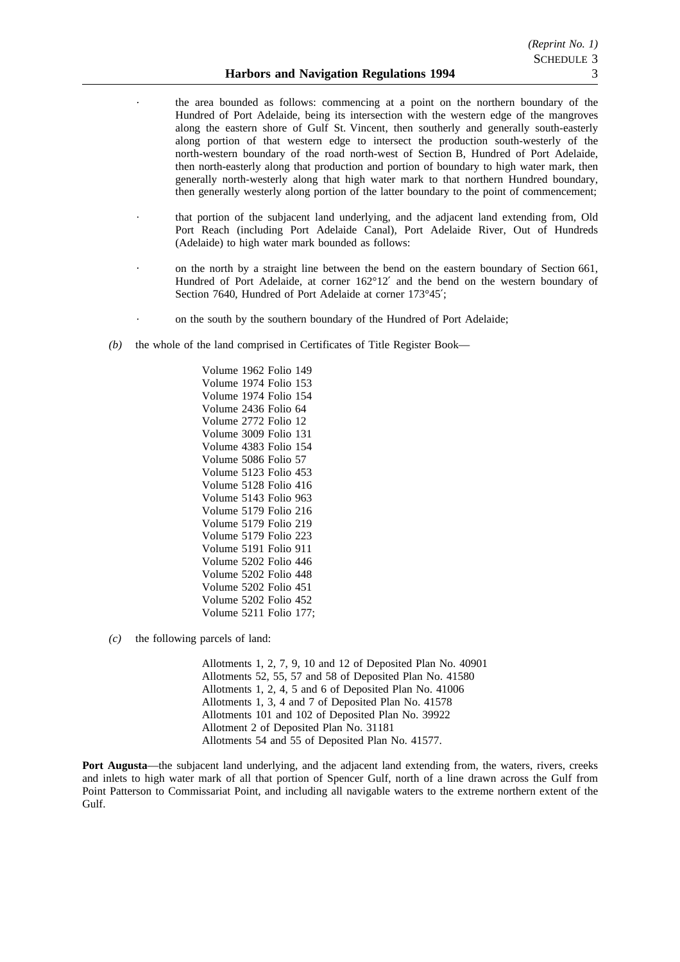- the area bounded as follows: commencing at a point on the northern boundary of the Hundred of Port Adelaide, being its intersection with the western edge of the mangroves along the eastern shore of Gulf St. Vincent, then southerly and generally south-easterly along portion of that western edge to intersect the production south-westerly of the north-western boundary of the road north-west of Section B, Hundred of Port Adelaide, then north-easterly along that production and portion of boundary to high water mark, then generally north-westerly along that high water mark to that northern Hundred boundary, then generally westerly along portion of the latter boundary to the point of commencement;
- that portion of the subjacent land underlying, and the adjacent land extending from, Old Port Reach (including Port Adelaide Canal), Port Adelaide River, Out of Hundreds (Adelaide) to high water mark bounded as follows:
- on the north by a straight line between the bend on the eastern boundary of Section 661, Hundred of Port Adelaide, at corner 162°12′ and the bend on the western boundary of Section 7640, Hundred of Port Adelaide at corner 173°45′;
- on the south by the southern boundary of the Hundred of Port Adelaide;
- *(b)* the whole of the land comprised in Certificates of Title Register Book—

Volume 1962 Folio 149 Volume 1974 Folio 153 Volume 1974 Folio 154 Volume 2436 Folio 64 Volume 2772 Folio 12 Volume 3009 Folio 131 Volume 4383 Folio 154 Volume 5086 Folio 57 Volume 5123 Folio 453 Volume 5128 Folio 416 Volume 5143 Folio 963 Volume 5179 Folio 216 Volume 5179 Folio 219 Volume 5179 Folio 223 Volume 5191 Folio 911 Volume 5202 Folio 446 Volume 5202 Folio 448 Volume 5202 Folio 451 Volume 5202 Folio 452 Volume 5211 Folio 177;

*(c)* the following parcels of land:

Allotments 1, 2, 7, 9, 10 and 12 of Deposited Plan No. 40901 Allotments 52, 55, 57 and 58 of Deposited Plan No. 41580 Allotments 1, 2, 4, 5 and 6 of Deposited Plan No. 41006 Allotments 1, 3, 4 and 7 of Deposited Plan No. 41578 Allotments 101 and 102 of Deposited Plan No. 39922 Allotment 2 of Deposited Plan No. 31181 Allotments 54 and 55 of Deposited Plan No. 41577.

**Port Augusta—the subjacent land underlying, and the adjacent land extending from, the waters, rivers, creeks** and inlets to high water mark of all that portion of Spencer Gulf, north of a line drawn across the Gulf from Point Patterson to Commissariat Point, and including all navigable waters to the extreme northern extent of the Gulf.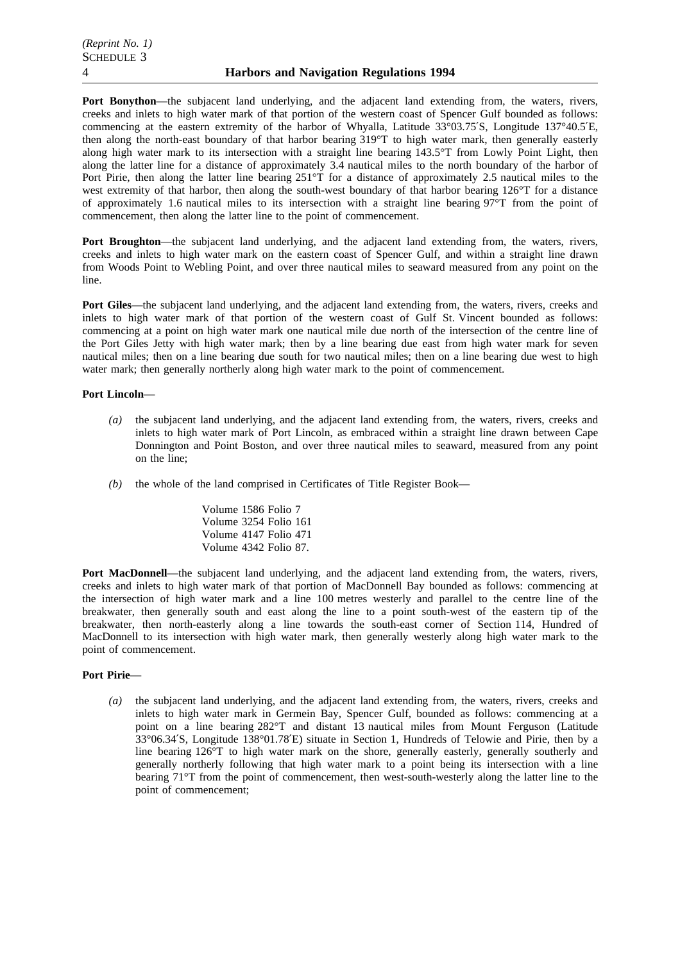**Port Bonython**—the subjacent land underlying, and the adjacent land extending from, the waters, rivers, creeks and inlets to high water mark of that portion of the western coast of Spencer Gulf bounded as follows: commencing at the eastern extremity of the harbor of Whyalla, Latitude 33°03.75′S, Longitude 137°40.5′E, then along the north-east boundary of that harbor bearing 319°T to high water mark, then generally easterly along high water mark to its intersection with a straight line bearing 143.5°T from Lowly Point Light, then along the latter line for a distance of approximately 3.4 nautical miles to the north boundary of the harbor of Port Pirie, then along the latter line bearing 251°T for a distance of approximately 2.5 nautical miles to the west extremity of that harbor, then along the south-west boundary of that harbor bearing 126°T for a distance of approximately 1.6 nautical miles to its intersection with a straight line bearing 97°T from the point of commencement, then along the latter line to the point of commencement.

**Port Broughton—the subjacent land underlying, and the adjacent land extending from, the waters, rivers,** creeks and inlets to high water mark on the eastern coast of Spencer Gulf, and within a straight line drawn from Woods Point to Webling Point, and over three nautical miles to seaward measured from any point on the line.

Port Giles—the subjacent land underlying, and the adjacent land extending from, the waters, rivers, creeks and inlets to high water mark of that portion of the western coast of Gulf St. Vincent bounded as follows: commencing at a point on high water mark one nautical mile due north of the intersection of the centre line of the Port Giles Jetty with high water mark; then by a line bearing due east from high water mark for seven nautical miles; then on a line bearing due south for two nautical miles; then on a line bearing due west to high water mark; then generally northerly along high water mark to the point of commencement.

### **Port Lincoln**—

- *(a)* the subjacent land underlying, and the adjacent land extending from, the waters, rivers, creeks and inlets to high water mark of Port Lincoln, as embraced within a straight line drawn between Cape Donnington and Point Boston, and over three nautical miles to seaward, measured from any point on the line;
- *(b)* the whole of the land comprised in Certificates of Title Register Book—

Volume 1586 Folio 7 Volume 3254 Folio 161 Volume 4147 Folio 471 Volume 4342 Folio 87.

**Port MacDonnell—the subjacent land underlying, and the adjacent land extending from, the waters, rivers,** creeks and inlets to high water mark of that portion of MacDonnell Bay bounded as follows: commencing at the intersection of high water mark and a line 100 metres westerly and parallel to the centre line of the breakwater, then generally south and east along the line to a point south-west of the eastern tip of the breakwater, then north-easterly along a line towards the south-east corner of Section 114, Hundred of MacDonnell to its intersection with high water mark, then generally westerly along high water mark to the point of commencement.

#### **Port Pirie**—

*(a)* the subjacent land underlying, and the adjacent land extending from, the waters, rivers, creeks and inlets to high water mark in Germein Bay, Spencer Gulf, bounded as follows: commencing at a point on a line bearing 282°T and distant 13 nautical miles from Mount Ferguson (Latitude 33°06.34′S, Longitude 138°01.78′E) situate in Section 1, Hundreds of Telowie and Pirie, then by a line bearing 126°T to high water mark on the shore, generally easterly, generally southerly and generally northerly following that high water mark to a point being its intersection with a line bearing 71°T from the point of commencement, then west-south-westerly along the latter line to the point of commencement;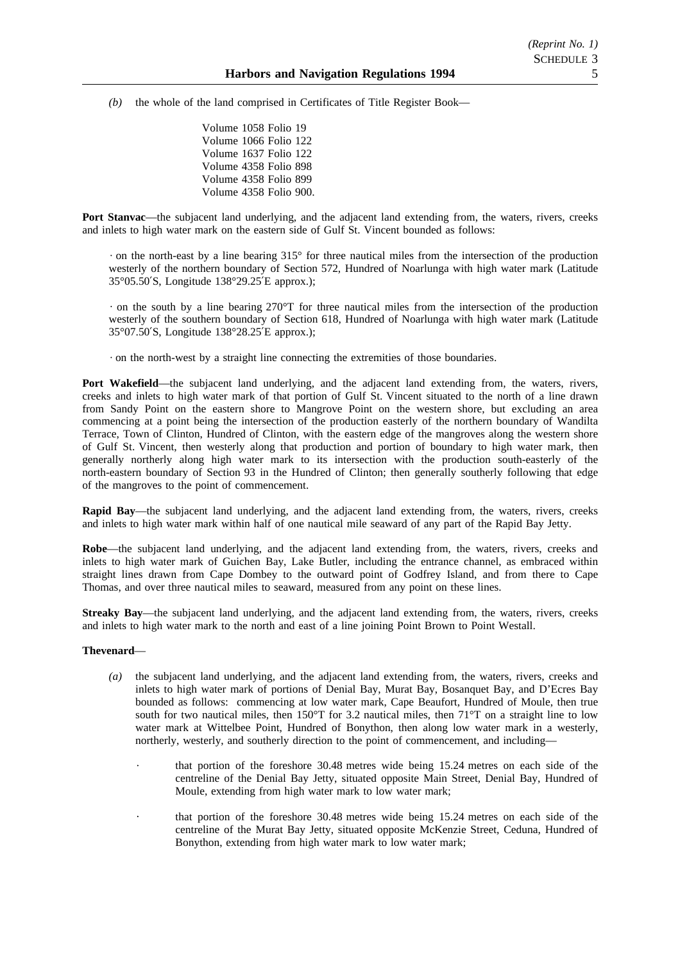*(b)* the whole of the land comprised in Certificates of Title Register Book—

Volume 1058 Folio 19 Volume 1066 Folio 122 Volume 1637 Folio 122 Volume 4358 Folio 898 Volume 4358 Folio 899 Volume 4358 Folio 900.

**Port Stanvac**—the subjacent land underlying, and the adjacent land extending from, the waters, rivers, creeks and inlets to high water mark on the eastern side of Gulf St. Vincent bounded as follows:

 $\cdot$  on the north-east by a line bearing 315 $\degree$  for three nautical miles from the intersection of the production westerly of the northern boundary of Section 572, Hundred of Noarlunga with high water mark (Latitude 35°05.50′S, Longitude 138°29.25′E approx.);

 $\cdot$  on the south by a line bearing 270 $\degree$ T for three nautical miles from the intersection of the production westerly of the southern boundary of Section 618, Hundred of Noarlunga with high water mark (Latitude 35°07.50′S, Longitude 138°28.25′E approx.);

on the north-west by a straight line connecting the extremities of those boundaries.

**Port Wakefield**—the subjacent land underlying, and the adjacent land extending from, the waters, rivers, creeks and inlets to high water mark of that portion of Gulf St. Vincent situated to the north of a line drawn from Sandy Point on the eastern shore to Mangrove Point on the western shore, but excluding an area commencing at a point being the intersection of the production easterly of the northern boundary of Wandilta Terrace, Town of Clinton, Hundred of Clinton, with the eastern edge of the mangroves along the western shore of Gulf St. Vincent, then westerly along that production and portion of boundary to high water mark, then generally northerly along high water mark to its intersection with the production south-easterly of the north-eastern boundary of Section 93 in the Hundred of Clinton; then generally southerly following that edge of the mangroves to the point of commencement.

**Rapid Bay**—the subjacent land underlying, and the adjacent land extending from, the waters, rivers, creeks and inlets to high water mark within half of one nautical mile seaward of any part of the Rapid Bay Jetty.

**Robe**—the subjacent land underlying, and the adjacent land extending from, the waters, rivers, creeks and inlets to high water mark of Guichen Bay, Lake Butler, including the entrance channel, as embraced within straight lines drawn from Cape Dombey to the outward point of Godfrey Island, and from there to Cape Thomas, and over three nautical miles to seaward, measured from any point on these lines.

**Streaky Bay—the subjacent land underlying, and the adjacent land extending from, the waters, rivers, creeks** and inlets to high water mark to the north and east of a line joining Point Brown to Point Westall.

## **Thevenard**—

- *(a)* the subjacent land underlying, and the adjacent land extending from, the waters, rivers, creeks and inlets to high water mark of portions of Denial Bay, Murat Bay, Bosanquet Bay, and D'Ecres Bay bounded as follows: commencing at low water mark, Cape Beaufort, Hundred of Moule, then true south for two nautical miles, then 150°T for 3.2 nautical miles, then 71°T on a straight line to low water mark at Wittelbee Point, Hundred of Bonython, then along low water mark in a westerly, northerly, westerly, and southerly direction to the point of commencement, and including
	- that portion of the foreshore 30.48 metres wide being 15.24 metres on each side of the centreline of the Denial Bay Jetty, situated opposite Main Street, Denial Bay, Hundred of Moule, extending from high water mark to low water mark;
	- that portion of the foreshore 30.48 metres wide being 15.24 metres on each side of the centreline of the Murat Bay Jetty, situated opposite McKenzie Street, Ceduna, Hundred of Bonython, extending from high water mark to low water mark;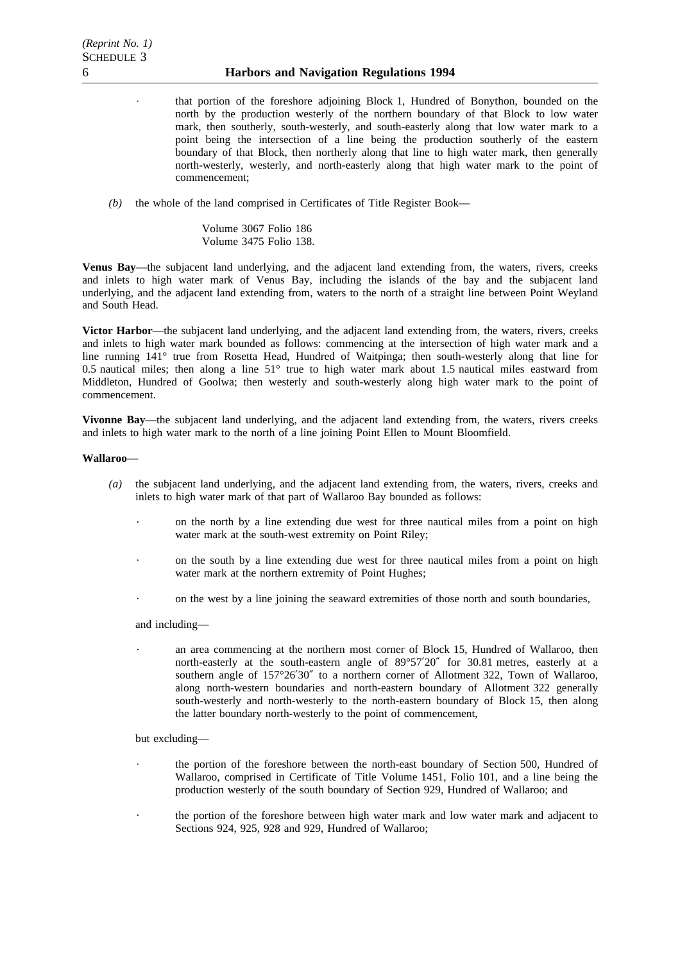- that portion of the foreshore adjoining Block 1, Hundred of Bonython, bounded on the north by the production westerly of the northern boundary of that Block to low water mark, then southerly, south-westerly, and south-easterly along that low water mark to a point being the intersection of a line being the production southerly of the eastern boundary of that Block, then northerly along that line to high water mark, then generally north-westerly, westerly, and north-easterly along that high water mark to the point of commencement;
- *(b)* the whole of the land comprised in Certificates of Title Register Book—
	- Volume 3067 Folio 186 Volume 3475 Folio 138.

**Venus Bay**—the subjacent land underlying, and the adjacent land extending from, the waters, rivers, creeks and inlets to high water mark of Venus Bay, including the islands of the bay and the subjacent land underlying, and the adjacent land extending from, waters to the north of a straight line between Point Weyland and South Head.

**Victor Harbor**—the subjacent land underlying, and the adjacent land extending from, the waters, rivers, creeks and inlets to high water mark bounded as follows: commencing at the intersection of high water mark and a line running 141° true from Rosetta Head, Hundred of Waitpinga; then south-westerly along that line for 0.5 nautical miles; then along a line 51° true to high water mark about 1.5 nautical miles eastward from Middleton, Hundred of Goolwa; then westerly and south-westerly along high water mark to the point of commencement.

**Vivonne Bay**—the subjacent land underlying, and the adjacent land extending from, the waters, rivers creeks and inlets to high water mark to the north of a line joining Point Ellen to Mount Bloomfield.

#### **Wallaroo**—

- *(a)* the subjacent land underlying, and the adjacent land extending from, the waters, rivers, creeks and inlets to high water mark of that part of Wallaroo Bay bounded as follows:
	- $\ddot{\phantom{0}}$ on the north by a line extending due west for three nautical miles from a point on high water mark at the south-west extremity on Point Riley;
	- on the south by a line extending due west for three nautical miles from a point on high water mark at the northern extremity of Point Hughes;
	- on the west by a line joining the seaward extremities of those north and south boundaries,

and including—

an area commencing at the northern most corner of Block 15, Hundred of Wallaroo, then north-easterly at the south-eastern angle of 89°57′20″ for 30.81 metres, easterly at a southern angle of 157°26′30″ to a northern corner of Allotment 322, Town of Wallaroo, along north-western boundaries and north-eastern boundary of Allotment 322 generally south-westerly and north-westerly to the north-eastern boundary of Block 15, then along the latter boundary north-westerly to the point of commencement,

#### but excluding—

- the portion of the foreshore between the north-east boundary of Section 500, Hundred of Wallaroo, comprised in Certificate of Title Volume 1451, Folio 101, and a line being the production westerly of the south boundary of Section 929, Hundred of Wallaroo; and
- the portion of the foreshore between high water mark and low water mark and adjacent to Sections 924, 925, 928 and 929, Hundred of Wallaroo;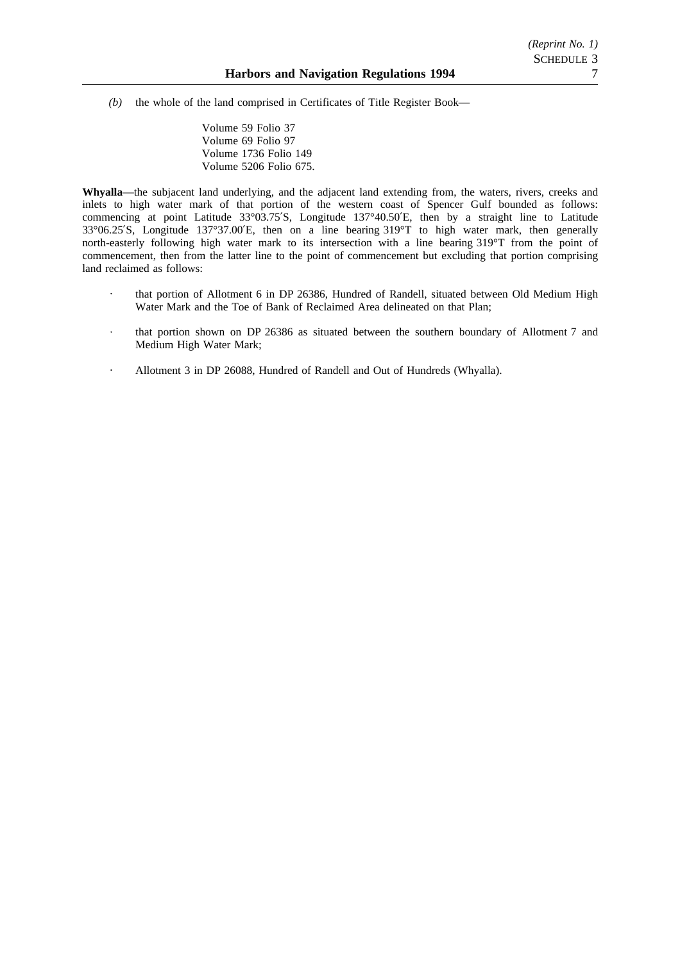*(b)* the whole of the land comprised in Certificates of Title Register Book—

Volume 59 Folio 37 Volume 69 Folio 97 Volume 1736 Folio 149 Volume 5206 Folio 675.

**Whyalla**—the subjacent land underlying, and the adjacent land extending from, the waters, rivers, creeks and inlets to high water mark of that portion of the western coast of Spencer Gulf bounded as follows: commencing at point Latitude 33°03.75′S, Longitude 137°40.50′E, then by a straight line to Latitude 33°06.25′S, Longitude 137°37.00′E, then on a line bearing 319°T to high water mark, then generally north-easterly following high water mark to its intersection with a line bearing 319°T from the point of commencement, then from the latter line to the point of commencement but excluding that portion comprising land reclaimed as follows:

- that portion of Allotment 6 in DP 26386, Hundred of Randell, situated between Old Medium High Water Mark and the Toe of Bank of Reclaimed Area delineated on that Plan;
- that portion shown on DP 26386 as situated between the southern boundary of Allotment 7 and Medium High Water Mark;
- Allotment 3 in DP 26088, Hundred of Randell and Out of Hundreds (Whyalla).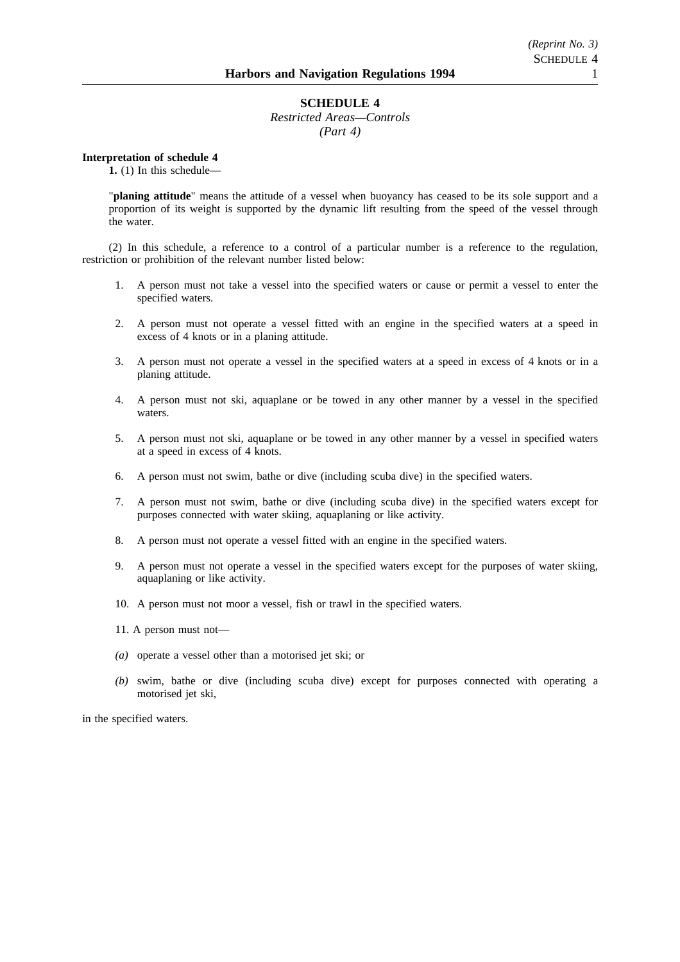*Restricted Areas—Controls (Part 4)*

**Interpretation of schedule 4**

**1.** (1) In this schedule—

"**planing attitude**" means the attitude of a vessel when buoyancy has ceased to be its sole support and a proportion of its weight is supported by the dynamic lift resulting from the speed of the vessel through the water.

(2) In this schedule, a reference to a control of a particular number is a reference to the regulation, restriction or prohibition of the relevant number listed below:

- 1. A person must not take a vessel into the specified waters or cause or permit a vessel to enter the specified waters.
- 2. A person must not operate a vessel fitted with an engine in the specified waters at a speed in excess of 4 knots or in a planing attitude.
- 3. A person must not operate a vessel in the specified waters at a speed in excess of 4 knots or in a planing attitude.
- 4. A person must not ski, aquaplane or be towed in any other manner by a vessel in the specified waters.
- 5. A person must not ski, aquaplane or be towed in any other manner by a vessel in specified waters at a speed in excess of 4 knots.
- 6. A person must not swim, bathe or dive (including scuba dive) in the specified waters.
- 7. A person must not swim, bathe or dive (including scuba dive) in the specified waters except for purposes connected with water skiing, aquaplaning or like activity.
- 8. A person must not operate a vessel fitted with an engine in the specified waters.
- 9. A person must not operate a vessel in the specified waters except for the purposes of water skiing, aquaplaning or like activity.
- 10. A person must not moor a vessel, fish or trawl in the specified waters.
- 11. A person must not—
- *(a)* operate a vessel other than a motorised jet ski; or
- *(b)* swim, bathe or dive (including scuba dive) except for purposes connected with operating a motorised jet ski,

in the specified waters.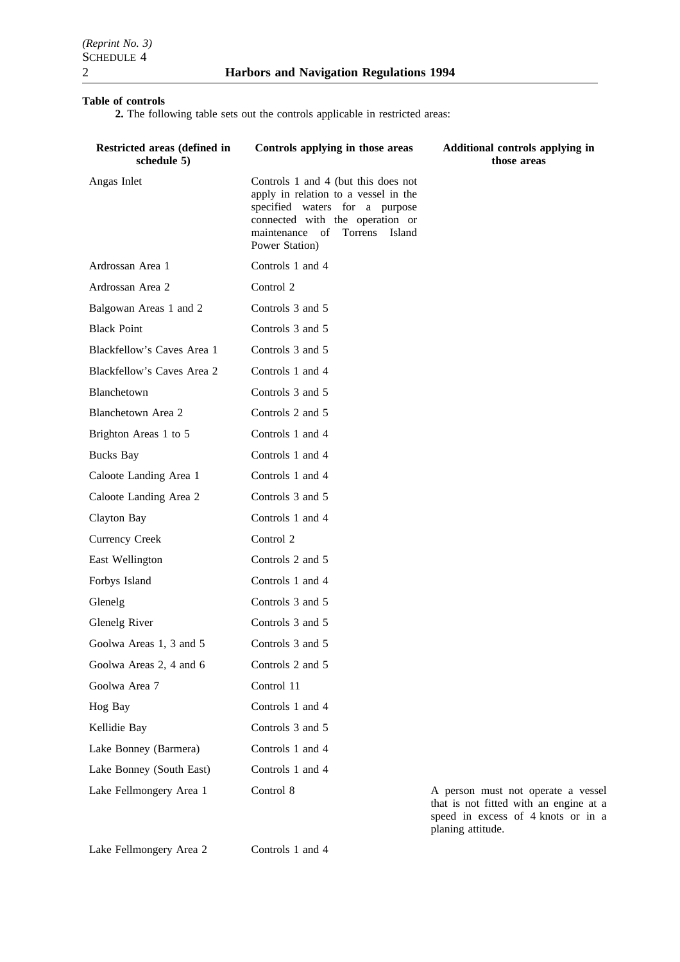## **Table of controls**

**2.** The following table sets out the controls applicable in restricted areas:

| Restricted areas (defined in<br>schedule 5) | Controls applying in those areas                                                                                                                                                                    | Additional controls applying in<br>those areas                                                |
|---------------------------------------------|-----------------------------------------------------------------------------------------------------------------------------------------------------------------------------------------------------|-----------------------------------------------------------------------------------------------|
| Angas Inlet                                 | Controls 1 and 4 (but this does not<br>apply in relation to a vessel in the<br>specified waters for a purpose<br>connected with the operation or<br>maintenance of Torrens Island<br>Power Station) |                                                                                               |
| Ardrossan Area 1                            | Controls 1 and 4                                                                                                                                                                                    |                                                                                               |
| Ardrossan Area 2                            | Control 2                                                                                                                                                                                           |                                                                                               |
| Balgowan Areas 1 and 2                      | Controls 3 and 5                                                                                                                                                                                    |                                                                                               |
| <b>Black Point</b>                          | Controls 3 and 5                                                                                                                                                                                    |                                                                                               |
| Blackfellow's Caves Area 1                  | Controls 3 and 5                                                                                                                                                                                    |                                                                                               |
| Blackfellow's Caves Area 2                  | Controls 1 and 4                                                                                                                                                                                    |                                                                                               |
| Blanchetown                                 | Controls 3 and 5                                                                                                                                                                                    |                                                                                               |
| Blanchetown Area 2                          | Controls 2 and 5                                                                                                                                                                                    |                                                                                               |
| Brighton Areas 1 to 5                       | Controls 1 and 4                                                                                                                                                                                    |                                                                                               |
| <b>Bucks Bay</b>                            | Controls 1 and 4                                                                                                                                                                                    |                                                                                               |
| Caloote Landing Area 1                      | Controls 1 and 4                                                                                                                                                                                    |                                                                                               |
| Caloote Landing Area 2                      | Controls 3 and 5                                                                                                                                                                                    |                                                                                               |
| Clayton Bay                                 | Controls 1 and 4                                                                                                                                                                                    |                                                                                               |
| <b>Currency Creek</b>                       | Control 2                                                                                                                                                                                           |                                                                                               |
| East Wellington                             | Controls 2 and 5                                                                                                                                                                                    |                                                                                               |
| Forbys Island                               | Controls 1 and 4                                                                                                                                                                                    |                                                                                               |
| Glenelg                                     | Controls 3 and 5                                                                                                                                                                                    |                                                                                               |
| Glenelg River                               | Controls 3 and 5                                                                                                                                                                                    |                                                                                               |
| Goolwa Areas 1, 3 and 5                     | Controls 3 and 5                                                                                                                                                                                    |                                                                                               |
| Goolwa Areas 2, 4 and 6                     | Controls 2 and 5                                                                                                                                                                                    |                                                                                               |
| Goolwa Area 7                               | Control 11                                                                                                                                                                                          |                                                                                               |
| Hog Bay                                     | Controls 1 and 4                                                                                                                                                                                    |                                                                                               |
| Kellidie Bay                                | Controls 3 and 5                                                                                                                                                                                    |                                                                                               |
| Lake Bonney (Barmera)                       | Controls 1 and 4                                                                                                                                                                                    |                                                                                               |
| Lake Bonney (South East)                    | Controls 1 and 4                                                                                                                                                                                    |                                                                                               |
| Lake Fellmongery Area 1                     | Control 8                                                                                                                                                                                           | A person must not operate a vessel<br>$\mathcal{L}$ $\mathcal{L}$ $\mathcal{L}$ $\mathcal{L}$ |

Lake Fellmongery Area 2 Controls 1 and 4

that is not fitted with an engine at a speed in excess of 4 knots or in a planing attitude.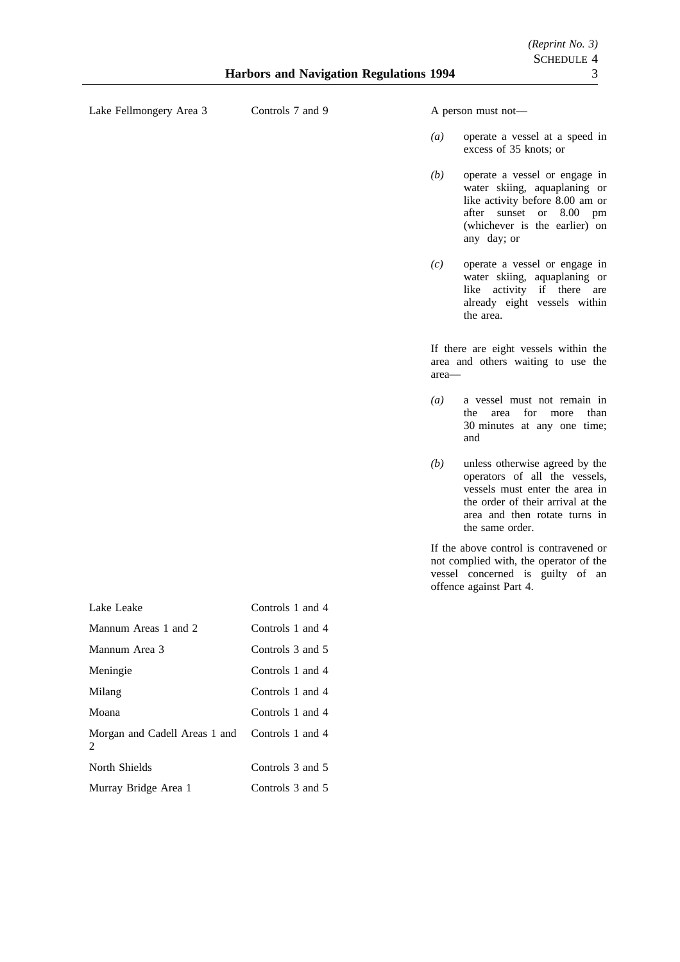Lake Fellmongery Area 3 Controls 7 and 9 A person must not—

- *(a)* operate a vessel at a speed in excess of 35 knots; or
- *(b)* operate a vessel or engage in water skiing, aquaplaning or like activity before 8.00 am or after sunset or 8.00 pm (whichever is the earlier) on any day; or
- *(c)* operate a vessel or engage in water skiing, aquaplaning or like activity if there are already eight vessels within the area.

If there are eight vessels within the area and others waiting to use the area—

- *(a)* a vessel must not remain in the area for more than 30 minutes at any one time; and
- *(b)* unless otherwise agreed by the operators of all the vessels, vessels must enter the area in the order of their arrival at the area and then rotate turns in the same order.

If the above control is contravened or not complied with, the operator of the vessel concerned is guilty of an offence against Part 4.

| Lake Leake                                                      | Controls 1 and 4 |
|-----------------------------------------------------------------|------------------|
| Mannum Areas 1 and 2                                            | Controls 1 and 4 |
| Mannum Area 3                                                   | Controls 3 and 5 |
| Meningie                                                        | Controls 1 and 4 |
| Milang                                                          | Controls 1 and 4 |
| Moana                                                           | Controls 1 and 4 |
| Morgan and Cadell Areas 1 and Controls 1 and 4<br>$\mathcal{L}$ |                  |
| North Shields                                                   | Controls 3 and 5 |
| Murray Bridge Area 1                                            | Controls 3 and 5 |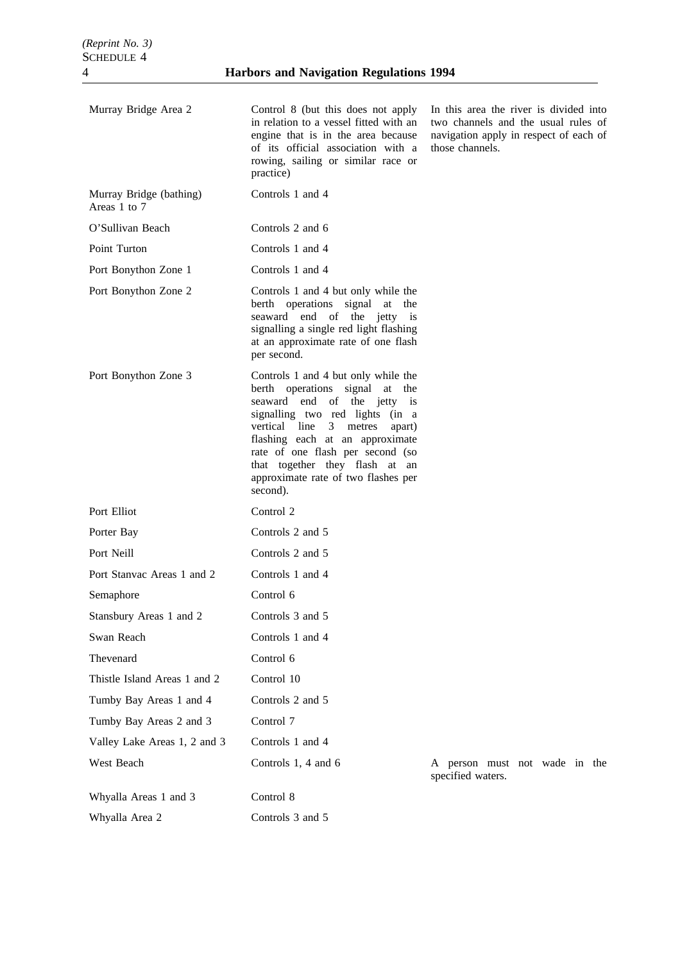| Murray Bridge Area 2                    | Control 8 (but this does not apply<br>in relation to a vessel fitted with an<br>engine that is in the area because<br>of its official association with a<br>rowing, sailing or similar race or<br>practice)                                                                                                                                | In this area the river is divided into<br>two channels and the usual rules of<br>navigation apply in respect of each of<br>those channels. |
|-----------------------------------------|--------------------------------------------------------------------------------------------------------------------------------------------------------------------------------------------------------------------------------------------------------------------------------------------------------------------------------------------|--------------------------------------------------------------------------------------------------------------------------------------------|
| Murray Bridge (bathing)<br>Areas 1 to 7 | Controls 1 and 4                                                                                                                                                                                                                                                                                                                           |                                                                                                                                            |
| O'Sullivan Beach                        | Controls 2 and 6                                                                                                                                                                                                                                                                                                                           |                                                                                                                                            |
| Point Turton                            | Controls 1 and 4                                                                                                                                                                                                                                                                                                                           |                                                                                                                                            |
| Port Bonython Zone 1                    | Controls 1 and 4                                                                                                                                                                                                                                                                                                                           |                                                                                                                                            |
| Port Bonython Zone 2                    | Controls 1 and 4 but only while the<br>berth operations signal at the<br>seaward end of the jetty is<br>signalling a single red light flashing<br>at an approximate rate of one flash<br>per second.                                                                                                                                       |                                                                                                                                            |
| Port Bonython Zone 3                    | Controls 1 and 4 but only while the<br>berth operations signal at the<br>seaward end of the jetty is<br>signalling two red lights (in a<br>vertical line<br>3 metres<br>apart)<br>flashing each at an approximate<br>rate of one flash per second (so<br>that together they flash at an<br>approximate rate of two flashes per<br>second). |                                                                                                                                            |
| Port Elliot                             | Control 2                                                                                                                                                                                                                                                                                                                                  |                                                                                                                                            |
| Porter Bay                              | Controls 2 and 5                                                                                                                                                                                                                                                                                                                           |                                                                                                                                            |
| Port Neill                              | Controls 2 and 5                                                                                                                                                                                                                                                                                                                           |                                                                                                                                            |
| Port Stanyac Areas 1 and 2              | Controls 1 and 4                                                                                                                                                                                                                                                                                                                           |                                                                                                                                            |
| Semaphore                               | Control 6                                                                                                                                                                                                                                                                                                                                  |                                                                                                                                            |
| Stansbury Areas 1 and 2                 | Controls 3 and 5                                                                                                                                                                                                                                                                                                                           |                                                                                                                                            |
| Swan Reach                              | Controls 1 and 4                                                                                                                                                                                                                                                                                                                           |                                                                                                                                            |
| Thevenard                               | Control 6                                                                                                                                                                                                                                                                                                                                  |                                                                                                                                            |
| Thistle Island Areas 1 and 2            | Control 10                                                                                                                                                                                                                                                                                                                                 |                                                                                                                                            |
| Tumby Bay Areas 1 and 4                 | Controls 2 and 5                                                                                                                                                                                                                                                                                                                           |                                                                                                                                            |
| Tumby Bay Areas 2 and 3                 | Control 7                                                                                                                                                                                                                                                                                                                                  |                                                                                                                                            |
| Valley Lake Areas 1, 2 and 3            | Controls 1 and 4                                                                                                                                                                                                                                                                                                                           |                                                                                                                                            |
| West Beach                              | Controls 1, 4 and 6                                                                                                                                                                                                                                                                                                                        | A person must not wade in the<br>specified waters.                                                                                         |
| Whyalla Areas 1 and 3                   | Control 8                                                                                                                                                                                                                                                                                                                                  |                                                                                                                                            |

Whyalla Area 2 Controls 3 and 5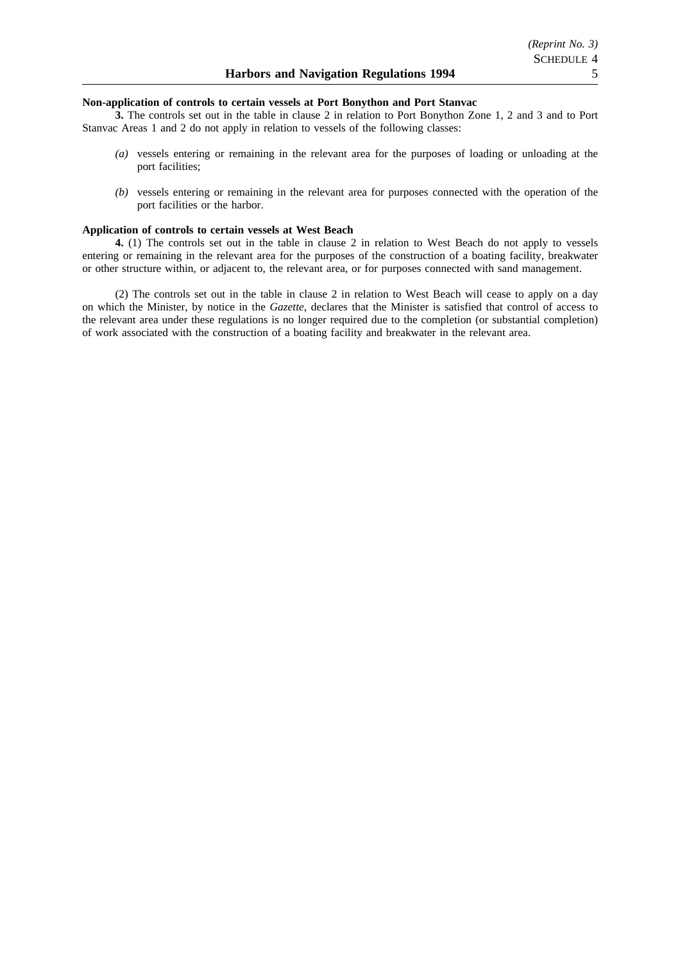#### **Non-application of controls to certain vessels at Port Bonython and Port Stanvac**

**3.** The controls set out in the table in clause 2 in relation to Port Bonython Zone 1, 2 and 3 and to Port Stanvac Areas 1 and 2 do not apply in relation to vessels of the following classes:

- *(a)* vessels entering or remaining in the relevant area for the purposes of loading or unloading at the port facilities;
- *(b)* vessels entering or remaining in the relevant area for purposes connected with the operation of the port facilities or the harbor.

### **Application of controls to certain vessels at West Beach**

**4.** (1) The controls set out in the table in clause 2 in relation to West Beach do not apply to vessels entering or remaining in the relevant area for the purposes of the construction of a boating facility, breakwater or other structure within, or adjacent to, the relevant area, or for purposes connected with sand management.

(2) The controls set out in the table in clause 2 in relation to West Beach will cease to apply on a day on which the Minister, by notice in the *Gazette*, declares that the Minister is satisfied that control of access to the relevant area under these regulations is no longer required due to the completion (or substantial completion) of work associated with the construction of a boating facility and breakwater in the relevant area.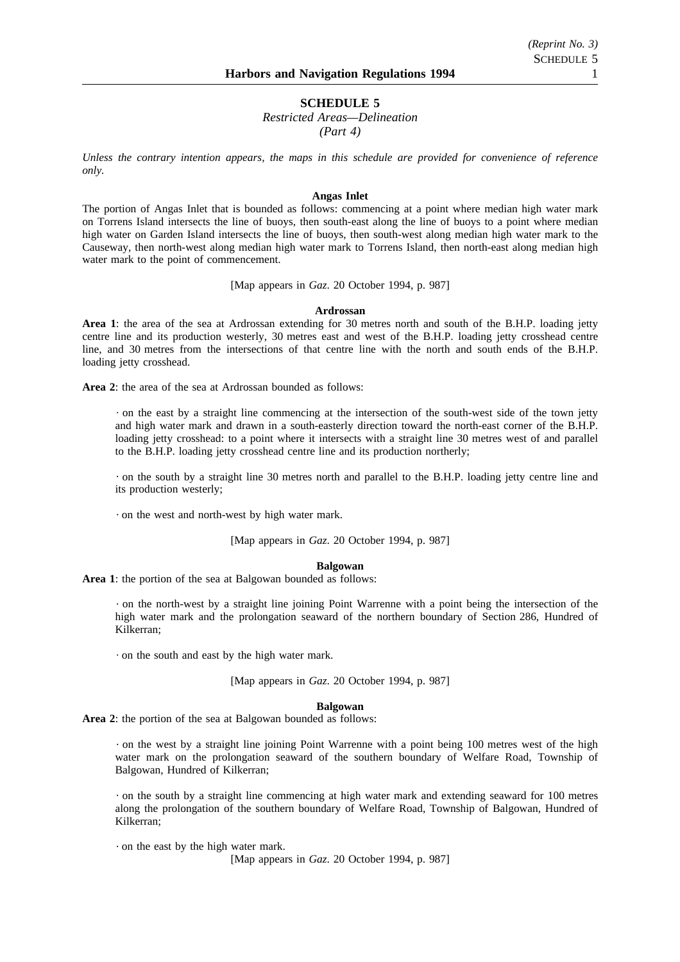# **SCHEDULE 5**

*Restricted Areas—Delineation (Part 4)*

*Unless the contrary intention appears, the maps in this schedule are provided for convenience of reference only.*

#### **Angas Inlet**

The portion of Angas Inlet that is bounded as follows: commencing at a point where median high water mark on Torrens Island intersects the line of buoys, then south-east along the line of buoys to a point where median high water on Garden Island intersects the line of buoys, then south-west along median high water mark to the Causeway, then north-west along median high water mark to Torrens Island, then north-east along median high water mark to the point of commencement.

[Map appears in *Gaz*. 20 October 1994, p. 987]

#### **Ardrossan**

**Area 1**: the area of the sea at Ardrossan extending for 30 metres north and south of the B.H.P. loading jetty centre line and its production westerly, 30 metres east and west of the B.H.P. loading jetty crosshead centre line, and 30 metres from the intersections of that centre line with the north and south ends of the B.H.P. loading jetty crosshead.

**Area 2**: the area of the sea at Ardrossan bounded as follows:

on the east by a straight line commencing at the intersection of the south-west side of the town jetty and high water mark and drawn in a south-easterly direction toward the north-east corner of the B.H.P. loading jetty crosshead: to a point where it intersects with a straight line 30 metres west of and parallel to the B.H.P. loading jetty crosshead centre line and its production northerly;

on the south by a straight line 30 metres north and parallel to the B.H.P. loading jetty centre line and its production westerly;

on the west and north-west by high water mark.

[Map appears in *Gaz*. 20 October 1994, p. 987]

# **Balgowan**

**Area 1**: the portion of the sea at Balgowan bounded as follows:

on the north-west by a straight line joining Point Warrenne with a point being the intersection of the high water mark and the prolongation seaward of the northern boundary of Section 286, Hundred of Kilkerran;

on the south and east by the high water mark.

[Map appears in *Gaz*. 20 October 1994, p. 987]

#### **Balgowan**

**Area 2**: the portion of the sea at Balgowan bounded as follows:

on the west by a straight line joining Point Warrenne with a point being 100 metres west of the high water mark on the prolongation seaward of the southern boundary of Welfare Road, Township of Balgowan, Hundred of Kilkerran;

on the south by a straight line commencing at high water mark and extending seaward for 100 metres along the prolongation of the southern boundary of Welfare Road, Township of Balgowan, Hundred of Kilkerran;

on the east by the high water mark.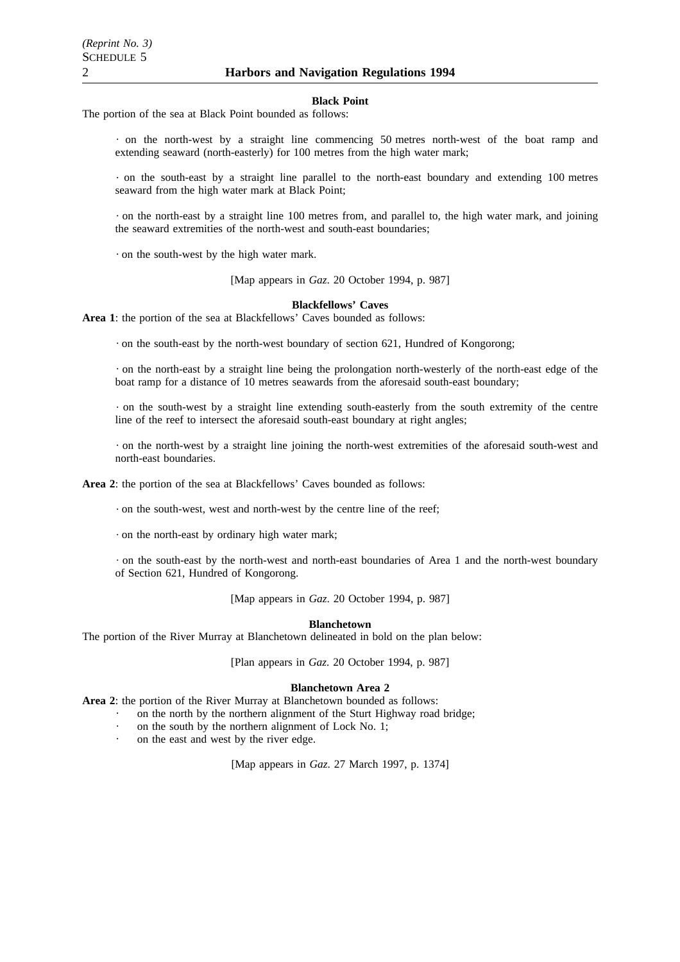#### **Black Point**

The portion of the sea at Black Point bounded as follows:

on the north-west by a straight line commencing 50 metres north-west of the boat ramp and extending seaward (north-easterly) for 100 metres from the high water mark;

on the south-east by a straight line parallel to the north-east boundary and extending 100 metres seaward from the high water mark at Black Point;

on the north-east by a straight line 100 metres from, and parallel to, the high water mark, and joining the seaward extremities of the north-west and south-east boundaries;

on the south-west by the high water mark.

[Map appears in *Gaz*. 20 October 1994, p. 987]

#### **Blackfellows' Caves**

**Area 1**: the portion of the sea at Blackfellows' Caves bounded as follows:

on the south-east by the north-west boundary of section 621, Hundred of Kongorong;

on the north-east by a straight line being the prolongation north-westerly of the north-east edge of the boat ramp for a distance of 10 metres seawards from the aforesaid south-east boundary;

on the south-west by a straight line extending south-easterly from the south extremity of the centre line of the reef to intersect the aforesaid south-east boundary at right angles;

on the north-west by a straight line joining the north-west extremities of the aforesaid south-west and north-east boundaries.

**Area 2**: the portion of the sea at Blackfellows' Caves bounded as follows:

on the south-west, west and north-west by the centre line of the reef;

on the north-east by ordinary high water mark;

on the south-east by the north-west and north-east boundaries of Area 1 and the north-west boundary of Section 621, Hundred of Kongorong.

[Map appears in *Gaz*. 20 October 1994, p. 987]

#### **Blanchetown**

The portion of the River Murray at Blanchetown delineated in bold on the plan below:

[Plan appears in *Gaz*. 20 October 1994, p. 987]

#### **Blanchetown Area 2**

**Area 2**: the portion of the River Murray at Blanchetown bounded as follows:

- on the north by the northern alignment of the Sturt Highway road bridge;
	- on the south by the northern alignment of Lock No. 1;
	- on the east and west by the river edge.

[Map appears in *Gaz*. 27 March 1997, p. 1374]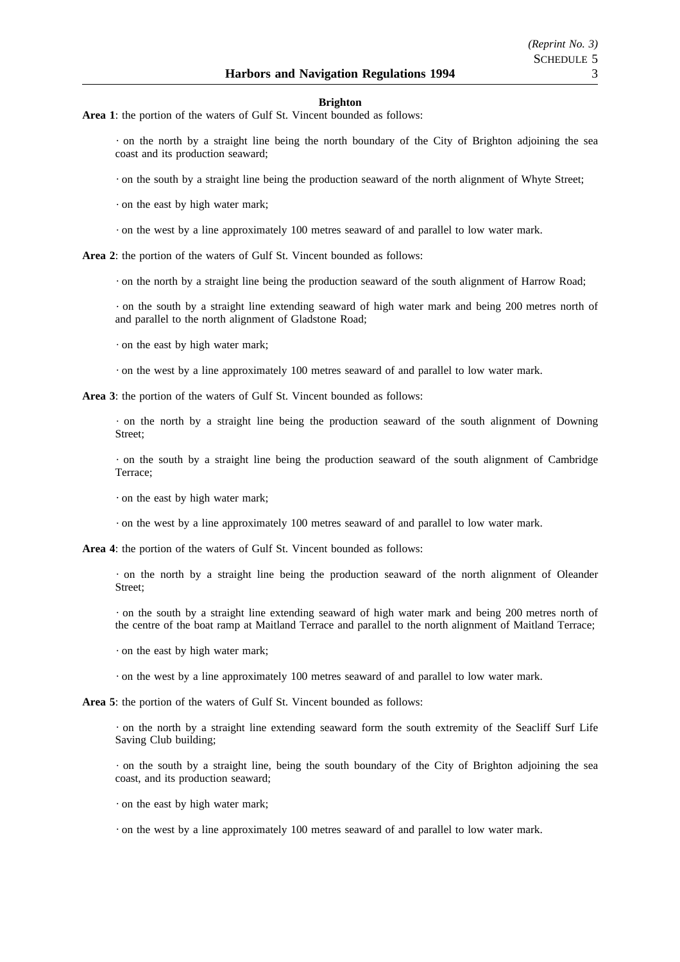#### **Brighton**

**Area 1**: the portion of the waters of Gulf St. Vincent bounded as follows:

on the north by a straight line being the north boundary of the City of Brighton adjoining the sea coast and its production seaward;

on the south by a straight line being the production seaward of the north alignment of Whyte Street;

on the east by high water mark;

on the west by a line approximately 100 metres seaward of and parallel to low water mark.

**Area 2**: the portion of the waters of Gulf St. Vincent bounded as follows:

on the north by a straight line being the production seaward of the south alignment of Harrow Road;

on the south by a straight line extending seaward of high water mark and being 200 metres north of and parallel to the north alignment of Gladstone Road;

on the east by high water mark;

on the west by a line approximately 100 metres seaward of and parallel to low water mark.

**Area 3**: the portion of the waters of Gulf St. Vincent bounded as follows:

on the north by a straight line being the production seaward of the south alignment of Downing Street;

on the south by a straight line being the production seaward of the south alignment of Cambridge Terrace;

on the east by high water mark;

on the west by a line approximately 100 metres seaward of and parallel to low water mark.

**Area 4**: the portion of the waters of Gulf St. Vincent bounded as follows:

on the north by a straight line being the production seaward of the north alignment of Oleander Street;

on the south by a straight line extending seaward of high water mark and being 200 metres north of the centre of the boat ramp at Maitland Terrace and parallel to the north alignment of Maitland Terrace;

on the east by high water mark;

on the west by a line approximately 100 metres seaward of and parallel to low water mark.

**Area 5**: the portion of the waters of Gulf St. Vincent bounded as follows:

on the north by a straight line extending seaward form the south extremity of the Seacliff Surf Life Saving Club building;

on the south by a straight line, being the south boundary of the City of Brighton adjoining the sea coast, and its production seaward;

on the east by high water mark;

on the west by a line approximately 100 metres seaward of and parallel to low water mark.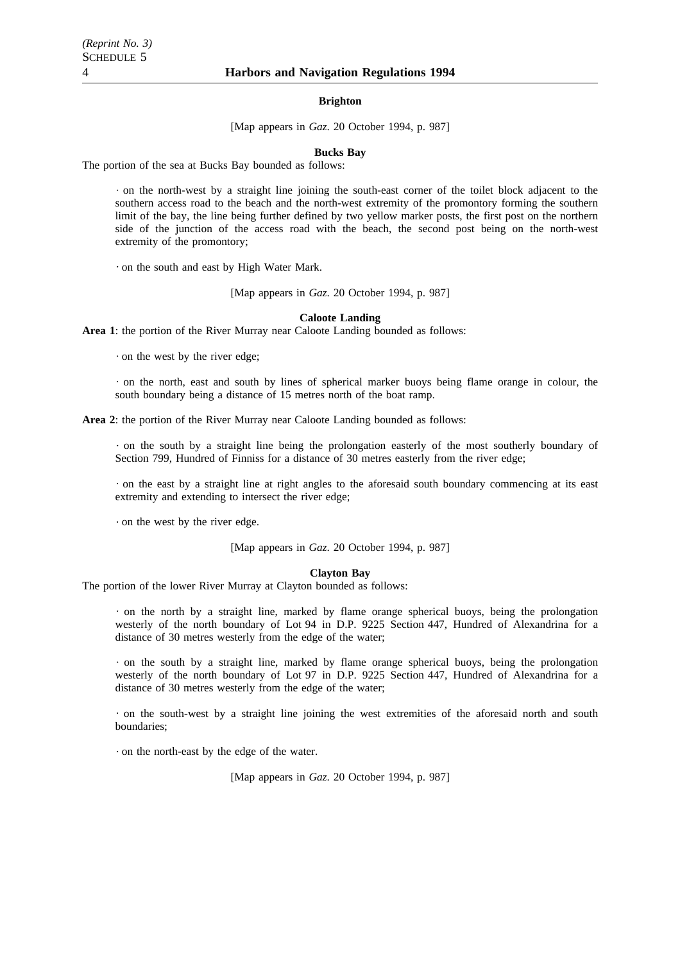#### **Brighton**

[Map appears in *Gaz*. 20 October 1994, p. 987]

#### **Bucks Bay**

The portion of the sea at Bucks Bay bounded as follows:

on the north-west by a straight line joining the south-east corner of the toilet block adjacent to the southern access road to the beach and the north-west extremity of the promontory forming the southern limit of the bay, the line being further defined by two yellow marker posts, the first post on the northern side of the junction of the access road with the beach, the second post being on the north-west extremity of the promontory;

on the south and east by High Water Mark.

[Map appears in *Gaz*. 20 October 1994, p. 987]

#### **Caloote Landing**

**Area 1**: the portion of the River Murray near Caloote Landing bounded as follows:

on the west by the river edge;

on the north, east and south by lines of spherical marker buoys being flame orange in colour, the south boundary being a distance of 15 metres north of the boat ramp.

**Area 2**: the portion of the River Murray near Caloote Landing bounded as follows:

on the south by a straight line being the prolongation easterly of the most southerly boundary of Section 799, Hundred of Finniss for a distance of 30 metres easterly from the river edge;

on the east by a straight line at right angles to the aforesaid south boundary commencing at its east extremity and extending to intersect the river edge;

on the west by the river edge.

[Map appears in *Gaz*. 20 October 1994, p. 987]

#### **Clayton Bay**

The portion of the lower River Murray at Clayton bounded as follows:

on the north by a straight line, marked by flame orange spherical buoys, being the prolongation westerly of the north boundary of Lot 94 in D.P. 9225 Section 447, Hundred of Alexandrina for a distance of 30 metres westerly from the edge of the water;

on the south by a straight line, marked by flame orange spherical buoys, being the prolongation westerly of the north boundary of Lot 97 in D.P. 9225 Section 447, Hundred of Alexandrina for a distance of 30 metres westerly from the edge of the water;

on the south-west by a straight line joining the west extremities of the aforesaid north and south boundaries;

on the north-east by the edge of the water.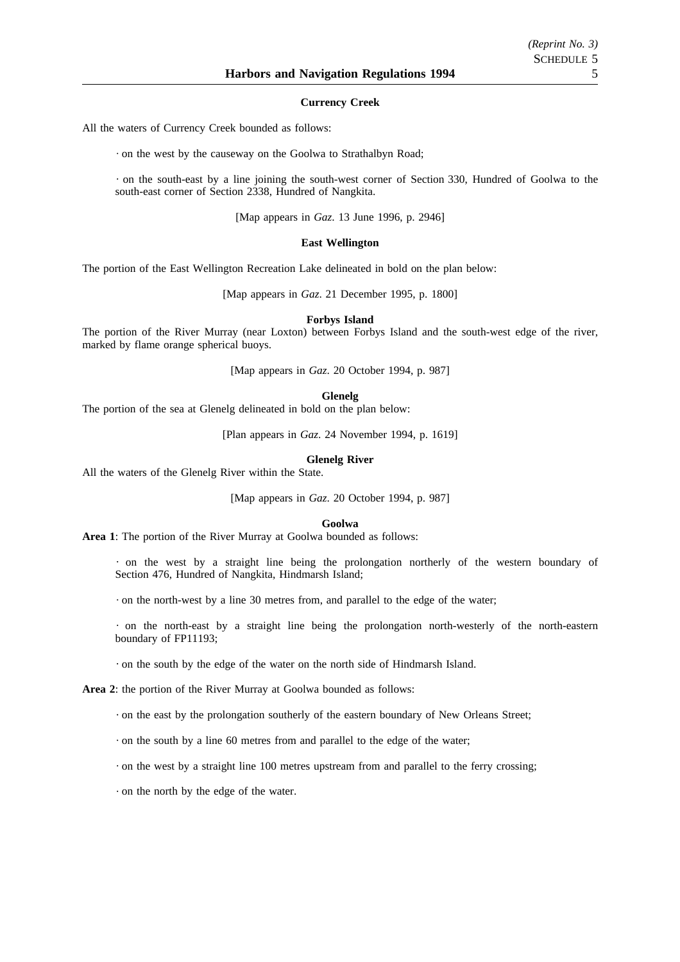#### **Currency Creek**

All the waters of Currency Creek bounded as follows:

on the west by the causeway on the Goolwa to Strathalbyn Road;

on the south-east by a line joining the south-west corner of Section 330, Hundred of Goolwa to the south-east corner of Section 2338, Hundred of Nangkita.

[Map appears in *Gaz*. 13 June 1996, p. 2946]

#### **East Wellington**

The portion of the East Wellington Recreation Lake delineated in bold on the plan below:

[Map appears in *Gaz*. 21 December 1995, p. 1800]

#### **Forbys Island**

The portion of the River Murray (near Loxton) between Forbys Island and the south-west edge of the river, marked by flame orange spherical buoys.

[Map appears in *Gaz*. 20 October 1994, p. 987]

#### **Glenelg**

The portion of the sea at Glenelg delineated in bold on the plan below:

[Plan appears in *Gaz*. 24 November 1994, p. 1619]

#### **Glenelg River**

All the waters of the Glenelg River within the State.

[Map appears in *Gaz*. 20 October 1994, p. 987]

#### **Goolwa**

**Area 1**: The portion of the River Murray at Goolwa bounded as follows:

on the west by a straight line being the prolongation northerly of the western boundary of Section 476, Hundred of Nangkita, Hindmarsh Island;

on the north-west by a line 30 metres from, and parallel to the edge of the water;

on the north-east by a straight line being the prolongation north-westerly of the north-eastern boundary of FP11193;

on the south by the edge of the water on the north side of Hindmarsh Island.

**Area 2**: the portion of the River Murray at Goolwa bounded as follows:

on the east by the prolongation southerly of the eastern boundary of New Orleans Street;

on the south by a line 60 metres from and parallel to the edge of the water;

on the west by a straight line 100 metres upstream from and parallel to the ferry crossing;

on the north by the edge of the water.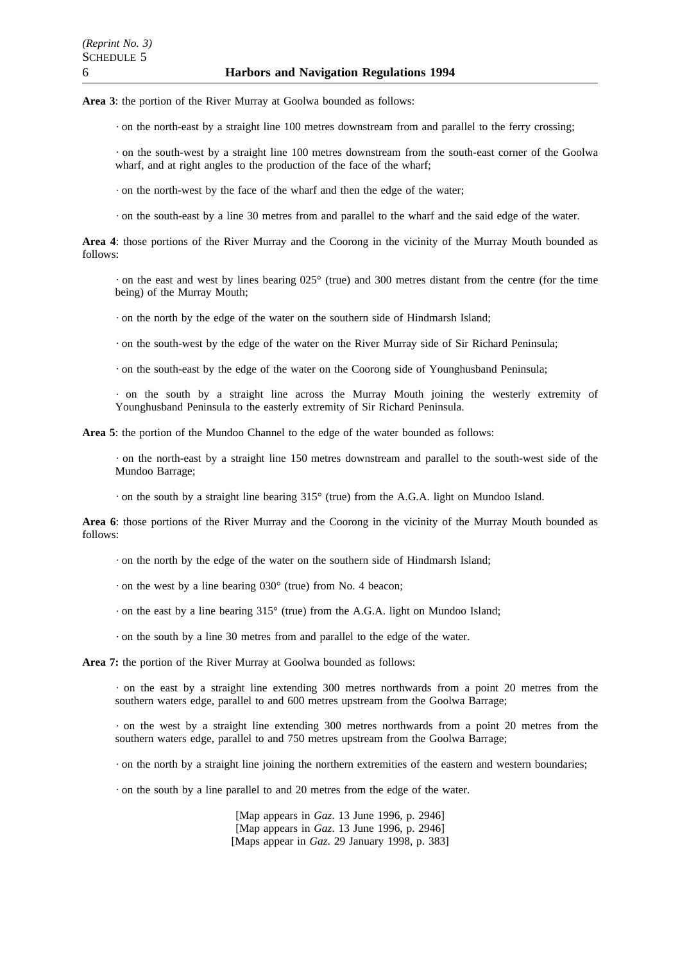**Area 3**: the portion of the River Murray at Goolwa bounded as follows:

 $\cdot$  on the north-east by a straight line 100 metres downstream from and parallel to the ferry crossing;

on the south-west by a straight line 100 metres downstream from the south-east corner of the Goolwa wharf, and at right angles to the production of the face of the wharf;

on the north-west by the face of the wharf and then the edge of the water;

on the south-east by a line 30 metres from and parallel to the wharf and the said edge of the water.

**Area 4**: those portions of the River Murray and the Coorong in the vicinity of the Murray Mouth bounded as follows:

 $\cdot$  on the east and west by lines bearing 025 $\degree$  (true) and 300 metres distant from the centre (for the time being) of the Murray Mouth;

on the north by the edge of the water on the southern side of Hindmarsh Island;

on the south-west by the edge of the water on the River Murray side of Sir Richard Peninsula;

on the south-east by the edge of the water on the Coorong side of Younghusband Peninsula;

on the south by a straight line across the Murray Mouth joining the westerly extremity of Younghusband Peninsula to the easterly extremity of Sir Richard Peninsula.

**Area 5**: the portion of the Mundoo Channel to the edge of the water bounded as follows:

on the north-east by a straight line 150 metres downstream and parallel to the south-west side of the Mundoo Barrage;

on the south by a straight line bearing  $315^{\circ}$  (true) from the A.G.A. light on Mundoo Island.

**Area 6**: those portions of the River Murray and the Coorong in the vicinity of the Murray Mouth bounded as follows:

on the north by the edge of the water on the southern side of Hindmarsh Island;

 $\cdot$  on the west by a line bearing 030 $\degree$  (true) from No. 4 beacon;

 $\cdot$  on the east by a line bearing 315 $\circ$  (true) from the A.G.A. light on Mundoo Island;

on the south by a line 30 metres from and parallel to the edge of the water.

**Area 7:** the portion of the River Murray at Goolwa bounded as follows:

 $\cdot$  on the east by a straight line extending 300 metres northwards from a point 20 metres from the southern waters edge, parallel to and 600 metres upstream from the Goolwa Barrage;

 $\cdot$  on the west by a straight line extending 300 metres northwards from a point 20 metres from the southern waters edge, parallel to and 750 metres upstream from the Goolwa Barrage;

on the north by a straight line joining the northern extremities of the eastern and western boundaries;

on the south by a line parallel to and 20 metres from the edge of the water.

[Map appears in *Gaz*. 13 June 1996, p. 2946] [Map appears in *Gaz*. 13 June 1996, p. 2946] [Maps appear in *Gaz*. 29 January 1998, p. 383]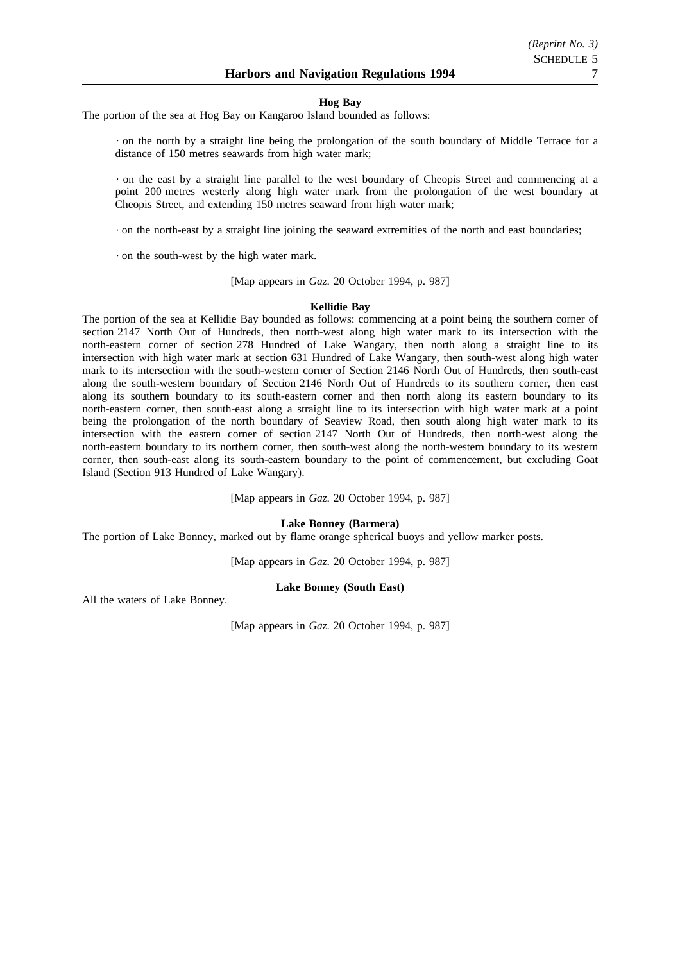#### **Hog Bay**

The portion of the sea at Hog Bay on Kangaroo Island bounded as follows:

on the north by a straight line being the prolongation of the south boundary of Middle Terrace for a distance of 150 metres seawards from high water mark;

on the east by a straight line parallel to the west boundary of Cheopis Street and commencing at a point 200 metres westerly along high water mark from the prolongation of the west boundary at Cheopis Street, and extending 150 metres seaward from high water mark;

on the north-east by a straight line joining the seaward extremities of the north and east boundaries;

on the south-west by the high water mark.

[Map appears in *Gaz*. 20 October 1994, p. 987]

# **Kellidie Bay**

The portion of the sea at Kellidie Bay bounded as follows: commencing at a point being the southern corner of section 2147 North Out of Hundreds, then north-west along high water mark to its intersection with the north-eastern corner of section 278 Hundred of Lake Wangary, then north along a straight line to its intersection with high water mark at section 631 Hundred of Lake Wangary, then south-west along high water mark to its intersection with the south-western corner of Section 2146 North Out of Hundreds, then south-east along the south-western boundary of Section 2146 North Out of Hundreds to its southern corner, then east along its southern boundary to its south-eastern corner and then north along its eastern boundary to its north-eastern corner, then south-east along a straight line to its intersection with high water mark at a point being the prolongation of the north boundary of Seaview Road, then south along high water mark to its intersection with the eastern corner of section 2147 North Out of Hundreds, then north-west along the north-eastern boundary to its northern corner, then south-west along the north-western boundary to its western corner, then south-east along its south-eastern boundary to the point of commencement, but excluding Goat Island (Section 913 Hundred of Lake Wangary).

[Map appears in *Gaz*. 20 October 1994, p. 987]

**Lake Bonney (Barmera)**

The portion of Lake Bonney, marked out by flame orange spherical buoys and yellow marker posts.

[Map appears in *Gaz*. 20 October 1994, p. 987]

# **Lake Bonney (South East)**

All the waters of Lake Bonney.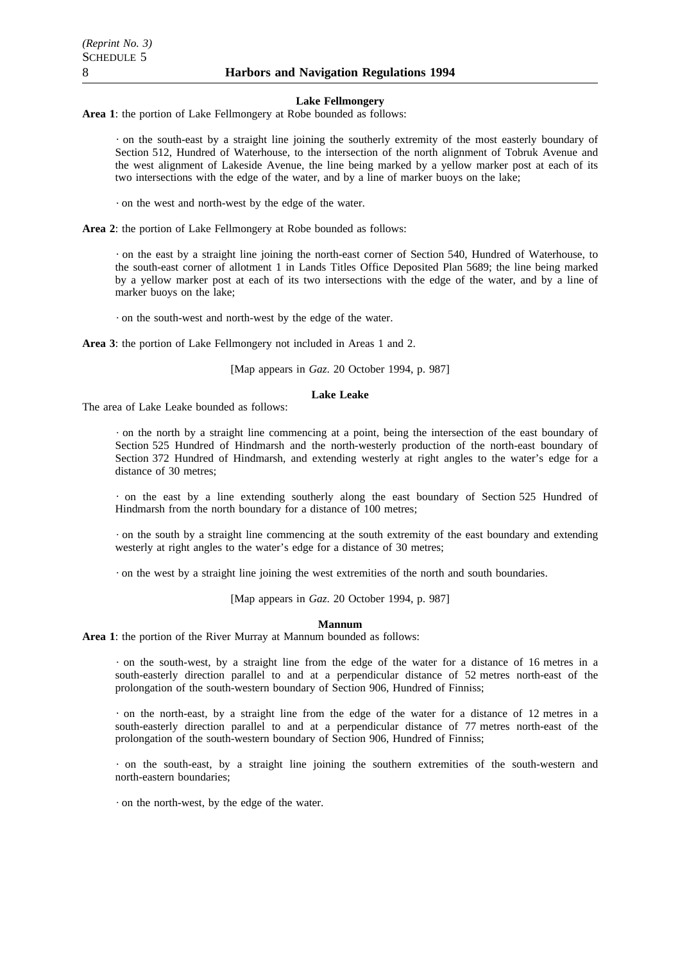#### **Lake Fellmongery**

**Area 1**: the portion of Lake Fellmongery at Robe bounded as follows:

on the south-east by a straight line joining the southerly extremity of the most easterly boundary of Section 512, Hundred of Waterhouse, to the intersection of the north alignment of Tobruk Avenue and the west alignment of Lakeside Avenue, the line being marked by a yellow marker post at each of its two intersections with the edge of the water, and by a line of marker buoys on the lake;

on the west and north-west by the edge of the water.

**Area 2**: the portion of Lake Fellmongery at Robe bounded as follows:

on the east by a straight line joining the north-east corner of Section 540, Hundred of Waterhouse, to the south-east corner of allotment 1 in Lands Titles Office Deposited Plan 5689; the line being marked by a yellow marker post at each of its two intersections with the edge of the water, and by a line of marker buoys on the lake;

on the south-west and north-west by the edge of the water.

**Area 3**: the portion of Lake Fellmongery not included in Areas 1 and 2.

[Map appears in *Gaz*. 20 October 1994, p. 987]

# **Lake Leake**

The area of Lake Leake bounded as follows:

on the north by a straight line commencing at a point, being the intersection of the east boundary of Section 525 Hundred of Hindmarsh and the north-westerly production of the north-east boundary of Section 372 Hundred of Hindmarsh, and extending westerly at right angles to the water's edge for a distance of 30 metres;

on the east by a line extending southerly along the east boundary of Section 525 Hundred of Hindmarsh from the north boundary for a distance of 100 metres;

on the south by a straight line commencing at the south extremity of the east boundary and extending westerly at right angles to the water's edge for a distance of 30 metres;

on the west by a straight line joining the west extremities of the north and south boundaries.

[Map appears in *Gaz*. 20 October 1994, p. 987]

#### **Mannum**

**Area 1**: the portion of the River Murray at Mannum bounded as follows:

on the south-west, by a straight line from the edge of the water for a distance of 16 metres in a south-easterly direction parallel to and at a perpendicular distance of 52 metres north-east of the prolongation of the south-western boundary of Section 906, Hundred of Finniss;

 $\cdot$  on the north-east, by a straight line from the edge of the water for a distance of 12 metres in a south-easterly direction parallel to and at a perpendicular distance of 77 metres north-east of the prolongation of the south-western boundary of Section 906, Hundred of Finniss;

on the south-east, by a straight line joining the southern extremities of the south-western and north-eastern boundaries;

on the north-west, by the edge of the water.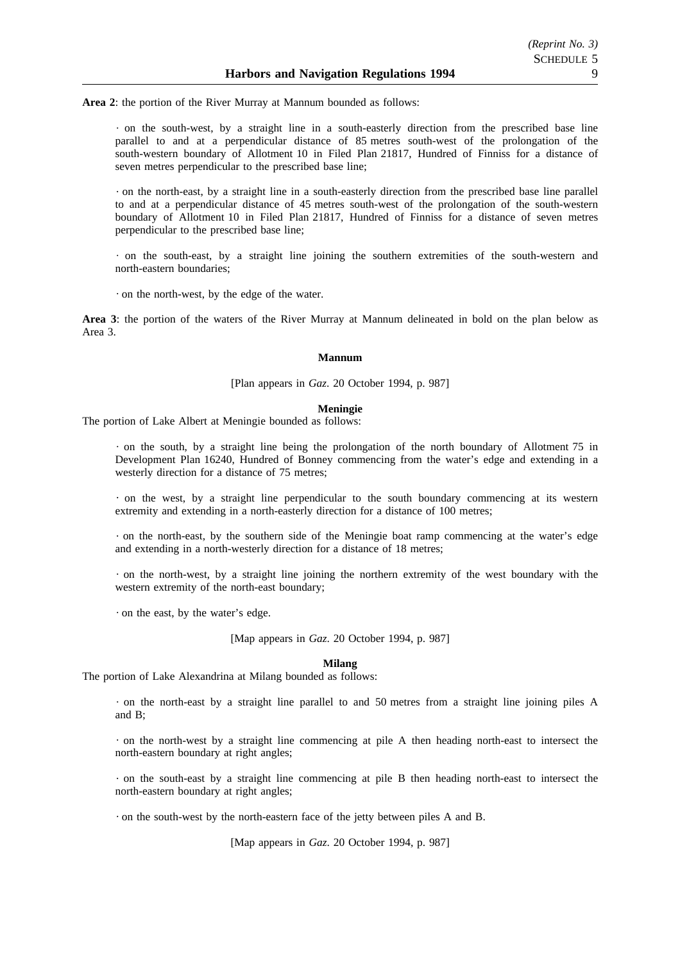**Area 2**: the portion of the River Murray at Mannum bounded as follows:

on the south-west, by a straight line in a south-easterly direction from the prescribed base line parallel to and at a perpendicular distance of 85 metres south-west of the prolongation of the south-western boundary of Allotment 10 in Filed Plan 21817, Hundred of Finniss for a distance of seven metres perpendicular to the prescribed base line;

on the north-east, by a straight line in a south-easterly direction from the prescribed base line parallel to and at a perpendicular distance of 45 metres south-west of the prolongation of the south-western boundary of Allotment 10 in Filed Plan 21817, Hundred of Finniss for a distance of seven metres perpendicular to the prescribed base line;

on the south-east, by a straight line joining the southern extremities of the south-western and north-eastern boundaries;

on the north-west, by the edge of the water.

**Area 3**: the portion of the waters of the River Murray at Mannum delineated in bold on the plan below as Area 3.

#### **Mannum**

# [Plan appears in *Gaz*. 20 October 1994, p. 987]

# **Meningie**

The portion of Lake Albert at Meningie bounded as follows:

on the south, by a straight line being the prolongation of the north boundary of Allotment 75 in Development Plan 16240, Hundred of Bonney commencing from the water's edge and extending in a westerly direction for a distance of 75 metres;

on the west, by a straight line perpendicular to the south boundary commencing at its western extremity and extending in a north-easterly direction for a distance of 100 metres;

on the north-east, by the southern side of the Meningie boat ramp commencing at the water's edge and extending in a north-westerly direction for a distance of 18 metres;

on the north-west, by a straight line joining the northern extremity of the west boundary with the western extremity of the north-east boundary;

on the east, by the water's edge.

[Map appears in *Gaz*. 20 October 1994, p. 987]

# **Milang**

The portion of Lake Alexandrina at Milang bounded as follows:

on the north-east by a straight line parallel to and 50 metres from a straight line joining piles A and B;

on the north-west by a straight line commencing at pile A then heading north-east to intersect the north-eastern boundary at right angles;

on the south-east by a straight line commencing at pile B then heading north-east to intersect the north-eastern boundary at right angles;

on the south-west by the north-eastern face of the jetty between piles A and B.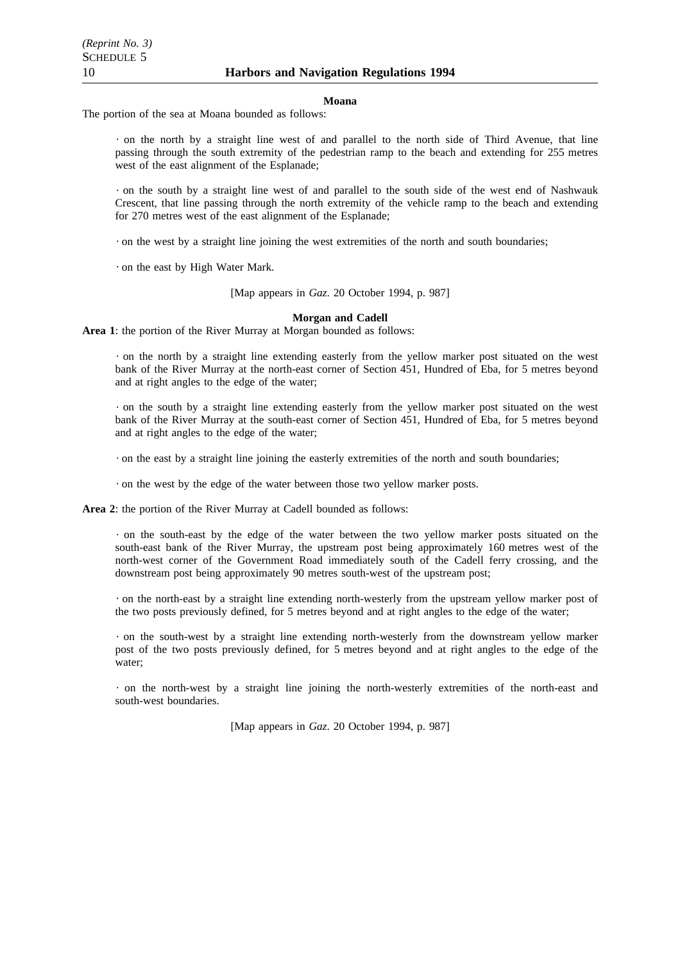#### **Moana**

The portion of the sea at Moana bounded as follows:

on the north by a straight line west of and parallel to the north side of Third Avenue, that line passing through the south extremity of the pedestrian ramp to the beach and extending for 255 metres west of the east alignment of the Esplanade;

on the south by a straight line west of and parallel to the south side of the west end of Nashwauk Crescent, that line passing through the north extremity of the vehicle ramp to the beach and extending for 270 metres west of the east alignment of the Esplanade;

 $\cdot$  on the west by a straight line joining the west extremities of the north and south boundaries;

on the east by High Water Mark.

[Map appears in *Gaz*. 20 October 1994, p. 987]

# **Morgan and Cadell**

**Area 1**: the portion of the River Murray at Morgan bounded as follows:

on the north by a straight line extending easterly from the yellow marker post situated on the west bank of the River Murray at the north-east corner of Section 451, Hundred of Eba, for 5 metres beyond and at right angles to the edge of the water;

on the south by a straight line extending easterly from the yellow marker post situated on the west bank of the River Murray at the south-east corner of Section 451, Hundred of Eba, for 5 metres beyond and at right angles to the edge of the water;

on the east by a straight line joining the easterly extremities of the north and south boundaries;

on the west by the edge of the water between those two yellow marker posts.

**Area 2**: the portion of the River Murray at Cadell bounded as follows:

on the south-east by the edge of the water between the two yellow marker posts situated on the south-east bank of the River Murray, the upstream post being approximately 160 metres west of the north-west corner of the Government Road immediately south of the Cadell ferry crossing, and the downstream post being approximately 90 metres south-west of the upstream post;

on the north-east by a straight line extending north-westerly from the upstream yellow marker post of the two posts previously defined, for 5 metres beyond and at right angles to the edge of the water;

on the south-west by a straight line extending north-westerly from the downstream yellow marker post of the two posts previously defined, for 5 metres beyond and at right angles to the edge of the water;

on the north-west by a straight line joining the north-westerly extremities of the north-east and south-west boundaries.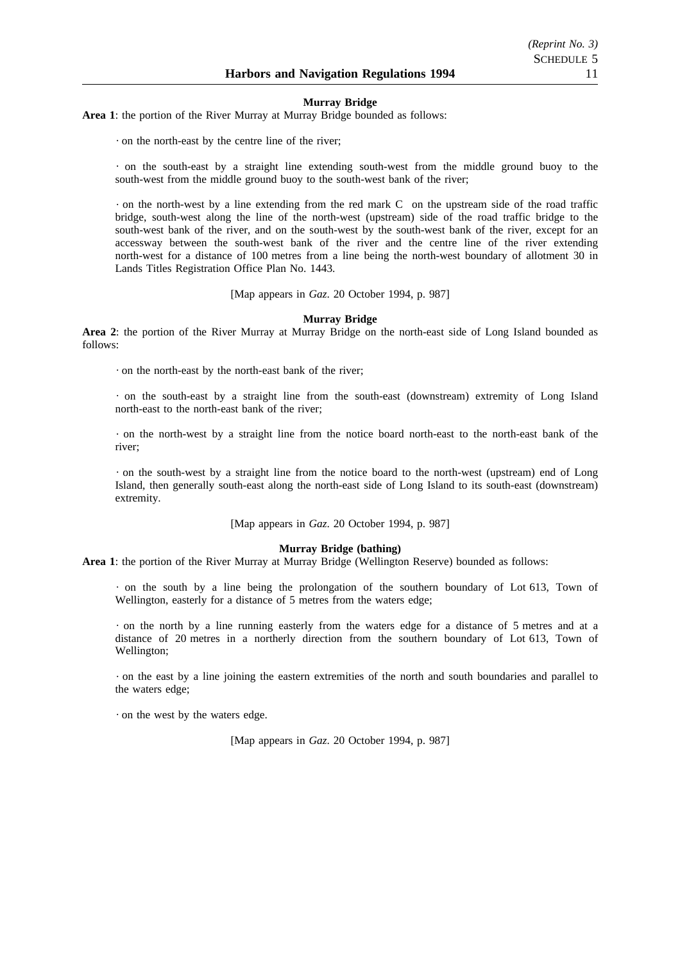#### **Murray Bridge**

**Area 1**: the portion of the River Murray at Murray Bridge bounded as follows:

on the north-east by the centre line of the river;

 $\cdot$  on the south-east by a straight line extending south-west from the middle ground buoy to the south-west from the middle ground buoy to the south-west bank of the river;

 $\cdot$  on the north-west by a line extending from the red mark C on the upstream side of the road traffic bridge, south-west along the line of the north-west (upstream) side of the road traffic bridge to the south-west bank of the river, and on the south-west by the south-west bank of the river, except for an accessway between the south-west bank of the river and the centre line of the river extending north-west for a distance of 100 metres from a line being the north-west boundary of allotment 30 in Lands Titles Registration Office Plan No. 1443.

[Map appears in *Gaz*. 20 October 1994, p. 987]

#### **Murray Bridge**

**Area 2**: the portion of the River Murray at Murray Bridge on the north-east side of Long Island bounded as follows:

on the north-east by the north-east bank of the river;

on the south-east by a straight line from the south-east (downstream) extremity of Long Island north-east to the north-east bank of the river;

on the north-west by a straight line from the notice board north-east to the north-east bank of the river;

on the south-west by a straight line from the notice board to the north-west (upstream) end of Long Island, then generally south-east along the north-east side of Long Island to its south-east (downstream) extremity.

[Map appears in *Gaz*. 20 October 1994, p. 987]

#### **Murray Bridge (bathing)**

**Area 1**: the portion of the River Murray at Murray Bridge (Wellington Reserve) bounded as follows:

on the south by a line being the prolongation of the southern boundary of Lot 613, Town of Wellington, easterly for a distance of 5 metres from the waters edge;

on the north by a line running easterly from the waters edge for a distance of 5 metres and at a distance of 20 metres in a northerly direction from the southern boundary of Lot 613, Town of Wellington;

on the east by a line joining the eastern extremities of the north and south boundaries and parallel to the waters edge;

on the west by the waters edge.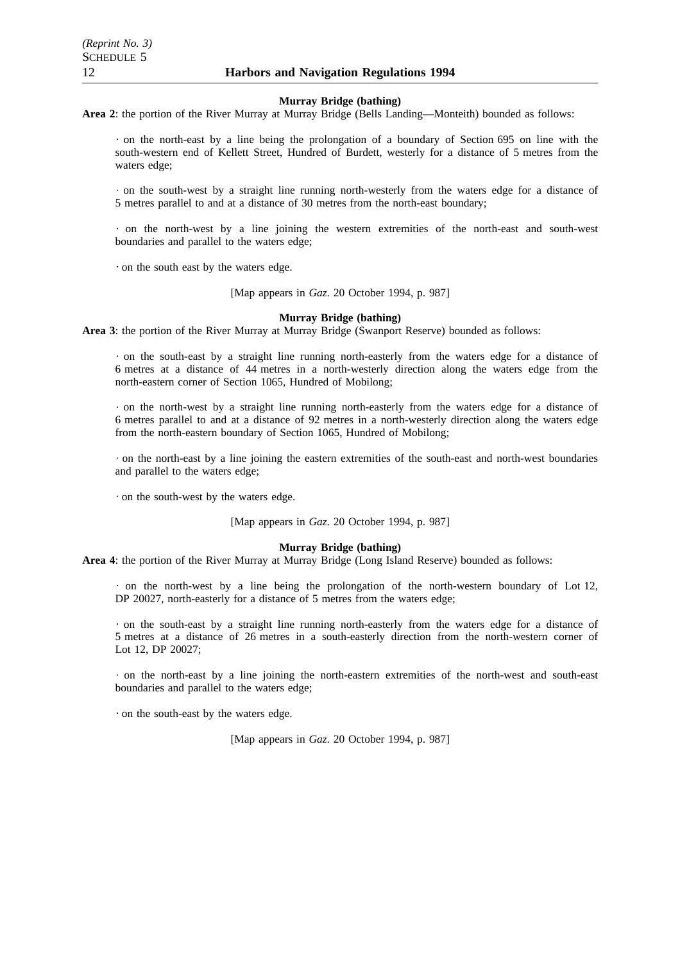#### **Murray Bridge (bathing)**

Area 2: the portion of the River Murray at Murray Bridge (Bells Landing—Monteith) bounded as follows:

 $\cdot$  on the north-east by a line being the prolongation of a boundary of Section 695 on line with the south-western end of Kellett Street, Hundred of Burdett, westerly for a distance of 5 metres from the waters edge;

on the south-west by a straight line running north-westerly from the waters edge for a distance of 5 metres parallel to and at a distance of 30 metres from the north-east boundary;

on the north-west by a line joining the western extremities of the north-east and south-west boundaries and parallel to the waters edge;

on the south east by the waters edge.

[Map appears in *Gaz*. 20 October 1994, p. 987]

# **Murray Bridge (bathing)**

**Area 3**: the portion of the River Murray at Murray Bridge (Swanport Reserve) bounded as follows:

on the south-east by a straight line running north-easterly from the waters edge for a distance of 6 metres at a distance of 44 metres in a north-westerly direction along the waters edge from the north-eastern corner of Section 1065, Hundred of Mobilong;

on the north-west by a straight line running north-easterly from the waters edge for a distance of 6 metres parallel to and at a distance of 92 metres in a north-westerly direction along the waters edge from the north-eastern boundary of Section 1065, Hundred of Mobilong;

on the north-east by a line joining the eastern extremities of the south-east and north-west boundaries and parallel to the waters edge;

on the south-west by the waters edge.

[Map appears in *Gaz*. 20 October 1994, p. 987]

#### **Murray Bridge (bathing)**

**Area 4**: the portion of the River Murray at Murray Bridge (Long Island Reserve) bounded as follows:

 $\cdot$  on the north-west by a line being the prolongation of the north-western boundary of Lot 12, DP 20027, north-easterly for a distance of 5 metres from the waters edge;

on the south-east by a straight line running north-easterly from the waters edge for a distance of 5 metres at a distance of 26 metres in a south-easterly direction from the north-western corner of Lot 12, DP 20027;

on the north-east by a line joining the north-eastern extremities of the north-west and south-east boundaries and parallel to the waters edge;

on the south-east by the waters edge.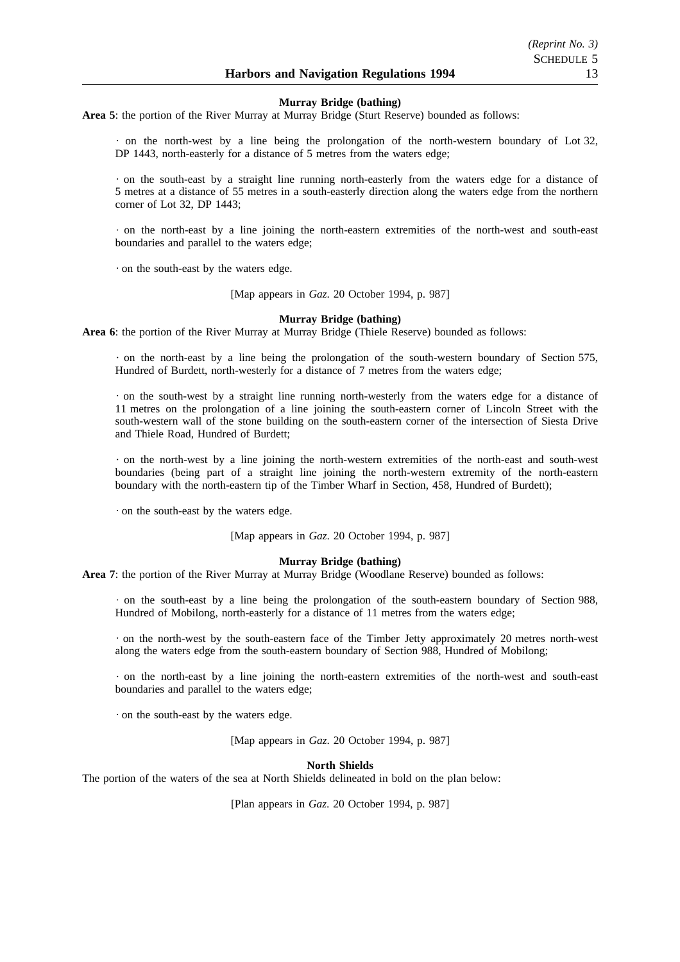#### **Murray Bridge (bathing)**

**Area 5**: the portion of the River Murray at Murray Bridge (Sturt Reserve) bounded as follows:

on the north-west by a line being the prolongation of the north-western boundary of Lot 32, DP 1443, north-easterly for a distance of 5 metres from the waters edge;

on the south-east by a straight line running north-easterly from the waters edge for a distance of 5 metres at a distance of 55 metres in a south-easterly direction along the waters edge from the northern corner of Lot 32, DP 1443;

on the north-east by a line joining the north-eastern extremities of the north-west and south-east boundaries and parallel to the waters edge;

on the south-east by the waters edge.

[Map appears in *Gaz*. 20 October 1994, p. 987]

#### **Murray Bridge (bathing)**

**Area 6**: the portion of the River Murray at Murray Bridge (Thiele Reserve) bounded as follows:

on the north-east by a line being the prolongation of the south-western boundary of Section 575, Hundred of Burdett, north-westerly for a distance of 7 metres from the waters edge;

on the south-west by a straight line running north-westerly from the waters edge for a distance of 11 metres on the prolongation of a line joining the south-eastern corner of Lincoln Street with the south-western wall of the stone building on the south-eastern corner of the intersection of Siesta Drive and Thiele Road, Hundred of Burdett;

on the north-west by a line joining the north-western extremities of the north-east and south-west boundaries (being part of a straight line joining the north-western extremity of the north-eastern boundary with the north-eastern tip of the Timber Wharf in Section, 458, Hundred of Burdett);

on the south-east by the waters edge.

[Map appears in *Gaz*. 20 October 1994, p. 987]

#### **Murray Bridge (bathing)**

**Area 7**: the portion of the River Murray at Murray Bridge (Woodlane Reserve) bounded as follows:

on the south-east by a line being the prolongation of the south-eastern boundary of Section 988, Hundred of Mobilong, north-easterly for a distance of 11 metres from the waters edge;

on the north-west by the south-eastern face of the Timber Jetty approximately 20 metres north-west along the waters edge from the south-eastern boundary of Section 988, Hundred of Mobilong;

on the north-east by a line joining the north-eastern extremities of the north-west and south-east boundaries and parallel to the waters edge;

on the south-east by the waters edge.

[Map appears in *Gaz*. 20 October 1994, p. 987]

**North Shields**

The portion of the waters of the sea at North Shields delineated in bold on the plan below: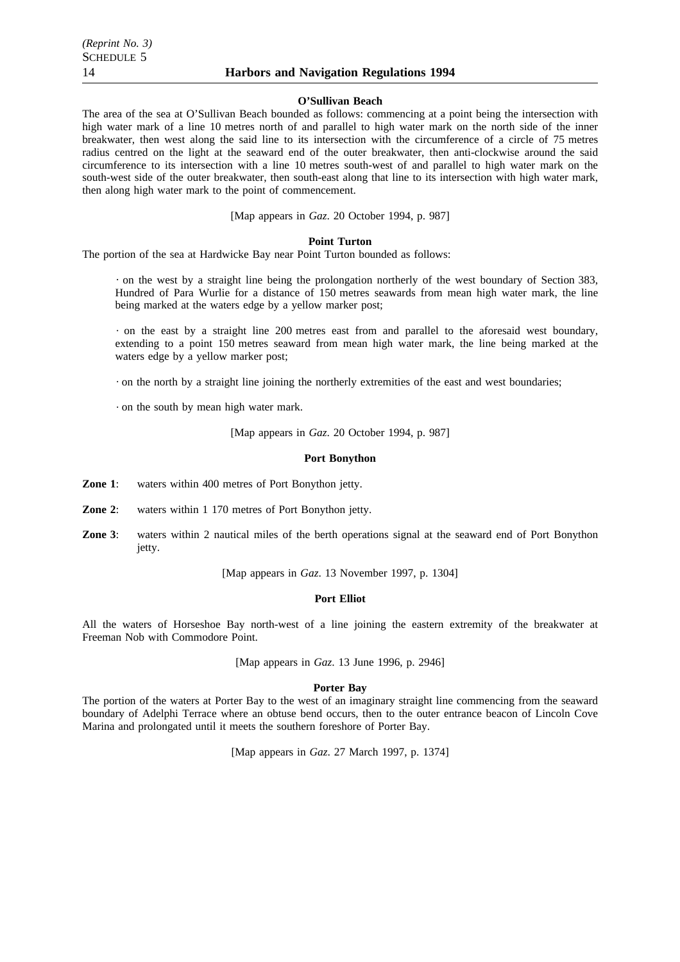#### **O'Sullivan Beach**

The area of the sea at O'Sullivan Beach bounded as follows: commencing at a point being the intersection with high water mark of a line 10 metres north of and parallel to high water mark on the north side of the inner breakwater, then west along the said line to its intersection with the circumference of a circle of 75 metres radius centred on the light at the seaward end of the outer breakwater, then anti-clockwise around the said circumference to its intersection with a line 10 metres south-west of and parallel to high water mark on the south-west side of the outer breakwater, then south-east along that line to its intersection with high water mark, then along high water mark to the point of commencement.

[Map appears in *Gaz*. 20 October 1994, p. 987]

#### **Point Turton**

The portion of the sea at Hardwicke Bay near Point Turton bounded as follows:

on the west by a straight line being the prolongation northerly of the west boundary of Section 383, Hundred of Para Wurlie for a distance of 150 metres seawards from mean high water mark, the line being marked at the waters edge by a yellow marker post;

on the east by a straight line 200 metres east from and parallel to the aforesaid west boundary, extending to a point 150 metres seaward from mean high water mark, the line being marked at the waters edge by a yellow marker post;

on the north by a straight line joining the northerly extremities of the east and west boundaries;

on the south by mean high water mark.

[Map appears in *Gaz*. 20 October 1994, p. 987]

#### **Port Bonython**

- **Zone 1**: waters within 400 metres of Port Bonython jetty.
- **Zone 2**: waters within 1 170 metres of Port Bonython jetty.
- **Zone 3**: waters within 2 nautical miles of the berth operations signal at the seaward end of Port Bonython jetty.

[Map appears in *Gaz*. 13 November 1997, p. 1304]

#### **Port Elliot**

All the waters of Horseshoe Bay north-west of a line joining the eastern extremity of the breakwater at Freeman Nob with Commodore Point.

[Map appears in *Gaz*. 13 June 1996, p. 2946]

#### **Porter Bay**

The portion of the waters at Porter Bay to the west of an imaginary straight line commencing from the seaward boundary of Adelphi Terrace where an obtuse bend occurs, then to the outer entrance beacon of Lincoln Cove Marina and prolongated until it meets the southern foreshore of Porter Bay.

[Map appears in *Gaz*. 27 March 1997, p. 1374]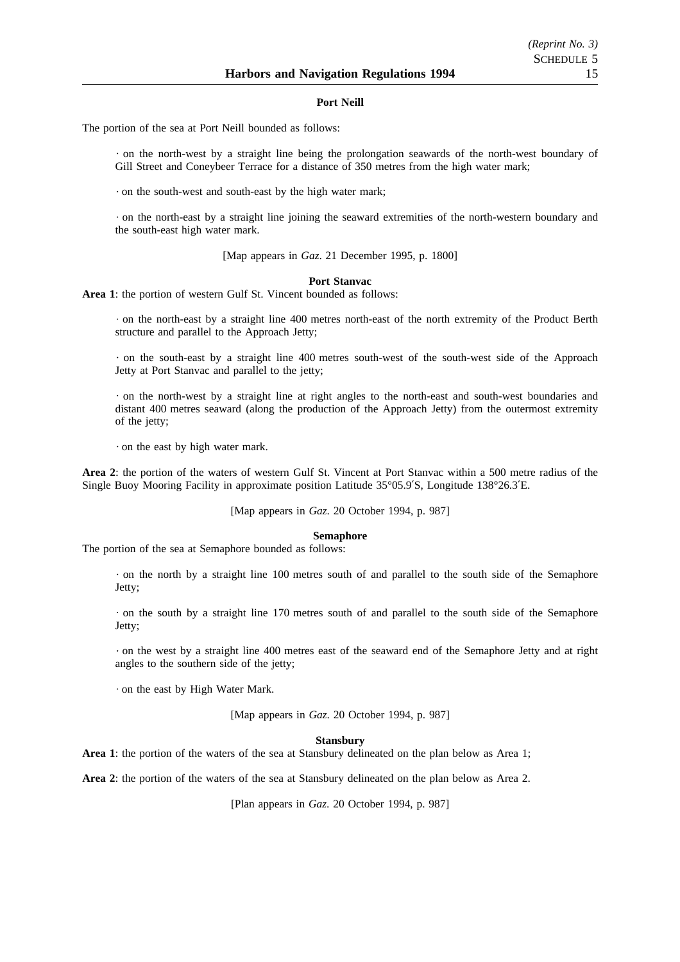#### **Port Neill**

The portion of the sea at Port Neill bounded as follows:

on the north-west by a straight line being the prolongation seawards of the north-west boundary of Gill Street and Coneybeer Terrace for a distance of 350 metres from the high water mark;

on the south-west and south-east by the high water mark;

on the north-east by a straight line joining the seaward extremities of the north-western boundary and the south-east high water mark.

[Map appears in *Gaz*. 21 December 1995, p. 1800]

#### **Port Stanvac**

**Area 1**: the portion of western Gulf St. Vincent bounded as follows:

on the north-east by a straight line 400 metres north-east of the north extremity of the Product Berth structure and parallel to the Approach Jetty;

on the south-east by a straight line 400 metres south-west of the south-west side of the Approach Jetty at Port Stanvac and parallel to the jetty;

on the north-west by a straight line at right angles to the north-east and south-west boundaries and distant 400 metres seaward (along the production of the Approach Jetty) from the outermost extremity of the jetty;

on the east by high water mark.

**Area 2**: the portion of the waters of western Gulf St. Vincent at Port Stanvac within a 500 metre radius of the Single Buoy Mooring Facility in approximate position Latitude 35°05.9′S, Longitude 138°26.3′E.

[Map appears in *Gaz*. 20 October 1994, p. 987]

#### **Semaphore**

The portion of the sea at Semaphore bounded as follows:

on the north by a straight line 100 metres south of and parallel to the south side of the Semaphore Jetty;

on the south by a straight line 170 metres south of and parallel to the south side of the Semaphore Jetty;

on the west by a straight line 400 metres east of the seaward end of the Semaphore Jetty and at right angles to the southern side of the jetty;

on the east by High Water Mark.

[Map appears in *Gaz*. 20 October 1994, p. 987]

#### **Stansbury**

**Area 1**: the portion of the waters of the sea at Stansbury delineated on the plan below as Area 1;

**Area 2**: the portion of the waters of the sea at Stansbury delineated on the plan below as Area 2.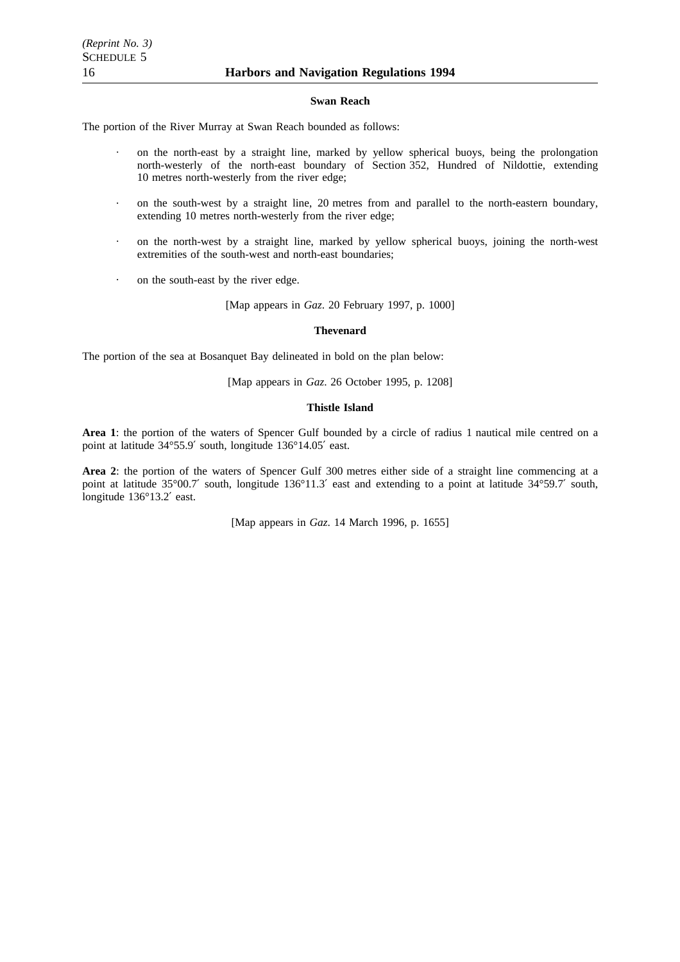#### **Swan Reach**

The portion of the River Murray at Swan Reach bounded as follows:

- on the north-east by a straight line, marked by yellow spherical buoys, being the prolongation north-westerly of the north-east boundary of Section 352, Hundred of Nildottie, extending 10 metres north-westerly from the river edge;
- on the south-west by a straight line, 20 metres from and parallel to the north-eastern boundary, extending 10 metres north-westerly from the river edge;
- on the north-west by a straight line, marked by yellow spherical buoys, joining the north-west extremities of the south-west and north-east boundaries;
- on the south-east by the river edge.

[Map appears in *Gaz*. 20 February 1997, p. 1000]

#### **Thevenard**

The portion of the sea at Bosanquet Bay delineated in bold on the plan below:

[Map appears in *Gaz*. 26 October 1995, p. 1208]

# **Thistle Island**

**Area 1**: the portion of the waters of Spencer Gulf bounded by a circle of radius 1 nautical mile centred on a point at latitude 34°55.9′ south, longitude 136°14.05′ east.

**Area 2**: the portion of the waters of Spencer Gulf 300 metres either side of a straight line commencing at a point at latitude 35°00.7′ south, longitude 136°11.3′ east and extending to a point at latitude 34°59.7′ south, longitude 136°13.2′ east.

[Map appears in *Gaz*. 14 March 1996, p. 1655]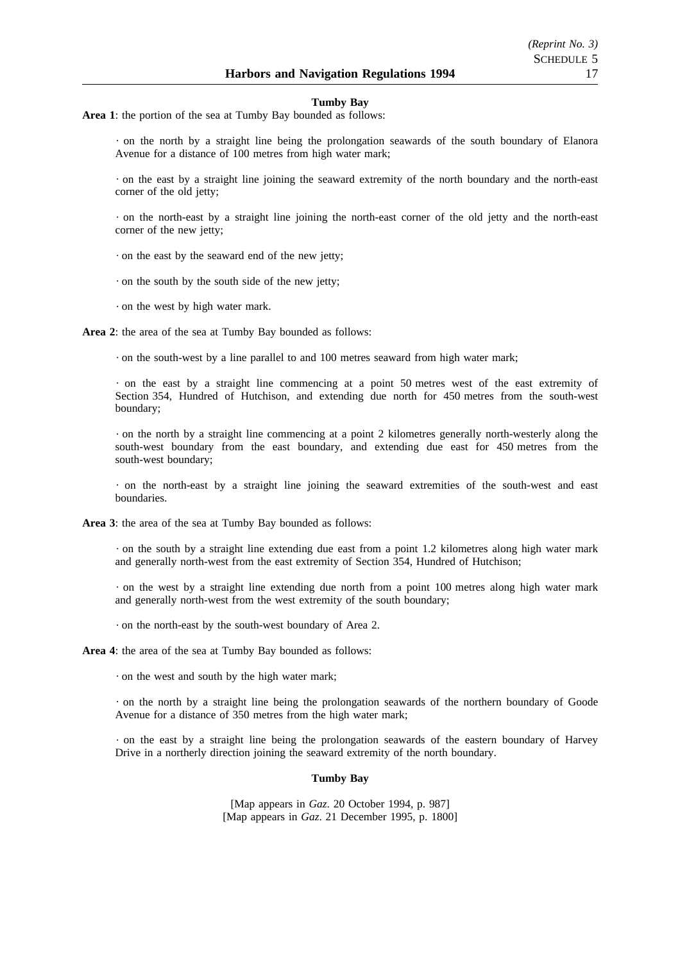#### **Tumby Bay**

**Area 1**: the portion of the sea at Tumby Bay bounded as follows:

on the north by a straight line being the prolongation seawards of the south boundary of Elanora Avenue for a distance of 100 metres from high water mark;

on the east by a straight line joining the seaward extremity of the north boundary and the north-east corner of the old jetty;

on the north-east by a straight line joining the north-east corner of the old jetty and the north-east corner of the new jetty;

on the east by the seaward end of the new jetty;

· on the south by the south side of the new jetty;

on the west by high water mark.

**Area 2**: the area of the sea at Tumby Bay bounded as follows:

 $\cdot$  on the south-west by a line parallel to and 100 metres seaward from high water mark;

 $\cdot$  on the east by a straight line commencing at a point 50 metres west of the east extremity of Section 354, Hundred of Hutchison, and extending due north for 450 metres from the south-west boundary;

on the north by a straight line commencing at a point 2 kilometres generally north-westerly along the south-west boundary from the east boundary, and extending due east for 450 metres from the south-west boundary;

on the north-east by a straight line joining the seaward extremities of the south-west and east boundaries.

**Area 3**: the area of the sea at Tumby Bay bounded as follows:

 $\cdot$  on the south by a straight line extending due east from a point 1.2 kilometres along high water mark and generally north-west from the east extremity of Section 354, Hundred of Hutchison;

 $\cdot$  on the west by a straight line extending due north from a point 100 metres along high water mark and generally north-west from the west extremity of the south boundary;

on the north-east by the south-west boundary of Area 2.

**Area 4**: the area of the sea at Tumby Bay bounded as follows:

on the west and south by the high water mark;

on the north by a straight line being the prolongation seawards of the northern boundary of Goode Avenue for a distance of 350 metres from the high water mark;

on the east by a straight line being the prolongation seawards of the eastern boundary of Harvey Drive in a northerly direction joining the seaward extremity of the north boundary.

#### **Tumby Bay**

[Map appears in *Gaz*. 20 October 1994, p. 987] [Map appears in *Gaz*. 21 December 1995, p. 1800]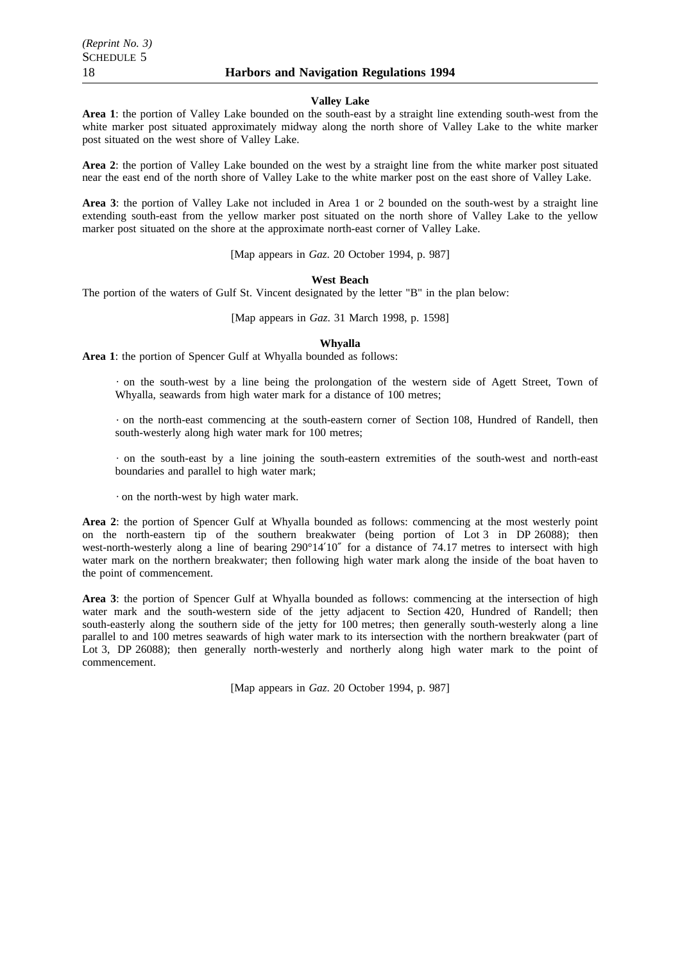#### **Valley Lake**

**Area 1**: the portion of Valley Lake bounded on the south-east by a straight line extending south-west from the white marker post situated approximately midway along the north shore of Valley Lake to the white marker post situated on the west shore of Valley Lake.

**Area 2**: the portion of Valley Lake bounded on the west by a straight line from the white marker post situated near the east end of the north shore of Valley Lake to the white marker post on the east shore of Valley Lake.

**Area 3**: the portion of Valley Lake not included in Area 1 or 2 bounded on the south-west by a straight line extending south-east from the yellow marker post situated on the north shore of Valley Lake to the yellow marker post situated on the shore at the approximate north-east corner of Valley Lake.

[Map appears in *Gaz*. 20 October 1994, p. 987]

# **West Beach**

The portion of the waters of Gulf St. Vincent designated by the letter "B" in the plan below:

[Map appears in *Gaz*. 31 March 1998, p. 1598]

# **Whyalla**

**Area 1**: the portion of Spencer Gulf at Whyalla bounded as follows:

on the south-west by a line being the prolongation of the western side of Agett Street, Town of Whyalla, seawards from high water mark for a distance of 100 metres;

on the north-east commencing at the south-eastern corner of Section 108, Hundred of Randell, then south-westerly along high water mark for 100 metres;

on the south-east by a line joining the south-eastern extremities of the south-west and north-east boundaries and parallel to high water mark;

on the north-west by high water mark.

**Area 2**: the portion of Spencer Gulf at Whyalla bounded as follows: commencing at the most westerly point on the north-eastern tip of the southern breakwater (being portion of Lot 3 in DP 26088); then west-north-westerly along a line of bearing 290°14'10" for a distance of 74.17 metres to intersect with high water mark on the northern breakwater; then following high water mark along the inside of the boat haven to the point of commencement.

**Area 3**: the portion of Spencer Gulf at Whyalla bounded as follows: commencing at the intersection of high water mark and the south-western side of the jetty adjacent to Section 420, Hundred of Randell; then south-easterly along the southern side of the jetty for 100 metres; then generally south-westerly along a line parallel to and 100 metres seawards of high water mark to its intersection with the northern breakwater (part of Lot 3, DP 26088); then generally north-westerly and northerly along high water mark to the point of commencement.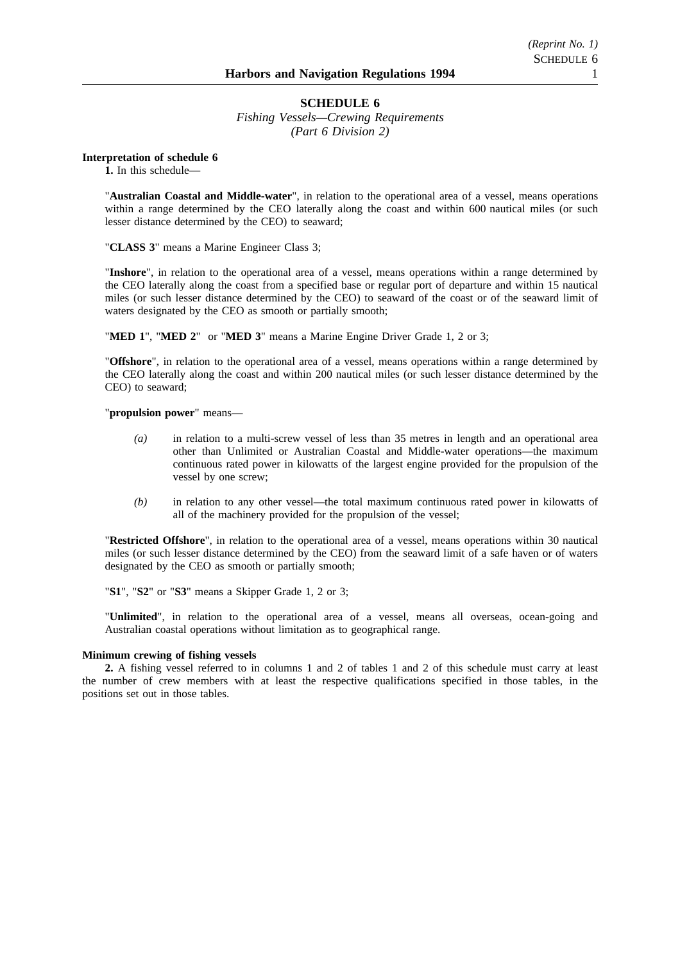# **SCHEDULE 6**

*Fishing Vessels—Crewing Requirements (Part 6 Division 2)*

**Interpretation of schedule 6**

**1.** In this schedule—

"**Australian Coastal and Middle-water**", in relation to the operational area of a vessel, means operations within a range determined by the CEO laterally along the coast and within 600 nautical miles (or such lesser distance determined by the CEO) to seaward;

"**CLASS 3**" means a Marine Engineer Class 3;

"**Inshore**", in relation to the operational area of a vessel, means operations within a range determined by the CEO laterally along the coast from a specified base or regular port of departure and within 15 nautical miles (or such lesser distance determined by the CEO) to seaward of the coast or of the seaward limit of waters designated by the CEO as smooth or partially smooth;

"**MED 1**", "**MED 2**" or "**MED 3**" means a Marine Engine Driver Grade 1, 2 or 3;

"**Offshore**", in relation to the operational area of a vessel, means operations within a range determined by the CEO laterally along the coast and within 200 nautical miles (or such lesser distance determined by the CEO) to seaward;

"**propulsion power**" means—

- *(a)* in relation to a multi-screw vessel of less than 35 metres in length and an operational area other than Unlimited or Australian Coastal and Middle-water operations—the maximum continuous rated power in kilowatts of the largest engine provided for the propulsion of the vessel by one screw;
- *(b)* in relation to any other vessel—the total maximum continuous rated power in kilowatts of all of the machinery provided for the propulsion of the vessel;

"**Restricted Offshore**", in relation to the operational area of a vessel, means operations within 30 nautical miles (or such lesser distance determined by the CEO) from the seaward limit of a safe haven or of waters designated by the CEO as smooth or partially smooth;

"**S1**", "**S2**" or "**S3**" means a Skipper Grade 1, 2 or 3;

"**Unlimited**", in relation to the operational area of a vessel, means all overseas, ocean-going and Australian coastal operations without limitation as to geographical range.

# **Minimum crewing of fishing vessels**

**2.** A fishing vessel referred to in columns 1 and 2 of tables 1 and 2 of this schedule must carry at least the number of crew members with at least the respective qualifications specified in those tables, in the positions set out in those tables.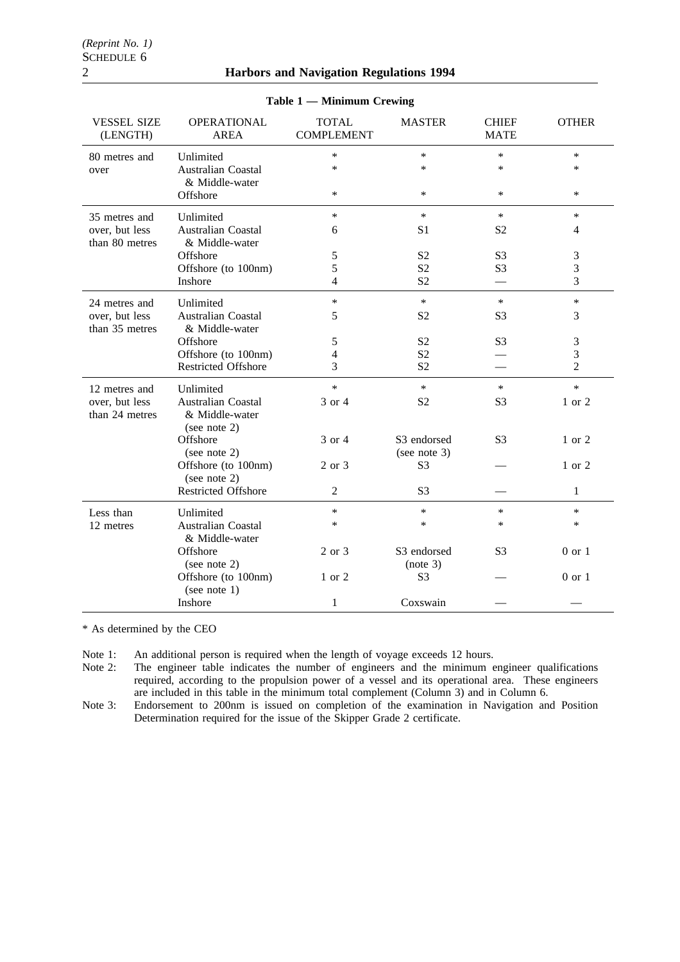| $1$ able $1 -$ Minimum Crewing   |                                                                |                                   |                             |                             |                |
|----------------------------------|----------------------------------------------------------------|-----------------------------------|-----------------------------|-----------------------------|----------------|
| <b>VESSEL SIZE</b><br>(LENGTH)   | <b>OPERATIONAL</b><br><b>AREA</b>                              | <b>TOTAL</b><br><b>COMPLEMENT</b> | <b>MASTER</b>               | <b>CHIEF</b><br><b>MATE</b> | <b>OTHER</b>   |
| 80 metres and                    | Unlimited                                                      | $\ast$                            | $\ast$                      | $\ast$                      | $\ast$         |
| over                             | Australian Coastal<br>& Middle-water                           | $\ast$                            | $\ast$                      | $\ast$                      | $\ast$         |
|                                  | Offshore                                                       | $\ast$                            | $\ast$                      | $\ast$                      | $\ast$         |
| 35 metres and                    | Unlimited                                                      | $\ast$                            | $\ast$                      | $\ast$                      | $\ast$         |
| over, but less<br>than 80 metres | <b>Australian Coastal</b><br>& Middle-water                    | 6                                 | S <sub>1</sub>              | S <sub>2</sub>              | $\overline{4}$ |
|                                  | Offshore                                                       | 5                                 | S <sub>2</sub>              | S <sub>3</sub>              | 3              |
|                                  | Offshore (to 100nm)                                            | 5                                 | S <sub>2</sub>              | S <sub>3</sub>              | 3              |
|                                  | Inshore                                                        | 4                                 | S <sub>2</sub>              |                             | 3              |
| 24 metres and                    | Unlimited                                                      | $\ast$                            | $\ast$                      | $\ast$                      | $\ast$         |
| over, but less<br>than 35 metres | <b>Australian Coastal</b><br>& Middle-water                    | 5                                 | S <sub>2</sub>              | S <sub>3</sub>              | 3              |
|                                  | Offshore                                                       | 5                                 | S <sub>2</sub>              | S <sub>3</sub>              | $\mathfrak{Z}$ |
|                                  | Offshore (to 100nm)                                            | 4                                 | S <sub>2</sub>              |                             | $\mathfrak{Z}$ |
|                                  | <b>Restricted Offshore</b>                                     | 3                                 | S <sub>2</sub>              |                             | $\overline{2}$ |
| 12 metres and                    | Unlimited                                                      | $\ast$                            | $\ast$                      | $\ast$                      | $\ast$         |
| over, but less<br>than 24 metres | <b>Australian Coastal</b><br>& Middle-water<br>(see note $2$ ) | 3 or 4                            | S <sub>2</sub>              | S <sub>3</sub>              | 1 or 2         |
|                                  | Offshore<br>(see note 2)                                       | 3 or 4                            | S3 endorsed<br>(see note 3) | S <sub>3</sub>              | 1 or 2         |
|                                  | Offshore (to 100nm)<br>(see note $2$ )                         | 2 or 3                            | S <sub>3</sub>              |                             | 1 or 2         |
|                                  | <b>Restricted Offshore</b>                                     | 2                                 | S <sub>3</sub>              |                             | 1              |
| Less than                        | Unlimited                                                      | $\ast$                            | $\ast$                      | $\ast$                      | $\ast$         |
| 12 metres                        | Australian Coastal<br>& Middle-water                           | $\ast$                            | $\ast$                      | $\ast$                      | $\ast$         |
|                                  | Offshore<br>(see note 2)                                       | 2 or 3                            | S3 endorsed<br>(note 3)     | S <sub>3</sub>              | $0$ or $1$     |
|                                  | Offshore (to 100nm)<br>(see note $1$ )                         | 1 or 2                            | S <sub>3</sub>              |                             | $0$ or $1$     |
|                                  | Inshore                                                        | $\mathbf{1}$                      | Coxswain                    |                             |                |

# **Table 1 — Minimum Crewing**

\* As determined by the CEO

Note 1: An additional person is required when the length of voyage exceeds 12 hours.<br>Note 2: The engineer table indicates the number of engineers and the minimum e The engineer table indicates the number of engineers and the minimum engineer qualifications required, according to the propulsion power of a vessel and its operational area. These engineers are included in this table in the minimum total complement (Column 3) and in Column 6.

Note 3: Endorsement to 200nm is issued on completion of the examination in Navigation and Position Determination required for the issue of the Skipper Grade 2 certificate.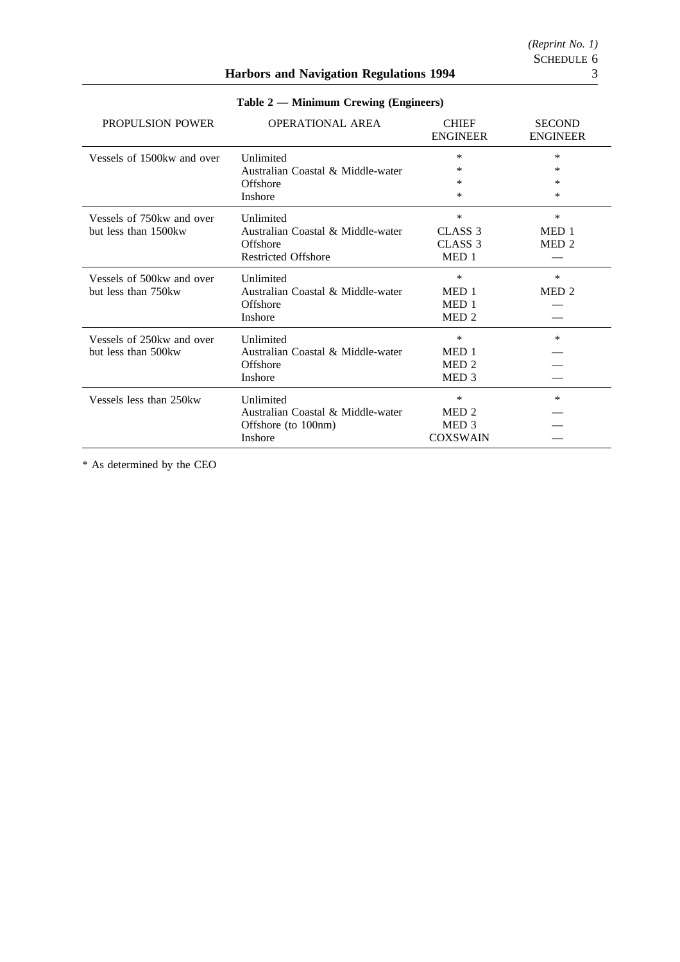*(Reprint No. 1)*

# **Harbors and Navigation Regulations 1994** 3

| PROPULSION POWER           | <b>OPERATIONAL AREA</b>           | <b>CHIEF</b><br><b>ENGINEER</b> | <b>SECOND</b><br><b>ENGINEER</b> |
|----------------------------|-----------------------------------|---------------------------------|----------------------------------|
| Vessels of 1500kw and over | Unlimited                         | *                               | $\ast$                           |
|                            | Australian Coastal & Middle-water | *                               | ∗                                |
|                            | Offshore                          | *                               | ∗                                |
|                            | <b>Inshore</b>                    | *                               | ∗                                |
| Vessels of 750kw and over  | Unlimited                         | *                               | $\ast$                           |
| but less than 1500 kw      | Australian Coastal & Middle-water | CLASS <sub>3</sub>              | MED 1                            |
|                            | Offshore                          | CLASS 3                         | MED <sub>2</sub>                 |
|                            | <b>Restricted Offshore</b>        | MED 1                           |                                  |
| Vessels of 500 kw and over | Unlimited                         | *                               | *                                |
| but less than 750 kw       | Australian Coastal & Middle-water | MED <sub>1</sub>                | MED <sub>2</sub>                 |
|                            | Offshore                          | MED <sub>1</sub>                |                                  |
|                            | <b>Inshore</b>                    | MED <sub>2</sub>                |                                  |
| Vessels of 250 kw and over | <b>Unlimited</b>                  | *                               | *                                |
| but less than 500 kw       | Australian Coastal & Middle-water | MED <sub>1</sub>                |                                  |
|                            | Offshore                          | MED <sub>2</sub>                |                                  |
|                            | Inshore                           | MED <sub>3</sub>                |                                  |
| Vessels less than 250kw    | Unlimited                         | $\ast$                          | $\ast$                           |
|                            | Australian Coastal & Middle-water | MED <sub>2</sub>                |                                  |
|                            | Offshore (to 100nm)               | MED <sub>3</sub>                |                                  |
|                            | <b>Inshore</b>                    | <b>COXSWAIN</b>                 |                                  |

**Table 2 — Minimum Crewing (Engineers)**

\* As determined by the CEO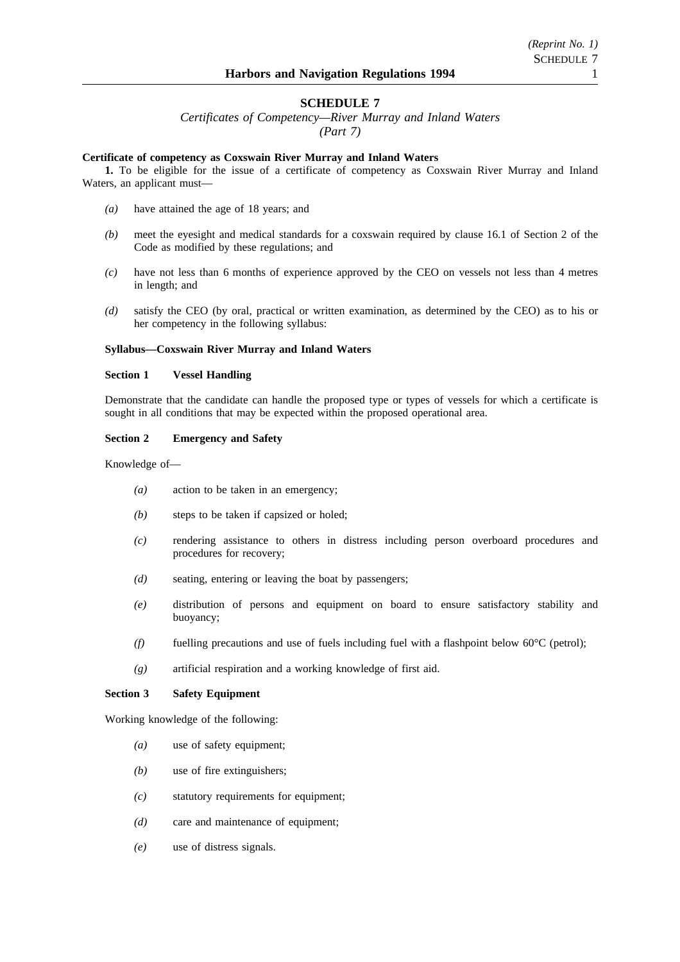# **SCHEDULE 7**

*Certificates of Competency—River Murray and Inland Waters (Part 7)*

# **Certificate of competency as Coxswain River Murray and Inland Waters**

**1.** To be eligible for the issue of a certificate of competency as Coxswain River Murray and Inland Waters, an applicant must—

- *(a)* have attained the age of 18 years; and
- *(b)* meet the eyesight and medical standards for a coxswain required by clause 16.1 of Section 2 of the Code as modified by these regulations; and
- *(c)* have not less than 6 months of experience approved by the CEO on vessels not less than 4 metres in length; and
- *(d)* satisfy the CEO (by oral, practical or written examination, as determined by the CEO) as to his or her competency in the following syllabus:

# **Syllabus—Coxswain River Murray and Inland Waters**

#### **Section 1 Vessel Handling**

Demonstrate that the candidate can handle the proposed type or types of vessels for which a certificate is sought in all conditions that may be expected within the proposed operational area.

#### **Section 2 Emergency and Safety**

Knowledge of—

- *(a)* action to be taken in an emergency;
- *(b)* steps to be taken if capsized or holed;
- *(c)* rendering assistance to others in distress including person overboard procedures and procedures for recovery;
- *(d)* seating, entering or leaving the boat by passengers;
- *(e)* distribution of persons and equipment on board to ensure satisfactory stability and buoyancy;
- *(f)* fuelling precautions and use of fuels including fuel with a flashpoint below 60°C (petrol);
- *(g)* artificial respiration and a working knowledge of first aid.

# **Section 3 Safety Equipment**

Working knowledge of the following:

- *(a)* use of safety equipment;
- *(b)* use of fire extinguishers;
- *(c)* statutory requirements for equipment;
- *(d)* care and maintenance of equipment;
- *(e)* use of distress signals.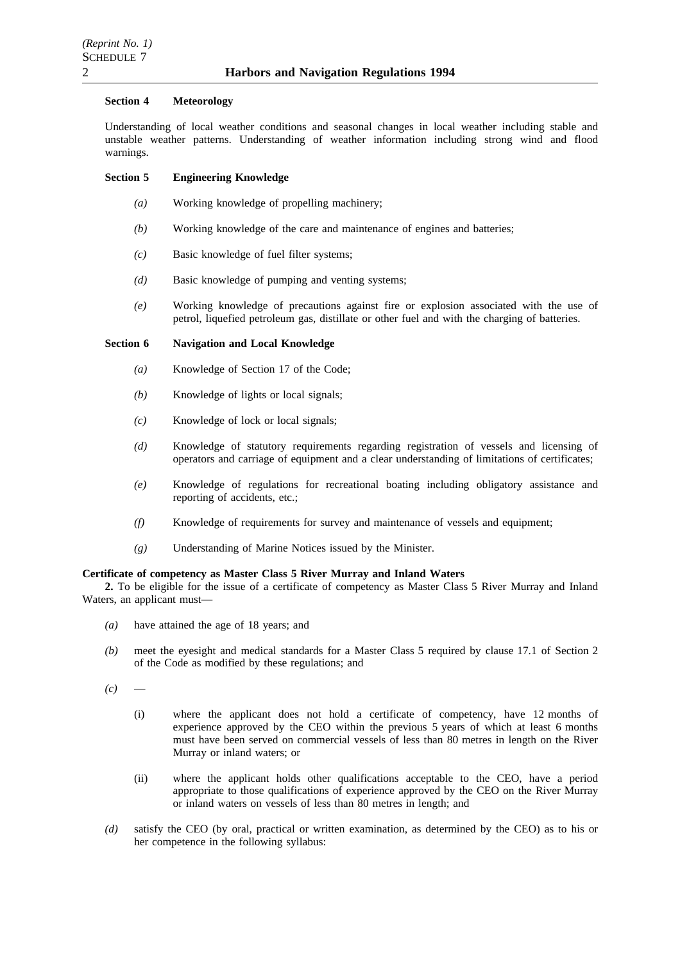#### **Section 4 Meteorology**

Understanding of local weather conditions and seasonal changes in local weather including stable and unstable weather patterns. Understanding of weather information including strong wind and flood warnings.

# **Section 5 Engineering Knowledge**

- *(a)* Working knowledge of propelling machinery;
- *(b)* Working knowledge of the care and maintenance of engines and batteries;
- *(c)* Basic knowledge of fuel filter systems;
- *(d)* Basic knowledge of pumping and venting systems;
- *(e)* Working knowledge of precautions against fire or explosion associated with the use of petrol, liquefied petroleum gas, distillate or other fuel and with the charging of batteries.

# **Section 6 Navigation and Local Knowledge**

- *(a)* Knowledge of Section 17 of the Code;
- *(b)* Knowledge of lights or local signals;
- *(c)* Knowledge of lock or local signals;
- *(d)* Knowledge of statutory requirements regarding registration of vessels and licensing of operators and carriage of equipment and a clear understanding of limitations of certificates;
- *(e)* Knowledge of regulations for recreational boating including obligatory assistance and reporting of accidents, etc.;
- *(f)* Knowledge of requirements for survey and maintenance of vessels and equipment;
- *(g)* Understanding of Marine Notices issued by the Minister.

# **Certificate of competency as Master Class 5 River Murray and Inland Waters**

**2.** To be eligible for the issue of a certificate of competency as Master Class 5 River Murray and Inland Waters, an applicant must—

- *(a)* have attained the age of 18 years; and
- *(b)* meet the eyesight and medical standards for a Master Class 5 required by clause 17.1 of Section 2 of the Code as modified by these regulations; and
- $(c)$ 
	- (i) where the applicant does not hold a certificate of competency, have 12 months of experience approved by the CEO within the previous 5 years of which at least 6 months must have been served on commercial vessels of less than 80 metres in length on the River Murray or inland waters; or
	- (ii) where the applicant holds other qualifications acceptable to the CEO, have a period appropriate to those qualifications of experience approved by the CEO on the River Murray or inland waters on vessels of less than 80 metres in length; and
- *(d)* satisfy the CEO (by oral, practical or written examination, as determined by the CEO) as to his or her competence in the following syllabus: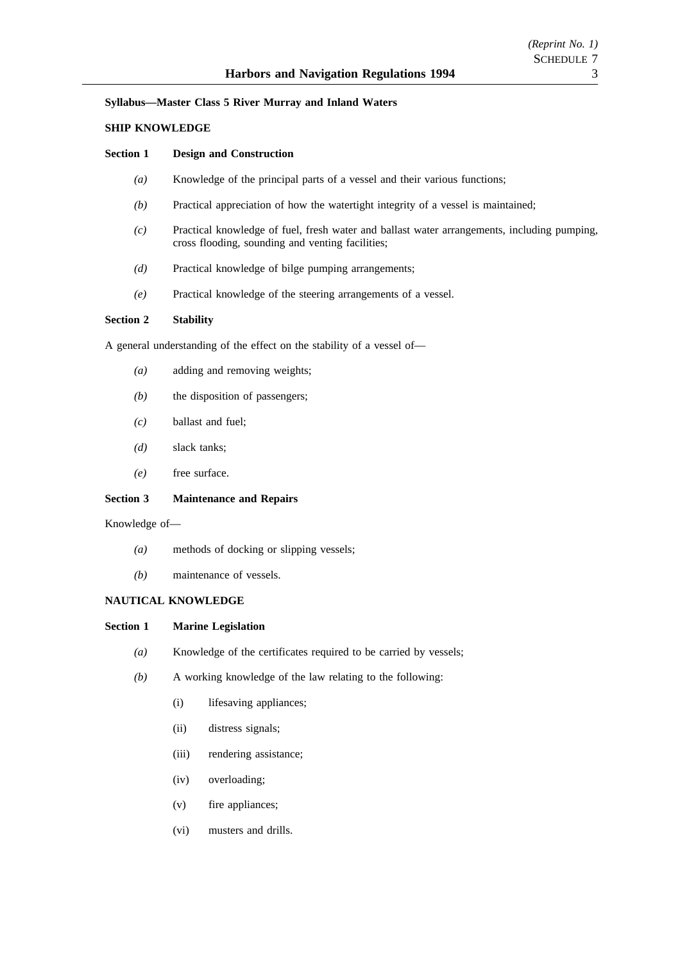#### **Syllabus—Master Class 5 River Murray and Inland Waters**

#### **SHIP KNOWLEDGE**

#### **Section 1 Design and Construction**

- *(a)* Knowledge of the principal parts of a vessel and their various functions;
- *(b)* Practical appreciation of how the watertight integrity of a vessel is maintained;
- *(c)* Practical knowledge of fuel, fresh water and ballast water arrangements, including pumping, cross flooding, sounding and venting facilities;
- *(d)* Practical knowledge of bilge pumping arrangements;
- *(e)* Practical knowledge of the steering arrangements of a vessel.

# **Section 2 Stability**

A general understanding of the effect on the stability of a vessel of—

- *(a)* adding and removing weights;
- *(b)* the disposition of passengers;
- *(c)* ballast and fuel;
- *(d)* slack tanks;
- *(e)* free surface.

# **Section 3 Maintenance and Repairs**

Knowledge of—

- *(a)* methods of docking or slipping vessels;
- *(b)* maintenance of vessels.

# **NAUTICAL KNOWLEDGE**

# **Section 1 Marine Legislation**

- *(a)* Knowledge of the certificates required to be carried by vessels;
- *(b)* A working knowledge of the law relating to the following:
	- (i) lifesaving appliances;
	- (ii) distress signals;
	- (iii) rendering assistance;
	- (iv) overloading;
	- (v) fire appliances;
	- (vi) musters and drills.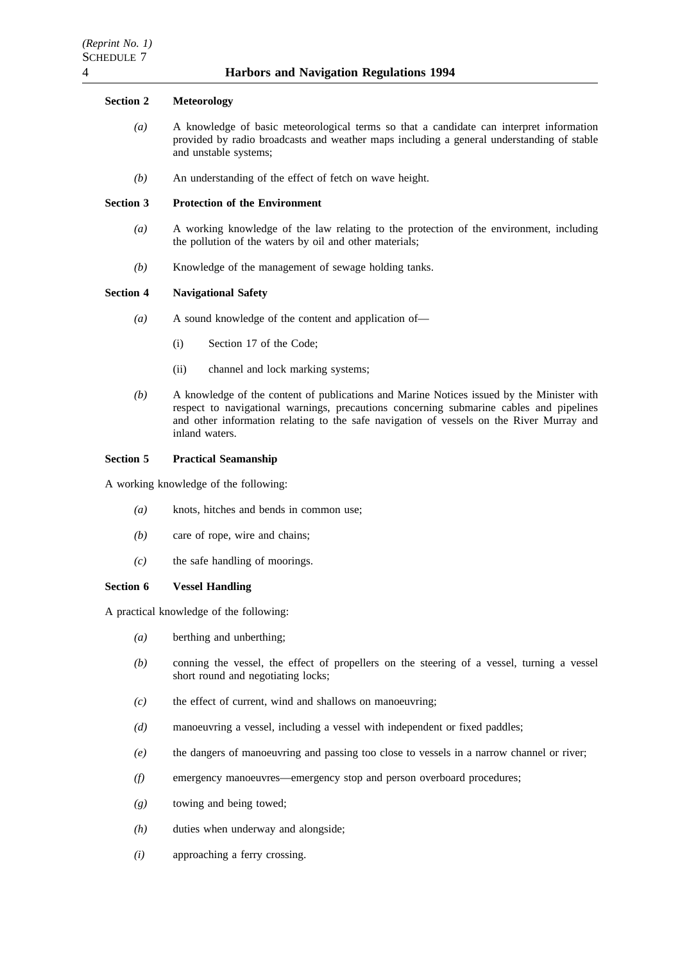# **Section 2 Meteorology**

- *(a)* A knowledge of basic meteorological terms so that a candidate can interpret information provided by radio broadcasts and weather maps including a general understanding of stable and unstable systems;
- *(b)* An understanding of the effect of fetch on wave height.

#### **Section 3 Protection of the Environment**

- *(a)* A working knowledge of the law relating to the protection of the environment, including the pollution of the waters by oil and other materials;
- *(b)* Knowledge of the management of sewage holding tanks.

# **Section 4 Navigational Safety**

- *(a)* A sound knowledge of the content and application of—
	- (i) Section 17 of the Code;
	- (ii) channel and lock marking systems;
- *(b)* A knowledge of the content of publications and Marine Notices issued by the Minister with respect to navigational warnings, precautions concerning submarine cables and pipelines and other information relating to the safe navigation of vessels on the River Murray and inland waters.

# **Section 5 Practical Seamanship**

A working knowledge of the following:

- *(a)* knots, hitches and bends in common use;
- *(b)* care of rope, wire and chains;
- *(c)* the safe handling of moorings.

#### **Section 6 Vessel Handling**

A practical knowledge of the following:

- *(a)* berthing and unberthing;
- *(b)* conning the vessel, the effect of propellers on the steering of a vessel, turning a vessel short round and negotiating locks;
- *(c)* the effect of current, wind and shallows on manoeuvring;
- *(d)* manoeuvring a vessel, including a vessel with independent or fixed paddles;
- *(e)* the dangers of manoeuvring and passing too close to vessels in a narrow channel or river;
- *(f)* emergency manoeuvres—emergency stop and person overboard procedures;
- *(g)* towing and being towed;
- *(h)* duties when underway and alongside;
- *(i)* approaching a ferry crossing.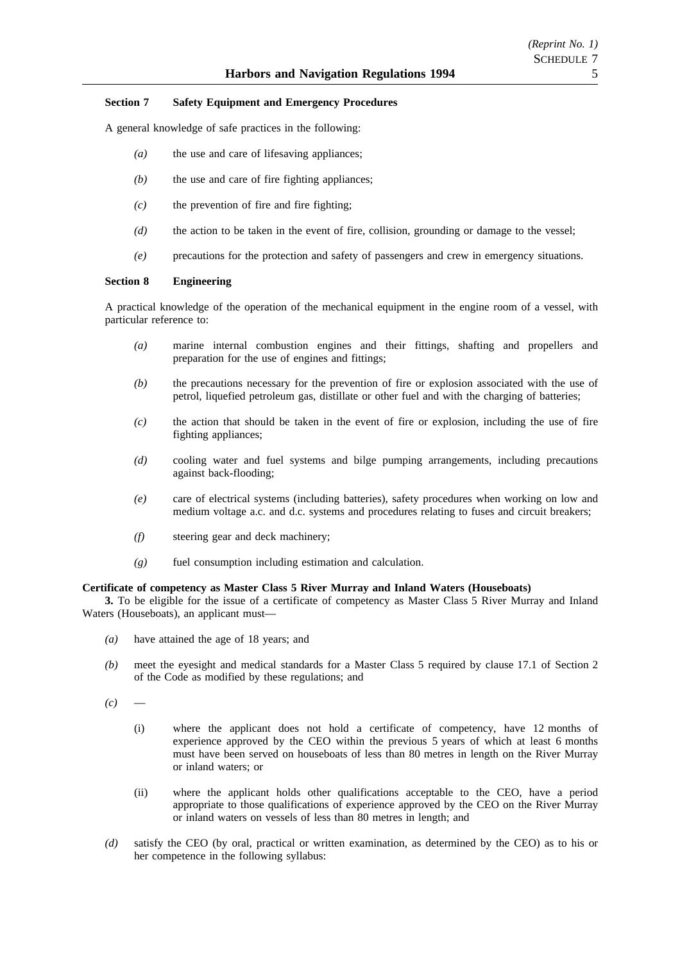# *(Reprint No. 1)* SCHEDULE 7

# **Section 7 Safety Equipment and Emergency Procedures**

A general knowledge of safe practices in the following:

- *(a)* the use and care of lifesaving appliances;
- *(b)* the use and care of fire fighting appliances;
- *(c)* the prevention of fire and fire fighting;
- *(d)* the action to be taken in the event of fire, collision, grounding or damage to the vessel;
- *(e)* precautions for the protection and safety of passengers and crew in emergency situations.

# **Section 8 Engineering**

A practical knowledge of the operation of the mechanical equipment in the engine room of a vessel, with particular reference to:

- *(a)* marine internal combustion engines and their fittings, shafting and propellers and preparation for the use of engines and fittings;
- *(b)* the precautions necessary for the prevention of fire or explosion associated with the use of petrol, liquefied petroleum gas, distillate or other fuel and with the charging of batteries;
- *(c)* the action that should be taken in the event of fire or explosion, including the use of fire fighting appliances;
- *(d)* cooling water and fuel systems and bilge pumping arrangements, including precautions against back-flooding;
- *(e)* care of electrical systems (including batteries), safety procedures when working on low and medium voltage a.c. and d.c. systems and procedures relating to fuses and circuit breakers;
- *(f)* steering gear and deck machinery;
- *(g)* fuel consumption including estimation and calculation.

# **Certificate of competency as Master Class 5 River Murray and Inland Waters (Houseboats)**

**3.** To be eligible for the issue of a certificate of competency as Master Class 5 River Murray and Inland Waters (Houseboats), an applicant must—

- *(a)* have attained the age of 18 years; and
- *(b)* meet the eyesight and medical standards for a Master Class 5 required by clause 17.1 of Section 2 of the Code as modified by these regulations; and

 $(c)$ 

- (i) where the applicant does not hold a certificate of competency, have 12 months of experience approved by the CEO within the previous 5 years of which at least 6 months must have been served on houseboats of less than 80 metres in length on the River Murray or inland waters; or
- (ii) where the applicant holds other qualifications acceptable to the CEO, have a period appropriate to those qualifications of experience approved by the CEO on the River Murray or inland waters on vessels of less than 80 metres in length; and
- *(d)* satisfy the CEO (by oral, practical or written examination, as determined by the CEO) as to his or her competence in the following syllabus: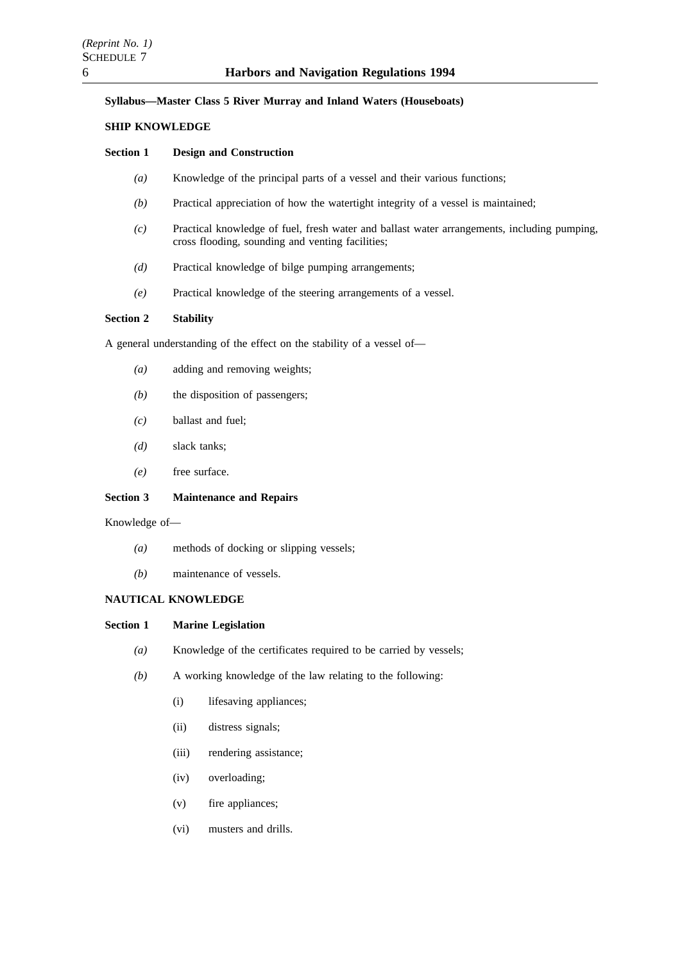# **Syllabus—Master Class 5 River Murray and Inland Waters (Houseboats)**

# **SHIP KNOWLEDGE**

# **Section 1 Design and Construction**

- *(a)* Knowledge of the principal parts of a vessel and their various functions;
- *(b)* Practical appreciation of how the watertight integrity of a vessel is maintained;
- *(c)* Practical knowledge of fuel, fresh water and ballast water arrangements, including pumping, cross flooding, sounding and venting facilities;
- *(d)* Practical knowledge of bilge pumping arrangements;
- *(e)* Practical knowledge of the steering arrangements of a vessel.

# **Section 2 Stability**

A general understanding of the effect on the stability of a vessel of—

- *(a)* adding and removing weights;
- *(b)* the disposition of passengers;
- *(c)* ballast and fuel;
- *(d)* slack tanks;
- *(e)* free surface.

# **Section 3 Maintenance and Repairs**

Knowledge of—

- *(a)* methods of docking or slipping vessels;
- *(b)* maintenance of vessels.

# **NAUTICAL KNOWLEDGE**

#### **Section 1 Marine Legislation**

- *(a)* Knowledge of the certificates required to be carried by vessels;
- *(b)* A working knowledge of the law relating to the following:
	- (i) lifesaving appliances;
	- (ii) distress signals;
	- (iii) rendering assistance;
	- (iv) overloading;
	- (v) fire appliances;
	- (vi) musters and drills.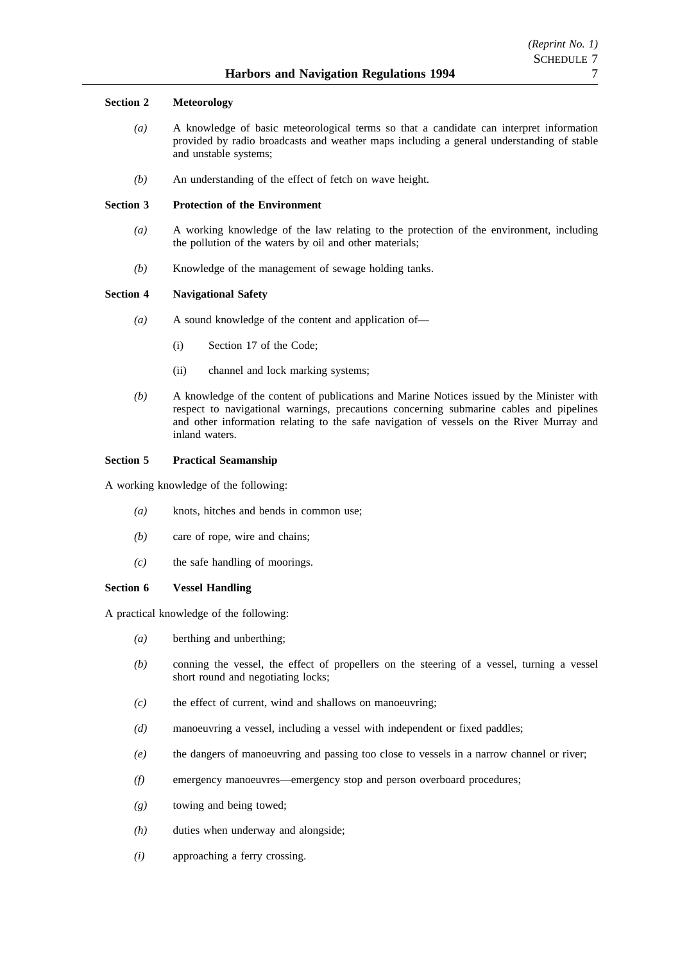# **Section 2 Meteorology**

- *(a)* A knowledge of basic meteorological terms so that a candidate can interpret information provided by radio broadcasts and weather maps including a general understanding of stable and unstable systems;
- *(b)* An understanding of the effect of fetch on wave height.

# **Section 3 Protection of the Environment**

- *(a)* A working knowledge of the law relating to the protection of the environment, including the pollution of the waters by oil and other materials;
- *(b)* Knowledge of the management of sewage holding tanks.

# **Section 4 Navigational Safety**

- *(a)* A sound knowledge of the content and application of—
	- (i) Section 17 of the Code;
	- (ii) channel and lock marking systems;
- *(b)* A knowledge of the content of publications and Marine Notices issued by the Minister with respect to navigational warnings, precautions concerning submarine cables and pipelines and other information relating to the safe navigation of vessels on the River Murray and inland waters.

# **Section 5 Practical Seamanship**

A working knowledge of the following:

- *(a)* knots, hitches and bends in common use;
- *(b)* care of rope, wire and chains;
- *(c)* the safe handling of moorings.

# **Section 6 Vessel Handling**

A practical knowledge of the following:

- *(a)* berthing and unberthing;
- *(b)* conning the vessel, the effect of propellers on the steering of a vessel, turning a vessel short round and negotiating locks;
- *(c)* the effect of current, wind and shallows on manoeuvring;
- *(d)* manoeuvring a vessel, including a vessel with independent or fixed paddles;
- *(e)* the dangers of manoeuvring and passing too close to vessels in a narrow channel or river;
- *(f)* emergency manoeuvres—emergency stop and person overboard procedures;
- *(g)* towing and being towed;
- *(h)* duties when underway and alongside;
- *(i)* approaching a ferry crossing.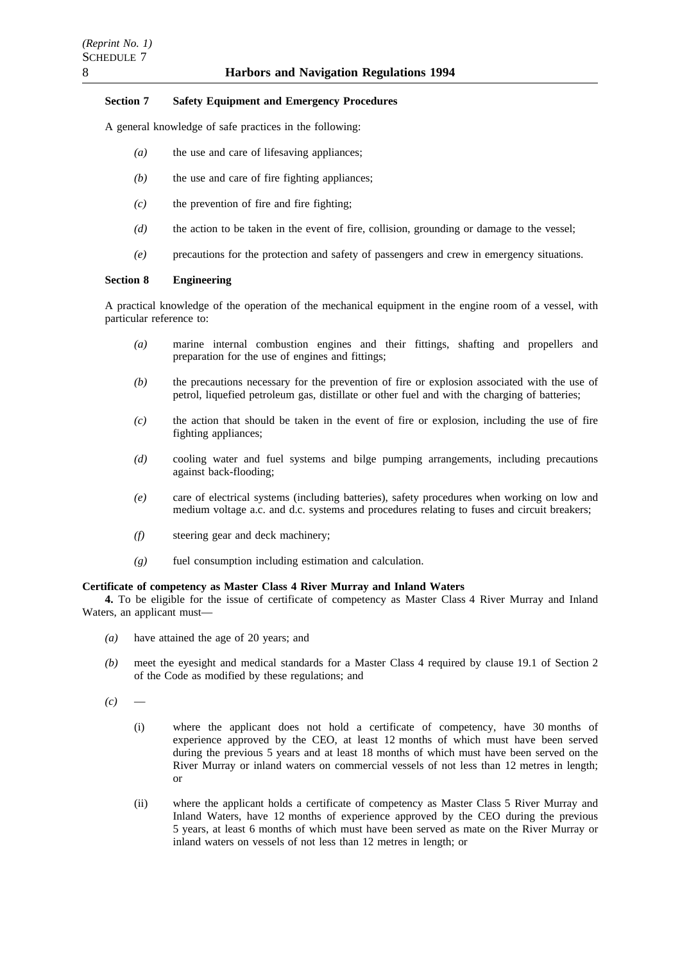# **Section 7 Safety Equipment and Emergency Procedures**

A general knowledge of safe practices in the following:

- *(a)* the use and care of lifesaving appliances;
- *(b)* the use and care of fire fighting appliances;
- *(c)* the prevention of fire and fire fighting;
- *(d)* the action to be taken in the event of fire, collision, grounding or damage to the vessel;
- *(e)* precautions for the protection and safety of passengers and crew in emergency situations.

# **Section 8 Engineering**

A practical knowledge of the operation of the mechanical equipment in the engine room of a vessel, with particular reference to:

- *(a)* marine internal combustion engines and their fittings, shafting and propellers and preparation for the use of engines and fittings;
- *(b)* the precautions necessary for the prevention of fire or explosion associated with the use of petrol, liquefied petroleum gas, distillate or other fuel and with the charging of batteries;
- *(c)* the action that should be taken in the event of fire or explosion, including the use of fire fighting appliances;
- *(d)* cooling water and fuel systems and bilge pumping arrangements, including precautions against back-flooding;
- *(e)* care of electrical systems (including batteries), safety procedures when working on low and medium voltage a.c. and d.c. systems and procedures relating to fuses and circuit breakers;
- *(f)* steering gear and deck machinery;
- *(g)* fuel consumption including estimation and calculation.

#### **Certificate of competency as Master Class 4 River Murray and Inland Waters**

**4.** To be eligible for the issue of certificate of competency as Master Class 4 River Murray and Inland Waters, an applicant must—

- *(a)* have attained the age of 20 years; and
- *(b)* meet the eyesight and medical standards for a Master Class 4 required by clause 19.1 of Section 2 of the Code as modified by these regulations; and

 $(c)$ 

- (i) where the applicant does not hold a certificate of competency, have 30 months of experience approved by the CEO, at least 12 months of which must have been served during the previous 5 years and at least 18 months of which must have been served on the River Murray or inland waters on commercial vessels of not less than 12 metres in length; or
- (ii) where the applicant holds a certificate of competency as Master Class 5 River Murray and Inland Waters, have 12 months of experience approved by the CEO during the previous 5 years, at least 6 months of which must have been served as mate on the River Murray or inland waters on vessels of not less than 12 metres in length; or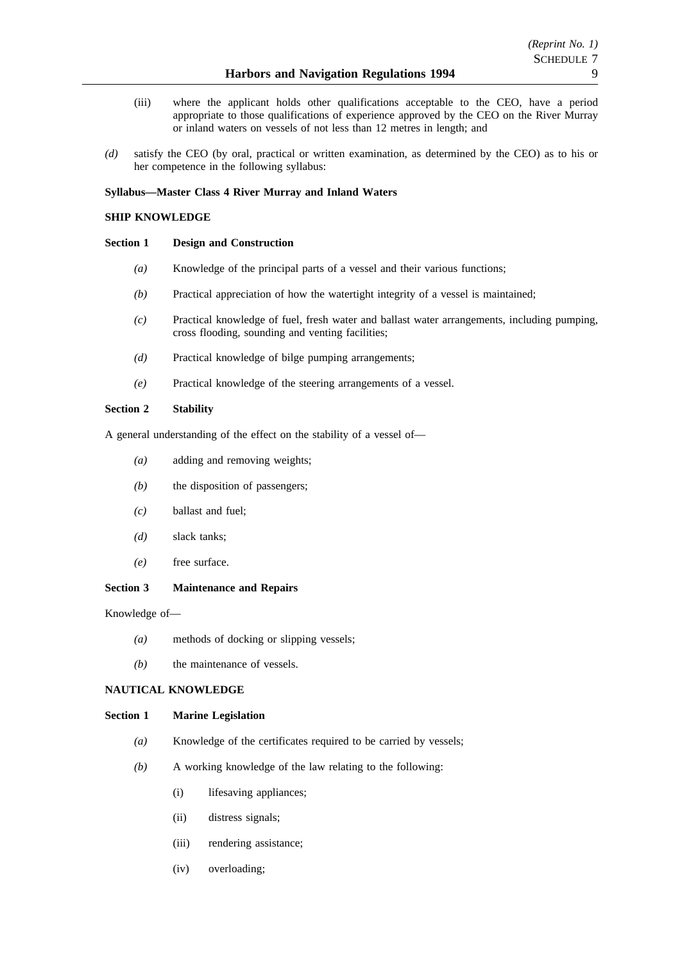- (iii) where the applicant holds other qualifications acceptable to the CEO, have a period appropriate to those qualifications of experience approved by the CEO on the River Murray or inland waters on vessels of not less than 12 metres in length; and
- *(d)* satisfy the CEO (by oral, practical or written examination, as determined by the CEO) as to his or her competence in the following syllabus:

# **Syllabus—Master Class 4 River Murray and Inland Waters**

# **SHIP KNOWLEDGE**

# **Section 1 Design and Construction**

- *(a)* Knowledge of the principal parts of a vessel and their various functions;
- *(b)* Practical appreciation of how the watertight integrity of a vessel is maintained;
- *(c)* Practical knowledge of fuel, fresh water and ballast water arrangements, including pumping, cross flooding, sounding and venting facilities;
- *(d)* Practical knowledge of bilge pumping arrangements;
- *(e)* Practical knowledge of the steering arrangements of a vessel.

# **Section 2 Stability**

A general understanding of the effect on the stability of a vessel of—

- *(a)* adding and removing weights;
- *(b)* the disposition of passengers;
- *(c)* ballast and fuel;
- *(d)* slack tanks;
- *(e)* free surface.

# **Section 3 Maintenance and Repairs**

Knowledge of—

- *(a)* methods of docking or slipping vessels;
- *(b)* the maintenance of vessels.

# **NAUTICAL KNOWLEDGE**

# **Section 1 Marine Legislation**

- *(a)* Knowledge of the certificates required to be carried by vessels;
- *(b)* A working knowledge of the law relating to the following:
	- (i) lifesaving appliances;
	- (ii) distress signals;
	- (iii) rendering assistance;
	- (iv) overloading;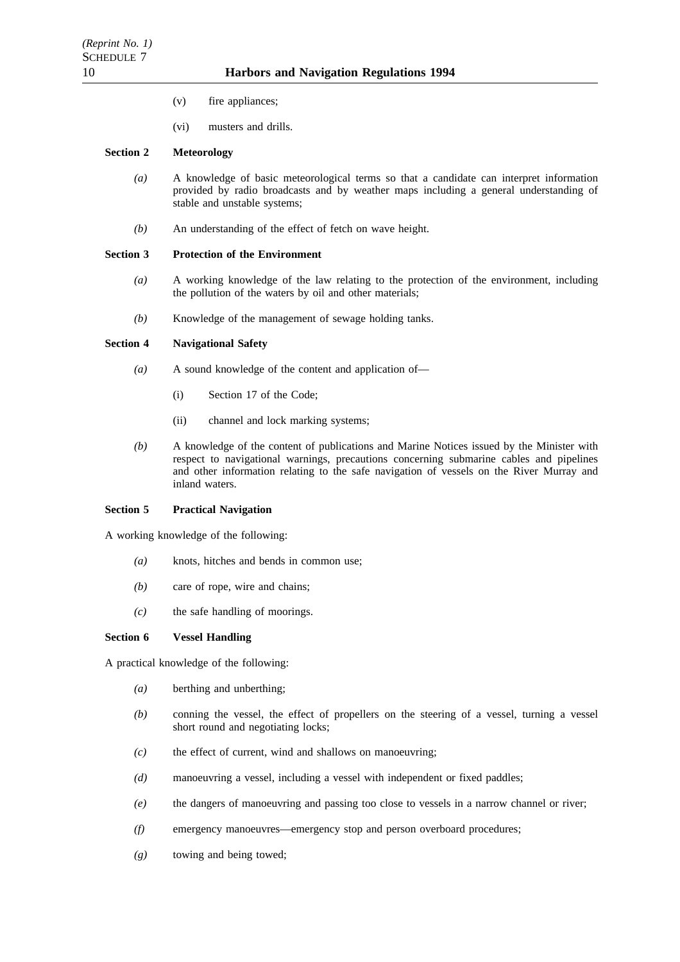- (v) fire appliances;
- (vi) musters and drills.

# **Section 2 Meteorology**

- *(a)* A knowledge of basic meteorological terms so that a candidate can interpret information provided by radio broadcasts and by weather maps including a general understanding of stable and unstable systems;
- *(b)* An understanding of the effect of fetch on wave height.

# **Section 3 Protection of the Environment**

- *(a)* A working knowledge of the law relating to the protection of the environment, including the pollution of the waters by oil and other materials;
- *(b)* Knowledge of the management of sewage holding tanks.

# **Section 4 Navigational Safety**

- *(a)* A sound knowledge of the content and application of—
	- (i) Section 17 of the Code;
	- (ii) channel and lock marking systems;
- *(b)* A knowledge of the content of publications and Marine Notices issued by the Minister with respect to navigational warnings, precautions concerning submarine cables and pipelines and other information relating to the safe navigation of vessels on the River Murray and inland waters.

# **Section 5 Practical Navigation**

A working knowledge of the following:

- *(a)* knots, hitches and bends in common use;
- *(b)* care of rope, wire and chains;
- *(c)* the safe handling of moorings.

# **Section 6 Vessel Handling**

A practical knowledge of the following:

- *(a)* berthing and unberthing;
- *(b)* conning the vessel, the effect of propellers on the steering of a vessel, turning a vessel short round and negotiating locks;
- *(c)* the effect of current, wind and shallows on manoeuvring;
- *(d)* manoeuvring a vessel, including a vessel with independent or fixed paddles;
- *(e)* the dangers of manoeuvring and passing too close to vessels in a narrow channel or river;
- *(f)* emergency manoeuvres—emergency stop and person overboard procedures;
- *(g)* towing and being towed;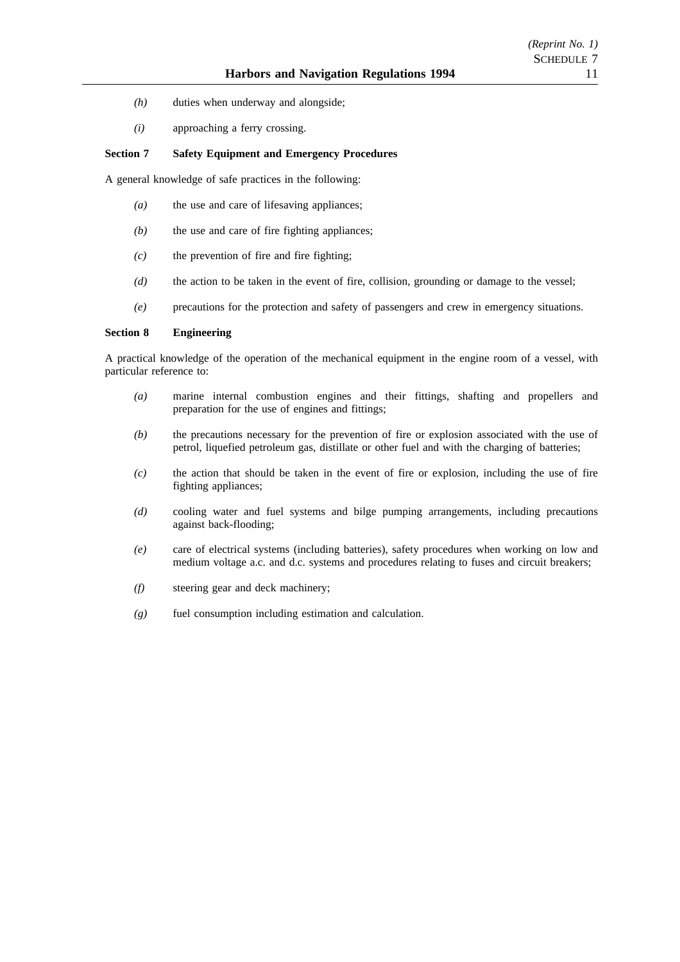- *(h)* duties when underway and alongside;
- *(i)* approaching a ferry crossing.

# **Section 7 Safety Equipment and Emergency Procedures**

A general knowledge of safe practices in the following:

- *(a)* the use and care of lifesaving appliances;
- *(b)* the use and care of fire fighting appliances;
- *(c)* the prevention of fire and fire fighting;
- *(d)* the action to be taken in the event of fire, collision, grounding or damage to the vessel;
- *(e)* precautions for the protection and safety of passengers and crew in emergency situations.

# **Section 8 Engineering**

A practical knowledge of the operation of the mechanical equipment in the engine room of a vessel, with particular reference to:

- *(a)* marine internal combustion engines and their fittings, shafting and propellers and preparation for the use of engines and fittings;
- *(b)* the precautions necessary for the prevention of fire or explosion associated with the use of petrol, liquefied petroleum gas, distillate or other fuel and with the charging of batteries;
- *(c)* the action that should be taken in the event of fire or explosion, including the use of fire fighting appliances;
- *(d)* cooling water and fuel systems and bilge pumping arrangements, including precautions against back-flooding;
- *(e)* care of electrical systems (including batteries), safety procedures when working on low and medium voltage a.c. and d.c. systems and procedures relating to fuses and circuit breakers;
- *(f)* steering gear and deck machinery;
- *(g)* fuel consumption including estimation and calculation.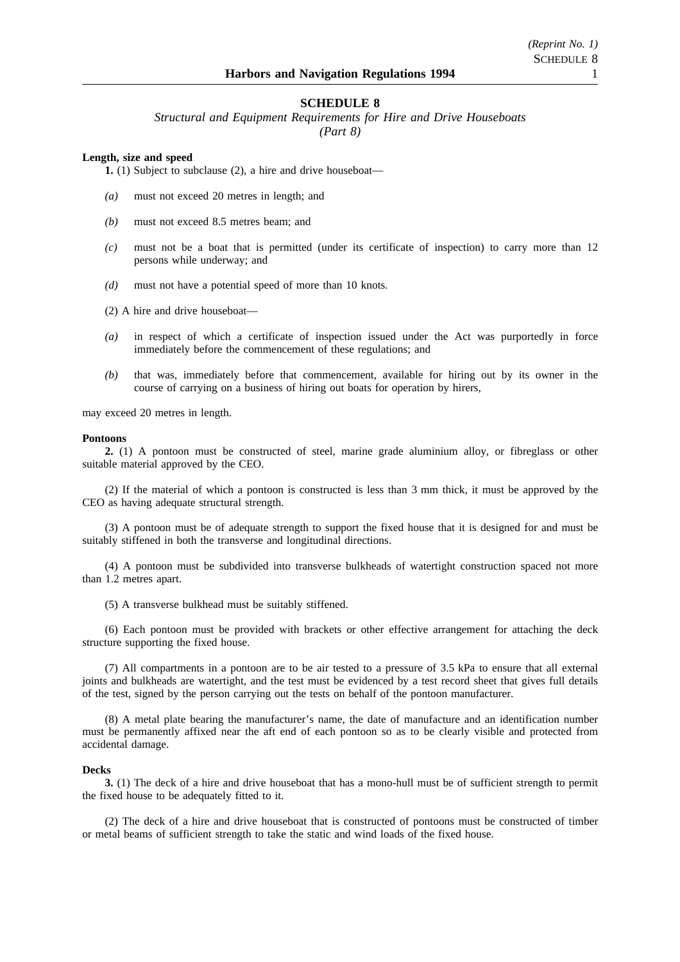# **SCHEDULE 8**

*Structural and Equipment Requirements for Hire and Drive Houseboats (Part 8)*

**Length, size and speed**

**1.** (1) Subject to subclause (2), a hire and drive houseboat—

- *(a)* must not exceed 20 metres in length; and
- *(b)* must not exceed 8.5 metres beam; and
- *(c)* must not be a boat that is permitted (under its certificate of inspection) to carry more than 12 persons while underway; and
- *(d)* must not have a potential speed of more than 10 knots.
- (2) A hire and drive houseboat—
- *(a)* in respect of which a certificate of inspection issued under the Act was purportedly in force immediately before the commencement of these regulations; and
- *(b)* that was, immediately before that commencement, available for hiring out by its owner in the course of carrying on a business of hiring out boats for operation by hirers,

may exceed 20 metres in length.

#### **Pontoons**

**2.** (1) A pontoon must be constructed of steel, marine grade aluminium alloy, or fibreglass or other suitable material approved by the CEO.

(2) If the material of which a pontoon is constructed is less than 3 mm thick, it must be approved by the CEO as having adequate structural strength.

(3) A pontoon must be of adequate strength to support the fixed house that it is designed for and must be suitably stiffened in both the transverse and longitudinal directions.

(4) A pontoon must be subdivided into transverse bulkheads of watertight construction spaced not more than 1.2 metres apart.

(5) A transverse bulkhead must be suitably stiffened.

(6) Each pontoon must be provided with brackets or other effective arrangement for attaching the deck structure supporting the fixed house.

(7) All compartments in a pontoon are to be air tested to a pressure of 3.5 kPa to ensure that all external joints and bulkheads are watertight, and the test must be evidenced by a test record sheet that gives full details of the test, signed by the person carrying out the tests on behalf of the pontoon manufacturer.

(8) A metal plate bearing the manufacturer's name, the date of manufacture and an identification number must be permanently affixed near the aft end of each pontoon so as to be clearly visible and protected from accidental damage.

#### **Decks**

**3.** (1) The deck of a hire and drive houseboat that has a mono-hull must be of sufficient strength to permit the fixed house to be adequately fitted to it.

(2) The deck of a hire and drive houseboat that is constructed of pontoons must be constructed of timber or metal beams of sufficient strength to take the static and wind loads of the fixed house.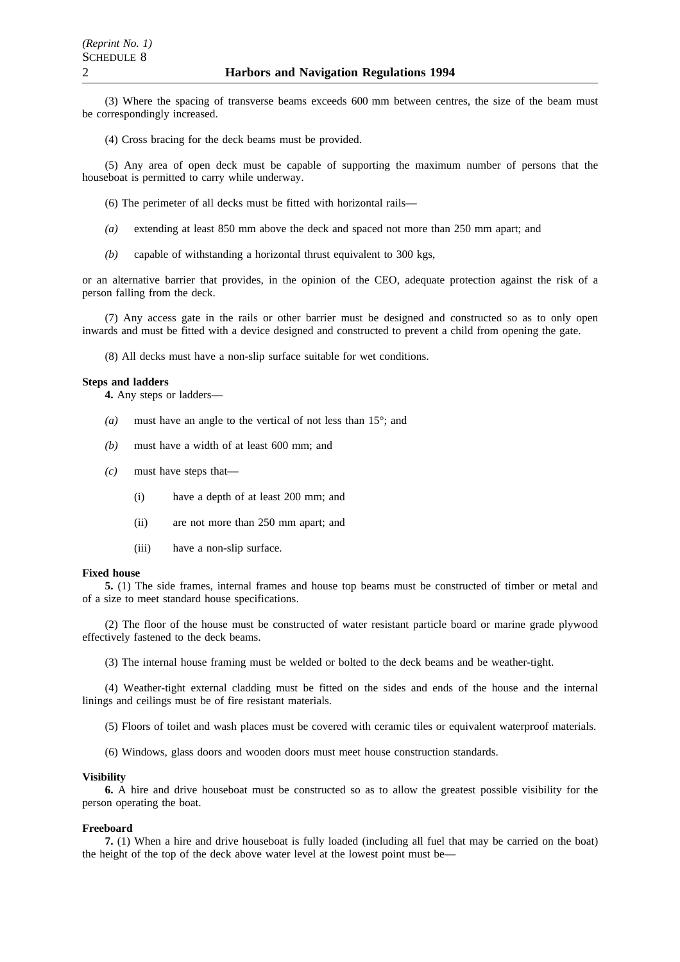(3) Where the spacing of transverse beams exceeds 600 mm between centres, the size of the beam must be correspondingly increased.

(4) Cross bracing for the deck beams must be provided.

(5) Any area of open deck must be capable of supporting the maximum number of persons that the houseboat is permitted to carry while underway.

(6) The perimeter of all decks must be fitted with horizontal rails—

- *(a)* extending at least 850 mm above the deck and spaced not more than 250 mm apart; and
- *(b)* capable of withstanding a horizontal thrust equivalent to 300 kgs,

or an alternative barrier that provides, in the opinion of the CEO, adequate protection against the risk of a person falling from the deck.

(7) Any access gate in the rails or other barrier must be designed and constructed so as to only open inwards and must be fitted with a device designed and constructed to prevent a child from opening the gate.

(8) All decks must have a non-slip surface suitable for wet conditions.

#### **Steps and ladders**

**4.** Any steps or ladders—

- *(a)* must have an angle to the vertical of not less than 15°; and
- *(b)* must have a width of at least 600 mm; and
- *(c)* must have steps that—
	- (i) have a depth of at least 200 mm; and
	- (ii) are not more than 250 mm apart; and
	- (iii) have a non-slip surface.

#### **Fixed house**

**5.** (1) The side frames, internal frames and house top beams must be constructed of timber or metal and of a size to meet standard house specifications.

(2) The floor of the house must be constructed of water resistant particle board or marine grade plywood effectively fastened to the deck beams.

(3) The internal house framing must be welded or bolted to the deck beams and be weather-tight.

(4) Weather-tight external cladding must be fitted on the sides and ends of the house and the internal linings and ceilings must be of fire resistant materials.

(5) Floors of toilet and wash places must be covered with ceramic tiles or equivalent waterproof materials.

(6) Windows, glass doors and wooden doors must meet house construction standards.

#### **Visibility**

**6.** A hire and drive houseboat must be constructed so as to allow the greatest possible visibility for the person operating the boat.

#### **Freeboard**

**7.** (1) When a hire and drive houseboat is fully loaded (including all fuel that may be carried on the boat) the height of the top of the deck above water level at the lowest point must be—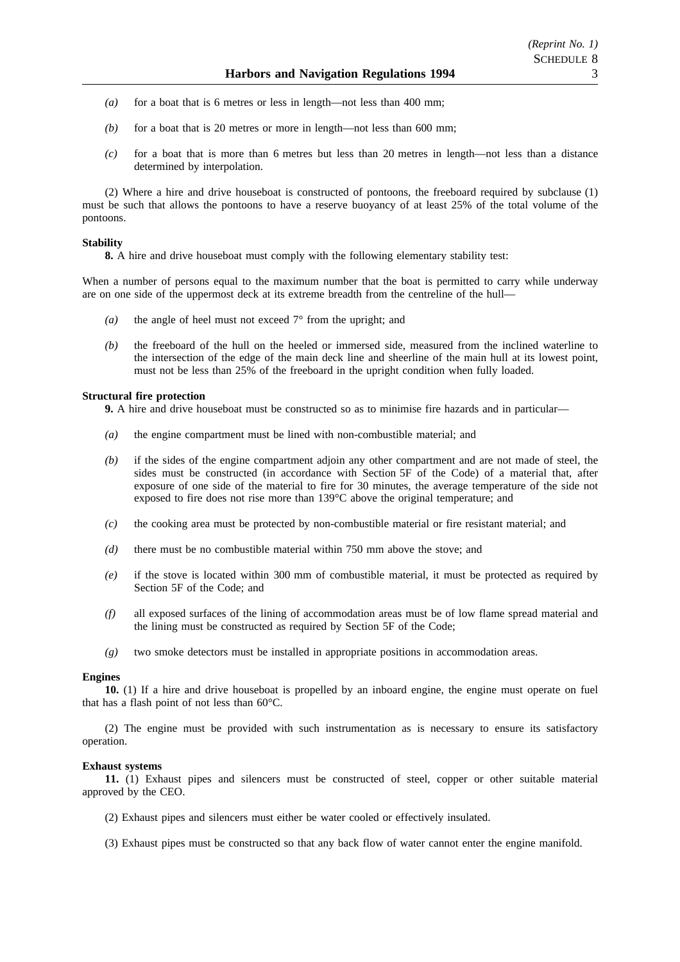- *(a)* for a boat that is 6 metres or less in length—not less than 400 mm;
- *(b)* for a boat that is 20 metres or more in length—not less than 600 mm;
- *(c)* for a boat that is more than 6 metres but less than 20 metres in length—not less than a distance determined by interpolation.

(2) Where a hire and drive houseboat is constructed of pontoons, the freeboard required by subclause (1) must be such that allows the pontoons to have a reserve buoyancy of at least 25% of the total volume of the pontoons.

#### **Stability**

**8.** A hire and drive houseboat must comply with the following elementary stability test:

When a number of persons equal to the maximum number that the boat is permitted to carry while underway are on one side of the uppermost deck at its extreme breadth from the centreline of the hull—

- *(a)* the angle of heel must not exceed 7° from the upright; and
- *(b)* the freeboard of the hull on the heeled or immersed side, measured from the inclined waterline to the intersection of the edge of the main deck line and sheerline of the main hull at its lowest point, must not be less than 25% of the freeboard in the upright condition when fully loaded.

#### **Structural fire protection**

**9.** A hire and drive houseboat must be constructed so as to minimise fire hazards and in particular—

- *(a)* the engine compartment must be lined with non-combustible material; and
- *(b)* if the sides of the engine compartment adjoin any other compartment and are not made of steel, the sides must be constructed (in accordance with Section 5F of the Code) of a material that, after exposure of one side of the material to fire for 30 minutes, the average temperature of the side not exposed to fire does not rise more than 139°C above the original temperature; and
- *(c)* the cooking area must be protected by non-combustible material or fire resistant material; and
- *(d)* there must be no combustible material within 750 mm above the stove; and
- *(e)* if the stove is located within 300 mm of combustible material, it must be protected as required by Section 5F of the Code; and
- *(f)* all exposed surfaces of the lining of accommodation areas must be of low flame spread material and the lining must be constructed as required by Section 5F of the Code;
- *(g)* two smoke detectors must be installed in appropriate positions in accommodation areas.

#### **Engines**

**10.** (1) If a hire and drive houseboat is propelled by an inboard engine, the engine must operate on fuel that has a flash point of not less than 60°C.

(2) The engine must be provided with such instrumentation as is necessary to ensure its satisfactory operation.

#### **Exhaust systems**

**11.** (1) Exhaust pipes and silencers must be constructed of steel, copper or other suitable material approved by the CEO.

- (2) Exhaust pipes and silencers must either be water cooled or effectively insulated.
- (3) Exhaust pipes must be constructed so that any back flow of water cannot enter the engine manifold.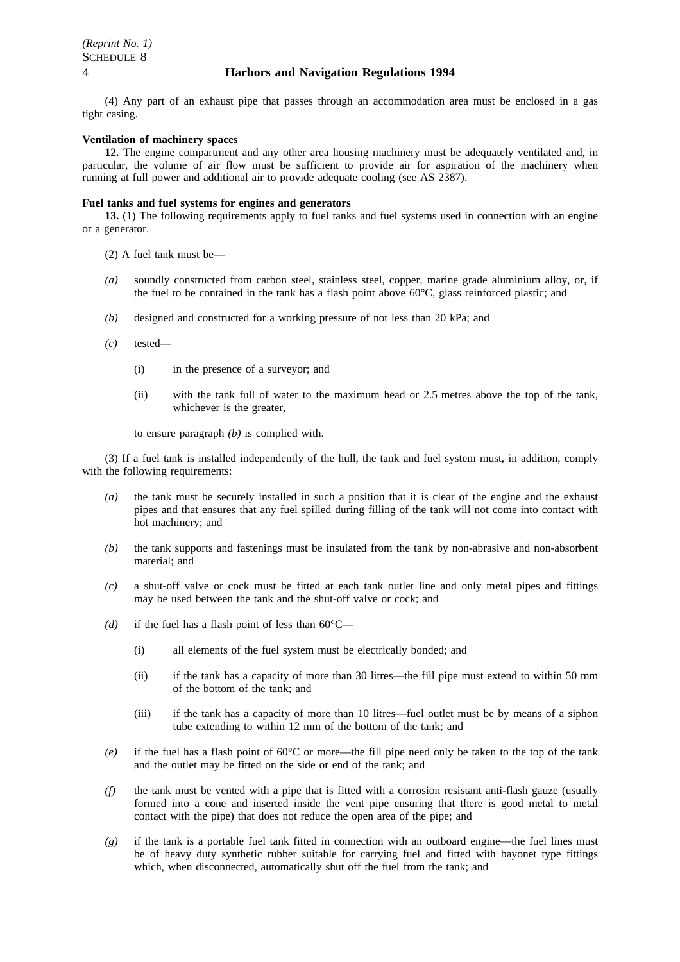(4) Any part of an exhaust pipe that passes through an accommodation area must be enclosed in a gas tight casing.

#### **Ventilation of machinery spaces**

**12.** The engine compartment and any other area housing machinery must be adequately ventilated and, in particular, the volume of air flow must be sufficient to provide air for aspiration of the machinery when running at full power and additional air to provide adequate cooling (see AS 2387).

#### **Fuel tanks and fuel systems for engines and generators**

**13.** (1) The following requirements apply to fuel tanks and fuel systems used in connection with an engine or a generator.

- (2) A fuel tank must be—
- *(a)* soundly constructed from carbon steel, stainless steel, copper, marine grade aluminium alloy, or, if the fuel to be contained in the tank has a flash point above 60°C, glass reinforced plastic; and
- *(b)* designed and constructed for a working pressure of not less than 20 kPa; and
- *(c)* tested—
	- (i) in the presence of a surveyor; and
	- (ii) with the tank full of water to the maximum head or 2.5 metres above the top of the tank, whichever is the greater,

to ensure paragraph *(b)* is complied with.

(3) If a fuel tank is installed independently of the hull, the tank and fuel system must, in addition, comply with the following requirements:

- *(a)* the tank must be securely installed in such a position that it is clear of the engine and the exhaust pipes and that ensures that any fuel spilled during filling of the tank will not come into contact with hot machinery; and
- *(b)* the tank supports and fastenings must be insulated from the tank by non-abrasive and non-absorbent material; and
- *(c)* a shut-off valve or cock must be fitted at each tank outlet line and only metal pipes and fittings may be used between the tank and the shut-off valve or cock; and
- (d) if the fuel has a flash point of less than  $60^{\circ}$ C—
	- (i) all elements of the fuel system must be electrically bonded; and
	- (ii) if the tank has a capacity of more than 30 litres—the fill pipe must extend to within 50 mm of the bottom of the tank; and
	- (iii) if the tank has a capacity of more than 10 litres—fuel outlet must be by means of a siphon tube extending to within 12 mm of the bottom of the tank; and
- *(e)* if the fuel has a flash point of 60°C or more—the fill pipe need only be taken to the top of the tank and the outlet may be fitted on the side or end of the tank; and
- *(f)* the tank must be vented with a pipe that is fitted with a corrosion resistant anti-flash gauze (usually formed into a cone and inserted inside the vent pipe ensuring that there is good metal to metal contact with the pipe) that does not reduce the open area of the pipe; and
- *(g)* if the tank is a portable fuel tank fitted in connection with an outboard engine—the fuel lines must be of heavy duty synthetic rubber suitable for carrying fuel and fitted with bayonet type fittings which, when disconnected, automatically shut off the fuel from the tank; and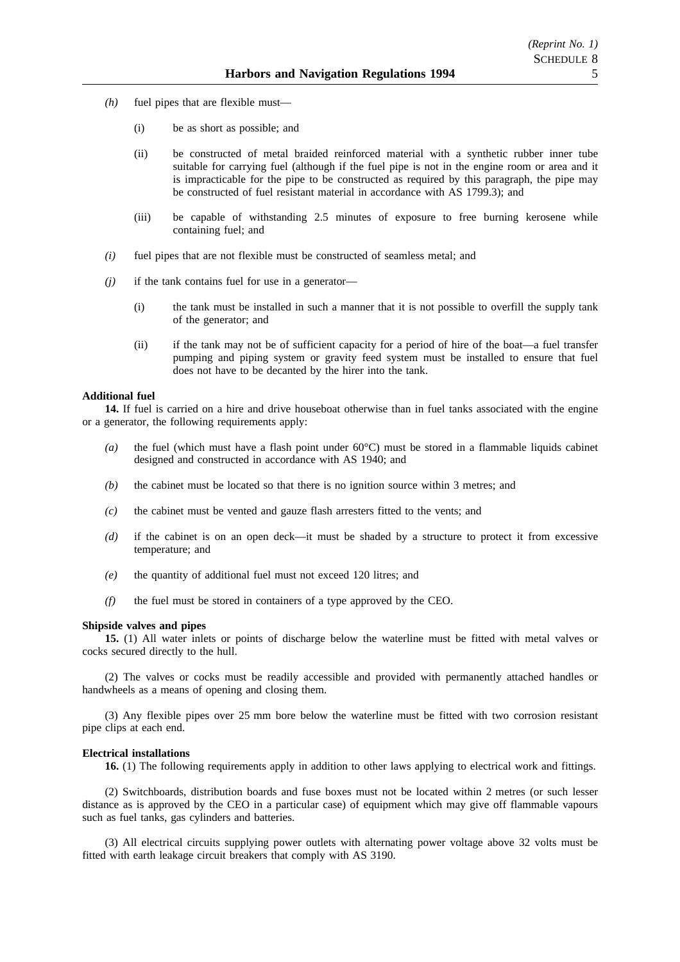- *(h)* fuel pipes that are flexible must—
	- (i) be as short as possible; and
	- (ii) be constructed of metal braided reinforced material with a synthetic rubber inner tube suitable for carrying fuel (although if the fuel pipe is not in the engine room or area and it is impracticable for the pipe to be constructed as required by this paragraph, the pipe may be constructed of fuel resistant material in accordance with AS 1799.3); and
	- (iii) be capable of withstanding 2.5 minutes of exposure to free burning kerosene while containing fuel; and
- *(i)* fuel pipes that are not flexible must be constructed of seamless metal; and
- *(j)* if the tank contains fuel for use in a generator—
	- (i) the tank must be installed in such a manner that it is not possible to overfill the supply tank of the generator; and
	- (ii) if the tank may not be of sufficient capacity for a period of hire of the boat—a fuel transfer pumping and piping system or gravity feed system must be installed to ensure that fuel does not have to be decanted by the hirer into the tank.

### **Additional fuel**

**14.** If fuel is carried on a hire and drive houseboat otherwise than in fuel tanks associated with the engine or a generator, the following requirements apply:

- *(a)* the fuel (which must have a flash point under 60°C) must be stored in a flammable liquids cabinet designed and constructed in accordance with AS 1940; and
- *(b)* the cabinet must be located so that there is no ignition source within 3 metres; and
- *(c)* the cabinet must be vented and gauze flash arresters fitted to the vents; and
- *(d)* if the cabinet is on an open deck—it must be shaded by a structure to protect it from excessive temperature; and
- *(e)* the quantity of additional fuel must not exceed 120 litres; and
- *(f)* the fuel must be stored in containers of a type approved by the CEO.

#### **Shipside valves and pipes**

**15.** (1) All water inlets or points of discharge below the waterline must be fitted with metal valves or cocks secured directly to the hull.

(2) The valves or cocks must be readily accessible and provided with permanently attached handles or handwheels as a means of opening and closing them.

(3) Any flexible pipes over 25 mm bore below the waterline must be fitted with two corrosion resistant pipe clips at each end.

#### **Electrical installations**

**16.** (1) The following requirements apply in addition to other laws applying to electrical work and fittings.

(2) Switchboards, distribution boards and fuse boxes must not be located within 2 metres (or such lesser distance as is approved by the CEO in a particular case) of equipment which may give off flammable vapours such as fuel tanks, gas cylinders and batteries.

(3) All electrical circuits supplying power outlets with alternating power voltage above 32 volts must be fitted with earth leakage circuit breakers that comply with AS 3190.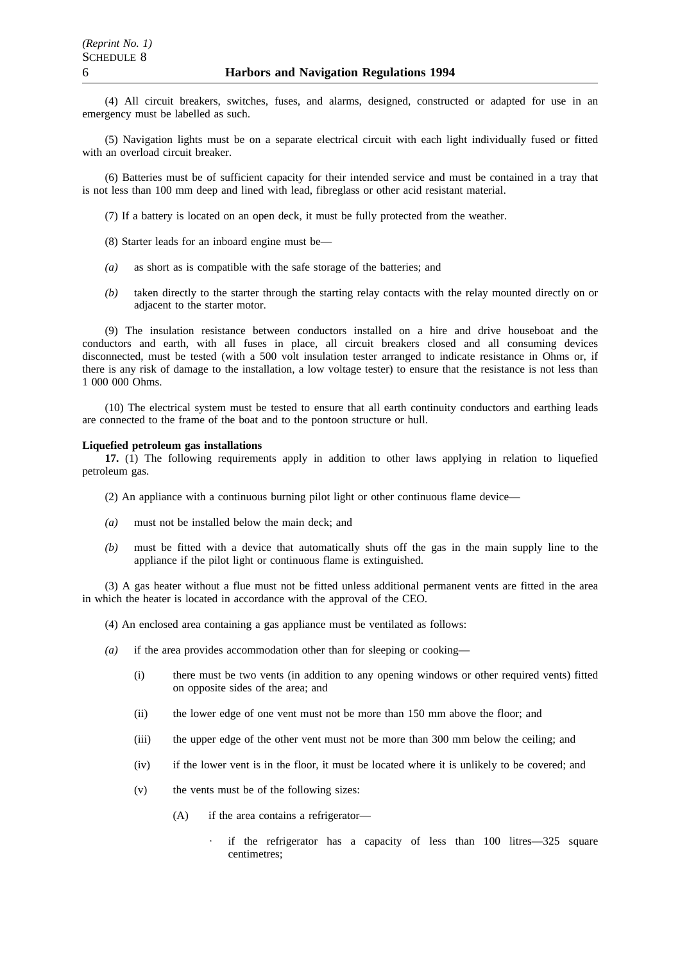(4) All circuit breakers, switches, fuses, and alarms, designed, constructed or adapted for use in an emergency must be labelled as such.

(5) Navigation lights must be on a separate electrical circuit with each light individually fused or fitted with an overload circuit breaker.

(6) Batteries must be of sufficient capacity for their intended service and must be contained in a tray that is not less than 100 mm deep and lined with lead, fibreglass or other acid resistant material.

- (7) If a battery is located on an open deck, it must be fully protected from the weather.
- (8) Starter leads for an inboard engine must be—
- *(a)* as short as is compatible with the safe storage of the batteries; and
- *(b)* taken directly to the starter through the starting relay contacts with the relay mounted directly on or adjacent to the starter motor.

(9) The insulation resistance between conductors installed on a hire and drive houseboat and the conductors and earth, with all fuses in place, all circuit breakers closed and all consuming devices disconnected, must be tested (with a 500 volt insulation tester arranged to indicate resistance in Ohms or, if there is any risk of damage to the installation, a low voltage tester) to ensure that the resistance is not less than 1 000 000 Ohms.

(10) The electrical system must be tested to ensure that all earth continuity conductors and earthing leads are connected to the frame of the boat and to the pontoon structure or hull.

### **Liquefied petroleum gas installations**

**17.** (1) The following requirements apply in addition to other laws applying in relation to liquefied petroleum gas.

- (2) An appliance with a continuous burning pilot light or other continuous flame device—
- *(a)* must not be installed below the main deck; and
- *(b)* must be fitted with a device that automatically shuts off the gas in the main supply line to the appliance if the pilot light or continuous flame is extinguished.

(3) A gas heater without a flue must not be fitted unless additional permanent vents are fitted in the area in which the heater is located in accordance with the approval of the CEO.

- (4) An enclosed area containing a gas appliance must be ventilated as follows:
- *(a)* if the area provides accommodation other than for sleeping or cooking—
	- (i) there must be two vents (in addition to any opening windows or other required vents) fitted on opposite sides of the area; and
	- (ii) the lower edge of one vent must not be more than 150 mm above the floor; and
	- (iii) the upper edge of the other vent must not be more than 300 mm below the ceiling; and
	- (iv) if the lower vent is in the floor, it must be located where it is unlikely to be covered; and
	- (v) the vents must be of the following sizes:
		- (A) if the area contains a refrigerator
			- if the refrigerator has a capacity of less than 100 litres—325 square centimetres;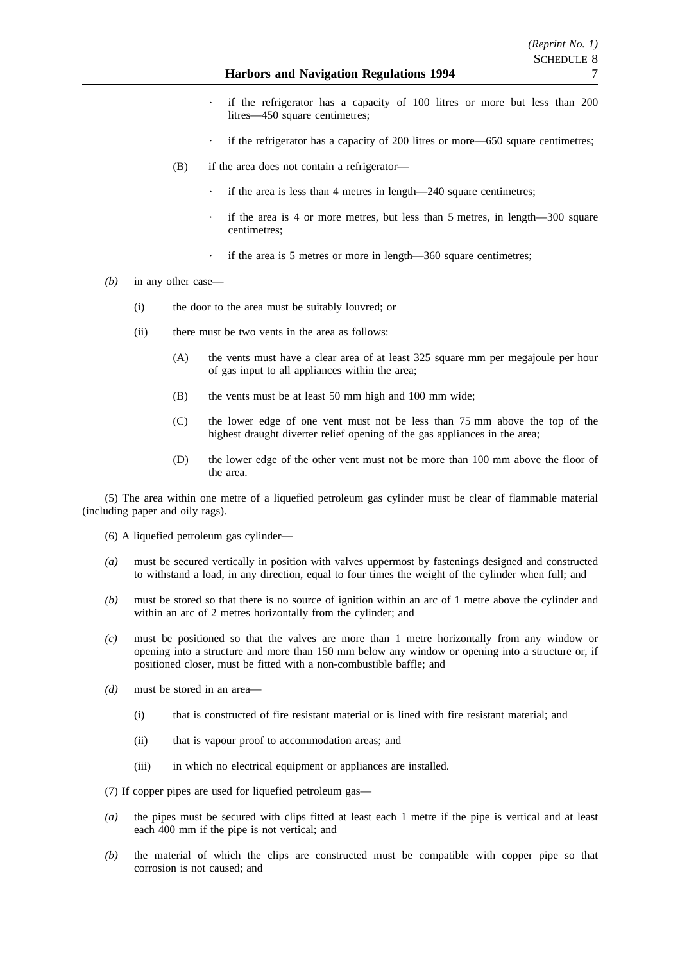- if the refrigerator has a capacity of 100 litres or more but less than 200 litres—450 square centimetres;
- if the refrigerator has a capacity of 200 litres or more—650 square centimetres;
- (B) if the area does not contain a refrigerator
	- if the area is less than 4 metres in length—240 square centimetres;
	- if the area is 4 or more metres, but less than 5 metres, in length—300 square centimetres;
	- if the area is 5 metres or more in length—360 square centimetres;
- *(b)* in any other case—
	- (i) the door to the area must be suitably louvred; or
	- (ii) there must be two vents in the area as follows:
		- (A) the vents must have a clear area of at least 325 square mm per megajoule per hour of gas input to all appliances within the area;
		- (B) the vents must be at least 50 mm high and 100 mm wide;
		- (C) the lower edge of one vent must not be less than 75 mm above the top of the highest draught diverter relief opening of the gas appliances in the area;
		- (D) the lower edge of the other vent must not be more than 100 mm above the floor of the area.

(5) The area within one metre of a liquefied petroleum gas cylinder must be clear of flammable material (including paper and oily rags).

- (6) A liquefied petroleum gas cylinder—
- *(a)* must be secured vertically in position with valves uppermost by fastenings designed and constructed to withstand a load, in any direction, equal to four times the weight of the cylinder when full; and
- *(b)* must be stored so that there is no source of ignition within an arc of 1 metre above the cylinder and within an arc of 2 metres horizontally from the cylinder; and
- *(c)* must be positioned so that the valves are more than 1 metre horizontally from any window or opening into a structure and more than 150 mm below any window or opening into a structure or, if positioned closer, must be fitted with a non-combustible baffle; and
- *(d)* must be stored in an area—
	- (i) that is constructed of fire resistant material or is lined with fire resistant material; and
	- (ii) that is vapour proof to accommodation areas; and
	- (iii) in which no electrical equipment or appliances are installed.

(7) If copper pipes are used for liquefied petroleum gas—

- *(a)* the pipes must be secured with clips fitted at least each 1 metre if the pipe is vertical and at least each 400 mm if the pipe is not vertical; and
- *(b)* the material of which the clips are constructed must be compatible with copper pipe so that corrosion is not caused; and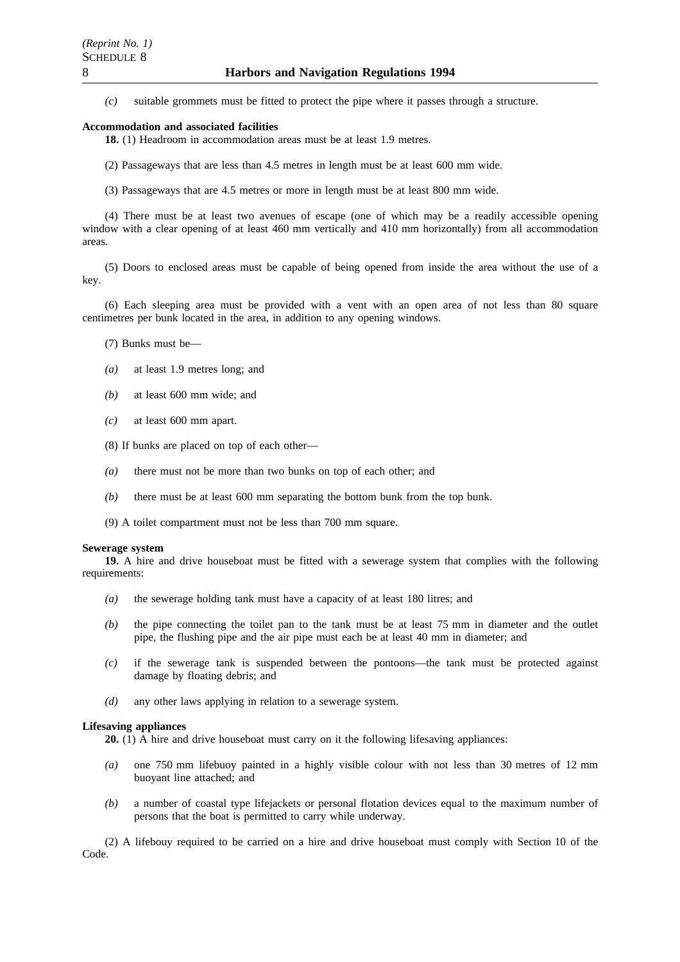*(c)* suitable grommets must be fitted to protect the pipe where it passes through a structure.

#### **Accommodation and associated facilities**

**18.** (1) Headroom in accommodation areas must be at least 1.9 metres.

- (2) Passageways that are less than 4.5 metres in length must be at least 600 mm wide.
- (3) Passageways that are 4.5 metres or more in length must be at least 800 mm wide.

(4) There must be at least two avenues of escape (one of which may be a readily accessible opening window with a clear opening of at least 460 mm vertically and 410 mm horizontally) from all accommodation areas.

(5) Doors to enclosed areas must be capable of being opened from inside the area without the use of a key.

(6) Each sleeping area must be provided with a vent with an open area of not less than 80 square centimetres per bunk located in the area, in addition to any opening windows.

- (7) Bunks must be—
- *(a)* at least 1.9 metres long; and
- *(b)* at least 600 mm wide; and
- *(c)* at least 600 mm apart.
- (8) If bunks are placed on top of each other—
- *(a)* there must not be more than two bunks on top of each other; and
- *(b)* there must be at least 600 mm separating the bottom bunk from the top bunk.
- (9) A toilet compartment must not be less than 700 mm square.

#### **Sewerage system**

**19.** A hire and drive houseboat must be fitted with a sewerage system that complies with the following requirements:

- *(a)* the sewerage holding tank must have a capacity of at least 180 litres; and
- *(b)* the pipe connecting the toilet pan to the tank must be at least 75 mm in diameter and the outlet pipe, the flushing pipe and the air pipe must each be at least 40 mm in diameter; and
- *(c)* if the sewerage tank is suspended between the pontoons—the tank must be protected against damage by floating debris; and
- *(d)* any other laws applying in relation to a sewerage system.

#### **Lifesaving appliances**

**20.** (1) A hire and drive houseboat must carry on it the following lifesaving appliances:

- *(a)* one 750 mm lifebuoy painted in a highly visible colour with not less than 30 metres of 12 mm buoyant line attached; and
- *(b)* a number of coastal type lifejackets or personal flotation devices equal to the maximum number of persons that the boat is permitted to carry while underway.

(2) A lifebouy required to be carried on a hire and drive houseboat must comply with Section 10 of the Code.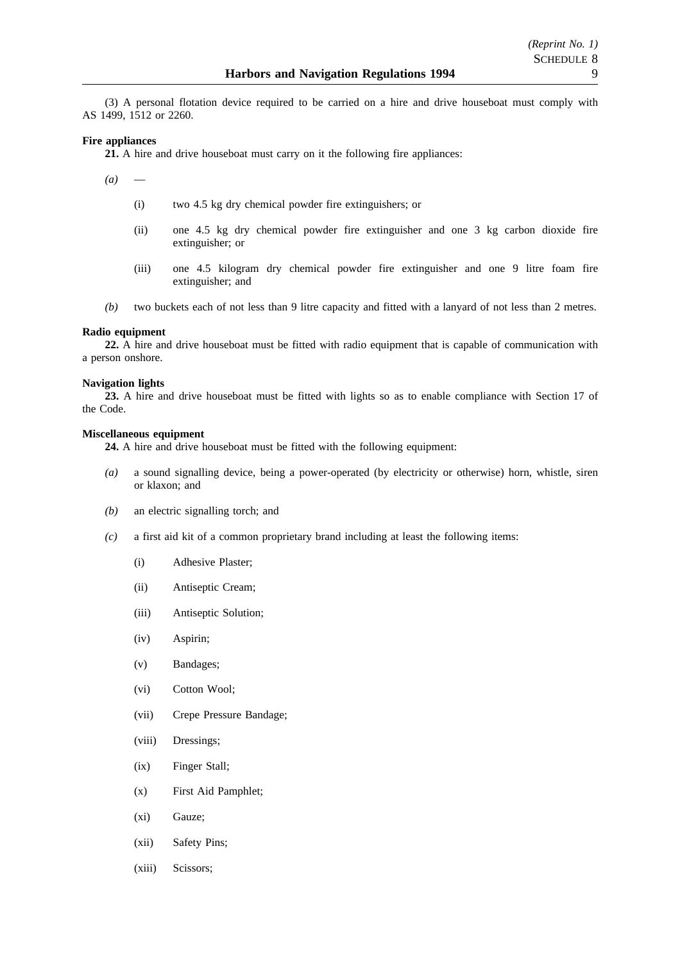(3) A personal flotation device required to be carried on a hire and drive houseboat must comply with AS 1499, 1512 or 2260.

### **Fire appliances**

**21.** A hire and drive houseboat must carry on it the following fire appliances:

- *(a)*
	- (i) two 4.5 kg dry chemical powder fire extinguishers; or
	- (ii) one 4.5 kg dry chemical powder fire extinguisher and one 3 kg carbon dioxide fire extinguisher; or
	- (iii) one 4.5 kilogram dry chemical powder fire extinguisher and one 9 litre foam fire extinguisher; and
- *(b)* two buckets each of not less than 9 litre capacity and fitted with a lanyard of not less than 2 metres.

#### **Radio equipment**

**22.** A hire and drive houseboat must be fitted with radio equipment that is capable of communication with a person onshore.

#### **Navigation lights**

**23.** A hire and drive houseboat must be fitted with lights so as to enable compliance with Section 17 of the Code.

#### **Miscellaneous equipment**

**24.** A hire and drive houseboat must be fitted with the following equipment:

- *(a)* a sound signalling device, being a power-operated (by electricity or otherwise) horn, whistle, siren or klaxon; and
- *(b)* an electric signalling torch; and
- *(c)* a first aid kit of a common proprietary brand including at least the following items:
	- (i) Adhesive Plaster;
	- (ii) Antiseptic Cream;
	- (iii) Antiseptic Solution;
	- (iv) Aspirin;
	- (v) Bandages;
	- (vi) Cotton Wool;
	- (vii) Crepe Pressure Bandage;
	- (viii) Dressings;
	- (ix) Finger Stall;
	- (x) First Aid Pamphlet;
	- (xi) Gauze;
	- (xii) Safety Pins;
	- (xiii) Scissors;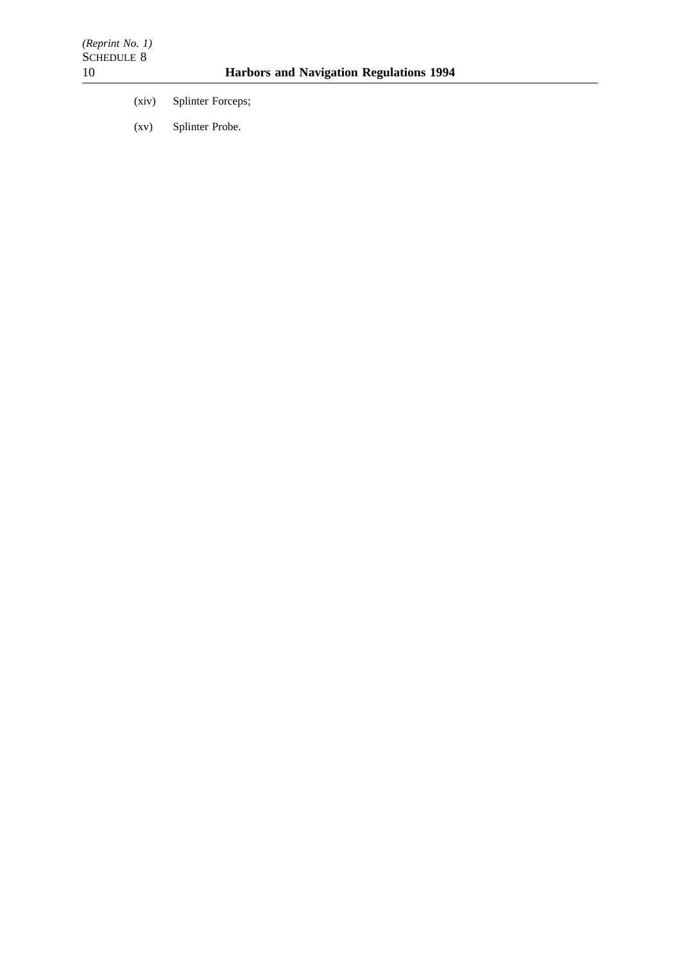- (xiv) Splinter Forceps;
- (xv) Splinter Probe.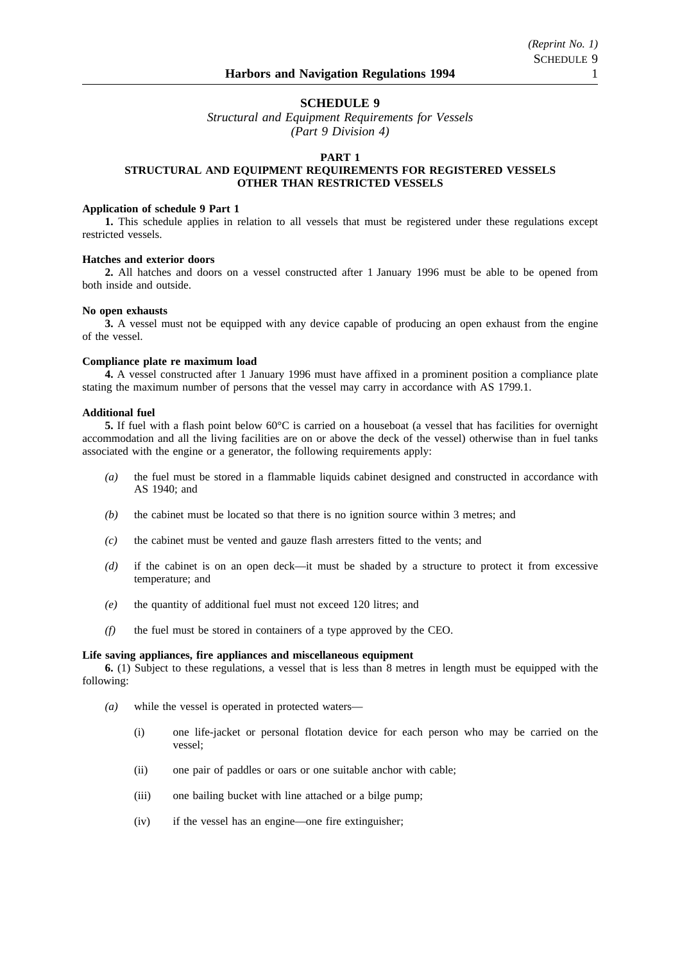### **SCHEDULE 9**

*Structural and Equipment Requirements for Vessels (Part 9 Division 4)*

### **PART 1**

### **STRUCTURAL AND EQUIPMENT REQUIREMENTS FOR REGISTERED VESSELS OTHER THAN RESTRICTED VESSELS**

### **Application of schedule 9 Part 1**

**1.** This schedule applies in relation to all vessels that must be registered under these regulations except restricted vessels.

#### **Hatches and exterior doors**

**2.** All hatches and doors on a vessel constructed after 1 January 1996 must be able to be opened from both inside and outside.

#### **No open exhausts**

**3.** A vessel must not be equipped with any device capable of producing an open exhaust from the engine of the vessel.

#### **Compliance plate re maximum load**

**4.** A vessel constructed after 1 January 1996 must have affixed in a prominent position a compliance plate stating the maximum number of persons that the vessel may carry in accordance with AS 1799.1.

#### **Additional fuel**

**5.** If fuel with a flash point below 60°C is carried on a houseboat (a vessel that has facilities for overnight accommodation and all the living facilities are on or above the deck of the vessel) otherwise than in fuel tanks associated with the engine or a generator, the following requirements apply:

- *(a)* the fuel must be stored in a flammable liquids cabinet designed and constructed in accordance with AS 1940; and
- *(b)* the cabinet must be located so that there is no ignition source within 3 metres; and
- *(c)* the cabinet must be vented and gauze flash arresters fitted to the vents; and
- *(d)* if the cabinet is on an open deck—it must be shaded by a structure to protect it from excessive temperature; and
- *(e)* the quantity of additional fuel must not exceed 120 litres; and
- *(f)* the fuel must be stored in containers of a type approved by the CEO.

#### **Life saving appliances, fire appliances and miscellaneous equipment**

**6.** (1) Subject to these regulations, a vessel that is less than 8 metres in length must be equipped with the following:

- *(a)* while the vessel is operated in protected waters—
	- (i) one life-jacket or personal flotation device for each person who may be carried on the vessel;
	- (ii) one pair of paddles or oars or one suitable anchor with cable;
	- (iii) one bailing bucket with line attached or a bilge pump;
	- (iv) if the vessel has an engine—one fire extinguisher;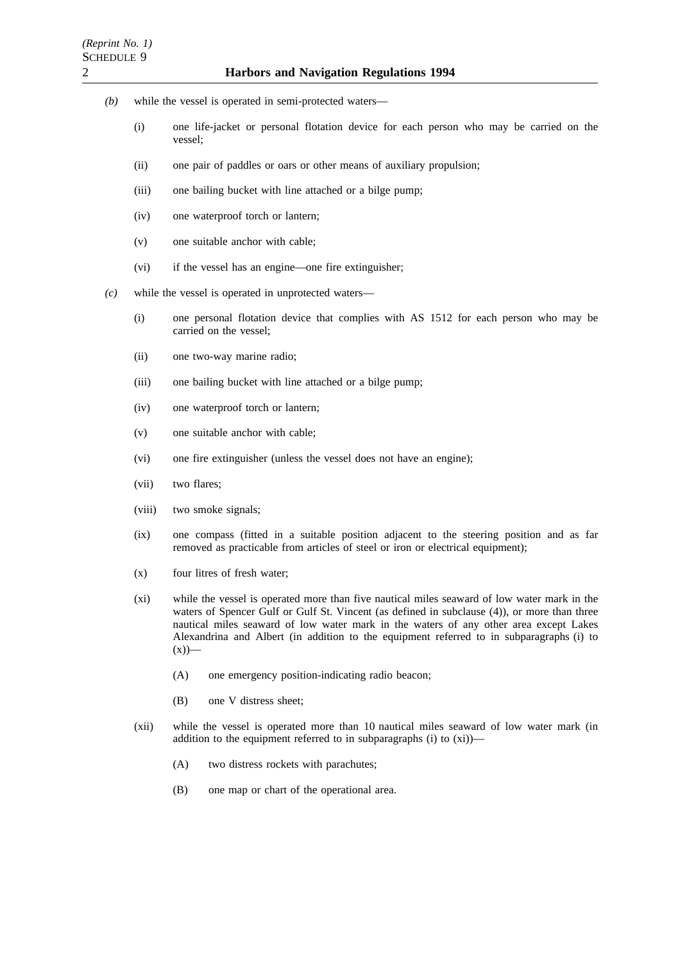- *(b)* while the vessel is operated in semi-protected waters—
	- (i) one life-jacket or personal flotation device for each person who may be carried on the vessel;
	- (ii) one pair of paddles or oars or other means of auxiliary propulsion;
	- (iii) one bailing bucket with line attached or a bilge pump;
	- (iv) one waterproof torch or lantern;
	- (v) one suitable anchor with cable;
	- (vi) if the vessel has an engine—one fire extinguisher;
- *(c)* while the vessel is operated in unprotected waters—
	- (i) one personal flotation device that complies with AS 1512 for each person who may be carried on the vessel;
	- (ii) one two-way marine radio;
	- (iii) one bailing bucket with line attached or a bilge pump;
	- (iv) one waterproof torch or lantern;
	- (v) one suitable anchor with cable;
	- (vi) one fire extinguisher (unless the vessel does not have an engine);
	- (vii) two flares;
	- (viii) two smoke signals;
	- (ix) one compass (fitted in a suitable position adjacent to the steering position and as far removed as practicable from articles of steel or iron or electrical equipment);
	- (x) four litres of fresh water;
	- (xi) while the vessel is operated more than five nautical miles seaward of low water mark in the waters of Spencer Gulf or Gulf St. Vincent (as defined in subclause (4)), or more than three nautical miles seaward of low water mark in the waters of any other area except Lakes Alexandrina and Albert (in addition to the equipment referred to in subparagraphs (i) to  $(x)$ )—
		- (A) one emergency position-indicating radio beacon;
		- (B) one V distress sheet;
	- (xii) while the vessel is operated more than 10 nautical miles seaward of low water mark (in addition to the equipment referred to in subparagraphs (i) to (xi))—
		- (A) two distress rockets with parachutes;
		- (B) one map or chart of the operational area.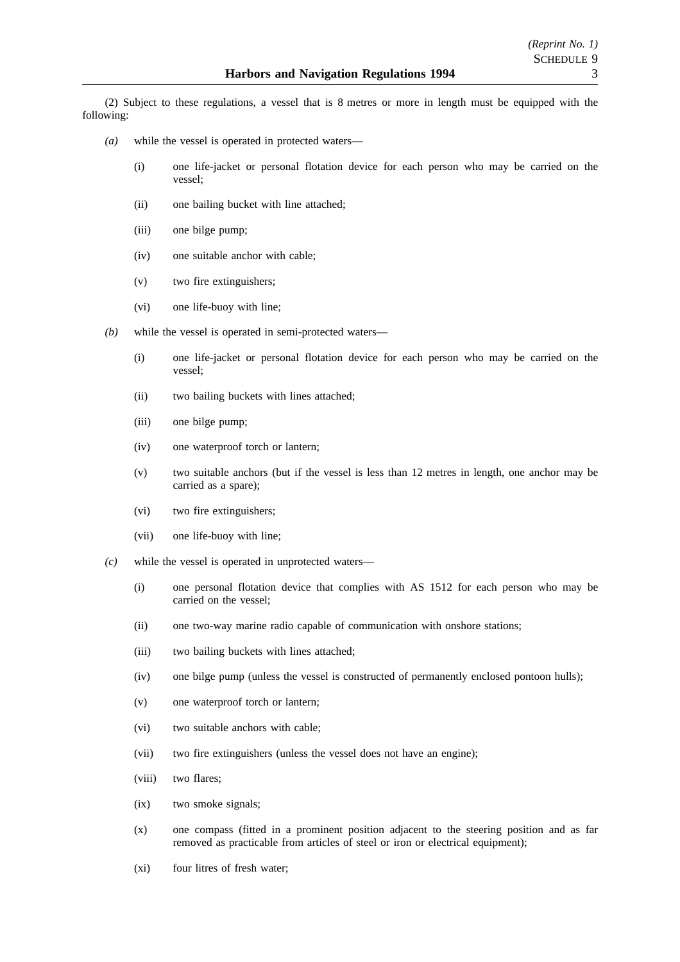(2) Subject to these regulations, a vessel that is 8 metres or more in length must be equipped with the following:

- *(a)* while the vessel is operated in protected waters—
	- (i) one life-jacket or personal flotation device for each person who may be carried on the vessel;
	- (ii) one bailing bucket with line attached;
	- (iii) one bilge pump;
	- (iv) one suitable anchor with cable;
	- (v) two fire extinguishers;
	- (vi) one life-buoy with line;
- *(b)* while the vessel is operated in semi-protected waters—
	- (i) one life-jacket or personal flotation device for each person who may be carried on the vessel;
	- (ii) two bailing buckets with lines attached;
	- (iii) one bilge pump;
	- (iv) one waterproof torch or lantern;
	- (v) two suitable anchors (but if the vessel is less than 12 metres in length, one anchor may be carried as a spare);
	- (vi) two fire extinguishers;
	- (vii) one life-buoy with line;
- *(c)* while the vessel is operated in unprotected waters—
	- (i) one personal flotation device that complies with AS 1512 for each person who may be carried on the vessel;
	- (ii) one two-way marine radio capable of communication with onshore stations;
	- (iii) two bailing buckets with lines attached;
	- (iv) one bilge pump (unless the vessel is constructed of permanently enclosed pontoon hulls);
	- (v) one waterproof torch or lantern;
	- (vi) two suitable anchors with cable;
	- (vii) two fire extinguishers (unless the vessel does not have an engine);
	- (viii) two flares;
	- (ix) two smoke signals;
	- (x) one compass (fitted in a prominent position adjacent to the steering position and as far removed as practicable from articles of steel or iron or electrical equipment);
	- (xi) four litres of fresh water;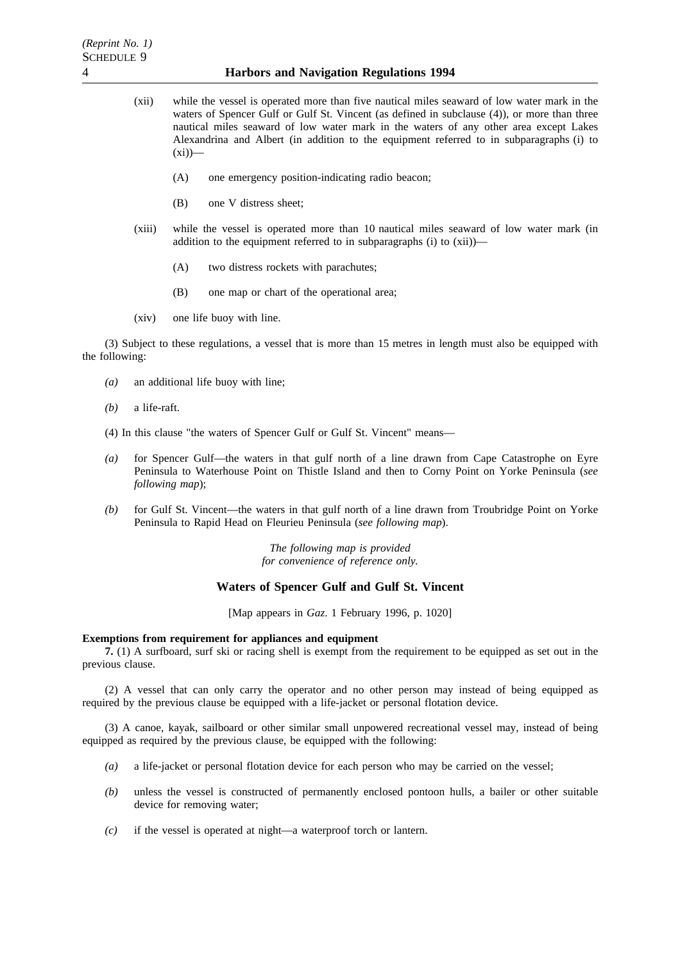- (xii) while the vessel is operated more than five nautical miles seaward of low water mark in the waters of Spencer Gulf or Gulf St. Vincent (as defined in subclause (4)), or more than three nautical miles seaward of low water mark in the waters of any other area except Lakes Alexandrina and Albert (in addition to the equipment referred to in subparagraphs (i) to  $(xi)$ 
	- (A) one emergency position-indicating radio beacon;
	- (B) one V distress sheet;
- (xiii) while the vessel is operated more than 10 nautical miles seaward of low water mark (in addition to the equipment referred to in subparagraphs (i) to (xii))—
	- (A) two distress rockets with parachutes;
	- (B) one map or chart of the operational area;
- (xiv) one life buoy with line.

(3) Subject to these regulations, a vessel that is more than 15 metres in length must also be equipped with the following:

- *(a)* an additional life buoy with line;
- *(b)* a life-raft.
- (4) In this clause "the waters of Spencer Gulf or Gulf St. Vincent" means—
- *(a)* for Spencer Gulf—the waters in that gulf north of a line drawn from Cape Catastrophe on Eyre Peninsula to Waterhouse Point on Thistle Island and then to Corny Point on Yorke Peninsula (*see following map*);
- *(b)* for Gulf St. Vincent—the waters in that gulf north of a line drawn from Troubridge Point on Yorke Peninsula to Rapid Head on Fleurieu Peninsula (*see following map*).

*The following map is provided for convenience of reference only.*

### **Waters of Spencer Gulf and Gulf St. Vincent**

[Map appears in *Gaz*. 1 February 1996, p. 1020]

#### **Exemptions from requirement for appliances and equipment**

**7.** (1) A surfboard, surf ski or racing shell is exempt from the requirement to be equipped as set out in the previous clause.

(2) A vessel that can only carry the operator and no other person may instead of being equipped as required by the previous clause be equipped with a life-jacket or personal flotation device.

(3) A canoe, kayak, sailboard or other similar small unpowered recreational vessel may, instead of being equipped as required by the previous clause, be equipped with the following:

- *(a)* a life-jacket or personal flotation device for each person who may be carried on the vessel;
- *(b)* unless the vessel is constructed of permanently enclosed pontoon hulls, a bailer or other suitable device for removing water;
- *(c)* if the vessel is operated at night—a waterproof torch or lantern.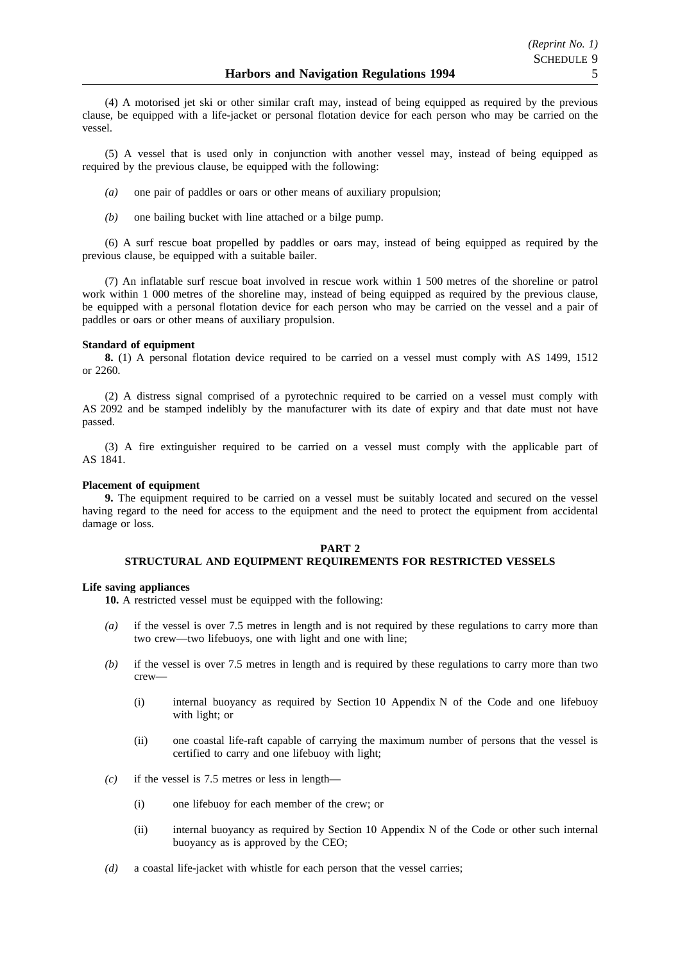(4) A motorised jet ski or other similar craft may, instead of being equipped as required by the previous clause, be equipped with a life-jacket or personal flotation device for each person who may be carried on the vessel.

(5) A vessel that is used only in conjunction with another vessel may, instead of being equipped as required by the previous clause, be equipped with the following:

- *(a)* one pair of paddles or oars or other means of auxiliary propulsion;
- *(b)* one bailing bucket with line attached or a bilge pump.

(6) A surf rescue boat propelled by paddles or oars may, instead of being equipped as required by the previous clause, be equipped with a suitable bailer.

(7) An inflatable surf rescue boat involved in rescue work within 1 500 metres of the shoreline or patrol work within 1 000 metres of the shoreline may, instead of being equipped as required by the previous clause, be equipped with a personal flotation device for each person who may be carried on the vessel and a pair of paddles or oars or other means of auxiliary propulsion.

#### **Standard of equipment**

**8.** (1) A personal flotation device required to be carried on a vessel must comply with AS 1499, 1512 or 2260.

(2) A distress signal comprised of a pyrotechnic required to be carried on a vessel must comply with AS 2092 and be stamped indelibly by the manufacturer with its date of expiry and that date must not have passed.

(3) A fire extinguisher required to be carried on a vessel must comply with the applicable part of AS 1841.

#### **Placement of equipment**

**9.** The equipment required to be carried on a vessel must be suitably located and secured on the vessel having regard to the need for access to the equipment and the need to protect the equipment from accidental damage or loss.

### **PART 2 STRUCTURAL AND EQUIPMENT REQUIREMENTS FOR RESTRICTED VESSELS**

#### **Life saving appliances**

**10.** A restricted vessel must be equipped with the following:

- *(a)* if the vessel is over 7.5 metres in length and is not required by these regulations to carry more than two crew—two lifebuoys, one with light and one with line;
- *(b)* if the vessel is over 7.5 metres in length and is required by these regulations to carry more than two crew—
	- (i) internal buoyancy as required by Section 10 Appendix N of the Code and one lifebuoy with light; or
	- (ii) one coastal life-raft capable of carrying the maximum number of persons that the vessel is certified to carry and one lifebuoy with light;
- *(c)* if the vessel is 7.5 metres or less in length—
	- (i) one lifebuoy for each member of the crew; or
	- (ii) internal buoyancy as required by Section 10 Appendix N of the Code or other such internal buoyancy as is approved by the CEO;
- *(d)* a coastal life-jacket with whistle for each person that the vessel carries;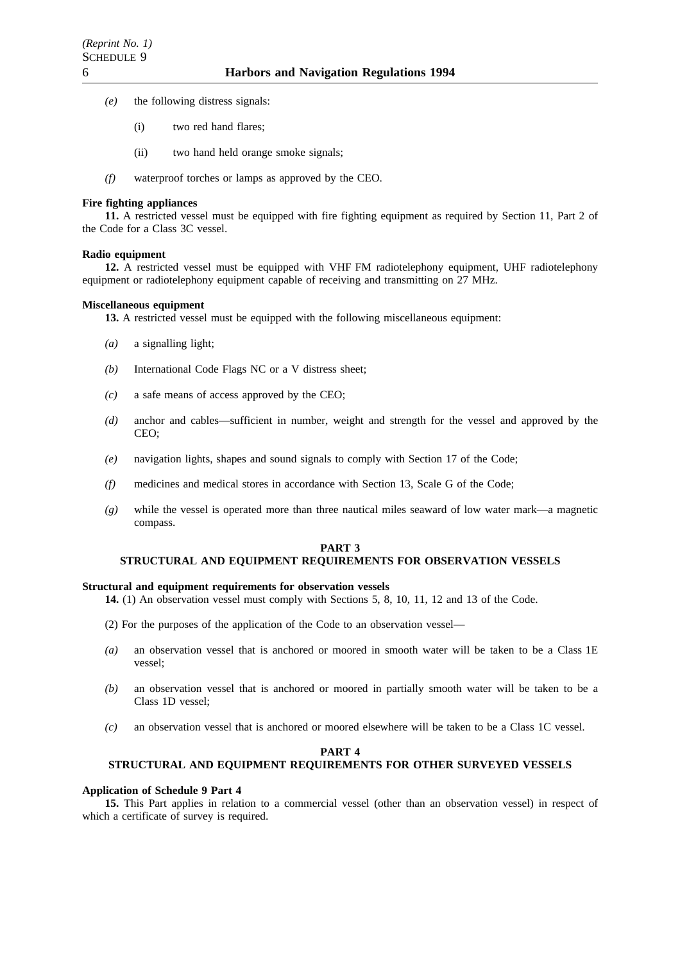- *(e)* the following distress signals:
	- (i) two red hand flares;
	- (ii) two hand held orange smoke signals;
- *(f)* waterproof torches or lamps as approved by the CEO.

#### **Fire fighting appliances**

**11.** A restricted vessel must be equipped with fire fighting equipment as required by Section 11, Part 2 of the Code for a Class 3C vessel.

### **Radio equipment**

**12.** A restricted vessel must be equipped with VHF FM radiotelephony equipment, UHF radiotelephony equipment or radiotelephony equipment capable of receiving and transmitting on 27 MHz.

#### **Miscellaneous equipment**

**13.** A restricted vessel must be equipped with the following miscellaneous equipment:

- *(a)* a signalling light;
- *(b)* International Code Flags NC or a V distress sheet;
- *(c)* a safe means of access approved by the CEO;
- *(d)* anchor and cables—sufficient in number, weight and strength for the vessel and approved by the CEO;
- *(e)* navigation lights, shapes and sound signals to comply with Section 17 of the Code;
- *(f)* medicines and medical stores in accordance with Section 13, Scale G of the Code;
- *(g)* while the vessel is operated more than three nautical miles seaward of low water mark—a magnetic compass.

#### **PART 3**

### **STRUCTURAL AND EQUIPMENT REQUIREMENTS FOR OBSERVATION VESSELS**

#### **Structural and equipment requirements for observation vessels**

**14.** (1) An observation vessel must comply with Sections 5, 8, 10, 11, 12 and 13 of the Code.

- (2) For the purposes of the application of the Code to an observation vessel—
- *(a)* an observation vessel that is anchored or moored in smooth water will be taken to be a Class 1E vessel;
- *(b)* an observation vessel that is anchored or moored in partially smooth water will be taken to be a Class 1D vessel;
- *(c)* an observation vessel that is anchored or moored elsewhere will be taken to be a Class 1C vessel.

#### **PART 4**

### **STRUCTURAL AND EQUIPMENT REQUIREMENTS FOR OTHER SURVEYED VESSELS**

#### **Application of Schedule 9 Part 4**

**15.** This Part applies in relation to a commercial vessel (other than an observation vessel) in respect of which a certificate of survey is required.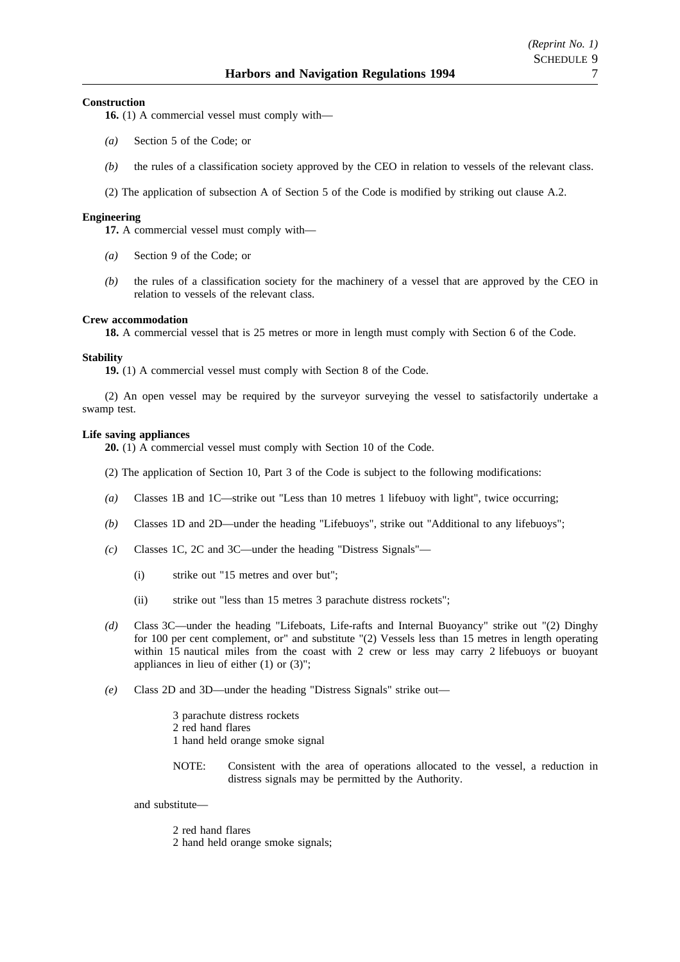### **Construction**

**16.** (1) A commercial vessel must comply with—

- *(a)* Section 5 of the Code; or
- *(b)* the rules of a classification society approved by the CEO in relation to vessels of the relevant class.
- (2) The application of subsection A of Section 5 of the Code is modified by striking out clause A.2.

### **Engineering**

**17.** A commercial vessel must comply with—

- *(a)* Section 9 of the Code; or
- *(b)* the rules of a classification society for the machinery of a vessel that are approved by the CEO in relation to vessels of the relevant class.

#### **Crew accommodation**

**18.** A commercial vessel that is 25 metres or more in length must comply with Section 6 of the Code.

#### **Stability**

**19.** (1) A commercial vessel must comply with Section 8 of the Code.

(2) An open vessel may be required by the surveyor surveying the vessel to satisfactorily undertake a swamp test.

#### **Life saving appliances**

**20.** (1) A commercial vessel must comply with Section 10 of the Code.

- (2) The application of Section 10, Part 3 of the Code is subject to the following modifications:
- *(a)* Classes 1B and 1C—strike out "Less than 10 metres 1 lifebuoy with light", twice occurring;
- *(b)* Classes 1D and 2D—under the heading "Lifebuoys", strike out "Additional to any lifebuoys";
- *(c)* Classes 1C, 2C and 3C—under the heading "Distress Signals"—
	- (i) strike out "15 metres and over but";
	- (ii) strike out "less than 15 metres 3 parachute distress rockets";
- *(d)* Class 3C—under the heading "Lifeboats, Life-rafts and Internal Buoyancy" strike out "(2) Dinghy for 100 per cent complement, or" and substitute "(2) Vessels less than 15 metres in length operating within 15 nautical miles from the coast with 2 crew or less may carry 2 lifebuoys or buoyant appliances in lieu of either (1) or (3)";
- *(e)* Class 2D and 3D—under the heading "Distress Signals" strike out—

3 parachute distress rockets 2 red hand flares 1 hand held orange smoke signal

NOTE: Consistent with the area of operations allocated to the vessel, a reduction in distress signals may be permitted by the Authority.

and substitute—

2 red hand flares 2 hand held orange smoke signals;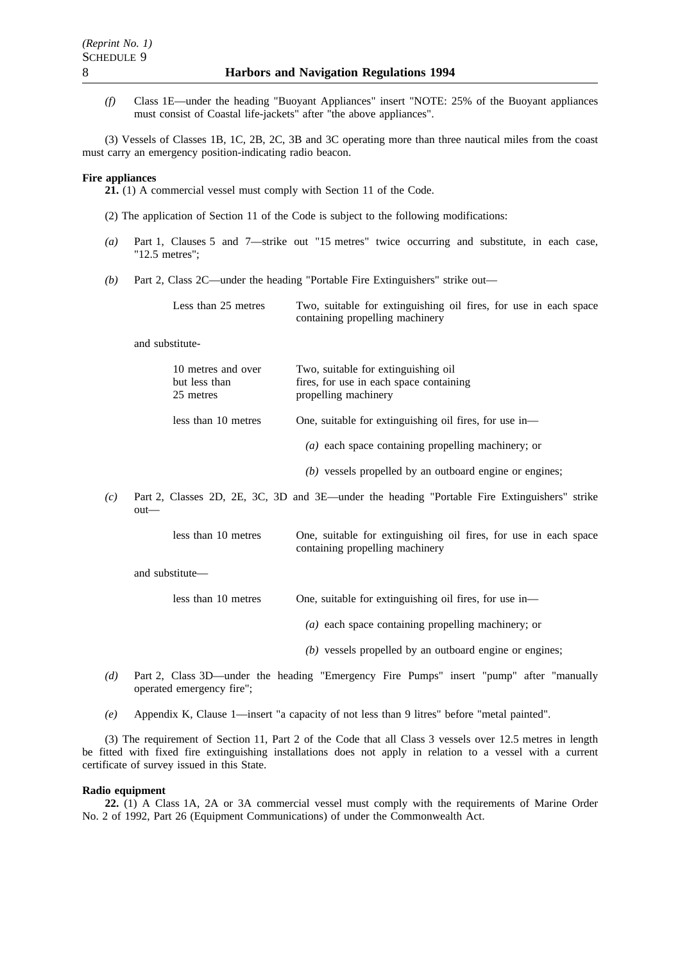*(f)* Class 1E—under the heading "Buoyant Appliances" insert "NOTE: 25% of the Buoyant appliances must consist of Coastal life-jackets" after "the above appliances".

(3) Vessels of Classes 1B, 1C, 2B, 2C, 3B and 3C operating more than three nautical miles from the coast must carry an emergency position-indicating radio beacon.

#### **Fire appliances**

**21.** (1) A commercial vessel must comply with Section 11 of the Code.

- (2) The application of Section 11 of the Code is subject to the following modifications:
- *(a)* Part 1, Clauses 5 and 7—strike out "15 metres" twice occurring and substitute, in each case, "12.5 metres";
- *(b)* Part 2, Class 2C—under the heading "Portable Fire Extinguishers" strike out—

Less than 25 metres Two, suitable for extinguishing oil fires, for use in each space containing propelling machinery

and substitute-

| 10 metres and over<br>but less than<br>25 metres | Two, suitable for extinguishing oil<br>fires, for use in each space containing<br>propelling machinery |
|--------------------------------------------------|--------------------------------------------------------------------------------------------------------|
| less than 10 metres                              | One, suitable for extinguishing oil fires, for use in-                                                 |
|                                                  | $(a)$ each space containing propelling machinery; or                                                   |
|                                                  | $(b)$ vessels propelled by an outboard engine or engines;                                              |
|                                                  |                                                                                                        |

*(c)* Part 2, Classes 2D, 2E, 3C, 3D and 3E—under the heading "Portable Fire Extinguishers" strike out—

> less than 10 metres One, suitable for extinguishing oil fires, for use in each space containing propelling machinery

and substitute—

| less than 10 metres |  | One, suitable for extinguishing oil fires, for use in- |  |  |  |
|---------------------|--|--------------------------------------------------------|--|--|--|
|---------------------|--|--------------------------------------------------------|--|--|--|

*(a)* each space containing propelling machinery; or

- *(b)* vessels propelled by an outboard engine or engines;
- *(d)* Part 2, Class 3D—under the heading "Emergency Fire Pumps" insert "pump" after "manually operated emergency fire";
- *(e)* Appendix K, Clause 1—insert "a capacity of not less than 9 litres" before "metal painted".

(3) The requirement of Section 11, Part 2 of the Code that all Class 3 vessels over 12.5 metres in length be fitted with fixed fire extinguishing installations does not apply in relation to a vessel with a current certificate of survey issued in this State.

#### **Radio equipment**

**22.** (1) A Class 1A, 2A or 3A commercial vessel must comply with the requirements of Marine Order No. 2 of 1992, Part 26 (Equipment Communications) of under the Commonwealth Act.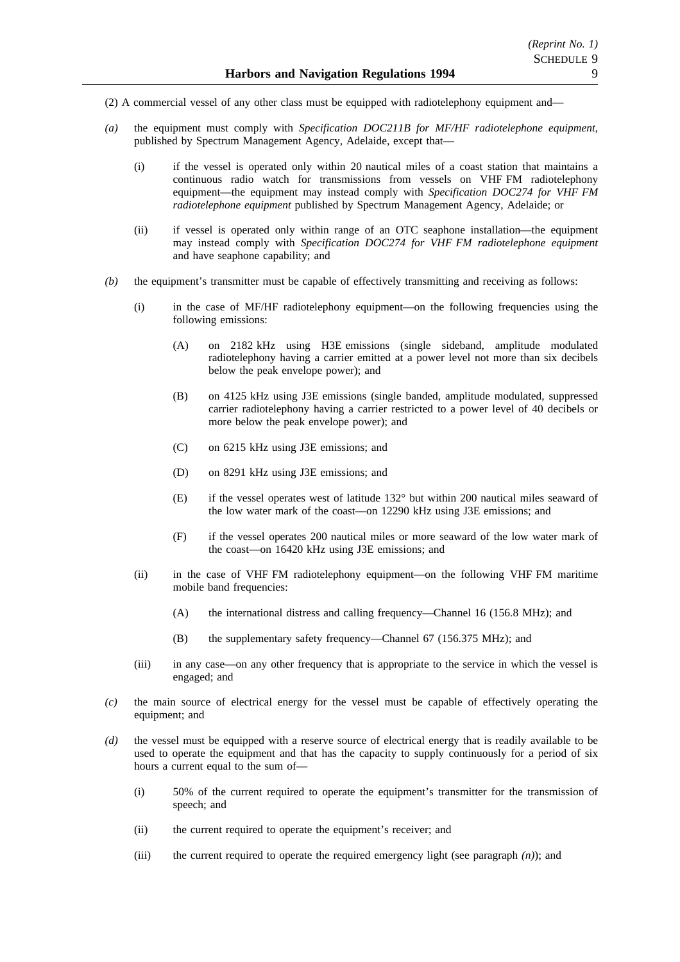- (2) A commercial vessel of any other class must be equipped with radiotelephony equipment and—
- *(a)* the equipment must comply with *Specification DOC211B for MF/HF radiotelephone equipment*, published by Spectrum Management Agency, Adelaide, except that—
	- (i) if the vessel is operated only within 20 nautical miles of a coast station that maintains a continuous radio watch for transmissions from vessels on VHF FM radiotelephony equipment—the equipment may instead comply with *Specification DOC274 for VHF FM radiotelephone equipment* published by Spectrum Management Agency, Adelaide; or
	- (ii) if vessel is operated only within range of an OTC seaphone installation—the equipment may instead comply with *Specification DOC274 for VHF FM radiotelephone equipment* and have seaphone capability; and
- *(b)* the equipment's transmitter must be capable of effectively transmitting and receiving as follows:
	- (i) in the case of MF/HF radiotelephony equipment—on the following frequencies using the following emissions:
		- (A) on 2182 kHz using H3E emissions (single sideband, amplitude modulated radiotelephony having a carrier emitted at a power level not more than six decibels below the peak envelope power); and
		- (B) on 4125 kHz using J3E emissions (single banded, amplitude modulated, suppressed carrier radiotelephony having a carrier restricted to a power level of 40 decibels or more below the peak envelope power); and
		- (C) on 6215 kHz using J3E emissions; and
		- (D) on 8291 kHz using J3E emissions; and
		- (E) if the vessel operates west of latitude 132° but within 200 nautical miles seaward of the low water mark of the coast—on 12290 kHz using J3E emissions; and
		- (F) if the vessel operates 200 nautical miles or more seaward of the low water mark of the coast—on 16420 kHz using J3E emissions; and
	- (ii) in the case of VHF FM radiotelephony equipment—on the following VHF FM maritime mobile band frequencies:
		- (A) the international distress and calling frequency—Channel 16 (156.8 MHz); and
		- (B) the supplementary safety frequency—Channel 67 (156.375 MHz); and
	- (iii) in any case—on any other frequency that is appropriate to the service in which the vessel is engaged; and
- *(c)* the main source of electrical energy for the vessel must be capable of effectively operating the equipment; and
- *(d)* the vessel must be equipped with a reserve source of electrical energy that is readily available to be used to operate the equipment and that has the capacity to supply continuously for a period of six hours a current equal to the sum of—
	- (i) 50% of the current required to operate the equipment's transmitter for the transmission of speech; and
	- (ii) the current required to operate the equipment's receiver; and
	- (iii) the current required to operate the required emergency light (see paragraph *(n)*); and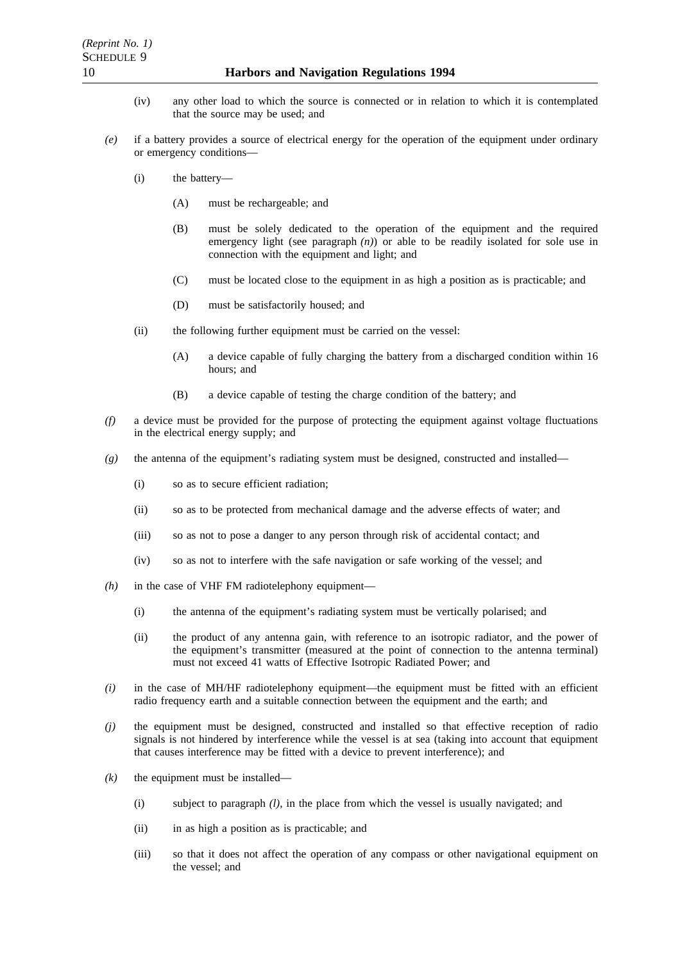- (iv) any other load to which the source is connected or in relation to which it is contemplated that the source may be used; and
- *(e)* if a battery provides a source of electrical energy for the operation of the equipment under ordinary or emergency conditions—
	- (i) the battery—
		- (A) must be rechargeable; and
		- (B) must be solely dedicated to the operation of the equipment and the required emergency light (see paragraph  $(n)$ ) or able to be readily isolated for sole use in connection with the equipment and light; and
		- (C) must be located close to the equipment in as high a position as is practicable; and
		- (D) must be satisfactorily housed; and
	- (ii) the following further equipment must be carried on the vessel:
		- (A) a device capable of fully charging the battery from a discharged condition within 16 hours; and
		- (B) a device capable of testing the charge condition of the battery; and
- *(f)* a device must be provided for the purpose of protecting the equipment against voltage fluctuations in the electrical energy supply; and
- *(g)* the antenna of the equipment's radiating system must be designed, constructed and installed—
	- (i) so as to secure efficient radiation;
	- (ii) so as to be protected from mechanical damage and the adverse effects of water; and
	- (iii) so as not to pose a danger to any person through risk of accidental contact; and
	- (iv) so as not to interfere with the safe navigation or safe working of the vessel; and
- *(h)* in the case of VHF FM radiotelephony equipment—
	- (i) the antenna of the equipment's radiating system must be vertically polarised; and
	- (ii) the product of any antenna gain, with reference to an isotropic radiator, and the power of the equipment's transmitter (measured at the point of connection to the antenna terminal) must not exceed 41 watts of Effective Isotropic Radiated Power; and
- *(i)* in the case of MH/HF radiotelephony equipment—the equipment must be fitted with an efficient radio frequency earth and a suitable connection between the equipment and the earth; and
- *(j)* the equipment must be designed, constructed and installed so that effective reception of radio signals is not hindered by interference while the vessel is at sea (taking into account that equipment that causes interference may be fitted with a device to prevent interference); and
- $(k)$  the equipment must be installed—
	- (i) subject to paragraph *(l)*, in the place from which the vessel is usually navigated; and
	- (ii) in as high a position as is practicable; and
	- (iii) so that it does not affect the operation of any compass or other navigational equipment on the vessel; and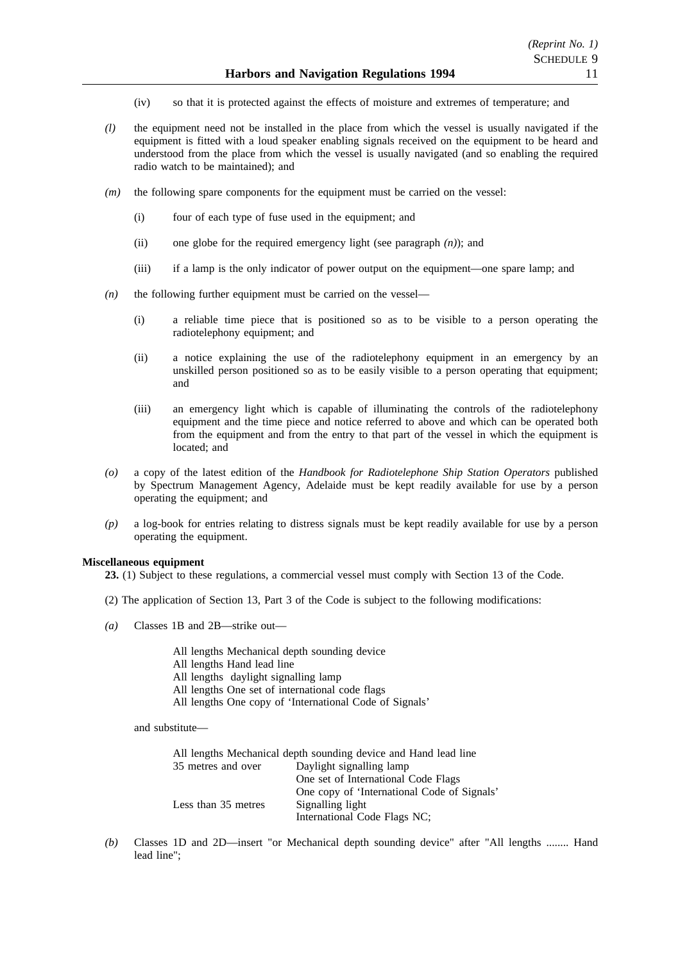- (iv) so that it is protected against the effects of moisture and extremes of temperature; and
- *(l)* the equipment need not be installed in the place from which the vessel is usually navigated if the equipment is fitted with a loud speaker enabling signals received on the equipment to be heard and understood from the place from which the vessel is usually navigated (and so enabling the required radio watch to be maintained); and
- *(m)* the following spare components for the equipment must be carried on the vessel:
	- (i) four of each type of fuse used in the equipment; and
	- (ii) one globe for the required emergency light (see paragraph *(n)*); and
	- (iii) if a lamp is the only indicator of power output on the equipment—one spare lamp; and
- *(n)* the following further equipment must be carried on the vessel—
	- (i) a reliable time piece that is positioned so as to be visible to a person operating the radiotelephony equipment; and
	- (ii) a notice explaining the use of the radiotelephony equipment in an emergency by an unskilled person positioned so as to be easily visible to a person operating that equipment; and
	- (iii) an emergency light which is capable of illuminating the controls of the radiotelephony equipment and the time piece and notice referred to above and which can be operated both from the equipment and from the entry to that part of the vessel in which the equipment is located; and
- *(o)* a copy of the latest edition of the *Handbook for Radiotelephone Ship Station Operators* published by Spectrum Management Agency, Adelaide must be kept readily available for use by a person operating the equipment; and
- *(p)* a log-book for entries relating to distress signals must be kept readily available for use by a person operating the equipment.

### **Miscellaneous equipment**

- **23.** (1) Subject to these regulations, a commercial vessel must comply with Section 13 of the Code.
- (2) The application of Section 13, Part 3 of the Code is subject to the following modifications:
- *(a)* Classes 1B and 2B—strike out—

All lengths Mechanical depth sounding device

- All lengths Hand lead line
- All lengths daylight signalling lamp
- All lengths One set of international code flags
- All lengths One copy of 'International Code of Signals'

and substitute—

|                     | All lengths Mechanical depth sounding device and Hand lead line |
|---------------------|-----------------------------------------------------------------|
| 35 metres and over  | Daylight signalling lamp                                        |
|                     | One set of International Code Flags                             |
|                     | One copy of 'International Code of Signals'                     |
| Less than 35 metres | Signalling light                                                |
|                     | International Code Flags NC;                                    |

*(b)* Classes 1D and 2D—insert "or Mechanical depth sounding device" after "All lengths ........ Hand lead line";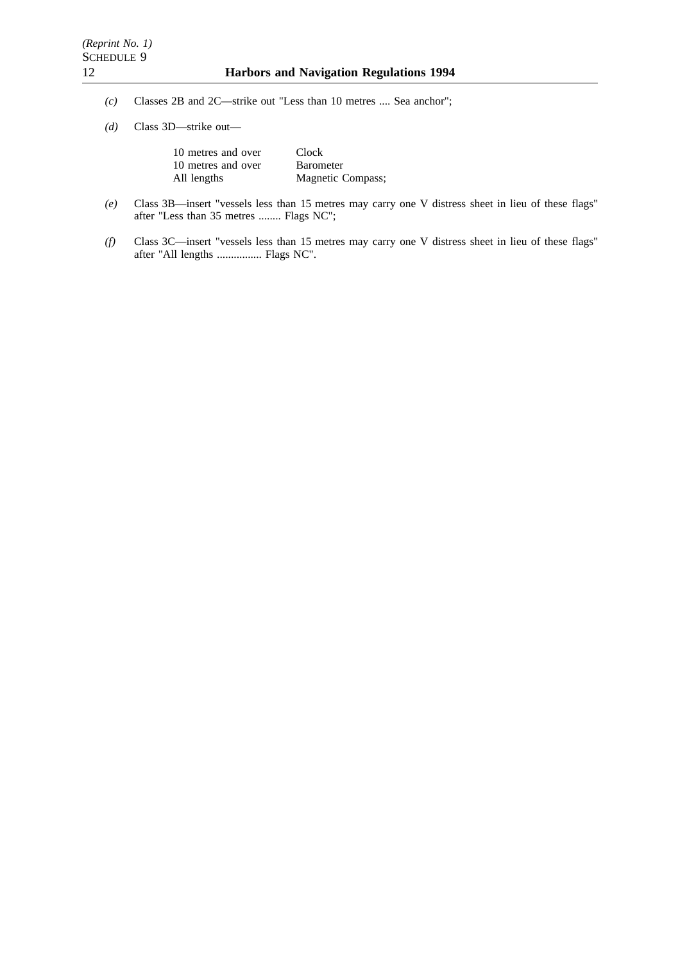- *(c)* Classes 2B and 2C—strike out "Less than 10 metres .... Sea anchor";
- *(d)* Class 3D—strike out—

| 10 metres and over | <b>Clock</b>      |
|--------------------|-------------------|
| 10 metres and over | <b>Barometer</b>  |
| All lengths        | Magnetic Compass; |

- *(e)* Class 3B—insert "vessels less than 15 metres may carry one V distress sheet in lieu of these flags" after "Less than 35 metres ........ Flags NC";
- *(f)* Class 3C—insert "vessels less than 15 metres may carry one V distress sheet in lieu of these flags" after "All lengths ................ Flags NC".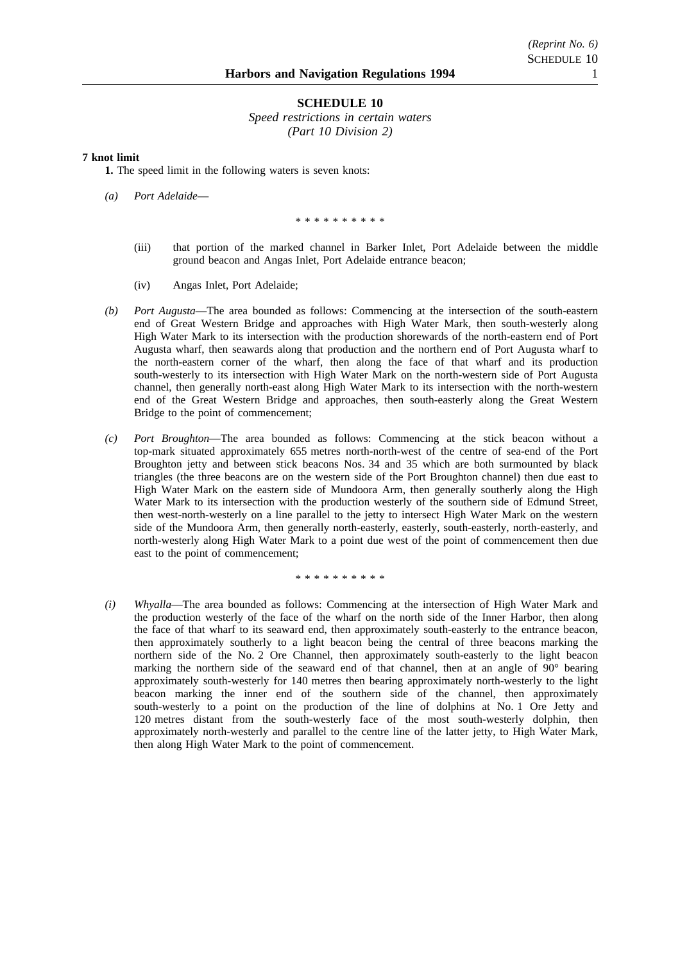### **SCHEDULE 10**

*Speed restrictions in certain waters (Part 10 Division 2)*

### **7 knot limit**

**1.** The speed limit in the following waters is seven knots:

*(a) Port Adelaide*—

#### \*\*\*\*\*\*\*\*\*\*

- (iii) that portion of the marked channel in Barker Inlet, Port Adelaide between the middle ground beacon and Angas Inlet, Port Adelaide entrance beacon;
- (iv) Angas Inlet, Port Adelaide;
- *(b) Port Augusta*—The area bounded as follows: Commencing at the intersection of the south-eastern end of Great Western Bridge and approaches with High Water Mark, then south-westerly along High Water Mark to its intersection with the production shorewards of the north-eastern end of Port Augusta wharf, then seawards along that production and the northern end of Port Augusta wharf to the north-eastern corner of the wharf, then along the face of that wharf and its production south-westerly to its intersection with High Water Mark on the north-western side of Port Augusta channel, then generally north-east along High Water Mark to its intersection with the north-western end of the Great Western Bridge and approaches, then south-easterly along the Great Western Bridge to the point of commencement;
- *(c) Port Broughton*—The area bounded as follows: Commencing at the stick beacon without a top-mark situated approximately 655 metres north-north-west of the centre of sea-end of the Port Broughton jetty and between stick beacons Nos. 34 and 35 which are both surmounted by black triangles (the three beacons are on the western side of the Port Broughton channel) then due east to High Water Mark on the eastern side of Mundoora Arm, then generally southerly along the High Water Mark to its intersection with the production westerly of the southern side of Edmund Street, then west-north-westerly on a line parallel to the jetty to intersect High Water Mark on the western side of the Mundoora Arm, then generally north-easterly, easterly, south-easterly, north-easterly, and north-westerly along High Water Mark to a point due west of the point of commencement then due east to the point of commencement;

\*\*\*\*\*\*\*\*\*\*

*(i) Whyalla*—The area bounded as follows: Commencing at the intersection of High Water Mark and the production westerly of the face of the wharf on the north side of the Inner Harbor, then along the face of that wharf to its seaward end, then approximately south-easterly to the entrance beacon, then approximately southerly to a light beacon being the central of three beacons marking the northern side of the No. 2 Ore Channel, then approximately south-easterly to the light beacon marking the northern side of the seaward end of that channel, then at an angle of  $90^{\circ}$  bearing approximately south-westerly for 140 metres then bearing approximately north-westerly to the light beacon marking the inner end of the southern side of the channel, then approximately south-westerly to a point on the production of the line of dolphins at No. 1 Ore Jetty and 120 metres distant from the south-westerly face of the most south-westerly dolphin, then approximately north-westerly and parallel to the centre line of the latter jetty, to High Water Mark, then along High Water Mark to the point of commencement.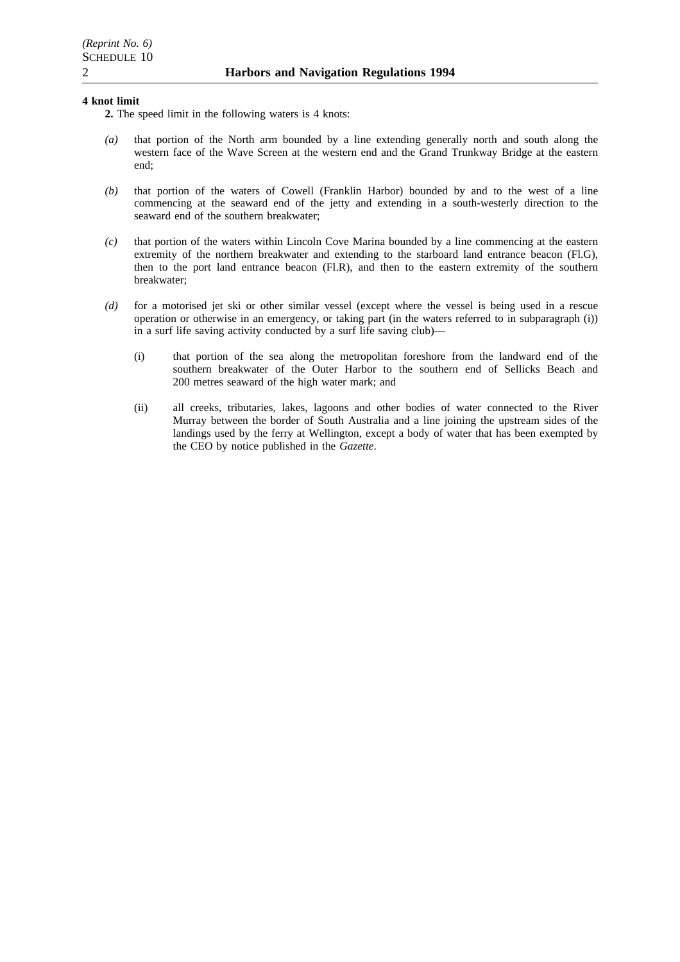### **4 knot limit**

- **2.** The speed limit in the following waters is 4 knots:
- *(a)* that portion of the North arm bounded by a line extending generally north and south along the western face of the Wave Screen at the western end and the Grand Trunkway Bridge at the eastern end;
- *(b)* that portion of the waters of Cowell (Franklin Harbor) bounded by and to the west of a line commencing at the seaward end of the jetty and extending in a south-westerly direction to the seaward end of the southern breakwater;
- *(c)* that portion of the waters within Lincoln Cove Marina bounded by a line commencing at the eastern extremity of the northern breakwater and extending to the starboard land entrance beacon (Fl.G), then to the port land entrance beacon (Fl.R), and then to the eastern extremity of the southern breakwater;
- *(d)* for a motorised jet ski or other similar vessel (except where the vessel is being used in a rescue operation or otherwise in an emergency, or taking part (in the waters referred to in subparagraph (i)) in a surf life saving activity conducted by a surf life saving club)—
	- (i) that portion of the sea along the metropolitan foreshore from the landward end of the southern breakwater of the Outer Harbor to the southern end of Sellicks Beach and 200 metres seaward of the high water mark; and
	- (ii) all creeks, tributaries, lakes, lagoons and other bodies of water connected to the River Murray between the border of South Australia and a line joining the upstream sides of the landings used by the ferry at Wellington, except a body of water that has been exempted by the CEO by notice published in the *Gazette*.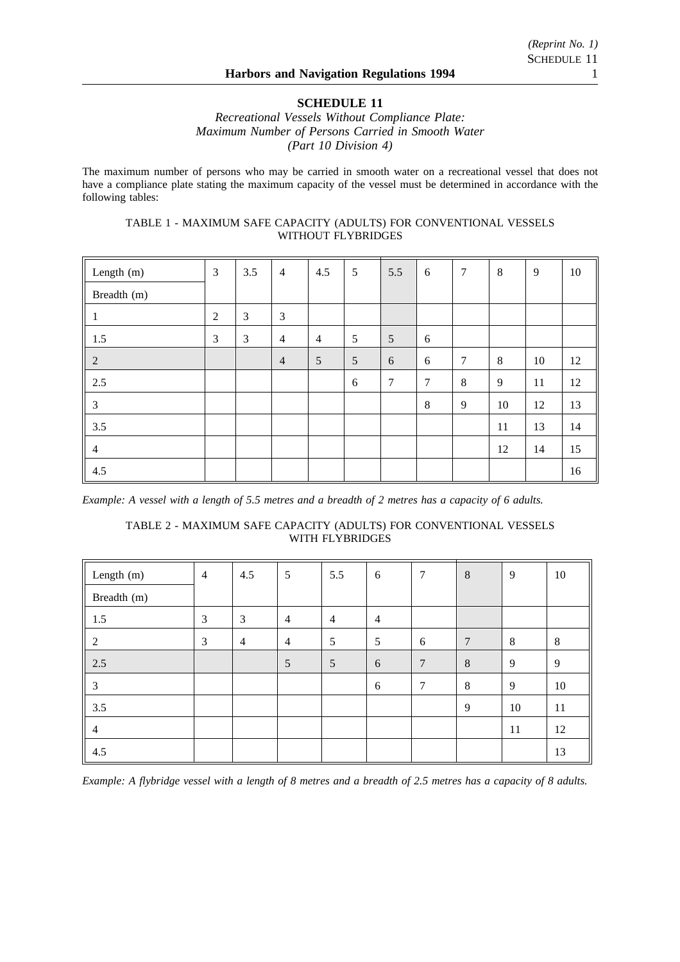# **SCHEDULE 11**

*Recreational Vessels Without Compliance Plate: Maximum Number of Persons Carried in Smooth Water (Part 10 Division 4)*

The maximum number of persons who may be carried in smooth water on a recreational vessel that does not have a compliance plate stating the maximum capacity of the vessel must be determined in accordance with the following tables:

# TABLE 1 - MAXIMUM SAFE CAPACITY (ADULTS) FOR CONVENTIONAL VESSELS WITHOUT FLYBRIDGES

| Length (m)                     | 3 | 3.5 | $\overline{4}$ | 4.5            | 5 | 5.5 | 6       | 7      | 8  | 9  | $10\,$ |
|--------------------------------|---|-----|----------------|----------------|---|-----|---------|--------|----|----|--------|
| Breadth (m)                    |   |     |                |                |   |     |         |        |    |    |        |
| $\vert$ 1                      | 2 | 3   | 3              |                |   |     |         |        |    |    |        |
| $\vert$ 1.5                    | 3 | 3   | $\overline{4}$ | $\overline{4}$ | 5 | 5   | 6       |        |    |    |        |
| $\overline{2}$<br>$\mathbf{I}$ |   |     | $\overline{4}$ | 5              | 5 | 6   | 6       | $\tau$ | 8  | 10 | 12     |
| 2.5                            |   |     |                |                | 6 | 7   | 7       | 8      | 9  | 11 | 12     |
| $\mathfrak{Z}$                 |   |     |                |                |   |     | $\,8\,$ | 9      | 10 | 12 | 13     |
| 3.5                            |   |     |                |                |   |     |         |        | 11 | 13 | 14     |
| $\overline{4}$                 |   |     |                |                |   |     |         |        | 12 | 14 | 15     |
| 4.5                            |   |     |                |                |   |     |         |        |    |    | 16     |

*Example: A vessel with a length of 5.5 metres and a breadth of 2 metres has a capacity of 6 adults.*

# TABLE 2 - MAXIMUM SAFE CAPACITY (ADULTS) FOR CONVENTIONAL VESSELS WITH FLYBRIDGES

| Length $(m)$    | $\overline{4}$ | 4.5            | 5              | 5.5            | 6              | $\overline{7}$  | 8              | 9  | 10 |
|-----------------|----------------|----------------|----------------|----------------|----------------|-----------------|----------------|----|----|
| Breadth (m)     |                |                |                |                |                |                 |                |    |    |
| $\parallel$ 1.5 | 3              | 3              | $\overline{4}$ | $\overline{4}$ | $\overline{4}$ |                 |                |    |    |
| $\overline{c}$  | 3              | $\overline{4}$ | $\overline{4}$ | 5              | 5              | 6               | $\overline{7}$ | 8  | 8  |
| 2.5<br>L        |                |                | 5              | $\overline{5}$ | 6              | $7\phantom{.0}$ | 8              | 9  | 9  |
| 3               |                |                |                |                | 6              | $\overline{7}$  | 8              | 9  | 10 |
| 3.5             |                |                |                |                |                |                 | 9              | 10 | 11 |
| $\overline{4}$  |                |                |                |                |                |                 |                | 11 | 12 |
| 4.5             |                |                |                |                |                |                 |                |    | 13 |

*Example: A flybridge vessel with a length of 8 metres and a breadth of 2.5 metres has a capacity of 8 adults.*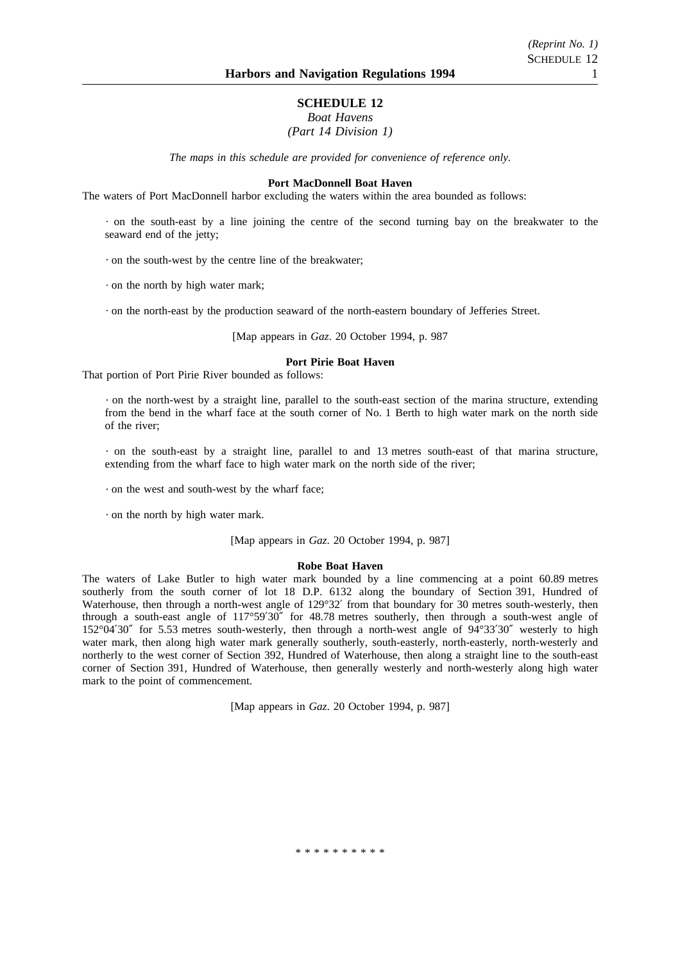# *(Reprint No. 1)* SCHEDULE 12

# **SCHEDULE 12** *Boat Havens*

# *(Part 14 Division 1)*

*The maps in this schedule are provided for convenience of reference only.*

### **Port MacDonnell Boat Haven**

The waters of Port MacDonnell harbor excluding the waters within the area bounded as follows:

on the south-east by a line joining the centre of the second turning bay on the breakwater to the seaward end of the jetty;

on the south-west by the centre line of the breakwater;

 $\cdot$  on the north by high water mark:

on the north-east by the production seaward of the north-eastern boundary of Jefferies Street.

[Map appears in *Gaz*. 20 October 1994, p. 987

### **Port Pirie Boat Haven**

That portion of Port Pirie River bounded as follows:

on the north-west by a straight line, parallel to the south-east section of the marina structure, extending from the bend in the wharf face at the south corner of No. 1 Berth to high water mark on the north side of the river;

on the south-east by a straight line, parallel to and 13 metres south-east of that marina structure, extending from the wharf face to high water mark on the north side of the river;

on the west and south-west by the wharf face;

on the north by high water mark.

[Map appears in *Gaz*. 20 October 1994, p. 987]

#### **Robe Boat Haven**

The waters of Lake Butler to high water mark bounded by a line commencing at a point 60.89 metres southerly from the south corner of lot 18 D.P. 6132 along the boundary of Section 391, Hundred of Waterhouse, then through a north-west angle of 129°32′ from that boundary for 30 metres south-westerly, then through a south-east angle of 117°59′30″ for 48.78 metres southerly, then through a south-west angle of 152°04′30″ for 5.53 metres south-westerly, then through a north-west angle of 94°33′30″ westerly to high water mark, then along high water mark generally southerly, south-easterly, north-easterly, north-westerly and northerly to the west corner of Section 392, Hundred of Waterhouse, then along a straight line to the south-east corner of Section 391, Hundred of Waterhouse, then generally westerly and north-westerly along high water mark to the point of commencement.

[Map appears in *Gaz*. 20 October 1994, p. 987]

\*\*\*\*\*\*\*\*\*\*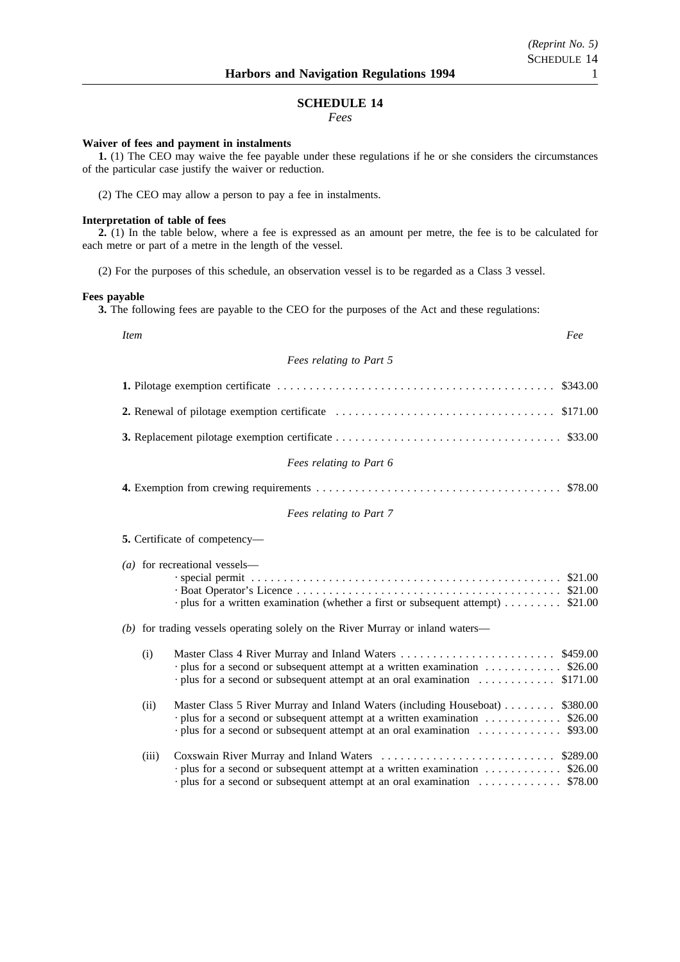# **SCHEDULE 14**

*Fees*

### **Waiver of fees and payment in instalments**

**1.** (1) The CEO may waive the fee payable under these regulations if he or she considers the circumstances of the particular case justify the waiver or reduction.

(2) The CEO may allow a person to pay a fee in instalments.

### **Interpretation of table of fees**

**2.** (1) In the table below, where a fee is expressed as an amount per metre, the fee is to be calculated for each metre or part of a metre in the length of the vessel.

(2) For the purposes of this schedule, an observation vessel is to be regarded as a Class 3 vessel.

### **Fees payable**

**3.** The following fees are payable to the CEO for the purposes of the Act and these regulations:

| <i>Item</i><br>Fee                                                                                                                                                                                                                            |                      |
|-----------------------------------------------------------------------------------------------------------------------------------------------------------------------------------------------------------------------------------------------|----------------------|
| Fees relating to Part 5                                                                                                                                                                                                                       |                      |
|                                                                                                                                                                                                                                               | \$343.00             |
| 2. Renewal of pilotage exemption certificate                                                                                                                                                                                                  | \$171.00             |
|                                                                                                                                                                                                                                               |                      |
| Fees relating to Part 6                                                                                                                                                                                                                       |                      |
|                                                                                                                                                                                                                                               |                      |
| Fees relating to Part 7                                                                                                                                                                                                                       |                      |
| 5. Certificate of competency-                                                                                                                                                                                                                 |                      |
| (a) for recreational vessels—<br>$\cdot$ plus for a written examination (whether a first or subsequent attempt)  \$21.00                                                                                                                      |                      |
| (b) for trading vessels operating solely on the River Murray or inland waters—                                                                                                                                                                |                      |
| Master Class 4 River Murray and Inland Waters<br>(i)<br>$\cdot$ plus for a second or subsequent attempt at a written examination  \$26.00<br>· plus for a second or subsequent attempt at an oral examination                                 | \$459.00<br>\$171.00 |
| Master Class 5 River Murray and Inland Waters (including Houseboat)<br>(ii)<br>· plus for a second or subsequent attempt at a written examination  \$26.00<br>$\cdot$ plus for a second or subsequent attempt at an oral examination  \$93.00 | \$380.00             |
| (iii)<br>$\cdot$ plus for a second or subsequent attempt at a written examination  \$26.00<br>· plus for a second or subsequent attempt at an oral examination  \$78.00                                                                       |                      |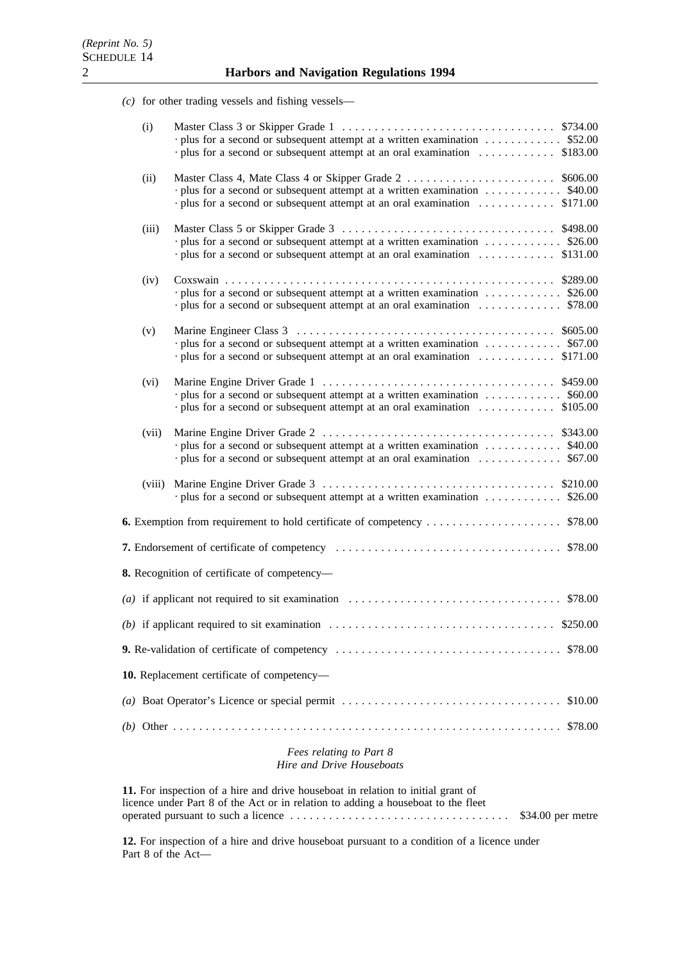*(c)* for other trading vessels and fishing vessels—

| (i)    | plus for a second or subsequent attempt at a written examination  \$52.00<br>· plus for a second or subsequent attempt at an oral examination  \$183.00         |         |
|--------|-----------------------------------------------------------------------------------------------------------------------------------------------------------------|---------|
| (ii)   | plus for a second or subsequent attempt at a written examination  \$40.00                                                                                       |         |
| (iii)  | $\cdot$ plus for a second or subsequent attempt at a written examination  \$26.00<br>· plus for a second or subsequent attempt at an oral examination  \$131.00 |         |
| (iv)   | $\cdot$ plus for a second or subsequent attempt at a written examination  \$26.00<br>plus for a second or subsequent attempt at an oral examination  \$78.00    |         |
| (v)    | $\cdot$ plus for a second or subsequent attempt at a written examination  \$67.00<br>· plus for a second or subsequent attempt at an oral examination  \$171.00 |         |
| (vi)   | · plus for a second or subsequent attempt at a written examination \$60.00                                                                                      |         |
| (vii)  | · plus for a second or subsequent attempt at a written examination \$40.00<br>· plus for a second or subsequent attempt at an oral examination                  | \$67.00 |
| (viii) | · plus for a second or subsequent attempt at a written examination  \$26.00                                                                                     |         |
|        | <b>6.</b> Exemption from requirement to hold certificate of competency                                                                                          | \$78.00 |
|        |                                                                                                                                                                 |         |
|        | 8. Recognition of certificate of competency-                                                                                                                    |         |
|        | (a) if applicant not required to sit examination $\ldots \ldots \ldots \ldots \ldots \ldots \ldots \ldots \ldots$ \$78.00                                       |         |
|        | (b) if applicant required to sit examination $\ldots \ldots \ldots \ldots \ldots \ldots \ldots \ldots \ldots$ \$250.00                                          |         |
|        | <b>9.</b> Re-validation of certificate of competency $\dots \dots \dots \dots \dots \dots \dots \dots \dots \dots \dots \dots$                                  | \$78.00 |
|        | 10. Replacement certificate of competency-                                                                                                                      |         |
|        | (a) Boat Operator's Licence or special permit                                                                                                                   | \$10.00 |
|        |                                                                                                                                                                 |         |

### *Fees relating to Part 8 Hire and Drive Houseboats*

**11.** For inspection of a hire and drive houseboat in relation to initial grant of licence under Part 8 of the Act or in relation to adding a houseboat to the fleet operated pursuant to such a licence .................................. \$34.00 per metre

**12.** For inspection of a hire and drive houseboat pursuant to a condition of a licence under Part 8 of the Act—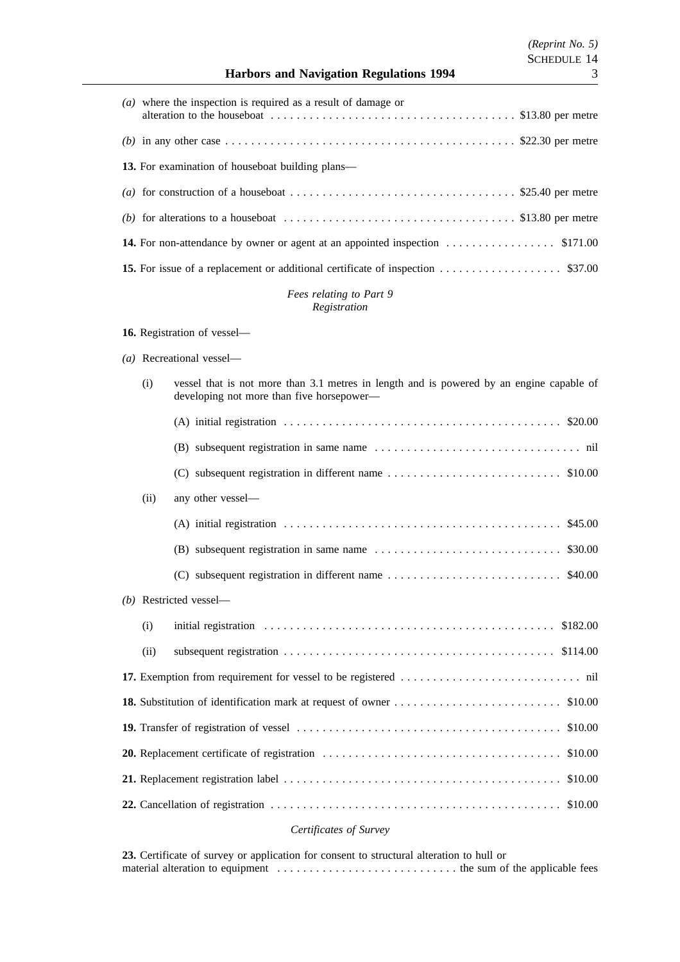# **Harbors and Navigation Regulations 1994** 3

| (a) where the inspection is required as a result of damage or                                                                 |  |
|-------------------------------------------------------------------------------------------------------------------------------|--|
| (b) in any other case $\dots \dots \dots \dots \dots \dots \dots \dots \dots \dots \dots \dots \dots \dots$ \$22.30 per metre |  |
| <b>13.</b> For examination of houseboat building plans—                                                                       |  |
|                                                                                                                               |  |
| (b) for alterations to a houseboat $\dots \dots \dots \dots \dots \dots \dots \dots \dots \dots \dots$ \$13.80 per metre      |  |
|                                                                                                                               |  |
| 15. For issue of a replacement or additional certificate of inspection \$37.00                                                |  |

# *Fees relating to Part 9 Registration*

# **16.** Registration of vessel—

*(a)* Recreational vessel—

| (i)  | vessel that is not more than 3.1 metres in length and is powered by an engine capable of<br>developing not more than five horsepower- |
|------|---------------------------------------------------------------------------------------------------------------------------------------|
|      | (A) initial registration $\dots \dots \dots \dots \dots \dots \dots \dots \dots \dots \dots \dots \dots \dots \dots \$ \$20.00        |
|      |                                                                                                                                       |
|      |                                                                                                                                       |
| (ii) | any other vessel-                                                                                                                     |
|      | (A) initial registration $\dots \dots \dots \dots \dots \dots \dots \dots \dots \dots \dots \dots \dots$ \$45.00                      |
|      | \$30.00<br>$(B)$ subsequent registration in same name $\dots \dots \dots \dots \dots \dots \dots \dots \dots$                         |
|      |                                                                                                                                       |
|      | (b) Restricted vessel-                                                                                                                |
| (i)  |                                                                                                                                       |
| (ii) |                                                                                                                                       |
|      |                                                                                                                                       |
|      |                                                                                                                                       |
|      |                                                                                                                                       |
|      |                                                                                                                                       |
|      | \$10.00                                                                                                                               |
|      | 22. Cancellation of registration $\ldots \ldots \ldots \ldots \ldots \ldots \ldots \ldots \ldots \ldots \ldots \ldots \ldots$ \$10.00 |

# *Certificates of Survey*

**23.** Certificate of survey or application for consent to structural alteration to hull or material alteration to equipment . . . . . . . . . . . . . . . . . . . . . . . . . . . . the sum of the applicable fees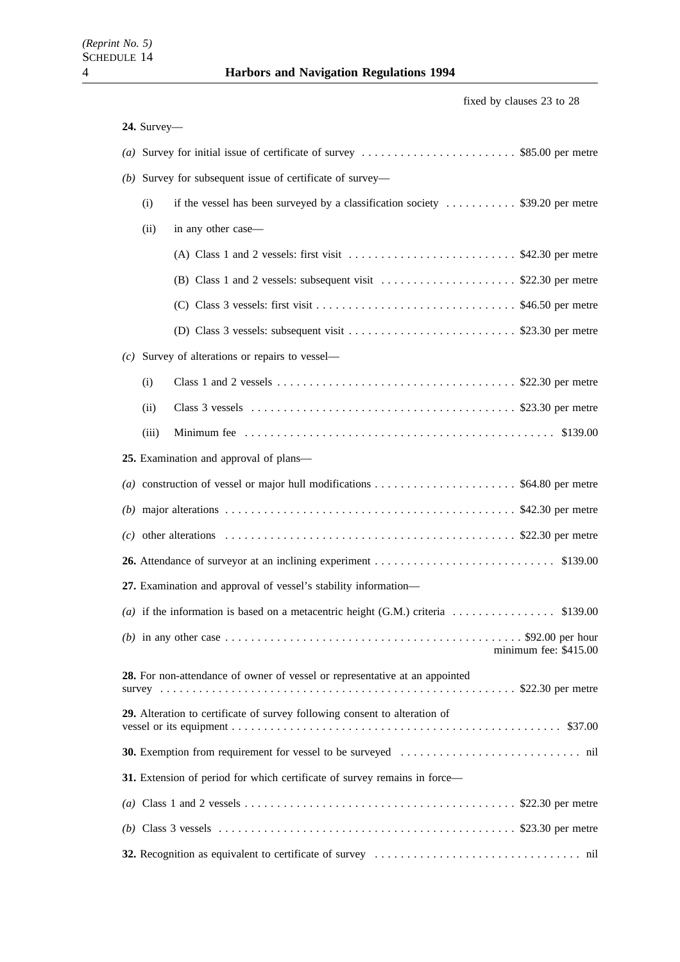fixed by clauses 23 to 28

| 24. Survey-                                                                                                                   |                       |
|-------------------------------------------------------------------------------------------------------------------------------|-----------------------|
|                                                                                                                               |                       |
| (b) Survey for subsequent issue of certificate of survey-                                                                     |                       |
| if the vessel has been surveyed by a classification society $\dots \dots \dots$ \$39.20 per metre<br>(i)                      |                       |
| (ii)<br>in any other case-                                                                                                    |                       |
|                                                                                                                               |                       |
| (B) Class 1 and 2 vessels: subsequent visit $\dots \dots \dots \dots \dots \dots$ \$22.30 per metre                           |                       |
|                                                                                                                               |                       |
|                                                                                                                               |                       |
| $(c)$ Survey of alterations or repairs to vessel—                                                                             |                       |
| (i)                                                                                                                           |                       |
| (ii)                                                                                                                          |                       |
| (iii)                                                                                                                         |                       |
| 25. Examination and approval of plans—                                                                                        |                       |
|                                                                                                                               |                       |
|                                                                                                                               |                       |
| (c) other alterations $\dots \dots \dots \dots \dots \dots \dots \dots \dots \dots \dots \dots \dots \dots$ \$22.30 per metre |                       |
|                                                                                                                               |                       |
| 27. Examination and approval of vessel's stability information—                                                               |                       |
|                                                                                                                               |                       |
| (b) in any other case $\dots \dots \dots \dots \dots \dots \dots \dots \dots \dots \dots \dots \dots \dots$ \$92.00 per hour  | minimum fee: \$415.00 |
| 28. For non-attendance of owner of vessel or representative at an appointed                                                   |                       |
| 29. Alteration to certificate of survey following consent to alteration of                                                    |                       |
|                                                                                                                               |                       |
| 31. Extension of period for which certificate of survey remains in force-                                                     |                       |
|                                                                                                                               |                       |
|                                                                                                                               |                       |
|                                                                                                                               |                       |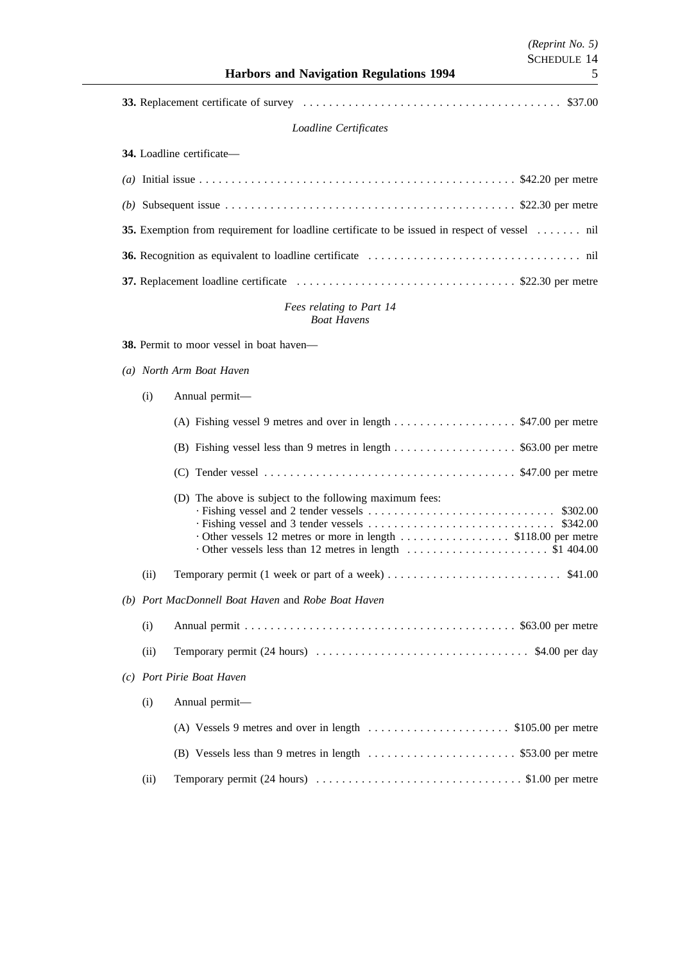*(Reprint No. 5)*

# *Loadline Certificates*

**34.** Loadline certificate—

| (b) Subsequent issue $\dots \dots \dots \dots \dots \dots \dots \dots \dots \dots \dots \dots \dots$ \$22.30 per metre |  |
|------------------------------------------------------------------------------------------------------------------------|--|
| 35. Exemption from requirement for loadline certificate to be issued in respect of vessel  nil                         |  |
|                                                                                                                        |  |
|                                                                                                                        |  |

# *Fees relating to Part 14 Boat Havens*

**38.** Permit to moor vessel in boat haven—

*(a) North Arm Boat Haven*

| (i) | Annual permit— |  |
|-----|----------------|--|
|     |                |  |

|      | (A) Fishing vessel 9 metres and over in length $\dots \dots \dots \dots \dots$ \$47.00 per metre |  |  |
|------|--------------------------------------------------------------------------------------------------|--|--|
|      |                                                                                                  |  |  |
|      |                                                                                                  |  |  |
|      | (D) The above is subject to the following maximum fees:                                          |  |  |
| (ii) |                                                                                                  |  |  |
|      | (b) Port MacDonnell Boat Haven and Robe Boat Haven                                               |  |  |
| (i)  |                                                                                                  |  |  |
| (ii) |                                                                                                  |  |  |
|      | (c) Port Pirie Boat Haven                                                                        |  |  |
| (i)  | Annual permit-                                                                                   |  |  |
|      | (A) Vessels 9 metres and over in length $\dots \dots \dots \dots \dots \dots$ \$105.00 per metre |  |  |
|      |                                                                                                  |  |  |
| (ii) |                                                                                                  |  |  |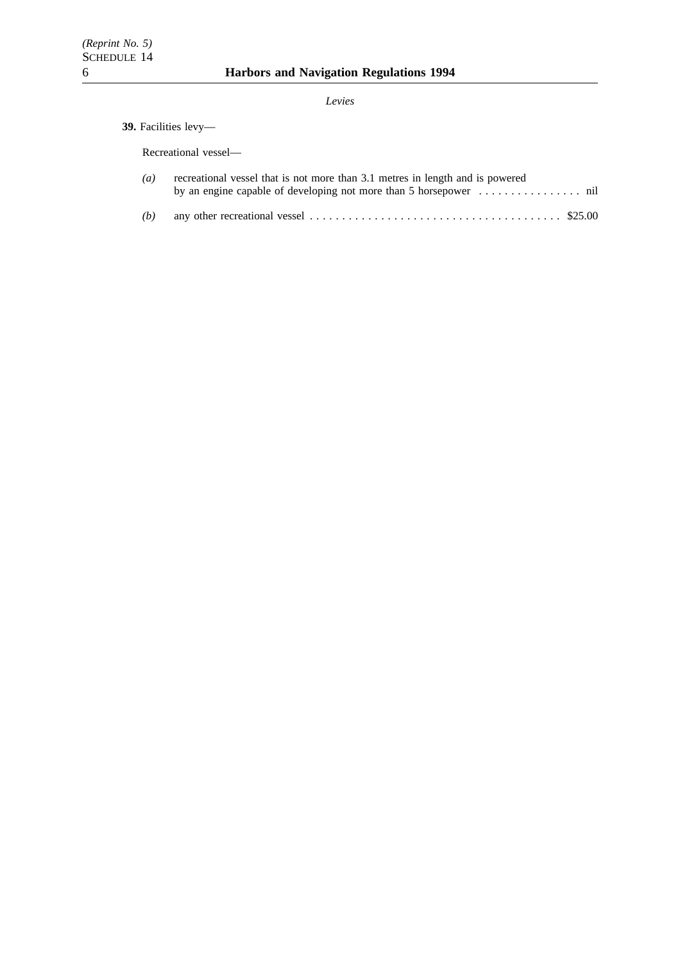# *Levies*

# **39.** Facilities levy—

Recreational vessel—

| $(a)$ recreational vessel that is not more than 3.1 metres in length and is powered |
|-------------------------------------------------------------------------------------|
|                                                                                     |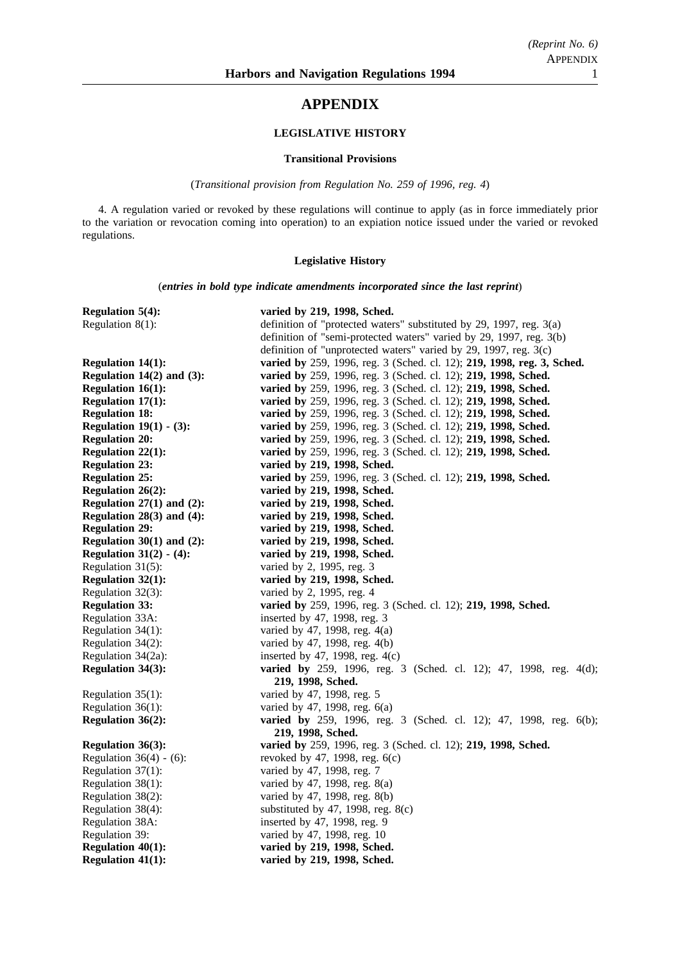# **APPENDIX**

# **LEGISLATIVE HISTORY**

## **Transitional Provisions**

(*Transitional provision from Regulation No. 259 of 1996, reg. 4*)

4. A regulation varied or revoked by these regulations will continue to apply (as in force immediately prior to the variation or revocation coming into operation) to an expiation notice issued under the varied or revoked regulations.

# **Legislative History**

(*entries in bold type indicate amendments incorporated since the last reprint*)

| Regulation $5(4)$ :            | varied by 219, 1998, Sched.                                              |
|--------------------------------|--------------------------------------------------------------------------|
| Regulation $8(1)$ :            | definition of "protected waters" substituted by 29, 1997, reg. 3(a)      |
|                                | definition of "semi-protected waters" varied by 29, 1997, reg. 3(b)      |
|                                | definition of "unprotected waters" varied by 29, 1997, reg. $3(c)$       |
| <b>Regulation 14(1):</b>       | varied by 259, 1996, reg. 3 (Sched. cl. 12); 219, 1998, reg. 3, Sched.   |
| Regulation $14(2)$ and $(3)$ : | varied by 259, 1996, reg. 3 (Sched. cl. 12); 219, 1998, Sched.           |
| <b>Regulation 16(1):</b>       | varied by 259, 1996, reg. 3 (Sched. cl. 12); 219, 1998, Sched.           |
| Regulation 17(1):              | varied by 259, 1996, reg. 3 (Sched. cl. 12); 219, 1998, Sched.           |
| <b>Regulation 18:</b>          | varied by 259, 1996, reg. 3 (Sched. cl. 12); 219, 1998, Sched.           |
| Regulation $19(1) - (3)$ :     | varied by 259, 1996, reg. 3 (Sched. cl. 12); 219, 1998, Sched.           |
| <b>Regulation 20:</b>          | varied by 259, 1996, reg. 3 (Sched. cl. 12); 219, 1998, Sched.           |
| <b>Regulation 22(1):</b>       | varied by 259, 1996, reg. 3 (Sched. cl. 12); 219, 1998, Sched.           |
| <b>Regulation 23:</b>          | varied by 219, 1998, Sched.                                              |
| <b>Regulation 25:</b>          | varied by 259, 1996, reg. 3 (Sched. cl. 12); 219, 1998, Sched.           |
| <b>Regulation 26(2):</b>       | varied by 219, 1998, Sched.                                              |
| Regulation $27(1)$ and $(2)$ : | varied by 219, 1998, Sched.                                              |
| Regulation $28(3)$ and $(4)$ : | varied by 219, 1998, Sched.                                              |
| <b>Regulation 29:</b>          | varied by 219, 1998, Sched.                                              |
| Regulation $30(1)$ and $(2)$ : | varied by 219, 1998, Sched.                                              |
| Regulation $31(2) - (4)$ :     | varied by 219, 1998, Sched.                                              |
| Regulation 31(5):              | varied by 2, 1995, reg. 3                                                |
| <b>Regulation 32(1):</b>       | varied by 219, 1998, Sched.                                              |
| Regulation 32(3):              | varied by 2, 1995, reg. 4                                                |
| <b>Regulation 33:</b>          | varied by 259, 1996, reg. 3 (Sched. cl. 12); 219, 1998, Sched.           |
| Regulation 33A:                | inserted by 47, 1998, reg. 3                                             |
| Regulation 34(1):              | varied by 47, 1998, reg. 4(a)                                            |
| Regulation 34(2):              | varied by 47, 1998, reg. 4(b)                                            |
| Regulation 34(2a):             | inserted by 47, 1998, reg. $4(c)$                                        |
| Regulation 34(3):              | varied by 259, 1996, reg. 3 (Sched. cl. 12); 47, 1998, reg. 4(d);        |
|                                | 219, 1998, Sched.                                                        |
| Regulation $35(1)$ :           | varied by 47, 1998, reg. 5                                               |
| Regulation 36(1):              | varied by 47, 1998, reg. 6(a)                                            |
| <b>Regulation 36(2):</b>       | <b>varied by</b> 259, 1996, reg. 3 (Sched. cl. 12); 47, 1998, reg. 6(b); |
|                                | 219, 1998, Sched.                                                        |
| <b>Regulation 36(3):</b>       | varied by 259, 1996, reg. 3 (Sched. cl. 12); 219, 1998, Sched.           |
| Regulation $36(4) - (6)$ :     | revoked by 47, 1998, reg. 6(c)                                           |
| Regulation $37(1)$ :           | varied by 47, 1998, reg. 7                                               |
| Regulation 38(1):              | varied by 47, 1998, reg. $8(a)$                                          |
| Regulation 38(2):              | varied by 47, 1998, reg. 8(b)                                            |
| Regulation 38(4):              | substituted by 47, 1998, reg. $8(c)$                                     |
| Regulation 38A:                | inserted by 47, 1998, reg. 9                                             |
| Regulation 39:                 | varied by 47, 1998, reg. 10                                              |
| <b>Regulation 40(1):</b>       | varied by 219, 1998, Sched.                                              |
| <b>Regulation 41(1):</b>       | varied by 219, 1998, Sched.                                              |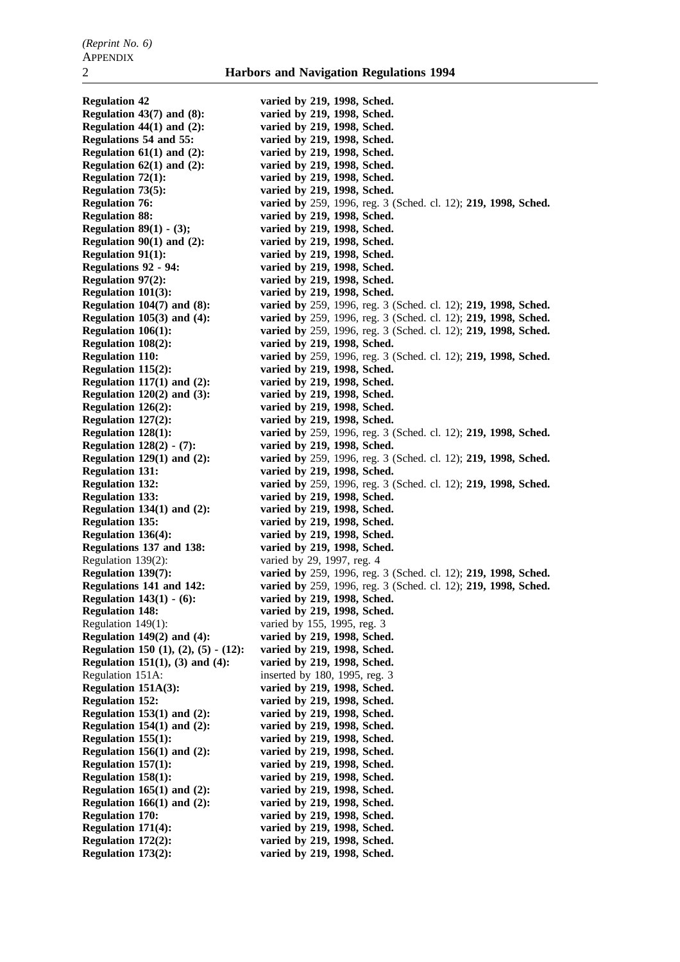**Regulation 42 varied by 219, 1998, Sched. Regulation 43(7) and (8): varied by 219, 1998, Sched. Regulation 44(1) and (2): varied by 219, 1998, Sched. Regulations 54 and 55: varied by 219, 1998, Sched. Regulation 61(1) and (2): varied by 219, 1998, Sched. Regulation 62(1) and (2): varied by 219, 1998, Sched. Regulation 72(1): varied by 219, 1998, Sched. Regulation 73(5): varied by 219, 1998, Sched. Regulation 76: varied by** 259, 1996, reg. 3 (Sched. cl. 12); **219, 1998, Sched. Regulation 88: varied by 219, 1998, Sched. Regulation 89(1) - (3); varied by 219, 1998, Sched. Regulation 90(1) and (2):** varied by 219, 1998, Sched.<br> **Regulation 91(1):** varied by 219, 1998, Sched. varied by 219, 1998, Sched. **Regulations 92 - 94: varied by 219, 1998, Sched. Regulation 97(2): varied by 219, 1998, Sched. Regulation 101(3): varied by 219, 1998, Sched. Regulation 104(7) and (8): varied by** 259, 1996, reg. 3 (Sched. cl. 12); **219, 1998, Sched. Regulation 105(3) and (4): varied by** 259, 1996, reg. 3 (Sched. cl. 12); **219, 1998, Sched. Regulation 106(1): varied by** 259, 1996, reg. 3 (Sched. cl. 12); **219, 1998, Sched. Regulation 108(2): varied by 219, 1998, Sched. Regulation 110: varied by** 259, 1996, reg. 3 (Sched. cl. 12); **219, 1998, Sched. Regulation 115(2): varied by 219, 1998, Sched. Regulation 117(1) and (2): varied by 219, 1998, Sched. Regulation 120(2) and (3): varied by 219, 1998, Sched. Regulation 126(2): varied by 219, 1998, Sched. Regulation 127(2): varied by 219, 1998, Sched. Regulation 128(1): varied by** 259, 1996, reg. 3 (Sched. cl. 12); **219, 1998, Sched. Regulation 128(2) - (7): varied by 219, 1998, Sched. Regulation 129(1) and (2): varied by** 259, 1996, reg. 3 (Sched. cl. 12); **219, 1998, Sched. Regulation 131: varied by 219, 1998, Sched. Regulation 132: varied by** 259, 1996, reg. 3 (Sched. cl. 12); **219, 1998, Sched. Regulation 133: varied by 219, 1998, Sched. Regulation 134(1) and (2): varied by 219, 1998, Sched. Regulation 135: varied by 219, 1998, Sched. Regulation 136(4): varied by 219, 1998, Sched. Regulations 137 and 138: varied by 219, 1998, Sched.** Regulation 139(2): varied by 29, 1997, reg. 4 **Regulation 139(7): varied by** 259, 1996, reg. 3 (Sched. cl. 12); **219, 1998, Sched. Regulations 141 and 142: varied by** 259, 1996, reg. 3 (Sched. cl. 12); **219, 1998, Sched. Regulation 143(1) - (6): varied by 219, 1998, Sched. Regulation 148: varied by 219, 1998, Sched.** Regulation 149(1): varied by 155, 1995, reg. 3 **Regulation 149(2) and (4):** varied by 219, 1998, Sched.<br> **Regulation 150 (1), (2), (5) - (12):** varied by 219, 1998, Sched. **Regulation 150 (1), (2), (5) - (12): Regulation 151(1), (3) and (4): varied by 219, 1998, Sched.** Regulation 151A: inserted by 180, 1995, reg. 3 **Regulation 151A(3): varied by 219, 1998, Sched. Regulation 152: varied by 219, 1998, Sched. Regulation 153(1) and (2): varied by 219, 1998, Sched. Regulation 154(1) and (2): varied by 219, 1998, Sched. Regulation 155(1): varied by 219, 1998, Sched. Regulation 156(1) and (2): varied by 219, 1998, Sched. Regulation 157(1): varied by 219, 1998, Sched. Regulation 158(1): varied by 219, 1998, Sched. Regulation 165(1) and (2): varied by 219, 1998, Sched. Regulation 166(1) and (2): varied by 219, 1998, Sched. Regulation 170: varied by 219, 1998, Sched. Regulation 171(4): varied by 219, 1998, Sched. Regulation 172(2): varied by 219, 1998, Sched. Regulation 173(2): varied by 219, 1998, Sched.**